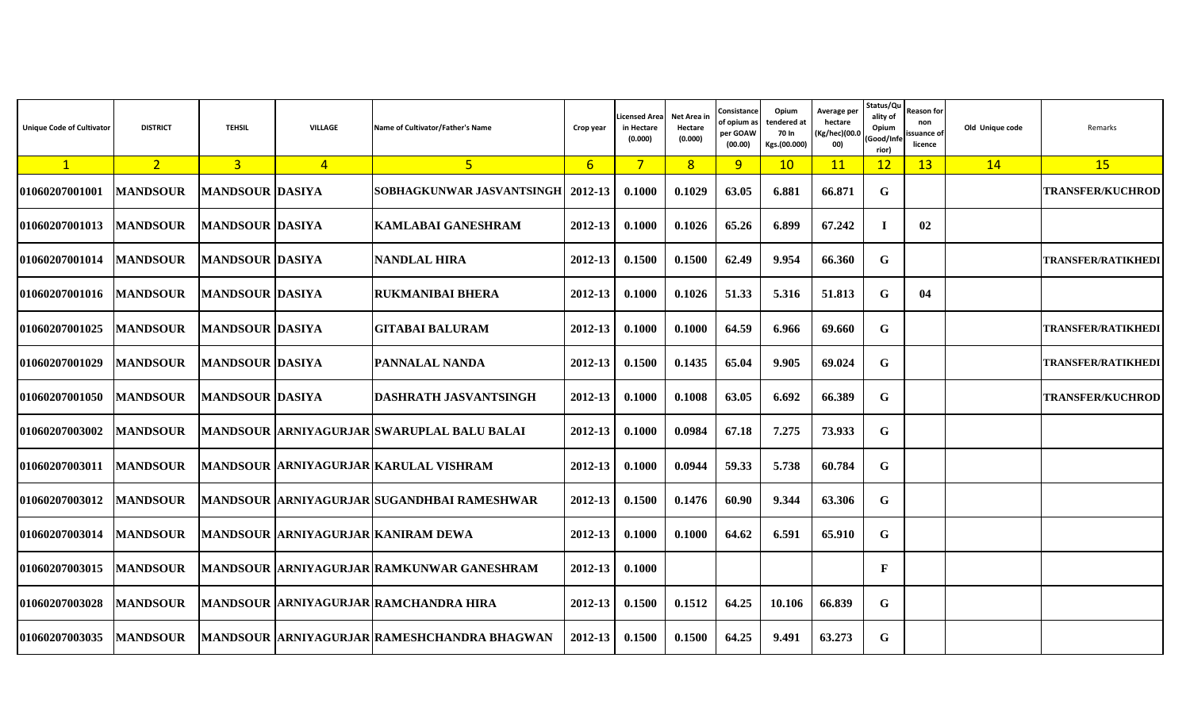| <b>Unique Code of Cultivator</b> | <b>DISTRICT</b> | <b>TEHSIL</b>          | <b>VILLAGE</b> | Name of Cultivator/Father's Name            | Crop year       | icensed Area<br>in Hectare<br>(0.000) | Net Area in<br>Hectare<br>(0.000) | Consistance<br>of opium as<br>per GOAW<br>(00.00) | Opium<br>tendered at<br>70 In<br>Kgs.(00.000) | Average per<br>hectare<br>(Kg/hec)(00.0<br>00) | Status/Qu<br>ality of<br>Opium<br>Good/Inf<br>rior) | Reason for<br>non<br>issuance of<br>licence | Old Unique code | Remarks                   |
|----------------------------------|-----------------|------------------------|----------------|---------------------------------------------|-----------------|---------------------------------------|-----------------------------------|---------------------------------------------------|-----------------------------------------------|------------------------------------------------|-----------------------------------------------------|---------------------------------------------|-----------------|---------------------------|
| $\mathbf{1}$                     | 2 <sup>1</sup>  | 3 <sup>1</sup>         | $\overline{4}$ | $5\overline{)}$                             | $6\overline{6}$ | $\overline{7}$                        | 8 <sup>1</sup>                    | 9 <sup>°</sup>                                    | 10                                            | 11                                             | 12                                                  | 13                                          | 14              | <b>15</b>                 |
| 01060207001001                   | <b>MANDSOUR</b> | <b>MANDSOUR DASIYA</b> |                | SOBHAGKUNWAR JASVANTSINGH   2012-13         |                 | 0.1000                                | 0.1029                            | 63.05                                             | 6.881                                         | 66.871                                         | G                                                   |                                             |                 | <b>TRANSFER/KUCHROD</b>   |
| 01060207001013                   | <b>MANDSOUR</b> | <b>MANDSOUR DASIYA</b> |                | <b>KAMLABAI GANESHRAM</b>                   | 2012-13         | 0.1000                                | 0.1026                            | 65.26                                             | 6.899                                         | 67.242                                         | $\bf I$                                             | 02                                          |                 |                           |
| 01060207001014                   | <b>MANDSOUR</b> | <b>MANDSOUR DASIYA</b> |                | <b>NANDLAL HIRA</b>                         | 2012-13         | 0.1500                                | 0.1500                            | 62.49                                             | 9.954                                         | 66.360                                         | G                                                   |                                             |                 | <b>TRANSFER/RATIKHEDI</b> |
| <b>01060207001016</b>            | <b>MANDSOUR</b> | <b>MANDSOUR DASIYA</b> |                | <b>RUKMANIBAI BHERA</b>                     | 2012-13         | 0.1000                                | 0.1026                            | 51.33                                             | 5.316                                         | 51.813                                         | G                                                   | 04                                          |                 |                           |
| 01060207001025                   | <b>MANDSOUR</b> | <b>MANDSOUR DASIYA</b> |                | <b>GITABAI BALURAM</b>                      | 2012-13         | 0.1000                                | 0.1000                            | 64.59                                             | 6.966                                         | 69.660                                         | G                                                   |                                             |                 | TRANSFER/RATIKHEDI        |
| 01060207001029                   | <b>MANDSOUR</b> | <b>MANDSOUR DASIYA</b> |                | <b>PANNALAL NANDA</b>                       | 2012-13         | 0.1500                                | 0.1435                            | 65.04                                             | 9.905                                         | 69.024                                         | G                                                   |                                             |                 | TRANSFER/RATIKHEDI        |
| 01060207001050                   | <b>MANDSOUR</b> | <b>MANDSOUR DASIYA</b> |                | <b>DASHRATH JASVANTSINGH</b>                | 2012-13         | 0.1000                                | 0.1008                            | 63.05                                             | 6.692                                         | 66.389                                         | G                                                   |                                             |                 | <b>TRANSFER/KUCHROD</b>   |
| 01060207003002                   | <b>MANDSOUR</b> |                        |                | MANDSOUR ARNIYAGURJAR SWARUPLAL BALU BALAI  | 2012-13         | 0.1000                                | 0.0984                            | 67.18                                             | 7.275                                         | 73.933                                         | G                                                   |                                             |                 |                           |
| 01060207003011                   | <b>MANDSOUR</b> |                        |                | MANDSOUR ARNIYAGURJAR KARULAL VISHRAM       | 2012-13         | 0.1000                                | 0.0944                            | 59.33                                             | 5.738                                         | 60.784                                         | G                                                   |                                             |                 |                           |
| 01060207003012                   | <b>MANDSOUR</b> |                        |                | MANDSOUR ARNIYAGURJAR SUGANDHBAI RAMESHWAR  | $2012 - 13$     | 0.1500                                | 0.1476                            | 60.90                                             | 9.344                                         | 63.306                                         | G                                                   |                                             |                 |                           |
| 01060207003014                   | <b>MANDSOUR</b> |                        |                | MANDSOUR ARNIYAGURJAR KANIRAM DEWA          | 2012-13         | 0.1000                                | 0.1000                            | 64.62                                             | 6.591                                         | 65.910                                         | G                                                   |                                             |                 |                           |
| 01060207003015                   | <b>MANDSOUR</b> |                        |                | MANDSOUR ARNIYAGURJAR RAMKUNWAR GANESHRAM   | 2012-13         | 0.1000                                |                                   |                                                   |                                               |                                                | F                                                   |                                             |                 |                           |
| 01060207003028                   | <b>MANDSOUR</b> |                        |                | MANDSOUR ARNIYAGURJAR RAMCHANDRA HIRA       | 2012-13         | 0.1500                                | 0.1512                            | 64.25                                             | 10.106                                        | 66.839                                         | G                                                   |                                             |                 |                           |
| 01060207003035                   | <b>MANDSOUR</b> |                        |                | MANDSOUR ARNIYAGURJAR RAMESHCHANDRA BHAGWAN | 2012-13         | 0.1500                                | 0.1500                            | 64.25                                             | 9.491                                         | 63.273                                         | G                                                   |                                             |                 |                           |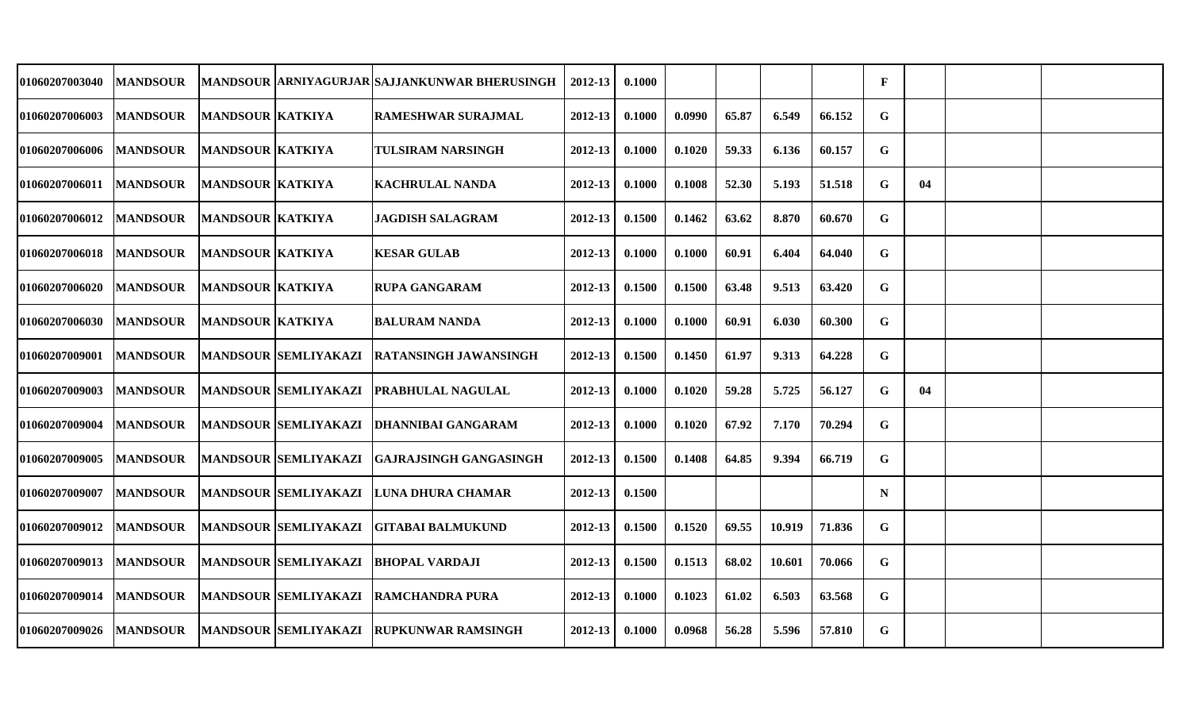| 01060207003040        | <b>MANDSOUR</b> |                         |                             | <b>MANDSOUR ARNIYAGURJAR SAJJANKUNWAR BHERUSINGH</b> | 2012-13     | 0.1000 |        |       |        |        | $\mathbf{F}$ |    |  |
|-----------------------|-----------------|-------------------------|-----------------------------|------------------------------------------------------|-------------|--------|--------|-------|--------|--------|--------------|----|--|
| <b>01060207006003</b> | <b>MANDSOUR</b> | <b>MANDSOUR KATKIYA</b> |                             | <b>RAMESHWAR SURAJMAL</b>                            | 2012-13     | 0.1000 | 0.0990 | 65.87 | 6.549  | 66.152 | G            |    |  |
| <b>01060207006006</b> | <b>MANDSOUR</b> | <b>MANDSOUR KATKIYA</b> |                             | <b>TULSIRAM NARSINGH</b>                             | $2012 - 13$ | 0.1000 | 0.1020 | 59.33 | 6.136  | 60.157 | $\mathbf G$  |    |  |
| <b>01060207006011</b> | <b>MANDSOUR</b> | <b>MANDSOUR KATKIYA</b> |                             | <b>KACHRULAL NANDA</b>                               | $2012 - 13$ | 0.1000 | 0.1008 | 52.30 | 5.193  | 51.518 | G            | 04 |  |
| <b>01060207006012</b> | <b>MANDSOUR</b> | <b>MANDSOUR KATKIYA</b> |                             | <b>JAGDISH SALAGRAM</b>                              | 2012-13     | 0.1500 | 0.1462 | 63.62 | 8.870  | 60.670 | G            |    |  |
| 01060207006018        | <b>MANDSOUR</b> | <b>MANDSOUR KATKIYA</b> |                             | <b>KESAR GULAB</b>                                   | 2012-13     | 0.1000 | 0.1000 | 60.91 | 6.404  | 64.040 | G            |    |  |
| <b>01060207006020</b> | <b>MANDSOUR</b> | <b>MANDSOUR KATKIYA</b> |                             | <b>RUPA GANGARAM</b>                                 | 2012-13     | 0.1500 | 0.1500 | 63.48 | 9.513  | 63.420 | G            |    |  |
| <b>01060207006030</b> | <b>MANDSOUR</b> | <b>MANDSOUR KATKIYA</b> |                             | <b>BALURAM NANDA</b>                                 | 2012-13     | 0.1000 | 0.1000 | 60.91 | 6.030  | 60.300 | G            |    |  |
| <b>01060207009001</b> | <b>MANDSOUR</b> |                         | <b>MANDSOUR SEMLIYAKAZI</b> | <b>RATANSINGH JAWANSINGH</b>                         | $2012 - 13$ | 0.1500 | 0.1450 | 61.97 | 9.313  | 64.228 | $\mathbf G$  |    |  |
| <b>01060207009003</b> | <b>MANDSOUR</b> |                         | <b>MANDSOUR SEMLIYAKAZI</b> | <b>PRABHULAL NAGULAL</b>                             | 2012-13     | 0.1000 | 0.1020 | 59.28 | 5.725  | 56.127 | G            | 04 |  |
| <b>01060207009004</b> | <b>MANDSOUR</b> |                         | <b>MANDSOUR SEMLIYAKAZI</b> | <b>DHANNIBAI GANGARAM</b>                            | 2012-13     | 0.1000 | 0.1020 | 67.92 | 7.170  | 70.294 | G            |    |  |
| 01060207009005        | <b>MANDSOUR</b> |                         | <b>MANDSOUR SEMLIYAKAZI</b> | <b>IGAJRAJSINGH GANGASINGH</b>                       | $2012 - 13$ | 0.1500 | 0.1408 | 64.85 | 9.394  | 66.719 | G            |    |  |
| 01060207009007        | <b>MANDSOUR</b> |                         | <b>MANDSOUR SEMLIYAKAZI</b> | LUNA DHURA CHAMAR                                    | 2012-13     | 0.1500 |        |       |        |        | $\mathbf N$  |    |  |
| 01060207009012        | <b>MANDSOUR</b> |                         | <b>MANDSOUR SEMLIYAKAZI</b> | GITABAI BALMUKUND                                    | 2012-13     | 0.1500 | 0.1520 | 69.55 | 10.919 | 71.836 | G            |    |  |
| <b>01060207009013</b> | <b>MANDSOUR</b> |                         | <b>MANDSOUR SEMLIYAKAZI</b> | <b>BHOPAL VARDAJI</b>                                | 2012-13     | 0.1500 | 0.1513 | 68.02 | 10.601 | 70.066 | G            |    |  |
| 01060207009014        | <b>MANDSOUR</b> |                         |                             | MANDSOUR SEMLIYAKAZI RAMCHANDRA PURA                 | $2012 - 13$ | 0.1000 | 0.1023 | 61.02 | 6.503  | 63.568 | G            |    |  |
| 01060207009026        | <b>MANDSOUR</b> |                         | <b>MANDSOUR SEMLIYAKAZI</b> | <b>RUPKUNWAR RAMSINGH</b>                            | 2012-13     | 0.1000 | 0.0968 | 56.28 | 5.596  | 57.810 | G            |    |  |
|                       |                 |                         |                             |                                                      |             |        |        |       |        |        |              |    |  |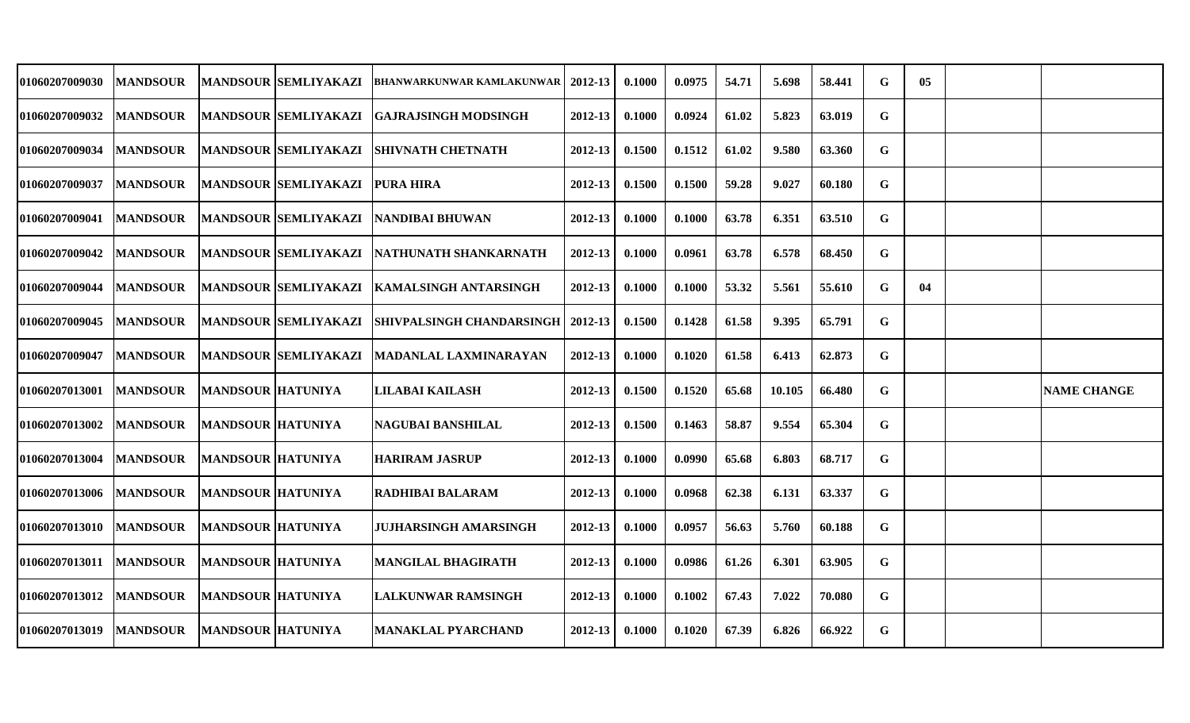| 01060207009030        | <b>MANDSOUR</b> |                          | <b>MANDSOUR SEMLIYAKAZI</b> | <b>BHANWARKUNWAR KAMLAKUNWAR</b>    | 2012-13     | 0.1000 | 0.0975 | 54.71 | 5.698  | 58.441 | G | 05 |                    |
|-----------------------|-----------------|--------------------------|-----------------------------|-------------------------------------|-------------|--------|--------|-------|--------|--------|---|----|--------------------|
| <b>01060207009032</b> | <b>MANDSOUR</b> |                          | <b>MANDSOUR SEMLIYAKAZI</b> | <b>GAJRAJSINGH MODSINGH</b>         | 2012-13     | 0.1000 | 0.0924 | 61.02 | 5.823  | 63.019 | G |    |                    |
| 01060207009034        | <b>MANDSOUR</b> |                          | <b>MANDSOUR SEMLIYAKAZI</b> | <b>SHIVNATH CHETNATH</b>            | 2012-13     | 0.1500 | 0.1512 | 61.02 | 9.580  | 63.360 | G |    |                    |
| <b>01060207009037</b> | <b>MANDSOUR</b> |                          | <b>MANDSOUR SEMLIYAKAZI</b> | <b>PURA HIRA</b>                    | $2012 - 13$ | 0.1500 | 0.1500 | 59.28 | 9.027  | 60.180 | G |    |                    |
| 01060207009041        | <b>MANDSOUR</b> |                          | <b>MANDSOUR SEMLIYAKAZI</b> | <b>INANDIBAI BHUWAN</b>             | $2012 - 13$ | 0.1000 | 0.1000 | 63.78 | 6.351  | 63.510 | G |    |                    |
| 01060207009042        | <b>MANDSOUR</b> |                          | <b>MANDSOUR SEMLIYAKAZI</b> | NATHUNATH SHANKARNATH               | 2012-13     | 0.1000 | 0.0961 | 63.78 | 6.578  | 68.450 | G |    |                    |
| 01060207009044        | <b>MANDSOUR</b> |                          | <b>MANDSOUR SEMLIYAKAZI</b> | <b>KAMALSINGH ANTARSINGH</b>        | 2012-13     | 0.1000 | 0.1000 | 53.32 | 5.561  | 55.610 | G | 04 |                    |
| 01060207009045        | <b>MANDSOUR</b> |                          | <b>MANDSOUR SEMLIYAKAZI</b> | SHIVPALSINGH CHANDARSINGH   2012-13 |             | 0.1500 | 0.1428 | 61.58 | 9.395  | 65.791 | G |    |                    |
| <b>01060207009047</b> | <b>MANDSOUR</b> |                          | <b>MANDSOUR SEMLIYAKAZI</b> | MADANLAL LAXMINARAYAN               | 2012-13     | 0.1000 | 0.1020 | 61.58 | 6.413  | 62.873 | G |    |                    |
| 01060207013001        | <b>MANDSOUR</b> | <b>MANDSOUR HATUNIYA</b> |                             | <b>LILABAI KAILASH</b>              | 2012-13     | 0.1500 | 0.1520 | 65.68 | 10.105 | 66.480 | G |    | <b>NAME CHANGE</b> |
| 01060207013002        | <b>MANDSOUR</b> | <b>MANDSOUR HATUNIYA</b> |                             | NAGUBAI BANSHILAL                   | 2012-13     | 0.1500 | 0.1463 | 58.87 | 9.554  | 65.304 | G |    |                    |
| 01060207013004        | <b>MANDSOUR</b> | <b>MANDSOUR HATUNIYA</b> |                             | <b>HARIRAM JASRUP</b>               | 2012-13     | 0.1000 | 0.0990 | 65.68 | 6.803  | 68.717 | G |    |                    |
| <b>01060207013006</b> | <b>MANDSOUR</b> | <b>MANDSOUR HATUNIYA</b> |                             | RADHIBAI BALARAM                    | 2012-13     | 0.1000 | 0.0968 | 62.38 | 6.131  | 63.337 | G |    |                    |
| 01060207013010        | <b>MANDSOUR</b> | <b>MANDSOUR HATUNIYA</b> |                             | <b>JUJHARSINGH AMARSINGH</b>        | 2012-13     | 0.1000 | 0.0957 | 56.63 | 5.760  | 60.188 | G |    |                    |
| 01060207013011        | <b>MANDSOUR</b> | <b>MANDSOUR HATUNIYA</b> |                             | <b>MANGILAL BHAGIRATH</b>           | 2012-13     | 0.1000 | 0.0986 | 61.26 | 6.301  | 63.905 | G |    |                    |
| <b>01060207013012</b> | <b>MANDSOUR</b> | <b>MANDSOUR HATUNIYA</b> |                             | <b>LALKUNWAR RAMSINGH</b>           | 2012-13     | 0.1000 | 0.1002 | 67.43 | 7.022  | 70.080 | G |    |                    |
| 01060207013019        | <b>MANDSOUR</b> | <b>MANDSOUR HATUNIYA</b> |                             | <b>MANAKLAL PYARCHAND</b>           | 2012-13     | 0.1000 | 0.1020 | 67.39 | 6.826  | 66.922 | G |    |                    |
|                       |                 |                          |                             |                                     |             |        |        |       |        |        |   |    |                    |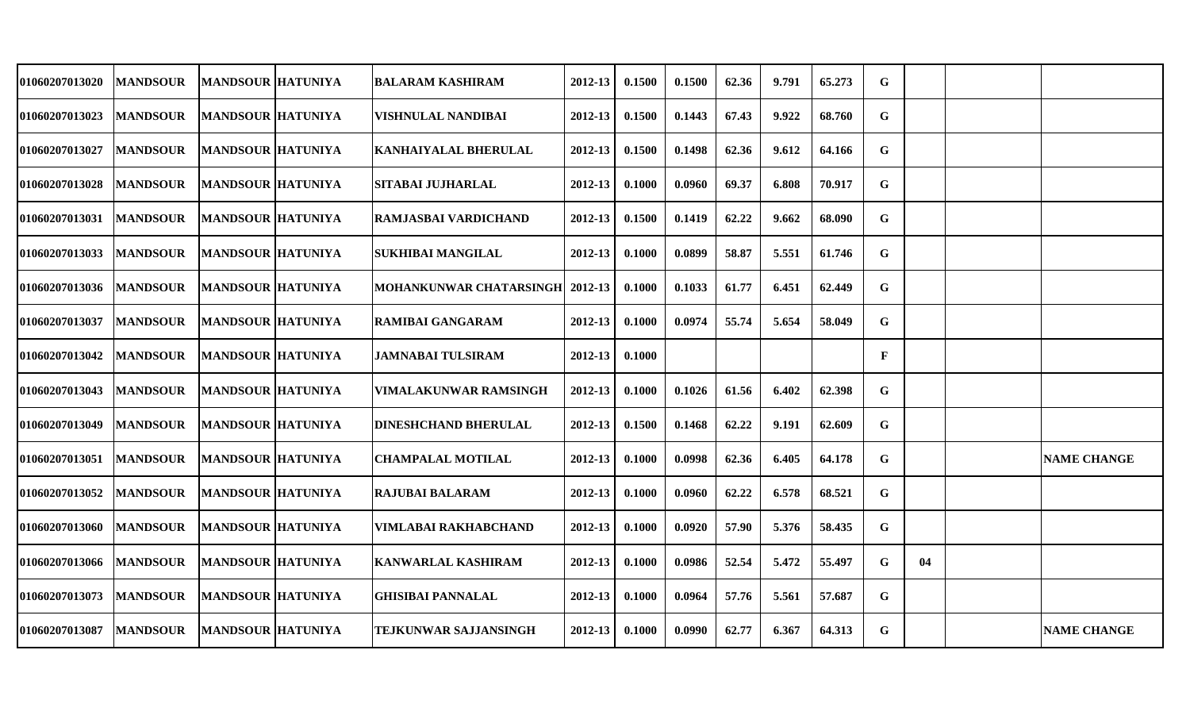| 01060207013020        | <b>MANDSOUR</b> | <b>MANDSOUR HATUNIYA</b> | BALARAM KASHIRAM                | 2012-13     | 0.1500 | 0.1500 | 62.36 | 9.791 | 65.273 | G           |    |                    |
|-----------------------|-----------------|--------------------------|---------------------------------|-------------|--------|--------|-------|-------|--------|-------------|----|--------------------|
| 01060207013023        | <b>MANDSOUR</b> | <b>MANDSOUR HATUNIYA</b> | VISHNULAL NANDIBAI              | 2012-13     | 0.1500 | 0.1443 | 67.43 | 9.922 | 68.760 | G           |    |                    |
| <b>01060207013027</b> | <b>MANDSOUR</b> | <b>MANDSOUR HATUNIYA</b> | <b>KANHAIYALAL BHERULAL</b>     | 2012-13     | 0.1500 | 0.1498 | 62.36 | 9.612 | 64.166 | G           |    |                    |
| <b>01060207013028</b> | <b>MANDSOUR</b> | <b>MANDSOUR HATUNIYA</b> | <b>SITABAI JUJHARLAL</b>        | 2012-13     | 0.1000 | 0.0960 | 69.37 | 6.808 | 70.917 | G           |    |                    |
| <b>01060207013031</b> | <b>MANDSOUR</b> | <b>MANDSOUR HATUNIYA</b> | <b>RAMJASBAI VARDICHAND</b>     | $2012 - 13$ | 0.1500 | 0.1419 | 62.22 | 9.662 | 68.090 | G           |    |                    |
| 01060207013033        | <b>MANDSOUR</b> | <b>MANDSOUR HATUNIYA</b> | <b>SUKHIBAI MANGILAL</b>        | 2012-13     | 0.1000 | 0.0899 | 58.87 | 5.551 | 61.746 | G           |    |                    |
| <b>01060207013036</b> | <b>MANDSOUR</b> | <b>MANDSOUR HATUNIYA</b> | MOHANKUNWAR CHATARSINGH 2012-13 |             | 0.1000 | 0.1033 | 61.77 | 6.451 | 62.449 | G           |    |                    |
| 01060207013037        | <b>MANDSOUR</b> | <b>MANDSOUR HATUNIYA</b> | <b>RAMIBAI GANGARAM</b>         | 2012-13     | 0.1000 | 0.0974 | 55.74 | 5.654 | 58.049 | G           |    |                    |
| 01060207013042        | <b>MANDSOUR</b> | <b>MANDSOUR HATUNIYA</b> | <b>JAMNABAI TULSIRAM</b>        | 2012-13     | 0.1000 |        |       |       |        | $\mathbf F$ |    |                    |
| <b>01060207013043</b> | <b>MANDSOUR</b> | <b>MANDSOUR HATUNIYA</b> | VIMALAKUNWAR RAMSINGH           | $2012 - 13$ | 0.1000 | 0.1026 | 61.56 | 6.402 | 62.398 | G           |    |                    |
| <b>01060207013049</b> | <b>MANDSOUR</b> | <b>MANDSOUR HATUNIYA</b> | <b>DINESHCHAND BHERULAL</b>     | 2012-13     | 0.1500 | 0.1468 | 62.22 | 9.191 | 62.609 | G           |    |                    |
| 01060207013051        | <b>MANDSOUR</b> | <b>MANDSOUR HATUNIYA</b> | <b>CHAMPALAL MOTILAL</b>        | 2012-13     | 0.1000 | 0.0998 | 62.36 | 6.405 | 64.178 | G           |    | <b>NAME CHANGE</b> |
| <b>01060207013052</b> | <b>MANDSOUR</b> | <b>MANDSOUR HATUNIYA</b> | <b>RAJUBAI BALARAM</b>          | 2012-13     | 0.1000 | 0.0960 | 62.22 | 6.578 | 68.521 | G           |    |                    |
| 01060207013060        | <b>MANDSOUR</b> | <b>MANDSOUR HATUNIYA</b> | VIMLABAI RAKHABCHAND            | 2012-13     | 0.1000 | 0.0920 | 57.90 | 5.376 | 58.435 | G           |    |                    |
| <b>01060207013066</b> | <b>MANDSOUR</b> | <b>MANDSOUR HATUNIYA</b> | <b>KANWARLAL KASHIRAM</b>       | 2012-13     | 0.1000 | 0.0986 | 52.54 | 5.472 | 55.497 | G           | 04 |                    |
| 01060207013073        | <b>MANDSOUR</b> | <b>MANDSOUR HATUNIYA</b> | <b>GHISIBAI PANNALAL</b>        | 2012-13     | 0.1000 | 0.0964 | 57.76 | 5.561 | 57.687 | G           |    |                    |
| 01060207013087        | <b>MANDSOUR</b> | <b>MANDSOUR HATUNIYA</b> | <b>TEJKUNWAR SAJJANSINGH</b>    | 2012-13     | 0.1000 | 0.0990 | 62.77 | 6.367 | 64.313 | G           |    | <b>NAME CHANGE</b> |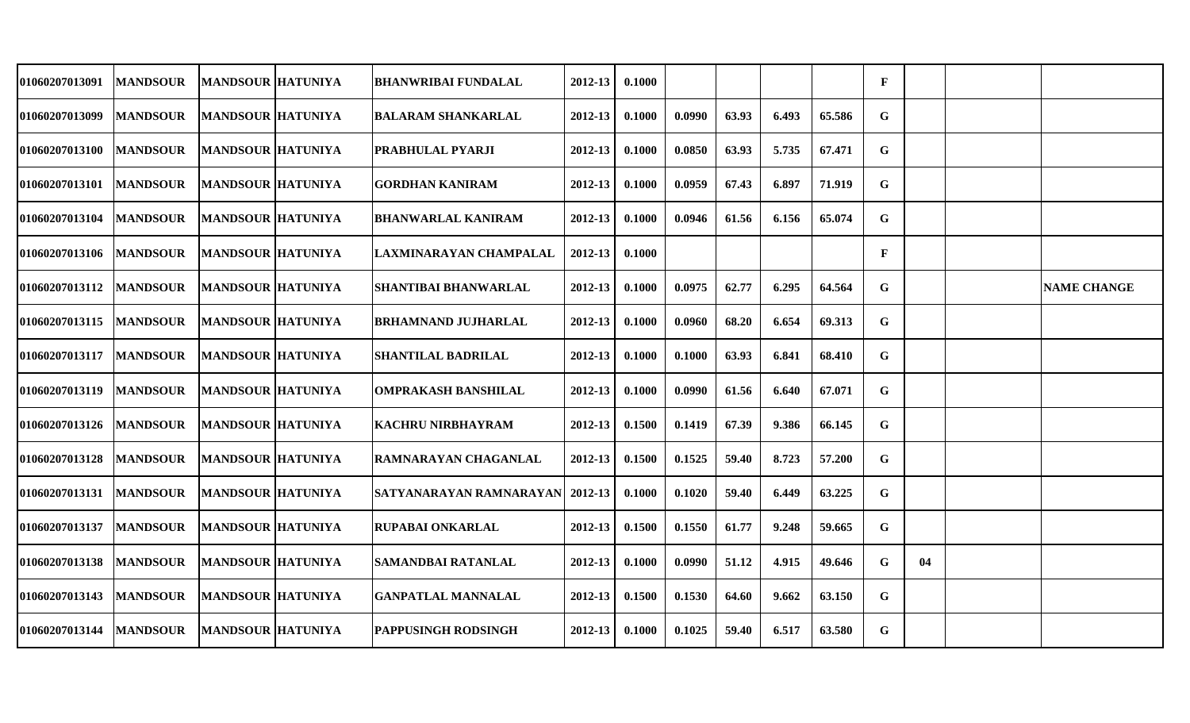| <b>01060207013091</b> | <b>MANDSOUR</b> | <b>MANDSOUR HATUNIYA</b> | <b>BHANWRIBAI FUNDALAL</b>       | 2012-13     | 0.1000 |        |       |       |        | F            |    |                    |
|-----------------------|-----------------|--------------------------|----------------------------------|-------------|--------|--------|-------|-------|--------|--------------|----|--------------------|
| <b>01060207013099</b> | <b>MANDSOUR</b> | <b>MANDSOUR HATUNIYA</b> | BALARAM SHANKARLAL               | 2012-13     | 0.1000 | 0.0990 | 63.93 | 6.493 | 65.586 | G            |    |                    |
| <b>01060207013100</b> | <b>MANDSOUR</b> | <b>MANDSOUR HATUNIYA</b> | PRABHULAL PYARJI                 | 2012-13     | 0.1000 | 0.0850 | 63.93 | 5.735 | 67.471 | G            |    |                    |
| <b>01060207013101</b> | <b>MANDSOUR</b> | <b>MANDSOUR HATUNIYA</b> | <b>GORDHAN KANIRAM</b>           | 2012-13     | 0.1000 | 0.0959 | 67.43 | 6.897 | 71.919 | G            |    |                    |
| <b>01060207013104</b> | <b>MANDSOUR</b> | <b>MANDSOUR HATUNIYA</b> | <b>BHANWARLAL KANIRAM</b>        | 2012-13     | 0.1000 | 0.0946 | 61.56 | 6.156 | 65.074 | G            |    |                    |
| <b>01060207013106</b> | <b>MANDSOUR</b> | <b>MANDSOUR HATUNIYA</b> | LAXMINARAYAN CHAMPALAL           | 2012-13     | 0.1000 |        |       |       |        | $\mathbf{F}$ |    |                    |
| <b>01060207013112</b> | <b>MANDSOUR</b> | <b>MANDSOUR HATUNIYA</b> | <b>SHANTIBAI BHANWARLAL</b>      | 2012-13     | 0.1000 | 0.0975 | 62.77 | 6.295 | 64.564 | G            |    | <b>NAME CHANGE</b> |
| 01060207013115        | <b>MANDSOUR</b> | <b>MANDSOUR HATUNIYA</b> | <b>BRHAMNAND JUJHARLAL</b>       | 2012-13     | 0.1000 | 0.0960 | 68.20 | 6.654 | 69.313 | G            |    |                    |
| <b>01060207013117</b> | <b>MANDSOUR</b> | <b>MANDSOUR HATUNIYA</b> | <b>SHANTILAL BADRILAL</b>        | 2012-13     | 0.1000 | 0.1000 | 63.93 | 6.841 | 68.410 | G            |    |                    |
| <b>01060207013119</b> | <b>MANDSOUR</b> | <b>MANDSOUR HATUNIYA</b> | OMPRAKASH BANSHILAL              | 2012-13     | 0.1000 | 0.0990 | 61.56 | 6.640 | 67.071 | G            |    |                    |
| <b>01060207013126</b> | <b>MANDSOUR</b> | <b>MANDSOUR HATUNIYA</b> | <b>KACHRU NIRBHAYRAM</b>         | 2012-13     | 0.1500 | 0.1419 | 67.39 | 9.386 | 66.145 | G            |    |                    |
| <b>01060207013128</b> | <b>MANDSOUR</b> | <b>MANDSOUR HATUNIYA</b> | RAMNARAYAN CHAGANLAL             | 2012-13     | 0.1500 | 0.1525 | 59.40 | 8.723 | 57.200 | G            |    |                    |
| <b>01060207013131</b> | <b>MANDSOUR</b> | <b>MANDSOUR HATUNIYA</b> | SATYANARAYAN RAMNARAYAN  2012-13 |             | 0.1000 | 0.1020 | 59.40 | 6.449 | 63.225 | G            |    |                    |
| 01060207013137        | <b>MANDSOUR</b> | <b>MANDSOUR HATUNIYA</b> | <b>RUPABAI ONKARLAL</b>          | 2012-13     | 0.1500 | 0.1550 | 61.77 | 9.248 | 59.665 | G            |    |                    |
| <b>01060207013138</b> | <b>MANDSOUR</b> | <b>MANDSOUR HATUNIYA</b> | SAMANDBAI RATANLAL               | 2012-13     | 0.1000 | 0.0990 | 51.12 | 4.915 | 49.646 | G            | 04 |                    |
| <b>01060207013143</b> | <b>MANDSOUR</b> | <b>MANDSOUR HATUNIYA</b> | <b>GANPATLAL MANNALAL</b>        | $2012 - 13$ | 0.1500 | 0.1530 | 64.60 | 9.662 | 63.150 | G            |    |                    |
| 01060207013144        | <b>MANDSOUR</b> | <b>MANDSOUR HATUNIYA</b> | <b>PAPPUSINGH RODSINGH</b>       | 2012-13     | 0.1000 | 0.1025 | 59.40 | 6.517 | 63.580 | G            |    |                    |
|                       |                 |                          |                                  |             |        |        |       |       |        |              |    |                    |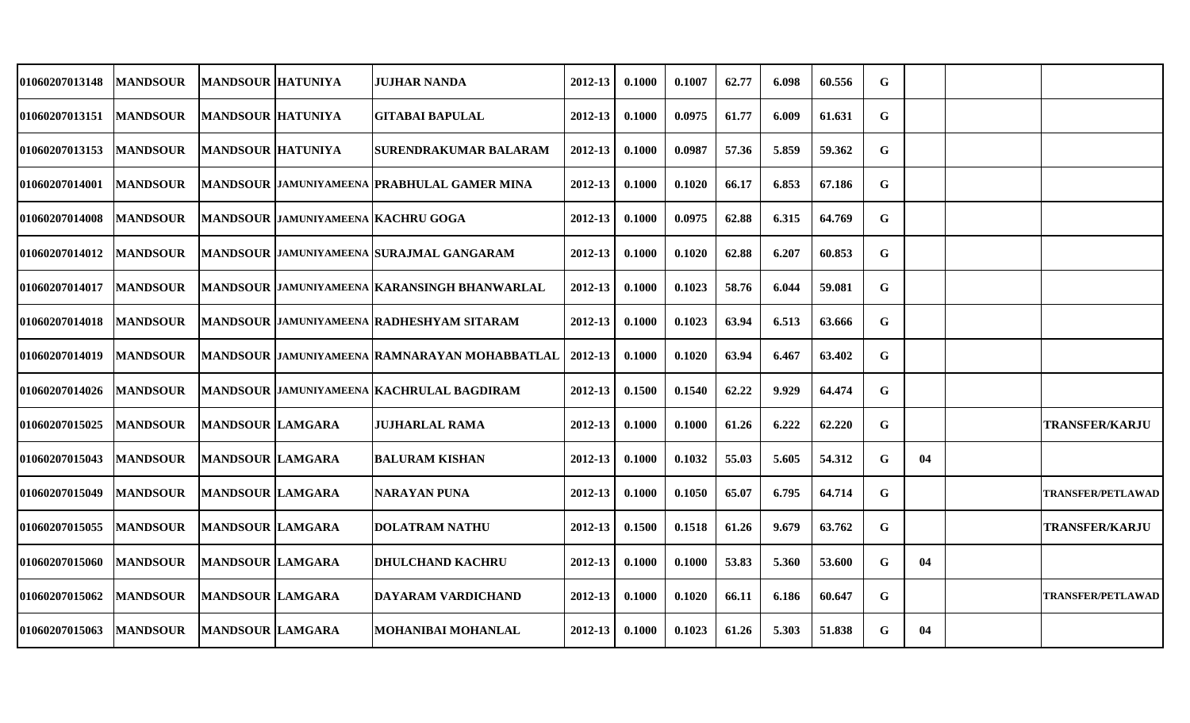| 01060207013148        | <b>MANDSOUR</b> | <b>MANDSOUR HATUNIYA</b> |                                           | <b>JUJHAR NANDA</b>                                | 2012-13     | 0.1000 | 0.1007 | 62.77 | 6.098 | 60.556 | G |    |                          |
|-----------------------|-----------------|--------------------------|-------------------------------------------|----------------------------------------------------|-------------|--------|--------|-------|-------|--------|---|----|--------------------------|
| 01060207013151        | <b>MANDSOUR</b> | <b>MANDSOUR HATUNIYA</b> |                                           | <b>GITABAI BAPULAL</b>                             | 2012-13     | 0.1000 | 0.0975 | 61.77 | 6.009 | 61.631 | G |    |                          |
| <b>01060207013153</b> | <b>MANDSOUR</b> | <b>MANDSOUR HATUNIYA</b> |                                           | <b>SURENDRAKUMAR BALARAM</b>                       | $2012 - 13$ | 0.1000 | 0.0987 | 57.36 | 5.859 | 59.362 | G |    |                          |
| 01060207014001        | <b>MANDSOUR</b> |                          |                                           | <b>MANDSOUR JAMUNIYAMEENA PRABHULAL GAMER MINA</b> | 2012-13     | 0.1000 | 0.1020 | 66.17 | 6.853 | 67.186 | G |    |                          |
| <b>01060207014008</b> | <b>MANDSOUR</b> |                          | <b>MANDSOUR JAMUNIYAMEENA KACHRU GOGA</b> |                                                    | 2012-13     | 0.1000 | 0.0975 | 62.88 | 6.315 | 64.769 | G |    |                          |
| 01060207014012        | <b>MANDSOUR</b> |                          |                                           | <b>MANDSOUR JAMUNIYAMEENA SURAJMAL GANGARAM</b>    | 2012-13     | 0.1000 | 0.1020 | 62.88 | 6.207 | 60.853 | G |    |                          |
| <b>01060207014017</b> | <b>MANDSOUR</b> |                          |                                           | MANDSOUR JAMUNIYAMEENA KARANSINGH BHANWARLAL       | 2012-13     | 0.1000 | 0.1023 | 58.76 | 6.044 | 59.081 | G |    |                          |
| <b>01060207014018</b> | <b>MANDSOUR</b> |                          |                                           | <b>MANDSOUR JAMUNIYAMEENA RADHESHYAM SITARAM</b>   | 2012-13     | 0.1000 | 0.1023 | 63.94 | 6.513 | 63.666 | G |    |                          |
| <b>01060207014019</b> | <b>MANDSOUR</b> |                          |                                           | MANDSOUR JAMUNIYAMEENA RAMNARAYAN MOHABBATLAL      | $2012 - 13$ | 0.1000 | 0.1020 | 63.94 | 6.467 | 63.402 | G |    |                          |
| <b>01060207014026</b> | <b>MANDSOUR</b> |                          |                                           | MANDSOUR JAMUNIYAMEENA KACHRULAL BAGDIRAM          | 2012-13     | 0.1500 | 0.1540 | 62.22 | 9.929 | 64.474 | G |    |                          |
| <b>01060207015025</b> | <b>MANDSOUR</b> | <b>MANDSOUR LAMGARA</b>  |                                           | JUJHARLAL RAMA                                     | 2012-13     | 0.1000 | 0.1000 | 61.26 | 6.222 | 62.220 | G |    | <b>TRANSFER/KARJU</b>    |
| 01060207015043        | <b>MANDSOUR</b> | <b>MANDSOUR LAMGARA</b>  |                                           | <b>BALURAM KISHAN</b>                              | 2012-13     | 0.1000 | 0.1032 | 55.03 | 5.605 | 54.312 | G | 04 |                          |
| <b>01060207015049</b> | <b>MANDSOUR</b> | <b>MANDSOUR LAMGARA</b>  |                                           | <b>NARAYAN PUNA</b>                                | 2012-13     | 0.1000 | 0.1050 | 65.07 | 6.795 | 64.714 | G |    | <b>TRANSFER/PETLAWAD</b> |
| 01060207015055        | <b>MANDSOUR</b> | <b>MANDSOUR LAMGARA</b>  |                                           | <b>DOLATRAM NATHU</b>                              | 2012-13     | 0.1500 | 0.1518 | 61.26 | 9.679 | 63.762 | G |    | <b>TRANSFER/KARJU</b>    |
| <b>01060207015060</b> | <b>MANDSOUR</b> | <b>MANDSOUR LAMGARA</b>  |                                           | <b>DHULCHAND KACHRU</b>                            | 2012-13     | 0.1000 | 0.1000 | 53.83 | 5.360 | 53.600 | G | 04 |                          |
| <b>01060207015062</b> | <b>MANDSOUR</b> | <b>MANDSOUR LAMGARA</b>  |                                           | DAYARAM VARDICHAND                                 | $2012 - 13$ | 0.1000 | 0.1020 | 66.11 | 6.186 | 60.647 | G |    | <b>TRANSFER/PETLAWAD</b> |
| <b>01060207015063</b> | <b>MANDSOUR</b> | <b>MANDSOUR LAMGARA</b>  |                                           | <b>MOHANIBAI MOHANLAL</b>                          | 2012-13     | 0.1000 | 0.1023 | 61.26 | 5.303 | 51.838 | G | 04 |                          |
|                       |                 |                          |                                           |                                                    |             |        |        |       |       |        |   |    |                          |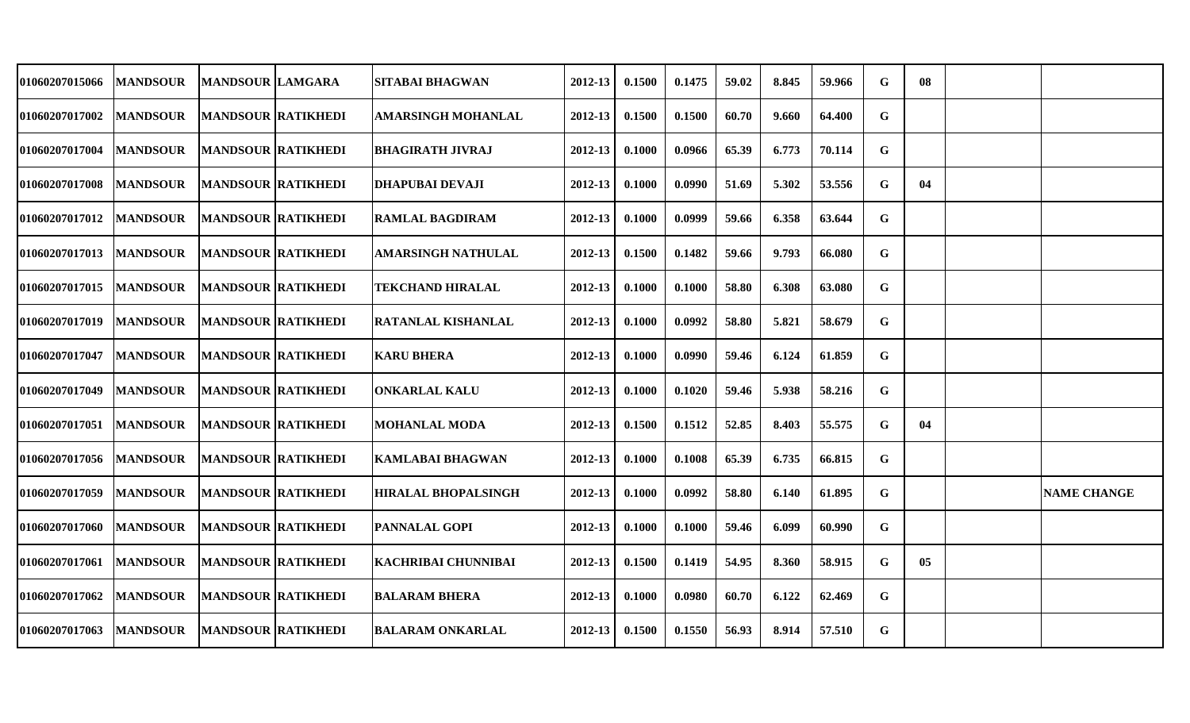| 01060207015066 | <b>MANDSOUR</b> | <b>MANDSOUR LAMGARA</b>   | <b>SITABAI BHAGWAN</b>     | 2012-13 | 0.1500 | 0.1475 | 59.02 | 8.845 | 59.966 | G           | 08 |                    |
|----------------|-----------------|---------------------------|----------------------------|---------|--------|--------|-------|-------|--------|-------------|----|--------------------|
| 01060207017002 | <b>MANDSOUR</b> | <b>MANDSOUR RATIKHEDI</b> | <b>AMARSINGH MOHANLAL</b>  | 2012-13 | 0.1500 | 0.1500 | 60.70 | 9.660 | 64.400 | G           |    |                    |
| 01060207017004 | <b>MANDSOUR</b> | <b>MANDSOUR RATIKHEDI</b> | <b>BHAGIRATH JIVRAJ</b>    | 2012-13 | 0.1000 | 0.0966 | 65.39 | 6.773 | 70.114 | $\mathbf G$ |    |                    |
| 01060207017008 | <b>MANDSOUR</b> | <b>MANDSOUR RATIKHEDI</b> | DHAPUBAI DEVAJI            | 2012-13 | 0.1000 | 0.0990 | 51.69 | 5.302 | 53.556 | G           | 04 |                    |
| 01060207017012 | <b>MANDSOUR</b> | <b>MANDSOUR RATIKHEDI</b> | <b>RAMLAL BAGDIRAM</b>     | 2012-13 | 0.1000 | 0.0999 | 59.66 | 6.358 | 63.644 | G           |    |                    |
| 01060207017013 | <b>MANDSOUR</b> | <b>MANDSOUR RATIKHEDI</b> | <b>AMARSINGH NATHULAL</b>  | 2012-13 | 0.1500 | 0.1482 | 59.66 | 9.793 | 66.080 | G           |    |                    |
| 01060207017015 | <b>MANDSOUR</b> | <b>MANDSOUR RATIKHEDI</b> | <b>TEKCHAND HIRALAL</b>    | 2012-13 | 0.1000 | 0.1000 | 58.80 | 6.308 | 63.080 | G           |    |                    |
| 01060207017019 | <b>MANDSOUR</b> | <b>MANDSOUR RATIKHEDI</b> | <b>RATANLAL KISHANLAL</b>  | 2012-13 | 0.1000 | 0.0992 | 58.80 | 5.821 | 58.679 | G           |    |                    |
| 01060207017047 | <b>MANDSOUR</b> | <b>MANDSOUR RATIKHEDI</b> | <b>KARU BHERA</b>          | 2012-13 | 0.1000 | 0.0990 | 59.46 | 6.124 | 61.859 | $\mathbf G$ |    |                    |
| 01060207017049 | <b>MANDSOUR</b> | <b>MANDSOUR RATIKHEDI</b> | <b>ONKARLAL KALU</b>       | 2012-13 | 0.1000 | 0.1020 | 59.46 | 5.938 | 58.216 | G           |    |                    |
| 01060207017051 | <b>MANDSOUR</b> | <b>MANDSOUR RATIKHEDI</b> | <b>MOHANLAL MODA</b>       | 2012-13 | 0.1500 | 0.1512 | 52.85 | 8.403 | 55.575 | G           | 04 |                    |
| 01060207017056 | <b>MANDSOUR</b> | <b>MANDSOUR RATIKHEDI</b> | KAMLABAI BHAGWAN           | 2012-13 | 0.1000 | 0.1008 | 65.39 | 6.735 | 66.815 | G           |    |                    |
| 01060207017059 | <b>MANDSOUR</b> | <b>MANDSOUR RATIKHEDI</b> | <b>HIRALAL BHOPALSINGH</b> | 2012-13 | 0.1000 | 0.0992 | 58.80 | 6.140 | 61.895 | G           |    | <b>NAME CHANGE</b> |
| 01060207017060 | <b>MANDSOUR</b> | <b>MANDSOUR RATIKHEDI</b> | <b>PANNALAL GOPI</b>       | 2012-13 | 0.1000 | 0.1000 | 59.46 | 6.099 | 60.990 | G           |    |                    |
| 01060207017061 | <b>MANDSOUR</b> | <b>MANDSOUR RATIKHEDI</b> | <b>KACHRIBAI CHUNNIBAI</b> | 2012-13 | 0.1500 | 0.1419 | 54.95 | 8.360 | 58.915 | G           | 05 |                    |
| 01060207017062 | <b>MANDSOUR</b> | <b>MANDSOUR RATIKHEDI</b> | <b>BALARAM BHERA</b>       | 2012-13 | 0.1000 | 0.0980 | 60.70 | 6.122 | 62.469 | G           |    |                    |
| 01060207017063 | <b>MANDSOUR</b> | <b>MANDSOUR RATIKHEDI</b> | <b>BALARAM ONKARLAL</b>    | 2012-13 | 0.1500 | 0.1550 | 56.93 | 8.914 | 57.510 | G           |    |                    |
|                |                 |                           |                            |         |        |        |       |       |        |             |    |                    |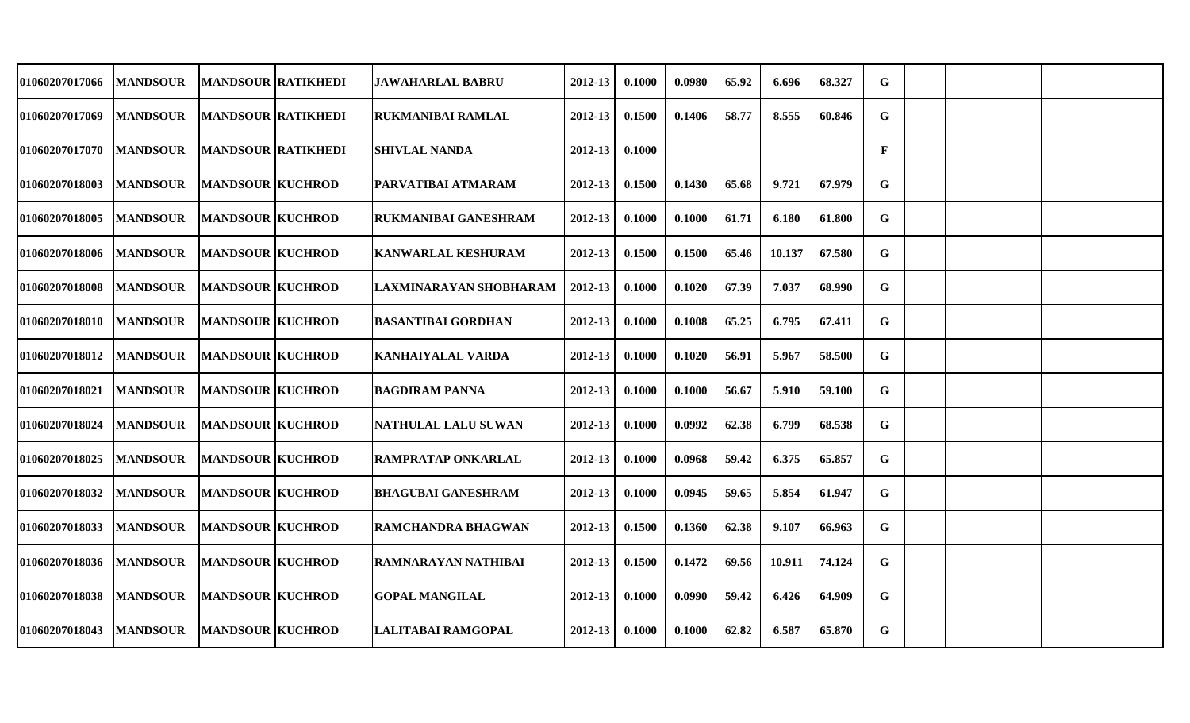| 01060207017066        | <b>MANDSOUR</b> | <b>MANDSOUR RATIKHEDI</b> | <b>JAWAHARLAL BABRU</b>     | 2012-13     | 0.1000 | 0.0980 | 65.92 | 6.696  | 68.327 | G            |  |  |
|-----------------------|-----------------|---------------------------|-----------------------------|-------------|--------|--------|-------|--------|--------|--------------|--|--|
| 01060207017069        | <b>MANDSOUR</b> | <b>MANDSOUR RATIKHEDI</b> | <b>RUKMANIBAI RAMLAL</b>    | 2012-13     | 0.1500 | 0.1406 | 58.77 | 8.555  | 60.846 | G            |  |  |
| 01060207017070        | <b>MANDSOUR</b> | <b>MANDSOUR RATIKHEDI</b> | <b>SHIVLAL NANDA</b>        | $2012 - 13$ | 0.1000 |        |       |        |        | $\mathbf{F}$ |  |  |
| 01060207018003        | <b>MANDSOUR</b> | <b>MANDSOUR KUCHROD</b>   | PARVATIBAI ATMARAM          | 2012-13     | 0.1500 | 0.1430 | 65.68 | 9.721  | 67.979 | G            |  |  |
| 01060207018005        | <b>MANDSOUR</b> | <b>MANDSOUR KUCHROD</b>   | <b>RUKMANIBAI GANESHRAM</b> | 2012-13     | 0.1000 | 0.1000 | 61.71 | 6.180  | 61.800 | G            |  |  |
| 01060207018006        | <b>MANDSOUR</b> | <b>MANDSOUR KUCHROD</b>   | <b>KANWARLAL KESHURAM</b>   | $2012 - 13$ | 0.1500 | 0.1500 | 65.46 | 10.137 | 67.580 | G            |  |  |
| 01060207018008        | <b>MANDSOUR</b> | <b>MANDSOUR KUCHROD</b>   | LAXMINARAYAN SHOBHARAM      | 2012-13     | 0.1000 | 0.1020 | 67.39 | 7.037  | 68.990 | G            |  |  |
| <b>01060207018010</b> | <b>MANDSOUR</b> | <b>MANDSOUR KUCHROD</b>   | <b>BASANTIBAI GORDHAN</b>   | 2012-13     | 0.1000 | 0.1008 | 65.25 | 6.795  | 67.411 | G            |  |  |
| 01060207018012        | <b>MANDSOUR</b> | <b>MANDSOUR KUCHROD</b>   | <b>KANHAIYALAL VARDA</b>    | 2012-13     | 0.1000 | 0.1020 | 56.91 | 5.967  | 58.500 | $\mathbf G$  |  |  |
| <b>01060207018021</b> | <b>MANDSOUR</b> | <b>MANDSOUR KUCHROD</b>   | <b>BAGDIRAM PANNA</b>       | 2012-13     | 0.1000 | 0.1000 | 56.67 | 5.910  | 59.100 | G            |  |  |
| 01060207018024        | <b>MANDSOUR</b> | <b>MANDSOUR KUCHROD</b>   | <b>NATHULAL LALU SUWAN</b>  | 2012-13     | 0.1000 | 0.0992 | 62.38 | 6.799  | 68.538 | $\mathbf G$  |  |  |
| 01060207018025        | <b>MANDSOUR</b> | <b>MANDSOUR KUCHROD</b>   | <b>RAMPRATAP ONKARLAL</b>   | 2012-13     | 0.1000 | 0.0968 | 59.42 | 6.375  | 65.857 | G            |  |  |
| 01060207018032        | <b>MANDSOUR</b> | <b>MANDSOUR KUCHROD</b>   | <b>BHAGUBAI GANESHRAM</b>   | 2012-13     | 0.1000 | 0.0945 | 59.65 | 5.854  | 61.947 | G            |  |  |
| 01060207018033        | <b>MANDSOUR</b> | <b>MANDSOUR KUCHROD</b>   | RAMCHANDRA BHAGWAN          | 2012-13     | 0.1500 | 0.1360 | 62.38 | 9.107  | 66.963 | G            |  |  |
| 01060207018036        | <b>MANDSOUR</b> | <b>MANDSOUR KUCHROD</b>   | RAMNARAYAN NATHIBAI         | 2012-13     | 0.1500 | 0.1472 | 69.56 | 10.911 | 74.124 | $\mathbf G$  |  |  |
| <b>01060207018038</b> | <b>MANDSOUR</b> | <b>MANDSOUR KUCHROD</b>   | <b>GOPAL MANGILAL</b>       | 2012-13     | 0.1000 | 0.0990 | 59.42 | 6.426  | 64.909 | G            |  |  |
| 01060207018043        | <b>MANDSOUR</b> | <b>MANDSOUR KUCHROD</b>   | LALITABAI RAMGOPAL          | 2012-13     | 0.1000 | 0.1000 | 62.82 | 6.587  | 65.870 | G            |  |  |
|                       |                 |                           |                             |             |        |        |       |        |        |              |  |  |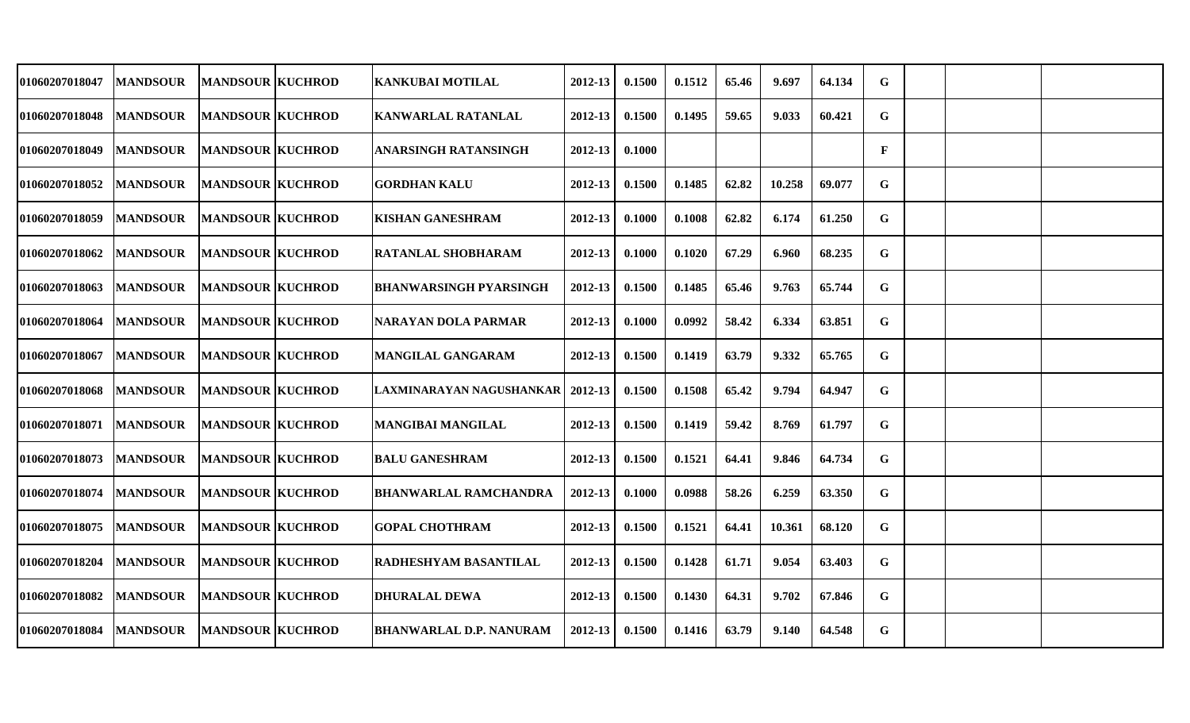| 01060207018047        | <b>MANDSOUR</b> | <b>MANDSOUR KUCHROD</b> | <b>KANKUBAI MOTILAL</b>            | 2012-13     | 0.1500 | 0.1512 | 65.46 | 9.697  | 64.134 | $\mathbf G$ |  |  |
|-----------------------|-----------------|-------------------------|------------------------------------|-------------|--------|--------|-------|--------|--------|-------------|--|--|
| 01060207018048        | <b>MANDSOUR</b> | <b>MANDSOUR KUCHROD</b> | KANWARLAL RATANLAL                 | 2012-13     | 0.1500 | 0.1495 | 59.65 | 9.033  | 60.421 | G           |  |  |
| <b>01060207018049</b> | <b>MANDSOUR</b> | <b>MANDSOUR KUCHROD</b> | <b>ANARSINGH RATANSINGH</b>        | 2012-13     | 0.1000 |        |       |        |        | F           |  |  |
| 01060207018052        | <b>MANDSOUR</b> | <b>MANDSOUR KUCHROD</b> | <b>GORDHAN KALU</b>                | 2012-13     | 0.1500 | 0.1485 | 62.82 | 10.258 | 69.077 | G           |  |  |
| 01060207018059        | <b>MANDSOUR</b> | <b>MANDSOUR KUCHROD</b> | <b>KISHAN GANESHRAM</b>            | 2012-13     | 0.1000 | 0.1008 | 62.82 | 6.174  | 61.250 | $\mathbf G$ |  |  |
| 01060207018062        | <b>MANDSOUR</b> | <b>MANDSOUR KUCHROD</b> | <b>RATANLAL SHOBHARAM</b>          | $2012 - 13$ | 0.1000 | 0.1020 | 67.29 | 6.960  | 68.235 | G           |  |  |
| 01060207018063        | <b>MANDSOUR</b> | <b>MANDSOUR KUCHROD</b> | <b>BHANWARSINGH PYARSINGH</b>      | 2012-13     | 0.1500 | 0.1485 | 65.46 | 9.763  | 65.744 | G           |  |  |
| 01060207018064        | <b>MANDSOUR</b> | <b>MANDSOUR KUCHROD</b> | NARAYAN DOLA PARMAR                | 2012-13     | 0.1000 | 0.0992 | 58.42 | 6.334  | 63.851 | $\mathbf G$ |  |  |
| 01060207018067        | <b>MANDSOUR</b> | <b>MANDSOUR KUCHROD</b> | <b>MANGILAL GANGARAM</b>           | $2012 - 13$ | 0.1500 | 0.1419 | 63.79 | 9.332  | 65.765 | G           |  |  |
| 01060207018068        | <b>MANDSOUR</b> | <b>MANDSOUR KUCHROD</b> | LAXMINARAYAN NAGUSHANKAR   2012-13 |             | 0.1500 | 0.1508 | 65.42 | 9.794  | 64.947 | $\mathbf G$ |  |  |
| 01060207018071        | <b>MANDSOUR</b> | <b>MANDSOUR KUCHROD</b> | <b>MANGIBAI MANGILAL</b>           | 2012-13     | 0.1500 | 0.1419 | 59.42 | 8.769  | 61.797 | G           |  |  |
| 01060207018073        | <b>MANDSOUR</b> | <b>MANDSOUR KUCHROD</b> | <b>BALU GANESHRAM</b>              | 2012-13     | 0.1500 | 0.1521 | 64.41 | 9.846  | 64.734 | $\mathbf G$ |  |  |
| 01060207018074        | <b>MANDSOUR</b> | <b>MANDSOUR KUCHROD</b> | <b>BHANWARLAL RAMCHANDRA</b>       | 2012-13     | 0.1000 | 0.0988 | 58.26 | 6.259  | 63.350 | G           |  |  |
| 01060207018075        | <b>MANDSOUR</b> | <b>MANDSOUR KUCHROD</b> | <b>GOPAL CHOTHRAM</b>              | 2012-13     | 0.1500 | 0.1521 | 64.41 | 10.361 | 68.120 | G           |  |  |
| 01060207018204        | <b>MANDSOUR</b> | <b>MANDSOUR KUCHROD</b> | RADHESHYAM BASANTILAL              | 2012-13     | 0.1500 | 0.1428 | 61.71 | 9.054  | 63.403 | $\mathbf G$ |  |  |
| 01060207018082        | <b>MANDSOUR</b> | <b>MANDSOUR KUCHROD</b> | <b>DHURALAL DEWA</b>               | 2012-13     | 0.1500 | 0.1430 | 64.31 | 9.702  | 67.846 | G           |  |  |
| 01060207018084        | <b>MANDSOUR</b> | <b>MANDSOUR KUCHROD</b> | <b>BHANWARLAL D.P. NANURAM</b>     | 2012-13     | 0.1500 | 0.1416 | 63.79 | 9.140  | 64.548 | G           |  |  |
|                       |                 |                         |                                    |             |        |        |       |        |        |             |  |  |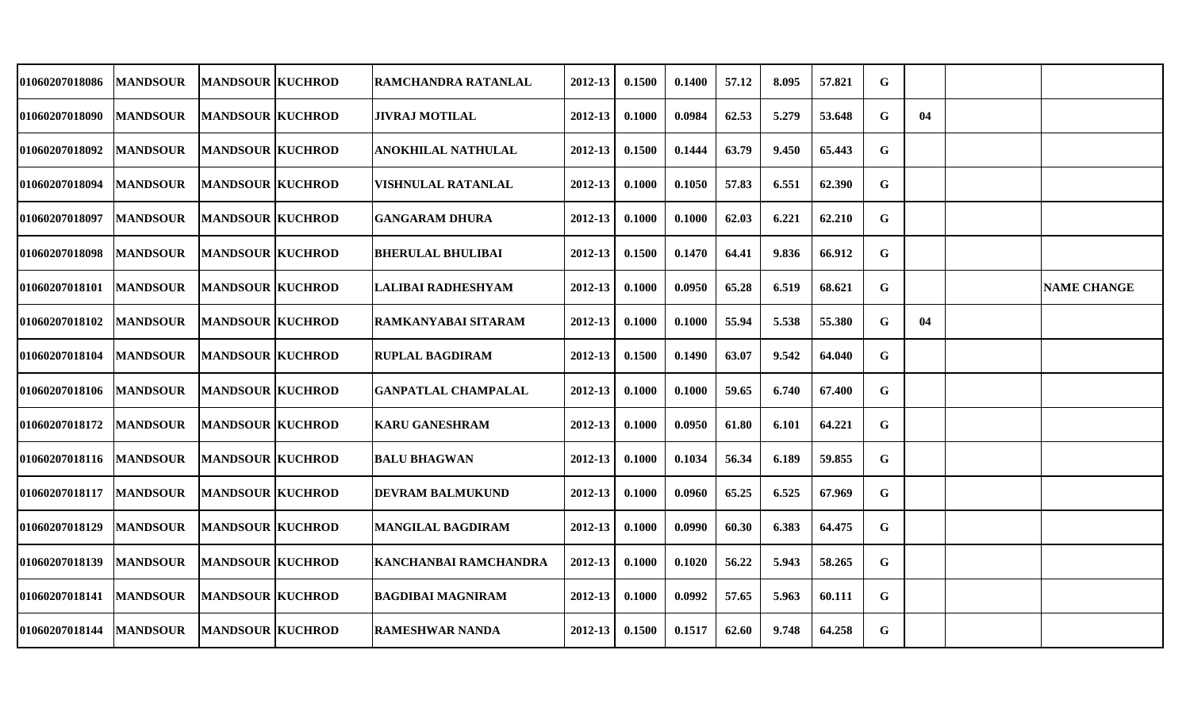| 01060207018086        | <b>MANDSOUR</b> | <b>MANDSOUR KUCHROD</b> | RAMCHANDRA RATANLAL        | 2012-13     | 0.1500 | 0.1400 | 57.12 | 8.095 | 57.821 | G |    |                    |
|-----------------------|-----------------|-------------------------|----------------------------|-------------|--------|--------|-------|-------|--------|---|----|--------------------|
| <b>01060207018090</b> | <b>MANDSOUR</b> | <b>MANDSOUR KUCHROD</b> | <b>JIVRAJ MOTILAL</b>      | 2012-13     | 0.1000 | 0.0984 | 62.53 | 5.279 | 53.648 | G | 04 |                    |
| 01060207018092        | <b>MANDSOUR</b> | <b>MANDSOUR KUCHROD</b> | <b>ANOKHILAL NATHULAL</b>  | 2012-13     | 0.1500 | 0.1444 | 63.79 | 9.450 | 65.443 | G |    |                    |
| 01060207018094        | <b>MANDSOUR</b> | <b>MANDSOUR KUCHROD</b> | VISHNULAL RATANLAL         | 2012-13     | 0.1000 | 0.1050 | 57.83 | 6.551 | 62.390 | G |    |                    |
| 01060207018097        | <b>MANDSOUR</b> | <b>MANDSOUR KUCHROD</b> | <b>GANGARAM DHURA</b>      | 2012-13     | 0.1000 | 0.1000 | 62.03 | 6.221 | 62.210 | G |    |                    |
| 01060207018098        | <b>MANDSOUR</b> | <b>MANDSOUR KUCHROD</b> | <b>BHERULAL BHULIBAI</b>   | 2012-13     | 0.1500 | 0.1470 | 64.41 | 9.836 | 66.912 | G |    |                    |
| 01060207018101        | <b>MANDSOUR</b> | <b>MANDSOUR KUCHROD</b> | LALIBAI RADHESHYAM         | 2012-13     | 0.1000 | 0.0950 | 65.28 | 6.519 | 68.621 | G |    | <b>NAME CHANGE</b> |
| <b>01060207018102</b> | <b>MANDSOUR</b> | <b>MANDSOUR KUCHROD</b> | RAMKANYABAI SITARAM        | 2012-13     | 0.1000 | 0.1000 | 55.94 | 5.538 | 55.380 | G | 04 |                    |
| 01060207018104        | <b>MANDSOUR</b> | <b>MANDSOUR KUCHROD</b> | <b>RUPLAL BAGDIRAM</b>     | 2012-13     | 0.1500 | 0.1490 | 63.07 | 9.542 | 64.040 | G |    |                    |
| <b>01060207018106</b> | <b>MANDSOUR</b> | <b>MANDSOUR KUCHROD</b> | <b>GANPATLAL CHAMPALAL</b> | 2012-13     | 0.1000 | 0.1000 | 59.65 | 6.740 | 67.400 | G |    |                    |
| 01060207018172        | <b>MANDSOUR</b> | <b>MANDSOUR KUCHROD</b> | <b>KARU GANESHRAM</b>      | 2012-13     | 0.1000 | 0.0950 | 61.80 | 6.101 | 64.221 | G |    |                    |
| 01060207018116        | <b>MANDSOUR</b> | <b>MANDSOUR KUCHROD</b> | <b>BALU BHAGWAN</b>        | 2012-13     | 0.1000 | 0.1034 | 56.34 | 6.189 | 59.855 | G |    |                    |
| 01060207018117        | <b>MANDSOUR</b> | <b>MANDSOUR KUCHROD</b> | <b>DEVRAM BALMUKUND</b>    | 2012-13     | 0.1000 | 0.0960 | 65.25 | 6.525 | 67.969 | G |    |                    |
| 01060207018129        | <b>MANDSOUR</b> | <b>MANDSOUR KUCHROD</b> | <b>MANGILAL BAGDIRAM</b>   | 2012-13     | 0.1000 | 0.0990 | 60.30 | 6.383 | 64.475 | G |    |                    |
| 01060207018139        | <b>MANDSOUR</b> | <b>MANDSOUR KUCHROD</b> | KANCHANBAI RAMCHANDRA      | 2012-13     | 0.1000 | 0.1020 | 56.22 | 5.943 | 58.265 | G |    |                    |
| 01060207018141        | <b>MANDSOUR</b> | <b>MANDSOUR KUCHROD</b> | <b>BAGDIBAI MAGNIRAM</b>   | $2012 - 13$ | 0.1000 | 0.0992 | 57.65 | 5.963 | 60.111 | G |    |                    |
| 01060207018144        | <b>MANDSOUR</b> | <b>MANDSOUR KUCHROD</b> | <b>RAMESHWAR NANDA</b>     | 2012-13     | 0.1500 | 0.1517 | 62.60 | 9.748 | 64.258 | G |    |                    |
|                       |                 |                         |                            |             |        |        |       |       |        |   |    |                    |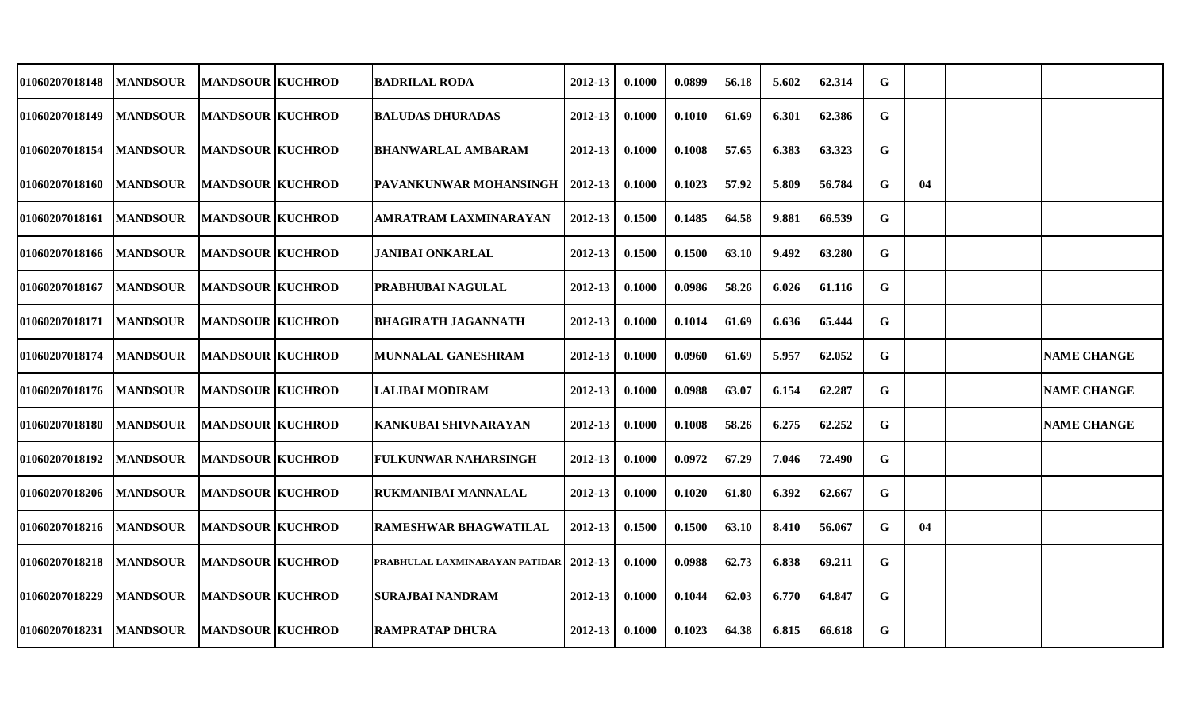| 01060207018148        | <b>MANDSOUR</b> | <b>MANDSOUR KUCHROD</b> | <b>BADRILAL RODA</b>           | 2012-13 | 0.1000 | 0.0899 | 56.18 | 5.602 | 62.314 | G |    |                    |
|-----------------------|-----------------|-------------------------|--------------------------------|---------|--------|--------|-------|-------|--------|---|----|--------------------|
| <b>01060207018149</b> | <b>MANDSOUR</b> | <b>MANDSOUR KUCHROD</b> | <b>BALUDAS DHURADAS</b>        | 2012-13 | 0.1000 | 0.1010 | 61.69 | 6.301 | 62.386 | G |    |                    |
| <b>01060207018154</b> | <b>MANDSOUR</b> | <b>MANDSOUR KUCHROD</b> | <b>BHANWARLAL AMBARAM</b>      | 2012-13 | 0.1000 | 0.1008 | 57.65 | 6.383 | 63.323 | G |    |                    |
| <b>01060207018160</b> | <b>MANDSOUR</b> | <b>MANDSOUR KUCHROD</b> | PAVANKUNWAR MOHANSINGH         | 2012-13 | 0.1000 | 0.1023 | 57.92 | 5.809 | 56.784 | G | 04 |                    |
| <b>01060207018161</b> | <b>MANDSOUR</b> | <b>MANDSOUR KUCHROD</b> | AMRATRAM LAXMINARAYAN          | 2012-13 | 0.1500 | 0.1485 | 64.58 | 9.881 | 66.539 | G |    |                    |
| <b>01060207018166</b> | <b>MANDSOUR</b> | <b>MANDSOUR KUCHROD</b> | <b>JANIBAI ONKARLAL</b>        | 2012-13 | 0.1500 | 0.1500 | 63.10 | 9.492 | 63.280 | G |    |                    |
| <b>01060207018167</b> | <b>MANDSOUR</b> | <b>MANDSOUR KUCHROD</b> | <b>PRABHUBAI NAGULAL</b>       | 2012-13 | 0.1000 | 0.0986 | 58.26 | 6.026 | 61.116 | G |    |                    |
| <b>01060207018171</b> | <b>MANDSOUR</b> | <b>MANDSOUR KUCHROD</b> | <b>BHAGIRATH JAGANNATH</b>     | 2012-13 | 0.1000 | 0.1014 | 61.69 | 6.636 | 65.444 | G |    |                    |
| <b>01060207018174</b> | <b>MANDSOUR</b> | <b>MANDSOUR KUCHROD</b> | <b>MUNNALAL GANESHRAM</b>      | 2012-13 | 0.1000 | 0.0960 | 61.69 | 5.957 | 62.052 | G |    | <b>NAME CHANGE</b> |
| <b>01060207018176</b> | <b>MANDSOUR</b> | <b>MANDSOUR KUCHROD</b> | <b>LALIBAI MODIRAM</b>         | 2012-13 | 0.1000 | 0.0988 | 63.07 | 6.154 | 62.287 | G |    | <b>NAME CHANGE</b> |
| <b>01060207018180</b> | <b>MANDSOUR</b> | <b>MANDSOUR KUCHROD</b> | <b>KANKUBAI SHIVNARAYAN</b>    | 2012-13 | 0.1000 | 0.1008 | 58.26 | 6.275 | 62.252 | G |    | <b>NAME CHANGE</b> |
| <b>01060207018192</b> | <b>MANDSOUR</b> | <b>MANDSOUR KUCHROD</b> | <b>FULKUNWAR NAHARSINGH</b>    | 2012-13 | 0.1000 | 0.0972 | 67.29 | 7.046 | 72.490 | G |    |                    |
| <b>01060207018206</b> | <b>MANDSOUR</b> | <b>MANDSOUR KUCHROD</b> | <b>RUKMANIBAI MANNALAL</b>     | 2012-13 | 0.1000 | 0.1020 | 61.80 | 6.392 | 62.667 | G |    |                    |
| 01060207018216        | <b>MANDSOUR</b> | <b>MANDSOUR KUCHROD</b> | <b>RAMESHWAR BHAGWATILAL</b>   | 2012-13 | 0.1500 | 0.1500 | 63.10 | 8.410 | 56.067 | G | 04 |                    |
| <b>01060207018218</b> | <b>MANDSOUR</b> | <b>MANDSOUR KUCHROD</b> | PRABHULAL LAXMINARAYAN PATIDAR | 2012-13 | 0.1000 | 0.0988 | 62.73 | 6.838 | 69.211 | G |    |                    |
| <b>01060207018229</b> | <b>MANDSOUR</b> | <b>MANDSOUR KUCHROD</b> | <b>SURAJBAI NANDRAM</b>        | 2012-13 | 0.1000 | 0.1044 | 62.03 | 6.770 | 64.847 | G |    |                    |
| <b>01060207018231</b> | <b>MANDSOUR</b> | <b>MANDSOUR KUCHROD</b> | <b>RAMPRATAP DHURA</b>         | 2012-13 | 0.1000 | 0.1023 | 64.38 | 6.815 | 66.618 | G |    |                    |
|                       |                 |                         |                                |         |        |        |       |       |        |   |    |                    |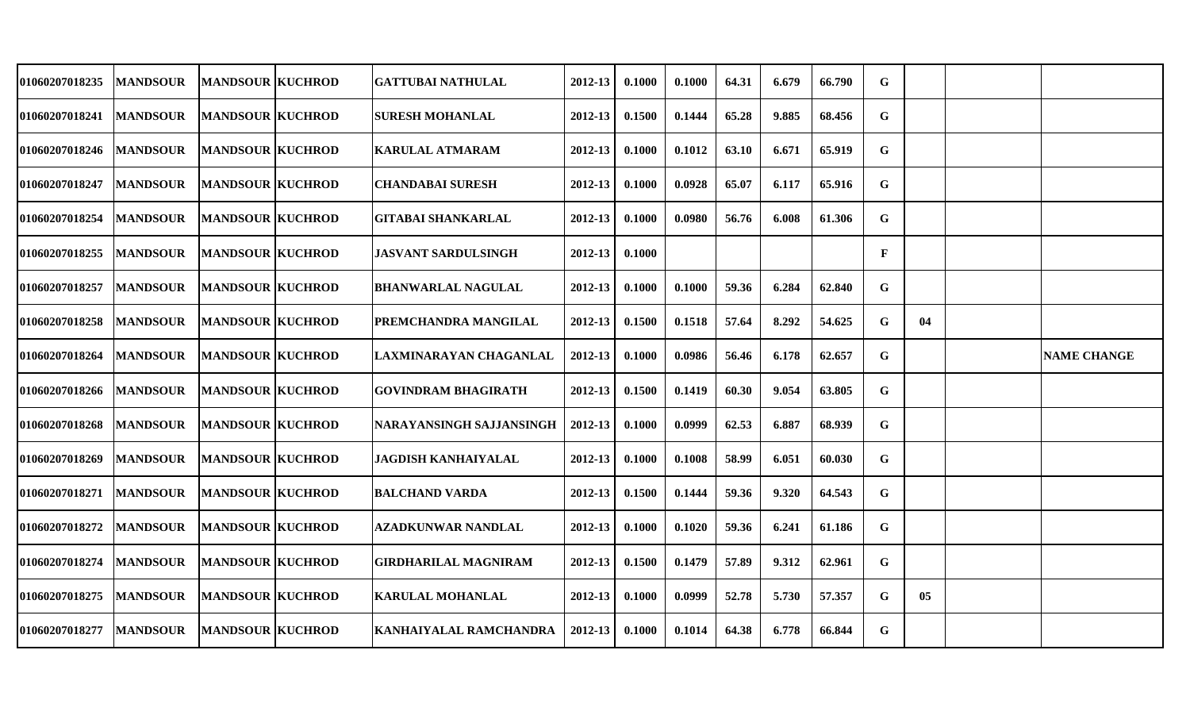| 01060207018235        | <b>MANDSOUR</b> | <b>MANDSOUR KUCHROD</b> | <b>GATTUBAI NATHULAL</b>    | 2012-13     | 0.1000 | 0.1000 | 64.31 | 6.679 | 66.790 | G |    |                    |
|-----------------------|-----------------|-------------------------|-----------------------------|-------------|--------|--------|-------|-------|--------|---|----|--------------------|
| 01060207018241        | <b>MANDSOUR</b> | <b>MANDSOUR KUCHROD</b> | <b>SURESH MOHANLAL</b>      | 2012-13     | 0.1500 | 0.1444 | 65.28 | 9.885 | 68.456 | G |    |                    |
| <b>01060207018246</b> | <b>MANDSOUR</b> | <b>MANDSOUR KUCHROD</b> | <b>KARULAL ATMARAM</b>      | $2012 - 13$ | 0.1000 | 0.1012 | 63.10 | 6.671 | 65.919 | G |    |                    |
| <b>01060207018247</b> | <b>MANDSOUR</b> | <b>MANDSOUR KUCHROD</b> | <b>CHANDABAI SURESH</b>     | $2012 - 13$ | 0.1000 | 0.0928 | 65.07 | 6.117 | 65.916 | G |    |                    |
| <b>01060207018254</b> | <b>MANDSOUR</b> | <b>MANDSOUR KUCHROD</b> | <b>GITABAI SHANKARLAL</b>   | 2012-13     | 0.1000 | 0.0980 | 56.76 | 6.008 | 61.306 | G |    |                    |
| 01060207018255        | <b>MANDSOUR</b> | <b>MANDSOUR KUCHROD</b> | <b>JASVANT SARDULSINGH</b>  | 2012-13     | 0.1000 |        |       |       |        | F |    |                    |
| <b>01060207018257</b> | <b>MANDSOUR</b> | <b>MANDSOUR KUCHROD</b> | <b>BHANWARLAL NAGULAL</b>   | 2012-13     | 0.1000 | 0.1000 | 59.36 | 6.284 | 62.840 | G |    |                    |
| <b>01060207018258</b> | <b>MANDSOUR</b> | <b>MANDSOUR KUCHROD</b> | PREMCHANDRA MANGILAL        | 2012-13     | 0.1500 | 0.1518 | 57.64 | 8.292 | 54.625 | G | 04 |                    |
| <b>01060207018264</b> | <b>MANDSOUR</b> | <b>MANDSOUR KUCHROD</b> | LAXMINARAYAN CHAGANLAL      | 2012-13     | 0.1000 | 0.0986 | 56.46 | 6.178 | 62.657 | G |    | <b>NAME CHANGE</b> |
| <b>01060207018266</b> | <b>MANDSOUR</b> | <b>MANDSOUR KUCHROD</b> | <b>GOVINDRAM BHAGIRATH</b>  | 2012-13     | 0.1500 | 0.1419 | 60.30 | 9.054 | 63.805 | G |    |                    |
| <b>01060207018268</b> | <b>MANDSOUR</b> | <b>MANDSOUR KUCHROD</b> | NARAYANSINGH SAJJANSINGH    | 2012-13     | 0.1000 | 0.0999 | 62.53 | 6.887 | 68.939 | G |    |                    |
| 01060207018269        | <b>MANDSOUR</b> | <b>MANDSOUR KUCHROD</b> | JAGDISH KANHAIYALAL         | 2012-13     | 0.1000 | 0.1008 | 58.99 | 6.051 | 60.030 | G |    |                    |
| <b>01060207018271</b> | <b>MANDSOUR</b> | <b>MANDSOUR KUCHROD</b> | <b>BALCHAND VARDA</b>       | 2012-13     | 0.1500 | 0.1444 | 59.36 | 9.320 | 64.543 | G |    |                    |
| 01060207018272        | <b>MANDSOUR</b> | <b>MANDSOUR KUCHROD</b> | <b>AZADKUNWAR NANDLAL</b>   | 2012-13     | 0.1000 | 0.1020 | 59.36 | 6.241 | 61.186 | G |    |                    |
| <b>01060207018274</b> | <b>MANDSOUR</b> | <b>MANDSOUR KUCHROD</b> | <b>GIRDHARILAL MAGNIRAM</b> | 2012-13     | 0.1500 | 0.1479 | 57.89 | 9.312 | 62.961 | G |    |                    |
| <b>01060207018275</b> | <b>MANDSOUR</b> | <b>MANDSOUR KUCHROD</b> | <b>KARULAL MOHANLAL</b>     | 2012-13     | 0.1000 | 0.0999 | 52.78 | 5.730 | 57.357 | G | 05 |                    |
| <b>01060207018277</b> | <b>MANDSOUR</b> | <b>MANDSOUR KUCHROD</b> | KANHAIYALAL RAMCHANDRA      | 2012-13     | 0.1000 | 0.1014 | 64.38 | 6.778 | 66.844 | G |    |                    |
|                       |                 |                         |                             |             |        |        |       |       |        |   |    |                    |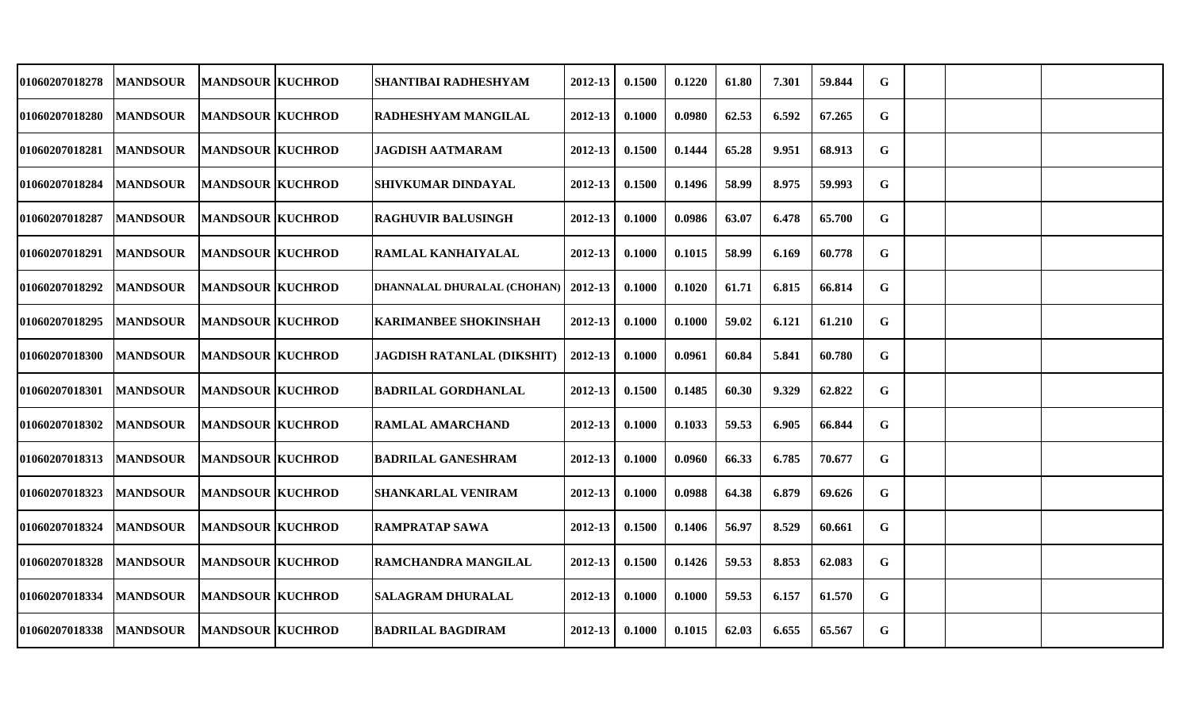| 01060207018278        | <b>MANDSOUR</b> | <b>MANDSOUR KUCHROD</b> | <b>SHANTIBAI RADHESHYAM</b>       | 2012-13     | 0.1500 | 0.1220 | 61.80 | 7.301 | 59.844 | G |  |  |
|-----------------------|-----------------|-------------------------|-----------------------------------|-------------|--------|--------|-------|-------|--------|---|--|--|
| 01060207018280        | <b>MANDSOUR</b> | <b>MANDSOUR KUCHROD</b> | <b>RADHESHYAM MANGILAL</b>        | 2012-13     | 0.1000 | 0.0980 | 62.53 | 6.592 | 67.265 | G |  |  |
| <b>01060207018281</b> | <b>MANDSOUR</b> | <b>MANDSOUR KUCHROD</b> | <b>JAGDISH AATMARAM</b>           | $2012 - 13$ | 0.1500 | 0.1444 | 65.28 | 9.951 | 68.913 | G |  |  |
| <b>01060207018284</b> | <b>MANDSOUR</b> | <b>MANDSOUR KUCHROD</b> | <b>SHIVKUMAR DINDAYAL</b>         | 2012-13     | 0.1500 | 0.1496 | 58.99 | 8.975 | 59.993 | G |  |  |
| 01060207018287        | <b>MANDSOUR</b> | <b>MANDSOUR KUCHROD</b> | <b>RAGHUVIR BALUSINGH</b>         | 2012-13     | 0.1000 | 0.0986 | 63.07 | 6.478 | 65.700 | G |  |  |
| 01060207018291        | <b>MANDSOUR</b> | <b>MANDSOUR KUCHROD</b> | <b>RAMLAL KANHAIYALAL</b>         | 2012-13     | 0.1000 | 0.1015 | 58.99 | 6.169 | 60.778 | G |  |  |
| 01060207018292        | <b>MANDSOUR</b> | <b>MANDSOUR KUCHROD</b> | DHANNALAL DHURALAL (CHOHAN)       | 2012-13     | 0.1000 | 0.1020 | 61.71 | 6.815 | 66.814 | G |  |  |
| 01060207018295        | <b>MANDSOUR</b> | <b>MANDSOUR KUCHROD</b> | <b>KARIMANBEE SHOKINSHAH</b>      | 2012-13     | 0.1000 | 0.1000 | 59.02 | 6.121 | 61.210 | G |  |  |
| <b>01060207018300</b> | <b>MANDSOUR</b> | <b>MANDSOUR KUCHROD</b> | <b>JAGDISH RATANLAL (DIKSHIT)</b> | 2012-13     | 0.1000 | 0.0961 | 60.84 | 5.841 | 60.780 | G |  |  |
| 01060207018301        | <b>MANDSOUR</b> | <b>MANDSOUR KUCHROD</b> | <b>BADRILAL GORDHANLAL</b>        | 2012-13     | 0.1500 | 0.1485 | 60.30 | 9.329 | 62.822 | G |  |  |
| 01060207018302        | <b>MANDSOUR</b> | <b>MANDSOUR KUCHROD</b> | <b>RAMLAL AMARCHAND</b>           | 2012-13     | 0.1000 | 0.1033 | 59.53 | 6.905 | 66.844 | G |  |  |
| 01060207018313        | <b>MANDSOUR</b> | <b>MANDSOUR KUCHROD</b> | <b>BADRILAL GANESHRAM</b>         | 2012-13     | 0.1000 | 0.0960 | 66.33 | 6.785 | 70.677 | G |  |  |
| 01060207018323        | <b>MANDSOUR</b> | <b>MANDSOUR KUCHROD</b> | <b> SHANKARLAL VENIRAM</b>        | $2012 - 13$ | 0.1000 | 0.0988 | 64.38 | 6.879 | 69.626 | G |  |  |
| 01060207018324        | <b>MANDSOUR</b> | <b>MANDSOUR KUCHROD</b> | <b>RAMPRATAP SAWA</b>             | 2012-13     | 0.1500 | 0.1406 | 56.97 | 8.529 | 60.661 | G |  |  |
| 01060207018328        | <b>MANDSOUR</b> | <b>MANDSOUR KUCHROD</b> | RAMCHANDRA MANGILAL               | 2012-13     | 0.1500 | 0.1426 | 59.53 | 8.853 | 62.083 | G |  |  |
| 01060207018334        | <b>MANDSOUR</b> | <b>MANDSOUR KUCHROD</b> | <b>SALAGRAM DHURALAL</b>          | 2012-13     | 0.1000 | 0.1000 | 59.53 | 6.157 | 61.570 | G |  |  |
| 01060207018338        | <b>MANDSOUR</b> | <b>MANDSOUR KUCHROD</b> | <b>BADRILAL BAGDIRAM</b>          | 2012-13     | 0.1000 | 0.1015 | 62.03 | 6.655 | 65.567 | G |  |  |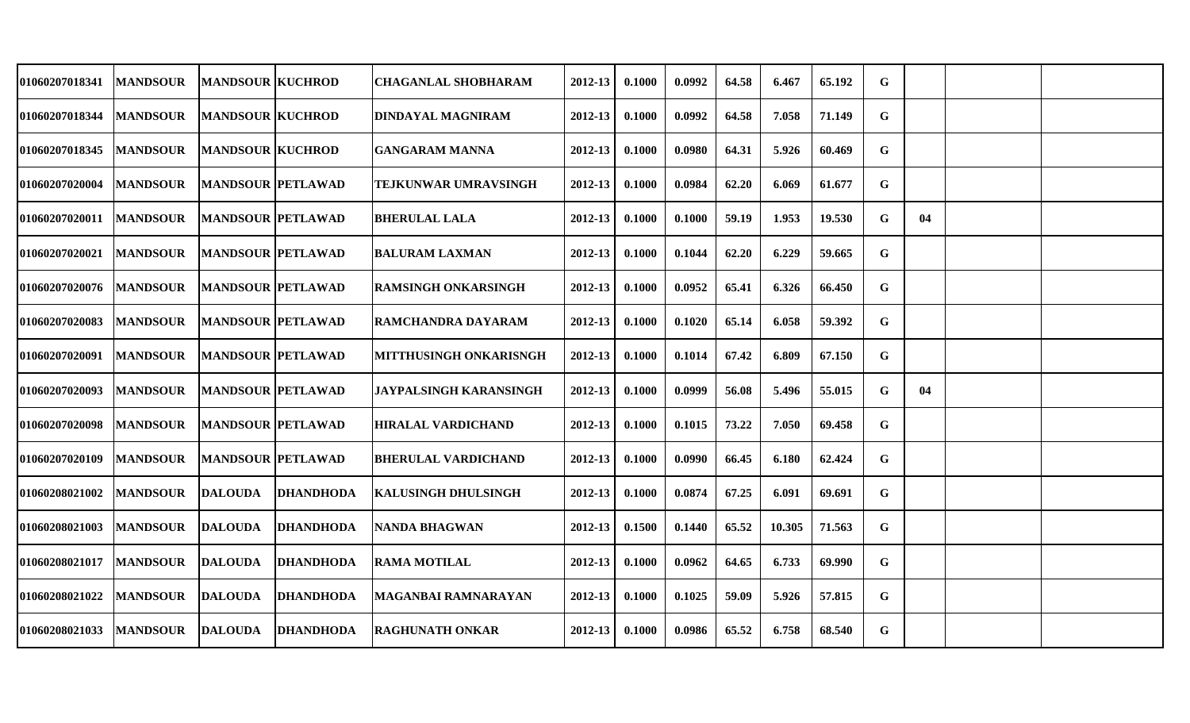| 01060207018341        | <b>MANDSOUR</b> | <b>MANDSOUR KUCHROD</b>  |                  | <b>CHAGANLAL SHOBHARAM</b>    | 2012-13     | 0.1000 | 0.0992 | 64.58 | 6.467  | 65.192 | G           |    |  |
|-----------------------|-----------------|--------------------------|------------------|-------------------------------|-------------|--------|--------|-------|--------|--------|-------------|----|--|
| 01060207018344        | <b>MANDSOUR</b> | <b>MANDSOUR KUCHROD</b>  |                  | <b>DINDAYAL MAGNIRAM</b>      | 2012-13     | 0.1000 | 0.0992 | 64.58 | 7.058  | 71.149 | G           |    |  |
| 01060207018345        | <b>MANDSOUR</b> | <b>MANDSOUR KUCHROD</b>  |                  | <b>GANGARAM MANNA</b>         | 2012-13     | 0.1000 | 0.0980 | 64.31 | 5.926  | 60.469 | $\mathbf G$ |    |  |
| <b>01060207020004</b> | <b>MANDSOUR</b> | <b>MANDSOUR PETLAWAD</b> |                  | TEJKUNWAR UMRAVSINGH          | 2012-13     | 0.1000 | 0.0984 | 62.20 | 6.069  | 61.677 | G           |    |  |
| 01060207020011        | <b>MANDSOUR</b> | <b>MANDSOUR PETLAWAD</b> |                  | <b>BHERULAL LALA</b>          | 2012-13     | 0.1000 | 0.1000 | 59.19 | 1.953  | 19.530 | G           | 04 |  |
| 01060207020021        | <b>MANDSOUR</b> | <b>MANDSOUR PETLAWAD</b> |                  | <b>BALURAM LAXMAN</b>         | 2012-13     | 0.1000 | 0.1044 | 62.20 | 6.229  | 59.665 | G           |    |  |
| 01060207020076        | <b>MANDSOUR</b> | <b>MANDSOUR PETLAWAD</b> |                  | <b>RAMSINGH ONKARSINGH</b>    | 2012-13     | 0.1000 | 0.0952 | 65.41 | 6.326  | 66.450 | G           |    |  |
| 01060207020083        | <b>MANDSOUR</b> | <b>MANDSOUR PETLAWAD</b> |                  | RAMCHANDRA DAYARAM            | 2012-13     | 0.1000 | 0.1020 | 65.14 | 6.058  | 59.392 | G           |    |  |
| 01060207020091        | <b>MANDSOUR</b> | <b>MANDSOUR PETLAWAD</b> |                  | <b>MITTHUSINGH ONKARISNGH</b> | $2012 - 13$ | 0.1000 | 0.1014 | 67.42 | 6.809  | 67.150 | $\mathbf G$ |    |  |
| 01060207020093        | <b>MANDSOUR</b> | <b>MANDSOUR PETLAWAD</b> |                  | <b>JAYPALSINGH KARANSINGH</b> | 2012-13     | 0.1000 | 0.0999 | 56.08 | 5.496  | 55.015 | G           | 04 |  |
| 01060207020098        | <b>MANDSOUR</b> | <b>MANDSOUR PETLAWAD</b> |                  | <b>HIRALAL VARDICHAND</b>     | 2012-13     | 0.1000 | 0.1015 | 73.22 | 7.050  | 69.458 | G           |    |  |
| 01060207020109        | <b>MANDSOUR</b> | MANDSOUR  PETLAWAD       |                  | <b>BHERULAL VARDICHAND</b>    | 2012-13     | 0.1000 | 0.0990 | 66.45 | 6.180  | 62.424 | G           |    |  |
| 01060208021002        | <b>MANDSOUR</b> | <b>DALOUDA</b>           | <b>DHANDHODA</b> | <b>KALUSINGH DHULSINGH</b>    | 2012-13     | 0.1000 | 0.0874 | 67.25 | 6.091  | 69.691 | G           |    |  |
| 01060208021003        | <b>MANDSOUR</b> | <b>DALOUDA</b>           | <b>DHANDHODA</b> | <b>NANDA BHAGWAN</b>          | 2012-13     | 0.1500 | 0.1440 | 65.52 | 10.305 | 71.563 | G           |    |  |
| 01060208021017        | <b>MANDSOUR</b> | <b>DALOUDA</b>           | <b>DHANDHODA</b> | <b>RAMA MOTILAL</b>           | 2012-13     | 0.1000 | 0.0962 | 64.65 | 6.733  | 69.990 | $\mathbf G$ |    |  |
| 01060208021022        | <b>MANDSOUR</b> | <b>DALOUDA</b>           | <b>DHANDHODA</b> | <b>MAGANBAI RAMNARAYAN</b>    | $2012 - 13$ | 0.1000 | 0.1025 | 59.09 | 5.926  | 57.815 | G           |    |  |
| 01060208021033        | <b>MANDSOUR</b> | <b>DALOUDA</b>           | <b>DHANDHODA</b> | <b>RAGHUNATH ONKAR</b>        | 2012-13     | 0.1000 | 0.0986 | 65.52 | 6.758  | 68.540 | G           |    |  |
|                       |                 |                          |                  |                               |             |        |        |       |        |        |             |    |  |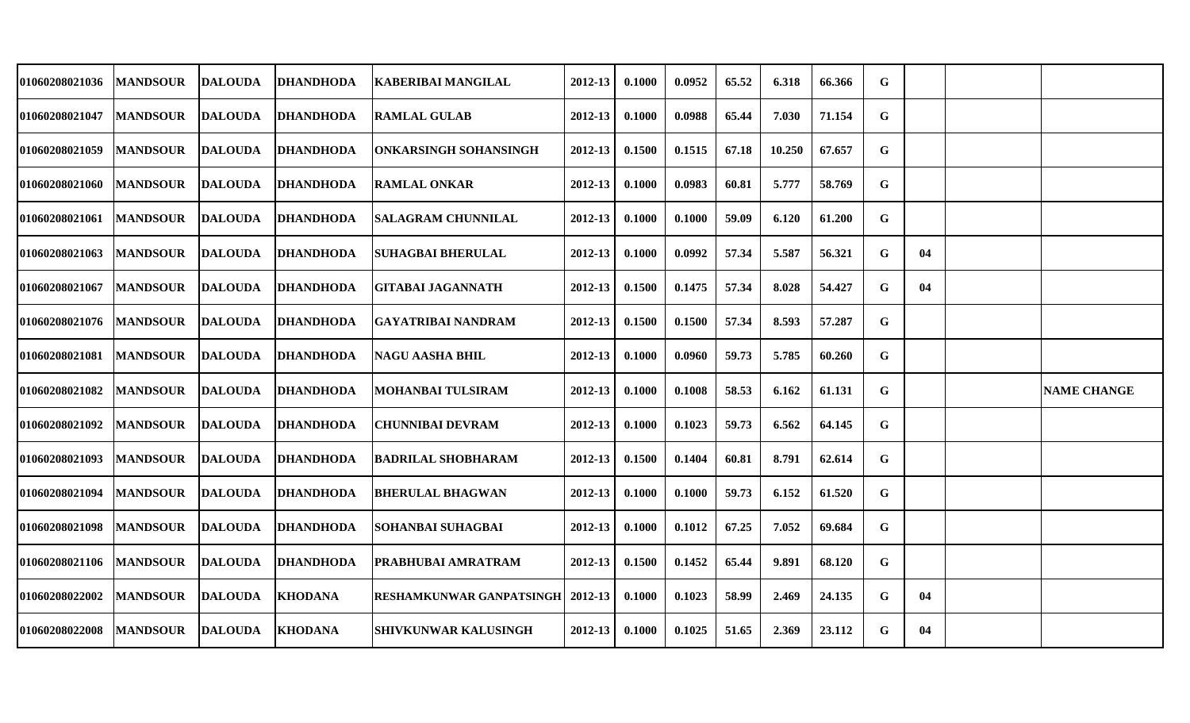| 01060208021036        | <b>MANDSOUR</b> | <b>DALOUDA</b> | <b>DHANDHODA</b> | <b>KABERIBAI MANGILAL</b>                 | 2012-13 | 0.1000 | 0.0952 | 65.52 | 6.318  | 66.366 | G           |    |                    |
|-----------------------|-----------------|----------------|------------------|-------------------------------------------|---------|--------|--------|-------|--------|--------|-------------|----|--------------------|
| 01060208021047        | <b>MANDSOUR</b> | <b>DALOUDA</b> | <b>DHANDHODA</b> | <b>RAMLAL GULAB</b>                       | 2012-13 | 0.1000 | 0.0988 | 65.44 | 7.030  | 71.154 | G           |    |                    |
| 01060208021059        | <b>MANDSOUR</b> | <b>DALOUDA</b> | <b>DHANDHODA</b> | <b>ONKARSINGH SOHANSINGH</b>              | 2012-13 | 0.1500 | 0.1515 | 67.18 | 10.250 | 67.657 | G           |    |                    |
| <b>01060208021060</b> | <b>MANDSOUR</b> | <b>DALOUDA</b> | <b>DHANDHODA</b> | <b>RAMLAL ONKAR</b>                       | 2012-13 | 0.1000 | 0.0983 | 60.81 | 5.777  | 58.769 | G           |    |                    |
| 01060208021061        | <b>MANDSOUR</b> | <b>DALOUDA</b> | <b>DHANDHODA</b> | <b>ISALAGRAM CHUNNILAL</b>                | 2012-13 | 0.1000 | 0.1000 | 59.09 | 6.120  | 61.200 | G           |    |                    |
| 01060208021063        | <b>MANDSOUR</b> | <b>DALOUDA</b> | <b>DHANDHODA</b> | SUHAGBAI BHERULAL                         | 2012-13 | 0.1000 | 0.0992 | 57.34 | 5.587  | 56.321 | G           | 04 |                    |
| 01060208021067        | <b>MANDSOUR</b> | <b>DALOUDA</b> | <b>DHANDHODA</b> | <b>GITABAI JAGANNATH</b>                  | 2012-13 | 0.1500 | 0.1475 | 57.34 | 8.028  | 54.427 | G           | 04 |                    |
| 01060208021076        | <b>MANDSOUR</b> | <b>DALOUDA</b> | <b>DHANDHODA</b> | GAYATRIBAI NANDRAM                        | 2012-13 | 0.1500 | 0.1500 | 57.34 | 8.593  | 57.287 | G           |    |                    |
| 01060208021081        | <b>MANDSOUR</b> | <b>DALOUDA</b> | <b>DHANDHODA</b> | <b>NAGU AASHA BHIL</b>                    | 2012-13 | 0.1000 | 0.0960 | 59.73 | 5.785  | 60.260 | $\mathbf G$ |    |                    |
| 01060208021082        | <b>MANDSOUR</b> | <b>DALOUDA</b> | <b>DHANDHODA</b> | <b>MOHANBAI TULSIRAM</b>                  | 2012-13 | 0.1000 | 0.1008 | 58.53 | 6.162  | 61.131 | G           |    | <b>NAME CHANGE</b> |
| 01060208021092        | <b>MANDSOUR</b> | <b>DALOUDA</b> | <b>DHANDHODA</b> | <b>CHUNNIBAI DEVRAM</b>                   | 2012-13 | 0.1000 | 0.1023 | 59.73 | 6.562  | 64.145 | G           |    |                    |
| 01060208021093        | <b>MANDSOUR</b> | <b>DALOUDA</b> | <b>DHANDHODA</b> | <b>BADRILAL SHOBHARAM</b>                 | 2012-13 | 0.1500 | 0.1404 | 60.81 | 8.791  | 62.614 | G           |    |                    |
| 01060208021094        | <b>MANDSOUR</b> | <b>DALOUDA</b> | <b>DHANDHODA</b> | <b>BHERULAL BHAGWAN</b>                   | 2012-13 | 0.1000 | 0.1000 | 59.73 | 6.152  | 61.520 | G           |    |                    |
| 01060208021098        | <b>MANDSOUR</b> | <b>DALOUDA</b> | <b>DHANDHODA</b> | SOHANBAI SUHAGBAI                         | 2012-13 | 0.1000 | 0.1012 | 67.25 | 7.052  | 69.684 | G           |    |                    |
| 01060208021106        | <b>MANDSOUR</b> | <b>DALOUDA</b> | <b>DHANDHODA</b> | <b>PRABHUBAI AMRATRAM</b>                 | 2012-13 | 0.1500 | 0.1452 | 65.44 | 9.891  | 68.120 | G           |    |                    |
| 01060208022002        | <b>MANDSOUR</b> | <b>DALOUDA</b> | <b>KHODANA</b>   | <b>RESHAMKUNWAR GANPATSINGH   2012-13</b> |         | 0.1000 | 0.1023 | 58.99 | 2.469  | 24.135 | G           | 04 |                    |
| 01060208022008        | <b>MANDSOUR</b> | <b>DALOUDA</b> | <b>KHODANA</b>   | <b>SHIVKUNWAR KALUSINGH</b>               | 2012-13 | 0.1000 | 0.1025 | 51.65 | 2.369  | 23.112 | G           | 04 |                    |
|                       |                 |                |                  |                                           |         |        |        |       |        |        |             |    |                    |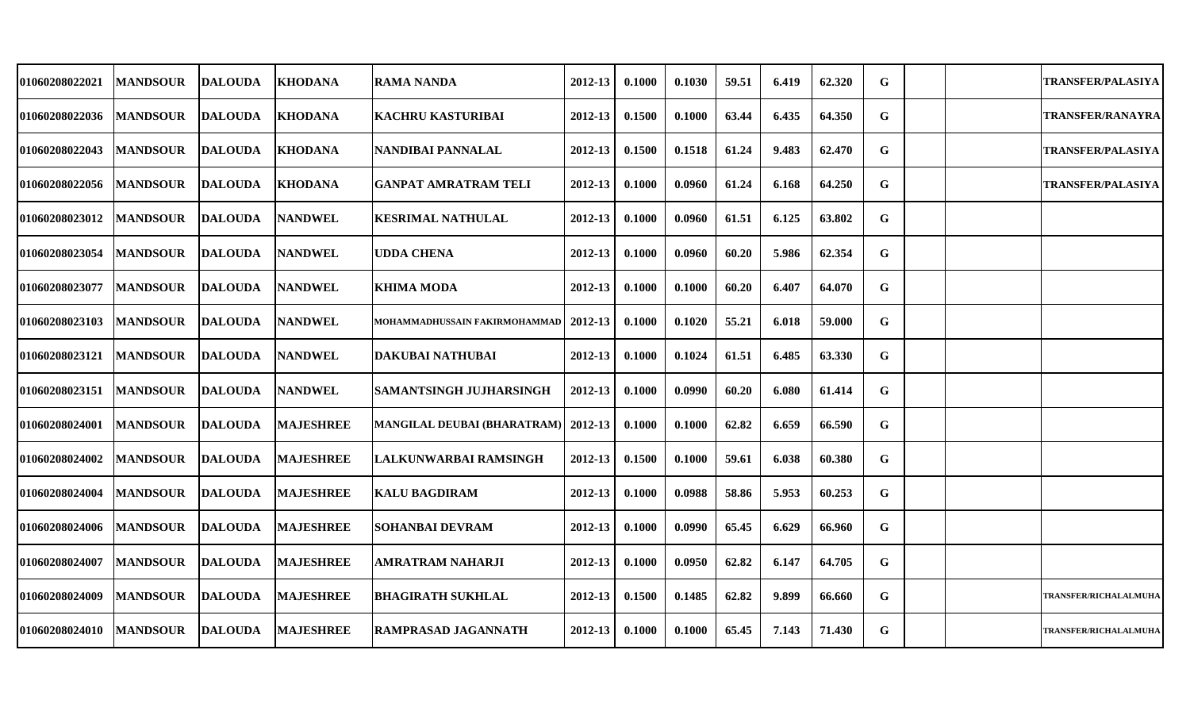| 01060208022021 | <b>MANDSOUR</b>  | <b>DALOUDA</b>  | <b>KHODANA</b>   | RAMA NANDA                              | 2012-13     | 0.1000 | 0.1030 | 59.51 | 6.419 | 62.320 | G |  | <b>TRANSFER/PALASIYA</b>     |
|----------------|------------------|-----------------|------------------|-----------------------------------------|-------------|--------|--------|-------|-------|--------|---|--|------------------------------|
| 01060208022036 | <b>MANDSOUR</b>  | <b>DALOUDA</b>  | <b>KHODANA</b>   | KACHRU KASTURIBAI                       | 2012-13     | 0.1500 | 0.1000 | 63.44 | 6.435 | 64.350 | G |  | <b>TRANSFER/RANAYRA</b>      |
| 01060208022043 | <b>MANDSOUR</b>  | <b>DALOUDA</b>  | <b>KHODANA</b>   | NANDIBAI PANNALAL                       | 2012-13     | 0.1500 | 0.1518 | 61.24 | 9.483 | 62.470 | G |  | <b>TRANSFER/PALASIYA</b>     |
| 01060208022056 | <b>MANDSOUR</b>  | <b>DALOUDA</b>  | <b>KHODANA</b>   | <b>GANPAT AMRATRAM TELI</b>             | 2012-13     | 0.1000 | 0.0960 | 61.24 | 6.168 | 64.250 | G |  | <b>TRANSFER/PALASIYA</b>     |
| 01060208023012 | <b>MANDSOUR</b>  | <b>DALOUDA</b>  | <b>NANDWEL</b>   | <b>KESRIMAL NATHULAL</b>                | 2012-13     | 0.1000 | 0.0960 | 61.51 | 6.125 | 63.802 | G |  |                              |
| 01060208023054 | <b>MANDSOUR</b>  | <b>DALOUDA</b>  | <b>NANDWEL</b>   | <b>UDDA CHENA</b>                       | 2012-13     | 0.1000 | 0.0960 | 60.20 | 5.986 | 62.354 | G |  |                              |
| 01060208023077 | <b> MANDSOUR</b> | <b>DALOUDA</b>  | <b>NANDWEL</b>   | <b>KHIMA MODA</b>                       | 2012-13     | 0.1000 | 0.1000 | 60.20 | 6.407 | 64.070 | G |  |                              |
| 01060208023103 | <b>MANDSOUR</b>  | <b>DALOUDA</b>  | <b>NANDWEL</b>   | MOHAMMADHUSSAIN FAKIRMOHAMMAD   2012-13 |             | 0.1000 | 0.1020 | 55.21 | 6.018 | 59.000 | G |  |                              |
| 01060208023121 | <b>MANDSOUR</b>  | <b>DALOUDA</b>  | <b>NANDWEL</b>   | <b>DAKUBAI NATHUBAI</b>                 | 2012-13     | 0.1000 | 0.1024 | 61.51 | 6.485 | 63.330 | G |  |                              |
| 01060208023151 | <b>MANDSOUR</b>  | <b>DALOUDA</b>  | <b>NANDWEL</b>   | <b>SAMANTSINGH JUJHARSINGH</b>          | $2012 - 13$ | 0.1000 | 0.0990 | 60.20 | 6.080 | 61.414 | G |  |                              |
| 01060208024001 | <b>MANDSOUR</b>  | <b>DALOUDA</b>  | <b>MAJESHREE</b> | MANGILAL DEUBAI (BHARATRAM)   2012-13   |             | 0.1000 | 0.1000 | 62.82 | 6.659 | 66.590 | G |  |                              |
| 01060208024002 | <b>MANDSOUR</b>  | <b>IDALOUDA</b> | <b>MAJESHREE</b> | LALKUNWARBAI RAMSINGH                   | 2012-13     | 0.1500 | 0.1000 | 59.61 | 6.038 | 60.380 | G |  |                              |
| 01060208024004 | <b>MANDSOUR</b>  | <b>DALOUDA</b>  | <b>MAJESHREE</b> | KALU BAGDIRAM                           | 2012-13     | 0.1000 | 0.0988 | 58.86 | 5.953 | 60.253 | G |  |                              |
| 01060208024006 | <b>MANDSOUR</b>  | <b>DALOUDA</b>  | <b>MAJESHREE</b> | SOHANBAI DEVRAM                         | 2012-13     | 0.1000 | 0.0990 | 65.45 | 6.629 | 66.960 | G |  |                              |
| 01060208024007 | <b>MANDSOUR</b>  | <b>DALOUDA</b>  | <b>MAJESHREE</b> | <b>AMRATRAM NAHARJI</b>                 | 2012-13     | 0.1000 | 0.0950 | 62.82 | 6.147 | 64.705 | G |  |                              |
| 01060208024009 | <b>MANDSOUR</b>  | <b>DALOUDA</b>  | <b>MAJESHREE</b> | <b>BHAGIRATH SUKHLAL</b>                | 2012-13     | 0.1500 | 0.1485 | 62.82 | 9.899 | 66.660 | G |  | <b>TRANSFER/RICHALALMUHA</b> |
| 01060208024010 | MANDSOUR DALOUDA |                 | <b>MAJESHREE</b> | <b>IRAMPRASAD JAGANNATH</b>             | $2012 - 13$ | 0.1000 | 0.1000 | 65.45 | 7.143 | 71.430 | G |  | <b>TRANSFER/RICHALALMUHA</b> |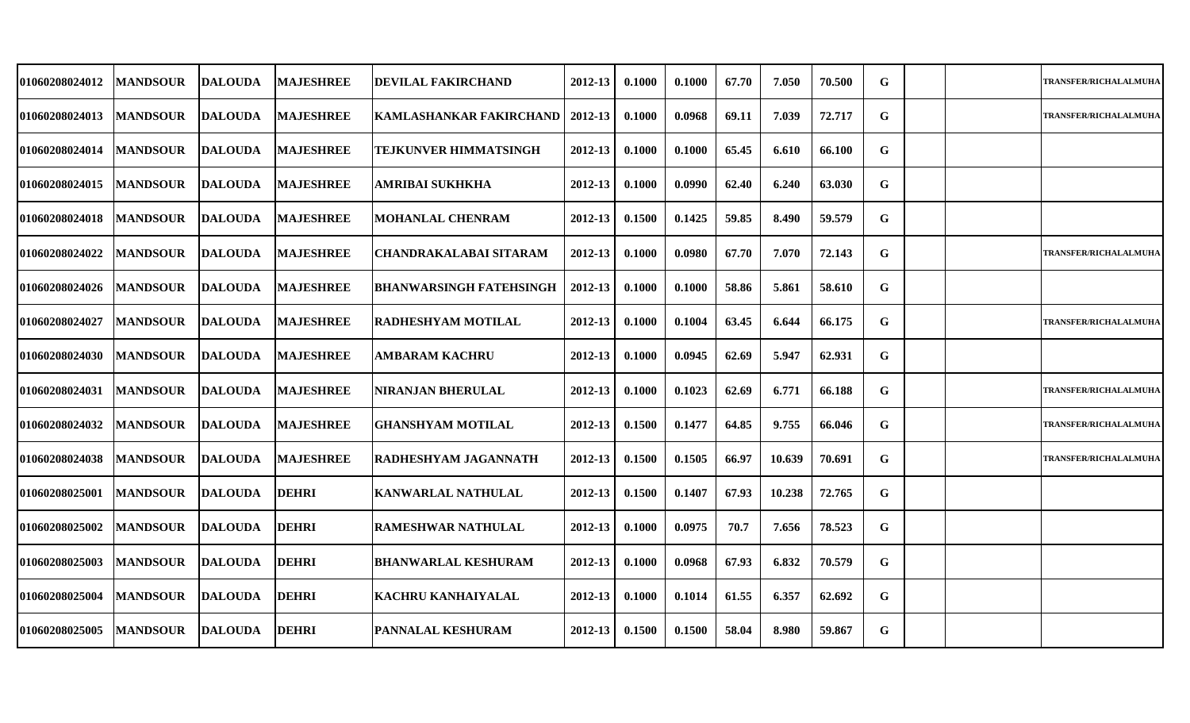| 01060208024012 | <b>MANDSOUR</b> | <b>DALOUDA</b>  | <b>MAJESHREE</b> | <b>IDEVILAL FAKIRCHAND</b>     | 2012-13     | 0.1000 | 0.1000 | 67.70 | 7.050  | 70.500 | G |  | <b>TRANSFER/RICHALALMUHA</b> |
|----------------|-----------------|-----------------|------------------|--------------------------------|-------------|--------|--------|-------|--------|--------|---|--|------------------------------|
| 01060208024013 | <b>MANDSOUR</b> | <b>DALOUDA</b>  | <b>MAJESHREE</b> | KAMLASHANKAR FAKIRCHAND        | 2012-13     | 0.1000 | 0.0968 | 69.11 | 7.039  | 72.717 | G |  | <b>TRANSFER/RICHALALMUHA</b> |
| 01060208024014 | <b>MANDSOUR</b> | <b>DALOUDA</b>  | <b>MAJESHREE</b> | TEJKUNVER HIMMATSINGH          | $2012 - 13$ | 0.1000 | 0.1000 | 65.45 | 6.610  | 66.100 | G |  |                              |
| 01060208024015 | <b>MANDSOUR</b> | <b>DALOUDA</b>  | <b>MAJESHREE</b> | AMRIBAI SUKHKHA                | 2012-13     | 0.1000 | 0.0990 | 62.40 | 6.240  | 63.030 | G |  |                              |
| 01060208024018 | <b>MANDSOUR</b> | <b>DALOUDA</b>  | <b>MAJESHREE</b> | <b>MOHANLAL CHENRAM</b>        | 2012-13     | 0.1500 | 0.1425 | 59.85 | 8.490  | 59.579 | G |  |                              |
| 01060208024022 | <b>MANDSOUR</b> | <b>DALOUDA</b>  | <b>MAJESHREE</b> | <b>CHANDRAKALABAI SITARAM</b>  | $2012 - 13$ | 0.1000 | 0.0980 | 67.70 | 7.070  | 72.143 | G |  | <b>TRANSFER/RICHALALMUHA</b> |
| 01060208024026 | <b>MANDSOUR</b> | <b>DALOUDA</b>  | <b>MAJESHREE</b> | <b>BHANWARSINGH FATEHSINGH</b> | 2012-13     | 0.1000 | 0.1000 | 58.86 | 5.861  | 58.610 | G |  |                              |
| 01060208024027 | <b>MANDSOUR</b> | <b>DALOUDA</b>  | <b>MAJESHREE</b> | RADHESHYAM MOTILAL             | 2012-13     | 0.1000 | 0.1004 | 63.45 | 6.644  | 66.175 | G |  | <b>TRANSFER/RICHALALMUHA</b> |
| 01060208024030 | <b>MANDSOUR</b> | <b>DALOUDA</b>  | <b>MAJESHREE</b> | <b>AMBARAM KACHRU</b>          | 2012-13     | 0.1000 | 0.0945 | 62.69 | 5.947  | 62.931 | G |  |                              |
| 01060208024031 | <b>MANDSOUR</b> | <b>DALOUDA</b>  | <b>MAJESHREE</b> | <b>NIRANJAN BHERULAL</b>       | 2012-13     | 0.1000 | 0.1023 | 62.69 | 6.771  | 66.188 | G |  | <b>TRANSFER/RICHALALMUHA</b> |
| 01060208024032 | <b>MANDSOUR</b> | <b>DALOUDA</b>  | <b>MAJESHREE</b> | <b>GHANSHYAM MOTILAL</b>       | 2012-13     | 0.1500 | 0.1477 | 64.85 | 9.755  | 66.046 | G |  | <b>TRANSFER/RICHALALMUHA</b> |
| 01060208024038 | <b>MANDSOUR</b> | <b>DALOUDA</b>  | <b>MAJESHREE</b> | RADHESHYAM JAGANNATH           | 2012-13     | 0.1500 | 0.1505 | 66.97 | 10.639 | 70.691 | G |  | <b>TRANSFER/RICHALALMUHA</b> |
| 01060208025001 | <b>MANDSOUR</b> | <b>DALOUDA</b>  | <b>DEHRI</b>     | <b>KANWARLAL NATHULAL</b>      | 2012-13     | 0.1500 | 0.1407 | 67.93 | 10.238 | 72.765 | G |  |                              |
| 01060208025002 | <b>MANDSOUR</b> | <b>DALOUDA</b>  | <b>DEHRI</b>     | <b>RAMESHWAR NATHULAL</b>      | 2012-13     | 0.1000 | 0.0975 | 70.7  | 7.656  | 78.523 | G |  |                              |
| 01060208025003 | <b>MANDSOUR</b> | <b>IDALOUDA</b> | <b>DEHRI</b>     | <b>BHANWARLAL KESHURAM</b>     | 2012-13     | 0.1000 | 0.0968 | 67.93 | 6.832  | 70.579 | G |  |                              |
| 01060208025004 | <b>MANDSOUR</b> | <b>DALOUDA</b>  | <b>DEHRI</b>     | <b>KACHRU KANHAIYALAL</b>      | 2012-13     | 0.1000 | 0.1014 | 61.55 | 6.357  | 62.692 | G |  |                              |
| 01060208025005 | <b>MANDSOUR</b> | <b>DALOUDA</b>  | <b>DEHRI</b>     | <b> PANNALAL KESHURAM</b>      | 2012-13     | 0.1500 | 0.1500 | 58.04 | 8.980  | 59.867 | G |  |                              |
|                |                 |                 |                  |                                |             |        |        |       |        |        |   |  |                              |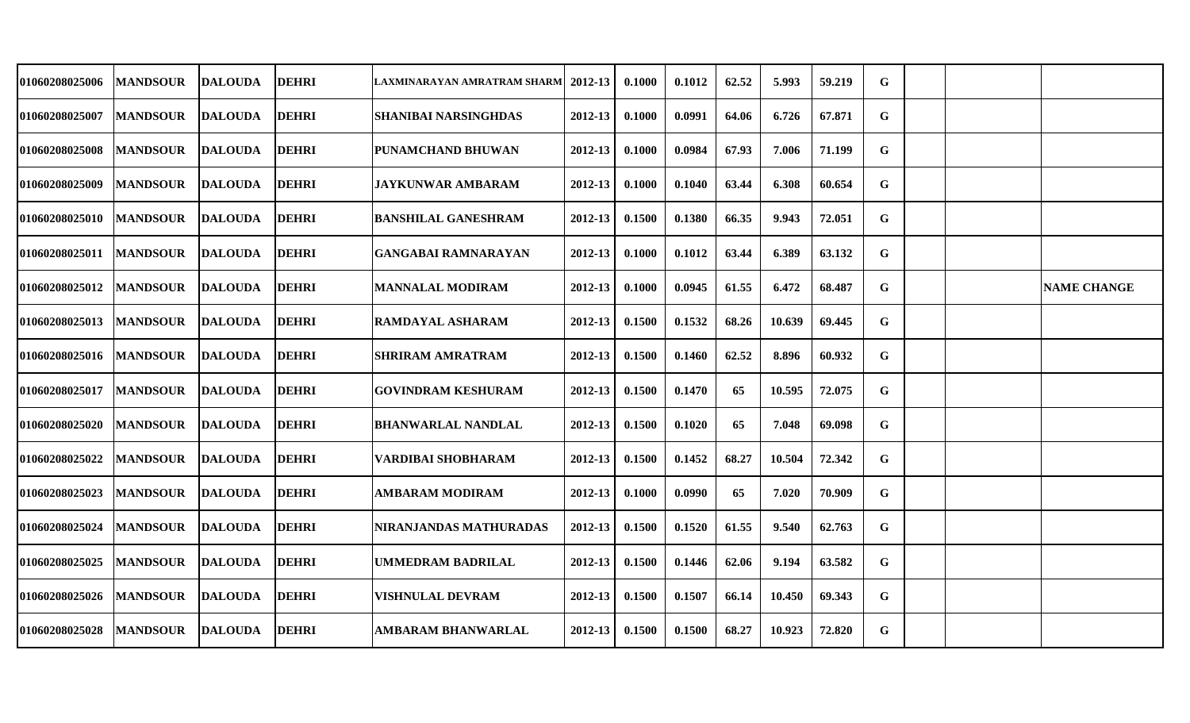| 01060208025006 | <b>MANDSOUR</b> | <b>DALOUDA</b> | <b>DEHRI</b> | LAXMINARAYAN AMRATRAM SHARM | 2012-13 | 0.1000 | 0.1012 | 62.52 | 5.993  | 59.219 | G           |  |                    |
|----------------|-----------------|----------------|--------------|-----------------------------|---------|--------|--------|-------|--------|--------|-------------|--|--------------------|
| 01060208025007 | <b>MANDSOUR</b> | <b>DALOUDA</b> | <b>DEHRI</b> | <b>SHANIBAI NARSINGHDAS</b> | 2012-13 | 0.1000 | 0.0991 | 64.06 | 6.726  | 67.871 | G           |  |                    |
| 01060208025008 | <b>MANDSOUR</b> | <b>DALOUDA</b> | <b>DEHRI</b> | PUNAMCHAND BHUWAN           | 2012-13 | 0.1000 | 0.0984 | 67.93 | 7.006  | 71.199 | G           |  |                    |
| 01060208025009 | <b>MANDSOUR</b> | DALOUDA        | <b>DEHRI</b> | <b>JAYKUNWAR AMBARAM</b>    | 2012-13 | 0.1000 | 0.1040 | 63.44 | 6.308  | 60.654 | G           |  |                    |
| 01060208025010 | <b>MANDSOUR</b> | <b>DALOUDA</b> | <b>DEHRI</b> | <b>BANSHILAL GANESHRAM</b>  | 2012-13 | 0.1500 | 0.1380 | 66.35 | 9.943  | 72.051 | G           |  |                    |
| 01060208025011 | <b>MANDSOUR</b> | <b>DALOUDA</b> | <b>DEHRI</b> | GANGABAI RAMNARAYAN         | 2012-13 | 0.1000 | 0.1012 | 63.44 | 6.389  | 63.132 | G           |  |                    |
| 01060208025012 | <b>MANDSOUR</b> | <b>DALOUDA</b> | <b>DEHRI</b> | <b>MANNALAL MODIRAM</b>     | 2012-13 | 0.1000 | 0.0945 | 61.55 | 6.472  | 68.487 | G           |  | <b>NAME CHANGE</b> |
| 01060208025013 | <b>MANDSOUR</b> | <b>DALOUDA</b> | <b>DEHRI</b> | RAMDAYAL ASHARAM            | 2012-13 | 0.1500 | 0.1532 | 68.26 | 10.639 | 69.445 | G           |  |                    |
| 01060208025016 | <b>MANDSOUR</b> | <b>DALOUDA</b> | <b>DEHRI</b> | <b>SHRIRAM AMRATRAM</b>     | 2012-13 | 0.1500 | 0.1460 | 62.52 | 8.896  | 60.932 | $\mathbf G$ |  |                    |
| 01060208025017 | <b>MANDSOUR</b> | <b>DALOUDA</b> | <b>DEHRI</b> | <b>GOVINDRAM KESHURAM</b>   | 2012-13 | 0.1500 | 0.1470 | 65    | 10.595 | 72.075 | G           |  |                    |
| 01060208025020 | <b>MANDSOUR</b> | <b>DALOUDA</b> | <b>DEHRI</b> | <b>BHANWARLAL NANDLAL</b>   | 2012-13 | 0.1500 | 0.1020 | 65    | 7.048  | 69.098 | G           |  |                    |
| 01060208025022 | <b>MANDSOUR</b> | <b>DALOUDA</b> | <b>DEHRI</b> | VARDIBAI SHOBHARAM          | 2012-13 | 0.1500 | 0.1452 | 68.27 | 10.504 | 72.342 | G           |  |                    |
| 01060208025023 | <b>MANDSOUR</b> | <b>DALOUDA</b> | <b>DEHRI</b> | <b>AMBARAM MODIRAM</b>      | 2012-13 | 0.1000 | 0.0990 | 65    | 7.020  | 70.909 | G           |  |                    |
| 01060208025024 | <b>MANDSOUR</b> | <b>DALOUDA</b> | <b>DEHRI</b> | NIRANJANDAS MATHURADAS      | 2012-13 | 0.1500 | 0.1520 | 61.55 | 9.540  | 62.763 | G           |  |                    |
| 01060208025025 | <b>MANDSOUR</b> | <b>DALOUDA</b> | <b>DEHRI</b> | <b>UMMEDRAM BADRILAL</b>    | 2012-13 | 0.1500 | 0.1446 | 62.06 | 9.194  | 63.582 | $\mathbf G$ |  |                    |
| 01060208025026 | <b>MANDSOUR</b> | DALOUDA        | <b>DEHRI</b> | <b>VISHNULAL DEVRAM</b>     | 2012-13 | 0.1500 | 0.1507 | 66.14 | 10.450 | 69.343 | G           |  |                    |
| 01060208025028 | <b>MANDSOUR</b> | <b>DALOUDA</b> | <b>DEHRI</b> | <b>AMBARAM BHANWARLAL</b>   | 2012-13 | 0.1500 | 0.1500 | 68.27 | 10.923 | 72.820 | G           |  |                    |
|                |                 |                |              |                             |         |        |        |       |        |        |             |  |                    |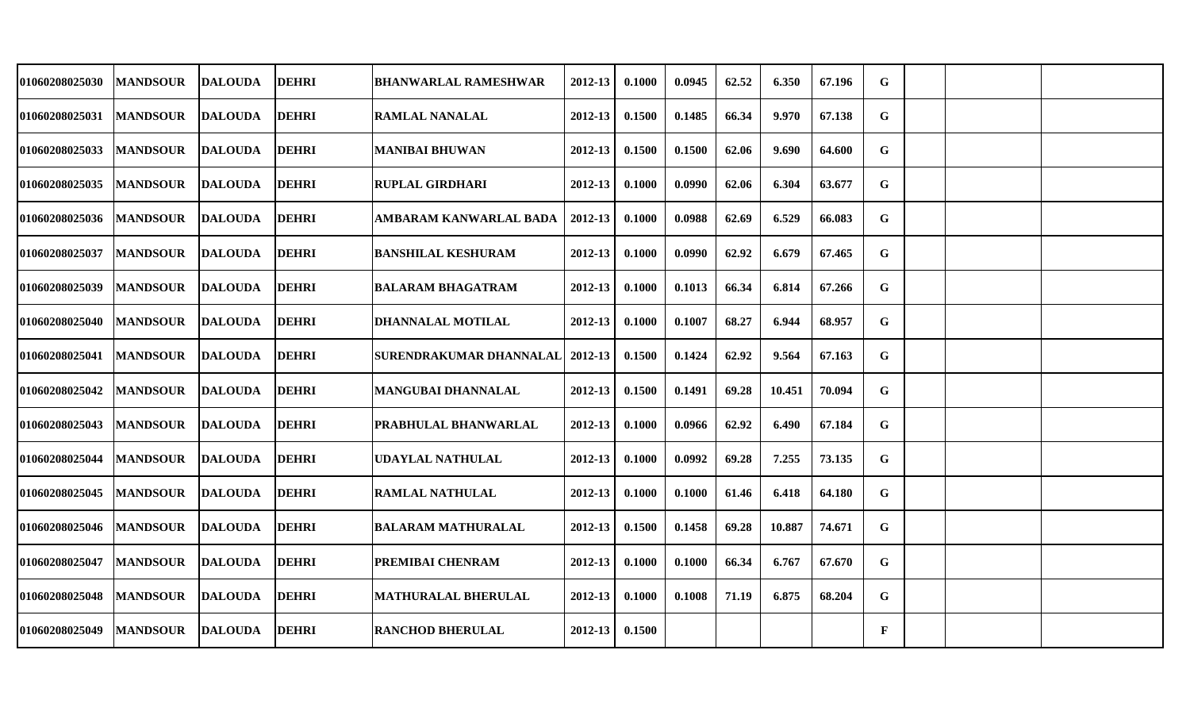| 01060208025030        | <b>MANDSOUR</b> | <b>DALOUDA</b> | <b>DEHRI</b> | <b>BHANWARLAL RAMESHWAR</b>                | 2012-13     | 0.1000 | 0.0945 | 62.52 | 6.350  | 67.196 | G            |  |  |
|-----------------------|-----------------|----------------|--------------|--------------------------------------------|-------------|--------|--------|-------|--------|--------|--------------|--|--|
| 01060208025031        | <b>MANDSOUR</b> | <b>DALOUDA</b> | <b>DEHRI</b> | <b>RAMLAL NANALAL</b>                      | 2012-13     | 0.1500 | 0.1485 | 66.34 | 9.970  | 67.138 | G            |  |  |
| 01060208025033        | <b>MANDSOUR</b> | <b>DALOUDA</b> | <b>DEHRI</b> | <b>MANIBAI BHUWAN</b>                      | $2012 - 13$ | 0.1500 | 0.1500 | 62.06 | 9.690  | 64.600 | G            |  |  |
| 01060208025035        | <b>MANDSOUR</b> | <b>DALOUDA</b> | <b>DEHRI</b> | <b>RUPLAL GIRDHARI</b>                     | 2012-13     | 0.1000 | 0.0990 | 62.06 | 6.304  | 63.677 | G            |  |  |
| 01060208025036        | <b>MANDSOUR</b> | <b>DALOUDA</b> | <b>DEHRI</b> | AMBARAM KANWARLAL BADA                     | 2012-13     | 0.1000 | 0.0988 | 62.69 | 6.529  | 66.083 | G            |  |  |
| 01060208025037        | <b>MANDSOUR</b> | <b>DALOUDA</b> | <b>DEHRI</b> | <b>BANSHILAL KESHURAM</b>                  | $2012 - 13$ | 0.1000 | 0.0990 | 62.92 | 6.679  | 67.465 | G            |  |  |
| 01060208025039        | <b>MANDSOUR</b> | <b>DALOUDA</b> | <b>DEHRI</b> | <b>BALARAM BHAGATRAM</b>                   | 2012-13     | 0.1000 | 0.1013 | 66.34 | 6.814  | 67.266 | G            |  |  |
| <b>01060208025040</b> | <b>MANDSOUR</b> | <b>DALOUDA</b> | <b>DEHRI</b> | DHANNALAL MOTILAL                          | 2012-13     | 0.1000 | 0.1007 | 68.27 | 6.944  | 68.957 | G            |  |  |
| 01060208025041        | <b>MANDSOUR</b> | <b>DALOUDA</b> | <b>DEHRI</b> | <b>SURENDRAKUMAR DHANNALAL   2012-13  </b> |             | 0.1500 | 0.1424 | 62.92 | 9.564  | 67.163 | $\mathbf G$  |  |  |
| <b>01060208025042</b> | <b>MANDSOUR</b> | <b>DALOUDA</b> | <b>DEHRI</b> | <b>MANGUBAI DHANNALAL</b>                  | 2012-13     | 0.1500 | 0.1491 | 69.28 | 10.451 | 70.094 | G            |  |  |
| <b>01060208025043</b> | <b>MANDSOUR</b> | <b>DALOUDA</b> | <b>DEHRI</b> | PRABHULAL BHANWARLAL                       | 2012-13     | 0.1000 | 0.0966 | 62.92 | 6.490  | 67.184 | $\mathbf G$  |  |  |
| 01060208025044        | <b>MANDSOUR</b> | <b>DALOUDA</b> | <b>DEHRI</b> | <b>UDAYLAL NATHULAL</b>                    | $2012 - 13$ | 0.1000 | 0.0992 | 69.28 | 7.255  | 73.135 | G            |  |  |
| 01060208025045        | <b>MANDSOUR</b> | <b>DALOUDA</b> | <b>DEHRI</b> | <b>RAMLAL NATHULAL</b>                     | 2012-13     | 0.1000 | 0.1000 | 61.46 | 6.418  | 64.180 | G            |  |  |
| 01060208025046        | <b>MANDSOUR</b> | <b>DALOUDA</b> | <b>DEHRI</b> | <b>BALARAM MATHURALAL</b>                  | 2012-13     | 0.1500 | 0.1458 | 69.28 | 10.887 | 74.671 | G            |  |  |
| 01060208025047        | <b>MANDSOUR</b> | <b>DALOUDA</b> | <b>DEHRI</b> | PREMIBAI CHENRAM                           | 2012-13     | 0.1000 | 0.1000 | 66.34 | 6.767  | 67.670 | $\mathbf G$  |  |  |
| 01060208025048        | <b>MANDSOUR</b> | <b>DALOUDA</b> | <b>DEHRI</b> | <b>MATHURALAL BHERULAL</b>                 | $2012 - 13$ | 0.1000 | 0.1008 | 71.19 | 6.875  | 68.204 | G            |  |  |
| 01060208025049        | <b>MANDSOUR</b> | <b>DALOUDA</b> | <b>DEHRI</b> | <b>RANCHOD BHERULAL</b>                    | 2012-13     | 0.1500 |        |       |        |        | $\mathbf{F}$ |  |  |
|                       |                 |                |              |                                            |             |        |        |       |        |        |              |  |  |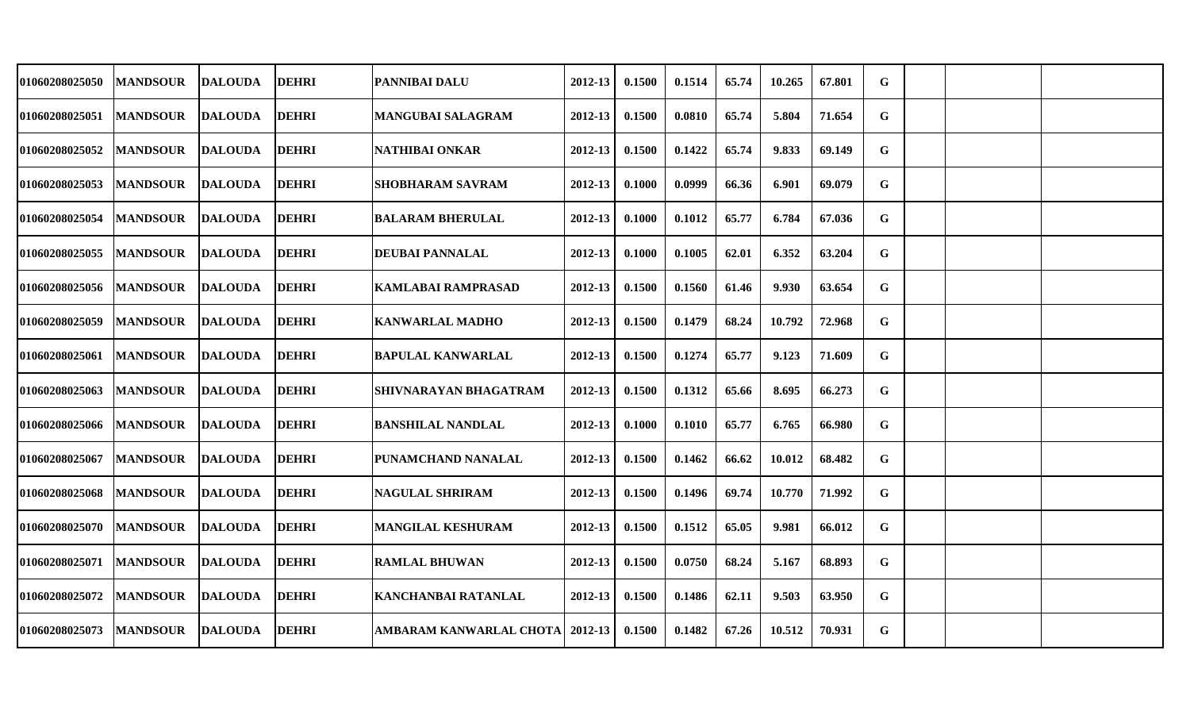| 01060208025050        | <b>MANDSOUR</b> | <b>DALOUDA</b> | <b>DEHRI</b> | PANNIBAI DALU                     | 2012-13     | 0.1500 | 0.1514 | 65.74 | 10.265 | 67.801 | G           |  |  |
|-----------------------|-----------------|----------------|--------------|-----------------------------------|-------------|--------|--------|-------|--------|--------|-------------|--|--|
| 01060208025051        | <b>MANDSOUR</b> | <b>DALOUDA</b> | <b>DEHRI</b> | <b>MANGUBAI SALAGRAM</b>          | 2012-13     | 0.1500 | 0.0810 | 65.74 | 5.804  | 71.654 | G           |  |  |
| 01060208025052        | <b>MANDSOUR</b> | <b>DALOUDA</b> | <b>DEHRI</b> | <b>NATHIBAI ONKAR</b>             | $2012 - 13$ | 0.1500 | 0.1422 | 65.74 | 9.833  | 69.149 | $\mathbf G$ |  |  |
| 01060208025053        | <b>MANDSOUR</b> | <b>DALOUDA</b> | <b>DEHRI</b> | SHOBHARAM SAVRAM                  | 2012-13     | 0.1000 | 0.0999 | 66.36 | 6.901  | 69.079 | G           |  |  |
| 01060208025054        | <b>MANDSOUR</b> | <b>DALOUDA</b> | <b>DEHRI</b> | <b>BALARAM BHERULAL</b>           | 2012-13     | 0.1000 | 0.1012 | 65.77 | 6.784  | 67.036 | G           |  |  |
| 01060208025055        | <b>MANDSOUR</b> | <b>DALOUDA</b> | <b>DEHRI</b> | <b>DEUBAI PANNALAL</b>            | 2012-13     | 0.1000 | 0.1005 | 62.01 | 6.352  | 63.204 | G           |  |  |
| 01060208025056        | <b>MANDSOUR</b> | <b>DALOUDA</b> | <b>DEHRI</b> | <b>KAMLABAI RAMPRASAD</b>         | 2012-13     | 0.1500 | 0.1560 | 61.46 | 9.930  | 63.654 | G           |  |  |
| <b>01060208025059</b> | <b>MANDSOUR</b> | <b>DALOUDA</b> | <b>DEHRI</b> | <b>KANWARLAL MADHO</b>            | 2012-13     | 0.1500 | 0.1479 | 68.24 | 10.792 | 72.968 | G           |  |  |
| 01060208025061        | <b>MANDSOUR</b> | <b>DALOUDA</b> | <b>DEHRI</b> | <b>BAPULAL KANWARLAL</b>          | $2012 - 13$ | 0.1500 | 0.1274 | 65.77 | 9.123  | 71.609 | $\mathbf G$ |  |  |
| 01060208025063        | <b>MANDSOUR</b> | <b>DALOUDA</b> | <b>DEHRI</b> | SHIVNARAYAN BHAGATRAM             | 2012-13     | 0.1500 | 0.1312 | 65.66 | 8.695  | 66.273 | G           |  |  |
| <b>01060208025066</b> | <b>MANDSOUR</b> | <b>DALOUDA</b> | <b>DEHRI</b> | <b>BANSHILAL NANDLAL</b>          | 2012-13     | 0.1000 | 0.1010 | 65.77 | 6.765  | 66.980 | $\mathbf G$ |  |  |
| 01060208025067        | <b>MANDSOUR</b> | <b>DALOUDA</b> | <b>DEHRI</b> | PUNAMCHAND NANALAL                | $2012 - 13$ | 0.1500 | 0.1462 | 66.62 | 10.012 | 68.482 | G           |  |  |
| 01060208025068        | <b>MANDSOUR</b> | <b>DALOUDA</b> | <b>DEHRI</b> | <b>NAGULAL SHRIRAM</b>            | 2012-13     | 0.1500 | 0.1496 | 69.74 | 10.770 | 71.992 | G           |  |  |
| 01060208025070        | <b>MANDSOUR</b> | <b>DALOUDA</b> | <b>DEHRI</b> | <b>MANGILAL KESHURAM</b>          | 2012-13     | 0.1500 | 0.1512 | 65.05 | 9.981  | 66.012 | G           |  |  |
| 01060208025071        | <b>MANDSOUR</b> | <b>DALOUDA</b> | <b>DEHRI</b> | <b>RAMLAL BHUWAN</b>              | 2012-13     | 0.1500 | 0.0750 | 68.24 | 5.167  | 68.893 | $\mathbf G$ |  |  |
| <b>01060208025072</b> | <b>MANDSOUR</b> | <b>DALOUDA</b> | <b>DEHRI</b> | KANCHANBAI RATANLAL               | $2012 - 13$ | 0.1500 | 0.1486 | 62.11 | 9.503  | 63.950 | G           |  |  |
| 01060208025073        | <b>MANDSOUR</b> | <b>DALOUDA</b> | <b>DEHRI</b> | AMBARAM KANWARLAL CHOTA   2012-13 |             | 0.1500 | 0.1482 | 67.26 | 10.512 | 70.931 | G           |  |  |
|                       |                 |                |              |                                   |             |        |        |       |        |        |             |  |  |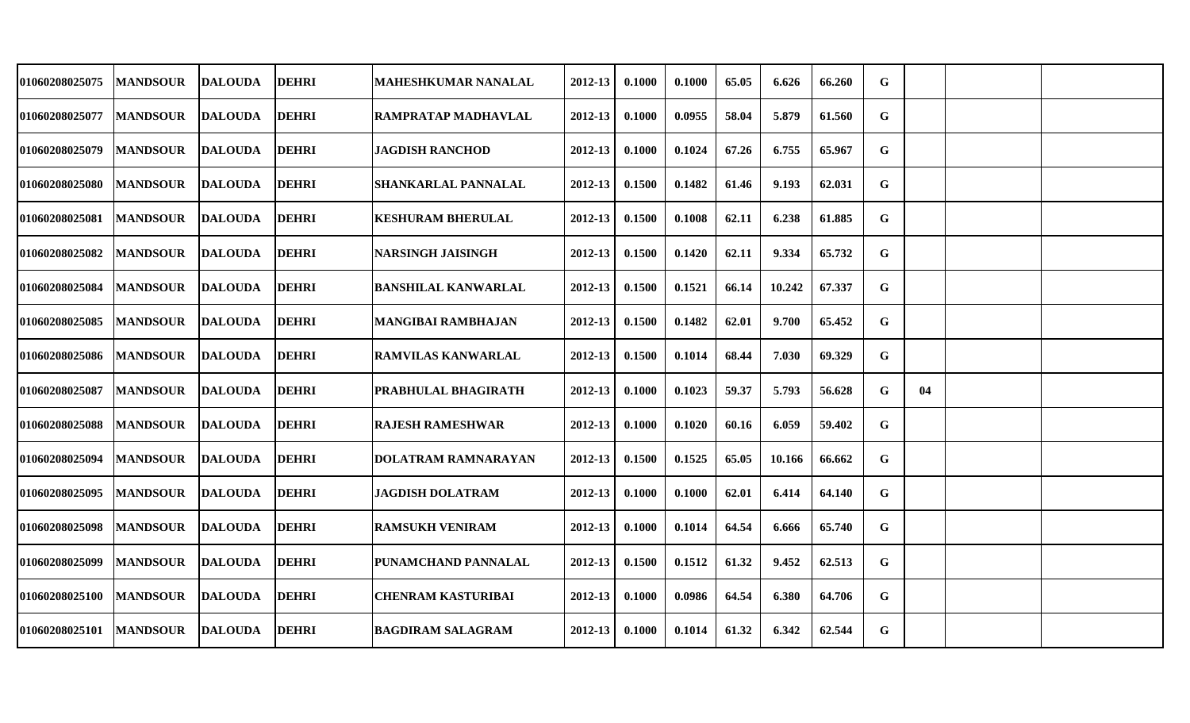| 01060208025075        | <b>MANDSOUR</b> | <b>DALOUDA</b> | <b>DEHRI</b> | <b>MAHESHKUMAR NANALAL</b> | 2012-13     | 0.1000 | 0.1000 | 65.05 | 6.626  | 66.260 | G |    |  |
|-----------------------|-----------------|----------------|--------------|----------------------------|-------------|--------|--------|-------|--------|--------|---|----|--|
| 01060208025077        | <b>MANDSOUR</b> | <b>DALOUDA</b> | <b>DEHRI</b> | <b>RAMPRATAP MADHAVLAL</b> | 2012-13     | 0.1000 | 0.0955 | 58.04 | 5.879  | 61.560 | G |    |  |
| <b>01060208025079</b> | <b>MANDSOUR</b> | <b>DALOUDA</b> | <b>DEHRI</b> | <b>JAGDISH RANCHOD</b>     | 2012-13     | 0.1000 | 0.1024 | 67.26 | 6.755  | 65.967 | G |    |  |
| <b>01060208025080</b> | <b>MANDSOUR</b> | <b>DALOUDA</b> | <b>DEHRI</b> | <b>SHANKARLAL PANNALAL</b> | 2012-13     | 0.1500 | 0.1482 | 61.46 | 9.193  | 62.031 | G |    |  |
| 01060208025081        | <b>MANDSOUR</b> | <b>DALOUDA</b> | <b>DEHRI</b> | <b>KESHURAM BHERULAL</b>   | 2012-13     | 0.1500 | 0.1008 | 62.11 | 6.238  | 61.885 | G |    |  |
| 01060208025082        | <b>MANDSOUR</b> | <b>DALOUDA</b> | <b>DEHRI</b> | <b>NARSINGH JAISINGH</b>   | 2012-13     | 0.1500 | 0.1420 | 62.11 | 9.334  | 65.732 | G |    |  |
| 01060208025084        | <b>MANDSOUR</b> | <b>DALOUDA</b> | <b>DEHRI</b> | <b>BANSHILAL KANWARLAL</b> | 2012-13     | 0.1500 | 0.1521 | 66.14 | 10.242 | 67.337 | G |    |  |
| <b>01060208025085</b> | <b>MANDSOUR</b> | <b>DALOUDA</b> | <b>DEHRI</b> | <b>MANGIBAI RAMBHAJAN</b>  | 2012-13     | 0.1500 | 0.1482 | 62.01 | 9.700  | 65.452 | G |    |  |
| <b>01060208025086</b> | <b>MANDSOUR</b> | <b>DALOUDA</b> | <b>DEHRI</b> | <b>RAMVILAS KANWARLAL</b>  | 2012-13     | 0.1500 | 0.1014 | 68.44 | 7.030  | 69.329 | G |    |  |
| <b>01060208025087</b> | <b>MANDSOUR</b> | <b>DALOUDA</b> | <b>DEHRI</b> | <b>PRABHULAL BHAGIRATH</b> | 2012-13     | 0.1000 | 0.1023 | 59.37 | 5.793  | 56.628 | G | 04 |  |
| <b>01060208025088</b> | <b>MANDSOUR</b> | <b>DALOUDA</b> | <b>DEHRI</b> | <b>RAJESH RAMESHWAR</b>    | 2012-13     | 0.1000 | 0.1020 | 60.16 | 6.059  | 59.402 | G |    |  |
| 01060208025094        | <b>MANDSOUR</b> | <b>DALOUDA</b> | <b>DEHRI</b> | <b>DOLATRAM RAMNARAYAN</b> | 2012-13     | 0.1500 | 0.1525 | 65.05 | 10.166 | 66.662 | G |    |  |
| 01060208025095        | <b>MANDSOUR</b> | <b>DALOUDA</b> | <b>DEHRI</b> | <b>JAGDISH DOLATRAM</b>    | $2012 - 13$ | 0.1000 | 0.1000 | 62.01 | 6.414  | 64.140 | G |    |  |
| <b>01060208025098</b> | <b>MANDSOUR</b> | <b>DALOUDA</b> | <b>DEHRI</b> | <b>RAMSUKH VENIRAM</b>     | 2012-13     | 0.1000 | 0.1014 | 64.54 | 6.666  | 65.740 | G |    |  |
| 01060208025099        | <b>MANDSOUR</b> | <b>DALOUDA</b> | <b>DEHRI</b> | PUNAMCHAND PANNALAL        | 2012-13     | 0.1500 | 0.1512 | 61.32 | 9.452  | 62.513 | G |    |  |
| <b>01060208025100</b> | <b>MANDSOUR</b> | <b>DALOUDA</b> | <b>DEHRI</b> | <b>CHENRAM KASTURIBAI</b>  | 2012-13     | 0.1000 | 0.0986 | 64.54 | 6.380  | 64.706 | G |    |  |
| 01060208025101        | <b>MANDSOUR</b> | <b>DALOUDA</b> | <b>DEHRI</b> | <b>BAGDIRAM SALAGRAM</b>   | 2012-13     | 0.1000 | 0.1014 | 61.32 | 6.342  | 62.544 | G |    |  |
|                       |                 |                |              |                            |             |        |        |       |        |        |   |    |  |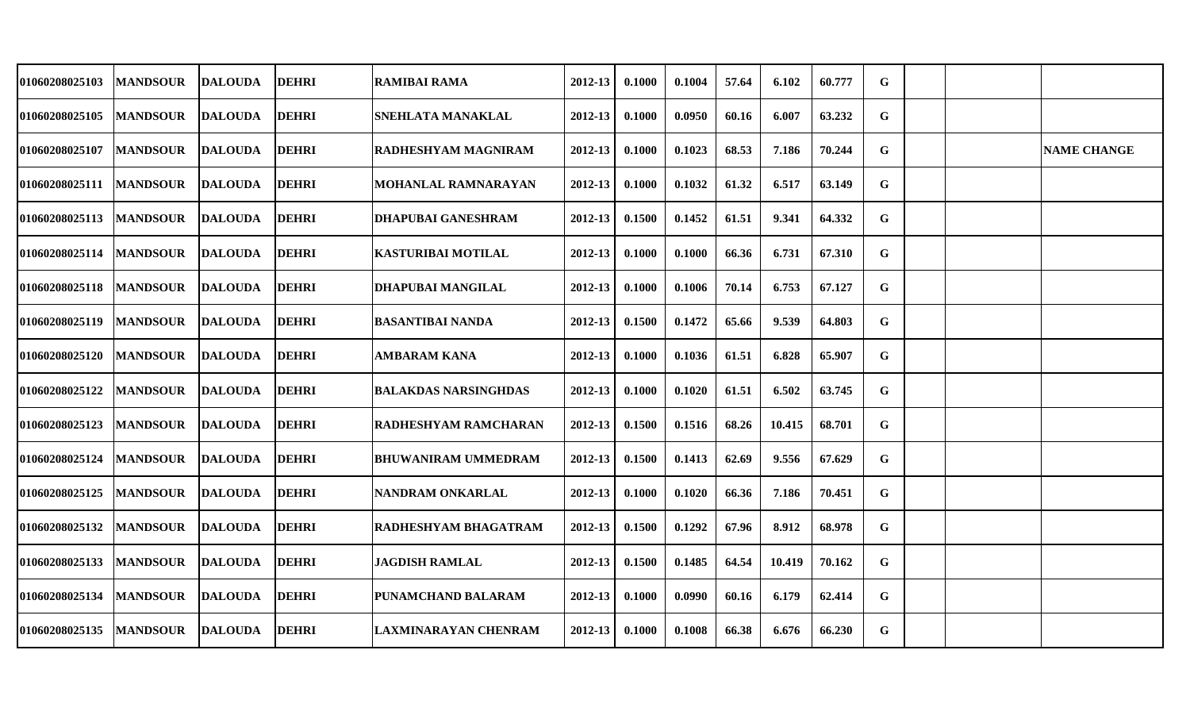| 01060208025103 | <b>MANDSOUR</b> | <b>DALOUDA</b> | <b>DEHRI</b> | RAMIBAI RAMA                | 2012-13 | 0.1000 | 0.1004 | 57.64 | 6.102  | 60.777 | G           |  |                    |
|----------------|-----------------|----------------|--------------|-----------------------------|---------|--------|--------|-------|--------|--------|-------------|--|--------------------|
| 01060208025105 | <b>MANDSOUR</b> | <b>DALOUDA</b> | <b>DEHRI</b> | <b>SNEHLATA MANAKLAL</b>    | 2012-13 | 0.1000 | 0.0950 | 60.16 | 6.007  | 63.232 | G           |  |                    |
| 01060208025107 | <b>MANDSOUR</b> | <b>DALOUDA</b> | <b>DEHRI</b> | <b>RADHESHYAM MAGNIRAM</b>  | 2012-13 | 0.1000 | 0.1023 | 68.53 | 7.186  | 70.244 | $\mathbf G$ |  | <b>NAME CHANGE</b> |
| 01060208025111 | <b>MANDSOUR</b> | <b>DALOUDA</b> | <b>DEHRI</b> | <b>MOHANLAL RAMNARAYAN</b>  | 2012-13 | 0.1000 | 0.1032 | 61.32 | 6.517  | 63.149 | G           |  |                    |
| 01060208025113 | <b>MANDSOUR</b> | <b>DALOUDA</b> | <b>DEHRI</b> | <b>DHAPUBAI GANESHRAM</b>   | 2012-13 | 0.1500 | 0.1452 | 61.51 | 9.341  | 64.332 | $\mathbf G$ |  |                    |
| 01060208025114 | <b>MANDSOUR</b> | DALOUDA        | <b>DEHRI</b> | <b>KASTURIBAI MOTILAL</b>   | 2012-13 | 0.1000 | 0.1000 | 66.36 | 6.731  | 67.310 | G           |  |                    |
| 01060208025118 | <b>MANDSOUR</b> | DALOUDA        | <b>DEHRI</b> | <b>DHAPUBAI MANGILAL</b>    | 2012-13 | 0.1000 | 0.1006 | 70.14 | 6.753  | 67.127 | G           |  |                    |
| 01060208025119 | <b>MANDSOUR</b> | <b>DALOUDA</b> | <b>DEHRI</b> | <b>BASANTIBAI NANDA</b>     | 2012-13 | 0.1500 | 0.1472 | 65.66 | 9.539  | 64.803 | G           |  |                    |
| 01060208025120 | <b>MANDSOUR</b> | <b>DALOUDA</b> | <b>DEHRI</b> | <b>AMBARAM KANA</b>         | 2012-13 | 0.1000 | 0.1036 | 61.51 | 6.828  | 65.907 | G           |  |                    |
| 01060208025122 | <b>MANDSOUR</b> | <b>DALOUDA</b> | <b>DEHRI</b> | <b>BALAKDAS NARSINGHDAS</b> | 2012-13 | 0.1000 | 0.1020 | 61.51 | 6.502  | 63.745 | G           |  |                    |
| 01060208025123 | <b>MANDSOUR</b> | DALOUDA        | <b>DEHRI</b> | <b>RADHESHYAM RAMCHARAN</b> | 2012-13 | 0.1500 | 0.1516 | 68.26 | 10.415 | 68.701 | G           |  |                    |
| 01060208025124 | <b>MANDSOUR</b> | <b>DALOUDA</b> | <b>DEHRI</b> | <b>BHUWANIRAM UMMEDRAM</b>  | 2012-13 | 0.1500 | 0.1413 | 62.69 | 9.556  | 67.629 | $\mathbf G$ |  |                    |
| 01060208025125 | <b>MANDSOUR</b> | DALOUDA        | <b>DEHRI</b> | <b>NANDRAM ONKARLAL</b>     | 2012-13 | 0.1000 | 0.1020 | 66.36 | 7.186  | 70.451 | G           |  |                    |
| 01060208025132 | <b>MANDSOUR</b> | <b>DALOUDA</b> | <b>DEHRI</b> | <b>RADHESHYAM BHAGATRAM</b> | 2012-13 | 0.1500 | 0.1292 | 67.96 | 8.912  | 68.978 | G           |  |                    |
| 01060208025133 | <b>MANDSOUR</b> | <b>DALOUDA</b> | <b>DEHRI</b> | <b>JAGDISH RAMLAL</b>       | 2012-13 | 0.1500 | 0.1485 | 64.54 | 10.419 | 70.162 | G           |  |                    |
| 01060208025134 | <b>MANDSOUR</b> | <b>DALOUDA</b> | <b>DEHRI</b> | <b>PUNAMCHAND BALARAM</b>   | 2012-13 | 0.1000 | 0.0990 | 60.16 | 6.179  | 62.414 | G           |  |                    |
| 01060208025135 | <b>MANDSOUR</b> | <b>DALOUDA</b> | <b>DEHRI</b> | <b>LAXMINARAYAN CHENRAM</b> | 2012-13 | 0.1000 | 0.1008 | 66.38 | 6.676  | 66.230 | G           |  |                    |
|                |                 |                |              |                             |         |        |        |       |        |        |             |  |                    |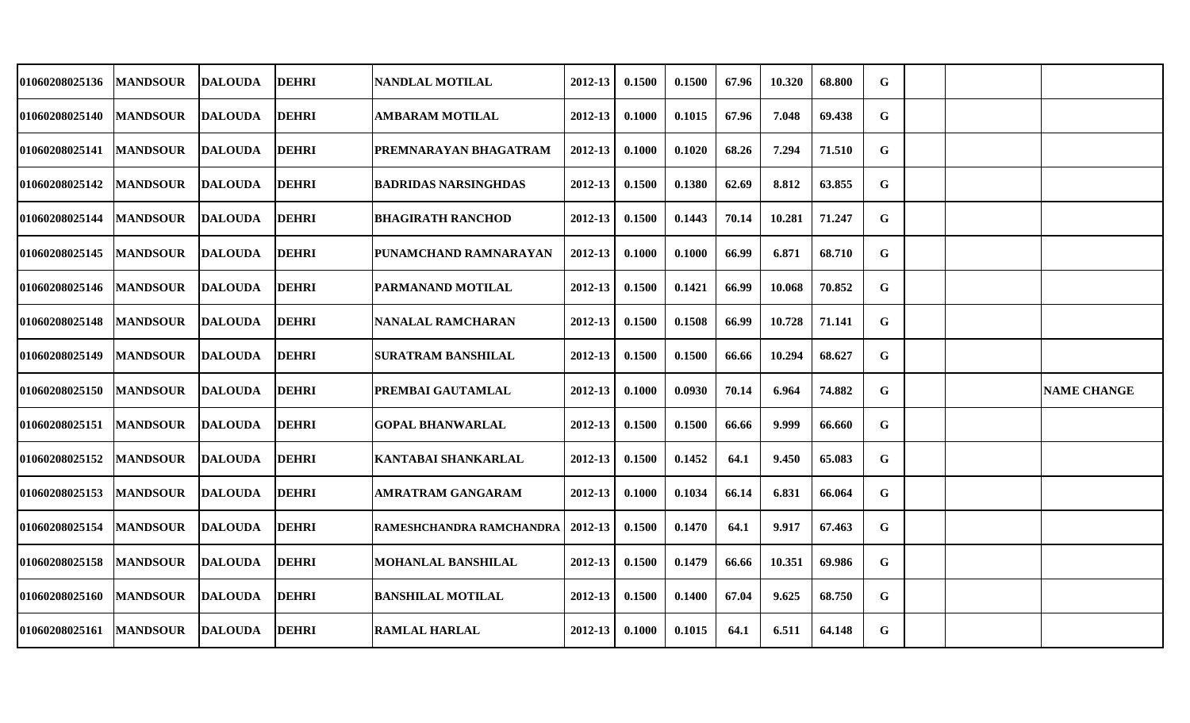| 01060208025136        | <b>MANDSOUR</b> | <b>DALOUDA</b> | <b>DEHRI</b> | <b>NANDLAL MOTILAL</b>      | 2012-13     | 0.1500 | 0.1500 | 67.96 | 10.320 | 68.800 | G           |  |                    |
|-----------------------|-----------------|----------------|--------------|-----------------------------|-------------|--------|--------|-------|--------|--------|-------------|--|--------------------|
| 01060208025140        | <b>MANDSOUR</b> | <b>DALOUDA</b> | <b>DEHRI</b> | AMBARAM MOTILAL             | 2012-13     | 0.1000 | 0.1015 | 67.96 | 7.048  | 69.438 | G           |  |                    |
| 01060208025141        | <b>MANDSOUR</b> | <b>DALOUDA</b> | <b>DEHRI</b> | PREMNARAYAN BHAGATRAM       | $2012 - 13$ | 0.1000 | 0.1020 | 68.26 | 7.294  | 71.510 | G           |  |                    |
| <b>01060208025142</b> | <b>MANDSOUR</b> | <b>DALOUDA</b> | <b>DEHRI</b> | <b>BADRIDAS NARSINGHDAS</b> | 2012-13     | 0.1500 | 0.1380 | 62.69 | 8.812  | 63.855 | G           |  |                    |
| 01060208025144        | <b>MANDSOUR</b> | DALOUDA        | <b>DEHRI</b> | <b>BHAGIRATH RANCHOD</b>    | 2012-13     | 0.1500 | 0.1443 | 70.14 | 10.281 | 71.247 | G           |  |                    |
| <b>01060208025145</b> | <b>MANDSOUR</b> | <b>DALOUDA</b> | <b>DEHRI</b> | PUNAMCHAND RAMNARAYAN       | $2012 - 13$ | 0.1000 | 0.1000 | 66.99 | 6.871  | 68.710 | G           |  |                    |
| <b>01060208025146</b> | <b>MANDSOUR</b> | <b>DALOUDA</b> | <b>DEHRI</b> | PARMANAND MOTILAL           | 2012-13     | 0.1500 | 0.1421 | 66.99 | 10.068 | 70.852 | G           |  |                    |
| 01060208025148        | <b>MANDSOUR</b> | <b>DALOUDA</b> | <b>DEHRI</b> | <b>NANALAL RAMCHARAN</b>    | 2012-13     | 0.1500 | 0.1508 | 66.99 | 10.728 | 71.141 | $\mathbf G$ |  |                    |
| 01060208025149        | <b>MANDSOUR</b> | <b>DALOUDA</b> | <b>DEHRI</b> | <b>SURATRAM BANSHILAL</b>   | 2012-13     | 0.1500 | 0.1500 | 66.66 | 10.294 | 68.627 | G           |  |                    |
| 01060208025150        | <b>MANDSOUR</b> | <b>DALOUDA</b> | <b>DEHRI</b> | PREMBAI GAUTAMLAL           | 2012-13     | 0.1000 | 0.0930 | 70.14 | 6.964  | 74.882 | G           |  | <b>NAME CHANGE</b> |
| 01060208025151        | <b>MANDSOUR</b> | <b>DALOUDA</b> | <b>DEHRI</b> | <b>GOPAL BHANWARLAL</b>     | 2012-13     | 0.1500 | 0.1500 | 66.66 | 9.999  | 66.660 | G           |  |                    |
| 01060208025152        | <b>MANDSOUR</b> | <b>DALOUDA</b> | <b>DEHRI</b> | KANTABAI SHANKARLAL         | $2012 - 13$ | 0.1500 | 0.1452 | 64.1  | 9.450  | 65.083 | G           |  |                    |
| <b>01060208025153</b> | <b>MANDSOUR</b> | <b>DALOUDA</b> | <b>DEHRI</b> | <b>AMRATRAM GANGARAM</b>    | 2012-13     | 0.1000 | 0.1034 | 66.14 | 6.831  | 66.064 | G           |  |                    |
| 01060208025154        | <b>MANDSOUR</b> | <b>DALOUDA</b> | <b>DEHRI</b> | RAMESHCHANDRA RAMCHANDRA    | 2012-13     | 0.1500 | 0.1470 | 64.1  | 9.917  | 67.463 | G           |  |                    |
| 01060208025158        | <b>MANDSOUR</b> | <b>DALOUDA</b> | <b>DEHRI</b> | <b>MOHANLAL BANSHILAL</b>   | 2012-13     | 0.1500 | 0.1479 | 66.66 | 10.351 | 69.986 | $\mathbf G$ |  |                    |
| 01060208025160        | <b>MANDSOUR</b> | <b>DALOUDA</b> | <b>DEHRI</b> | <b>BANSHILAL MOTILAL</b>    | $2012 - 13$ | 0.1500 | 0.1400 | 67.04 | 9.625  | 68.750 | G           |  |                    |
| 01060208025161        | <b>MANDSOUR</b> | <b>DALOUDA</b> | <b>DEHRI</b> | <b>RAMLAL HARLAL</b>        | 2012-13     | 0.1000 | 0.1015 | 64.1  | 6.511  | 64.148 | G           |  |                    |
|                       |                 |                |              |                             |             |        |        |       |        |        |             |  |                    |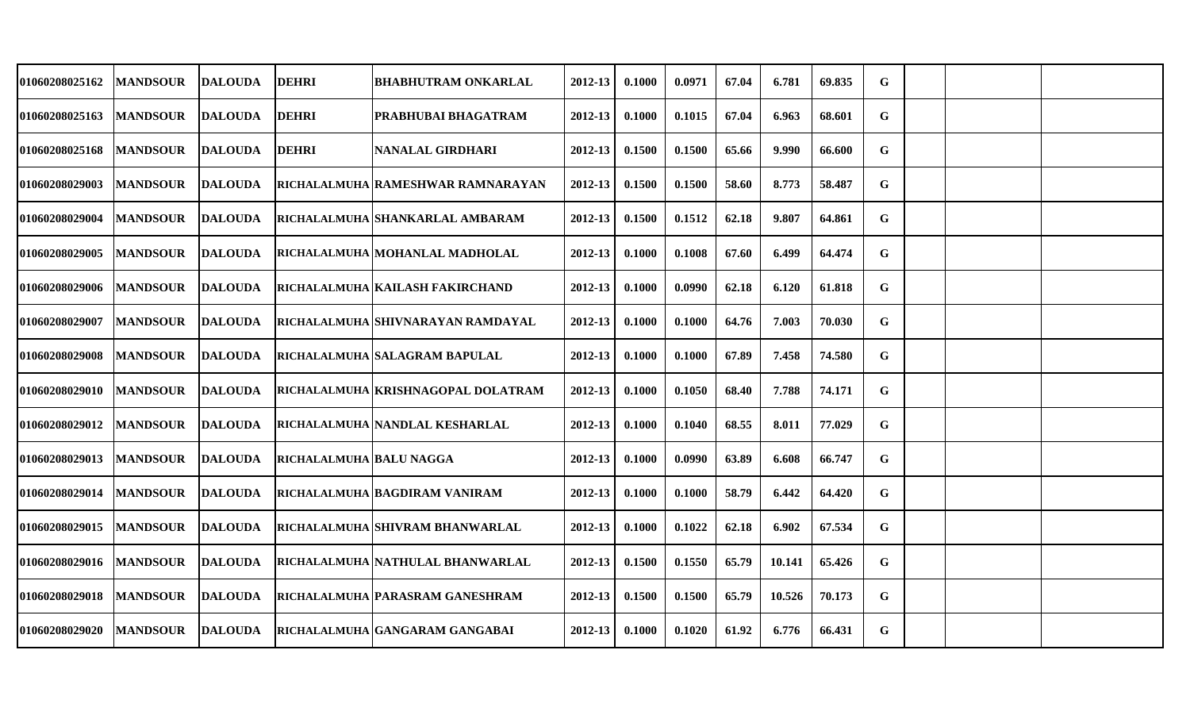| 01060208025162        | <b>MANDSOUR</b> | <b>DALOUDA</b> | <b>DEHRI</b>            | <b>BHABHUTRAM ONKARLAL</b>         | 2012-13     | 0.1000 | 0.0971 | 67.04 | 6.781  | 69.835 | G |  |  |
|-----------------------|-----------------|----------------|-------------------------|------------------------------------|-------------|--------|--------|-------|--------|--------|---|--|--|
| 01060208025163        | <b>MANDSOUR</b> | <b>DALOUDA</b> | <b>DEHRI</b>            | PRABHUBAI BHAGATRAM                | 2012-13     | 0.1000 | 0.1015 | 67.04 | 6.963  | 68.601 | G |  |  |
| <b>01060208025168</b> | <b>MANDSOUR</b> | <b>DALOUDA</b> | <b>DEHRI</b>            | <b>NANALAL GIRDHARI</b>            | $2012 - 13$ | 0.1500 | 0.1500 | 65.66 | 9.990  | 66.600 | G |  |  |
| <b>01060208029003</b> | <b>MANDSOUR</b> | <b>DALOUDA</b> |                         | RICHALALMUHA RAMESHWAR RAMNARAYAN  | $2012 - 13$ | 0.1500 | 0.1500 | 58.60 | 8.773  | 58.487 | G |  |  |
| <b>01060208029004</b> | <b>MANDSOUR</b> | <b>DALOUDA</b> |                         | RICHALALMUHA SHANKARLAL AMBARAM    | 2012-13     | 0.1500 | 0.1512 | 62.18 | 9.807  | 64.861 | G |  |  |
| 01060208029005        | <b>MANDSOUR</b> | <b>DALOUDA</b> |                         | RICHALALMUHA   MOHANLAL MADHOLAL   | 2012-13     | 0.1000 | 0.1008 | 67.60 | 6.499  | 64.474 | G |  |  |
| 01060208029006        | <b>MANDSOUR</b> | <b>DALOUDA</b> |                         | RICHALALMUHA KAILASH FAKIRCHAND    | 2012-13     | 0.1000 | 0.0990 | 62.18 | 6.120  | 61.818 | G |  |  |
| <b>01060208029007</b> | <b>MANDSOUR</b> | <b>DALOUDA</b> |                         | RICHALALMUHA  SHIVNARAYAN RAMDAYAL | 2012-13     | 0.1000 | 0.1000 | 64.76 | 7.003  | 70.030 | G |  |  |
| 01060208029008        | <b>MANDSOUR</b> | <b>DALOUDA</b> |                         | RICHALALMUHA SALAGRAM BAPULAL      | 2012-13     | 0.1000 | 0.1000 | 67.89 | 7.458  | 74.580 | G |  |  |
| <b>01060208029010</b> | <b>MANDSOUR</b> | <b>DALOUDA</b> |                         | RICHALALMUHA KRISHNAGOPAL DOLATRAM | 2012-13     | 0.1000 | 0.1050 | 68.40 | 7.788  | 74.171 | G |  |  |
| <b>01060208029012</b> | <b>MANDSOUR</b> | <b>DALOUDA</b> |                         | RICHALALMUHA NANDLAL KESHARLAL     | 2012-13     | 0.1000 | 0.1040 | 68.55 | 8.011  | 77.029 | G |  |  |
| <b>01060208029013</b> | <b>MANDSOUR</b> | <b>DALOUDA</b> | RICHALALMUHA BALU NAGGA |                                    | 2012-13     | 0.1000 | 0.0990 | 63.89 | 6.608  | 66.747 | G |  |  |
| <b>01060208029014</b> | <b>MANDSOUR</b> | <b>DALOUDA</b> |                         | RICHALALMUHA BAGDIRAM VANIRAM      | 2012-13     | 0.1000 | 0.1000 | 58.79 | 6.442  | 64.420 | G |  |  |
| 01060208029015        | <b>MANDSOUR</b> | <b>DALOUDA</b> |                         | RICHALALMUHA SHIVRAM BHANWARLAL    | 2012-13     | 0.1000 | 0.1022 | 62.18 | 6.902  | 67.534 | G |  |  |
| <b>01060208029016</b> | <b>MANDSOUR</b> | <b>DALOUDA</b> |                         | RICHALALMUHA NATHULAL BHANWARLAL   | 2012-13     | 0.1500 | 0.1550 | 65.79 | 10.141 | 65.426 | G |  |  |
| <b>01060208029018</b> | <b>MANDSOUR</b> | <b>DALOUDA</b> |                         | RICHALALMUHA PARASRAM GANESHRAM    | $2012 - 13$ | 0.1500 | 0.1500 | 65.79 | 10.526 | 70.173 | G |  |  |
| <b>01060208029020</b> | <b>MANDSOUR</b> | <b>DALOUDA</b> |                         | RICHALALMUHA GANGARAM GANGABAI     | 2012-13     | 0.1000 | 0.1020 | 61.92 | 6.776  | 66.431 | G |  |  |
|                       |                 |                |                         |                                    |             |        |        |       |        |        |   |  |  |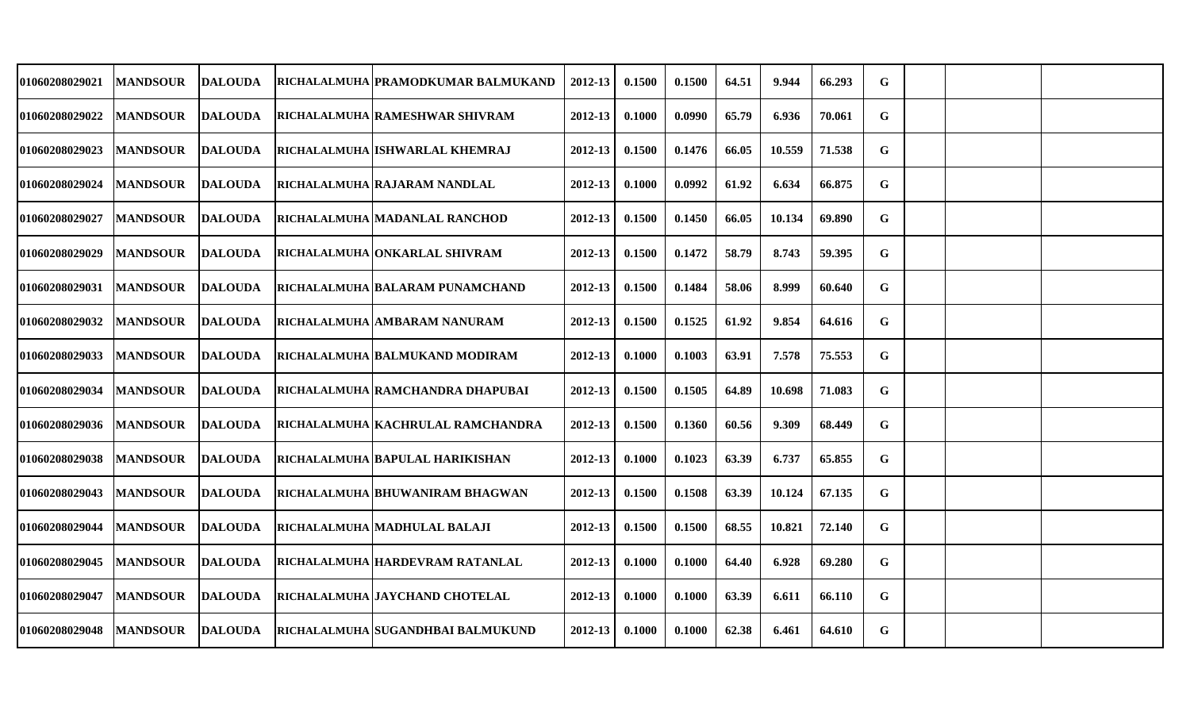| 01060208029021        | <b>MANDSOUR</b> | <b>DALOUDA</b> | RICHALALMUHA PRAMODKUMAR BALMUKAND     | 2012-13     | 0.1500 | 0.1500 | 64.51 | 9.944  | 66.293 | G           |  |  |
|-----------------------|-----------------|----------------|----------------------------------------|-------------|--------|--------|-------|--------|--------|-------------|--|--|
| 01060208029022        | <b>MANDSOUR</b> | <b>DALOUDA</b> | RICHALALMUHA RAMESHWAR SHIVRAM         | 2012-13     | 0.1000 | 0.0990 | 65.79 | 6.936  | 70.061 | G           |  |  |
| 01060208029023        | <b>MANDSOUR</b> | <b>DALOUDA</b> | RICHALALMUHA IISHWARLAL KHEMRAJ        | 2012-13     | 0.1500 | 0.1476 | 66.05 | 10.559 | 71.538 | G           |  |  |
| <b>01060208029024</b> | <b>MANDSOUR</b> | DALOUDA        | RICHALALMUHA RAJARAM NANDLAL           | 2012-13     | 0.1000 | 0.0992 | 61.92 | 6.634  | 66.875 | G           |  |  |
| <b>01060208029027</b> | <b>MANDSOUR</b> | <b>DALOUDA</b> | RICHALALMUHA MADANLAL RANCHOD          | 2012-13     | 0.1500 | 0.1450 | 66.05 | 10.134 | 69.890 | G           |  |  |
| 01060208029029        | <b>MANDSOUR</b> | <b>DALOUDA</b> | RICHALALMUHA ONKARLAL SHIVRAM          | $2012 - 13$ | 0.1500 | 0.1472 | 58.79 | 8.743  | 59.395 | $\mathbf G$ |  |  |
| 01060208029031        | <b>MANDSOUR</b> | <b>DALOUDA</b> | <b>RICHALALMUHA BALARAM PUNAMCHAND</b> | 2012-13     | 0.1500 | 0.1484 | 58.06 | 8.999  | 60.640 | G           |  |  |
| 01060208029032        | <b>MANDSOUR</b> | <b>DALOUDA</b> | RICHALALMUHA AMBARAM NANURAM           | 2012-13     | 0.1500 | 0.1525 | 61.92 | 9.854  | 64.616 | G           |  |  |
| 01060208029033        | <b>MANDSOUR</b> | <b>DALOUDA</b> | RICHALALMUHA BALMUKAND MODIRAM         | 2012-13     | 0.1000 | 0.1003 | 63.91 | 7.578  | 75.553 | G           |  |  |
| 01060208029034        | <b>MANDSOUR</b> | <b>DALOUDA</b> | RICHALALMUHA RAMCHANDRA DHAPUBAI       | 2012-13     | 0.1500 | 0.1505 | 64.89 | 10.698 | 71.083 | G           |  |  |
| 01060208029036        | <b>MANDSOUR</b> | DALOUDA        | RICHALALMUHA KACHRULAL RAMCHANDRA      | 2012-13     | 0.1500 | 0.1360 | 60.56 | 9.309  | 68.449 | G           |  |  |
| 01060208029038        | <b>MANDSOUR</b> | <b>DALOUDA</b> | RICHALALMUHA BAPULAL HARIKISHAN        | $2012 - 13$ | 0.1000 | 0.1023 | 63.39 | 6.737  | 65.855 | G           |  |  |
| 01060208029043        | <b>MANDSOUR</b> | DALOUDA        | RICHALALMUHA BHUWANIRAM BHAGWAN        | 2012-13     | 0.1500 | 0.1508 | 63.39 | 10.124 | 67.135 | G           |  |  |
| 01060208029044        | <b>MANDSOUR</b> | <b>DALOUDA</b> | RICHALALMUHA   MADHULAL BALAJI         | 2012-13     | 0.1500 | 0.1500 | 68.55 | 10.821 | 72.140 | G           |  |  |
| 01060208029045        | <b>MANDSOUR</b> | <b>DALOUDA</b> | RICHALALMUHA HARDEVRAM RATANLAL        | 2012-13     | 0.1000 | 0.1000 | 64.40 | 6.928  | 69.280 | $\mathbf G$ |  |  |
| 01060208029047        | <b>MANDSOUR</b> | <b>DALOUDA</b> | RICHALALMUHA JAYCHAND CHOTELAL         | $2012 - 13$ | 0.1000 | 0.1000 | 63.39 | 6.611  | 66.110 | G           |  |  |
| 01060208029048        | <b>MANDSOUR</b> | DALOUDA        | RICHALALMUHA SUGANDHBAI BALMUKUND      | 2012-13     | 0.1000 | 0.1000 | 62.38 | 6.461  | 64.610 | G           |  |  |
|                       |                 |                |                                        |             |        |        |       |        |        |             |  |  |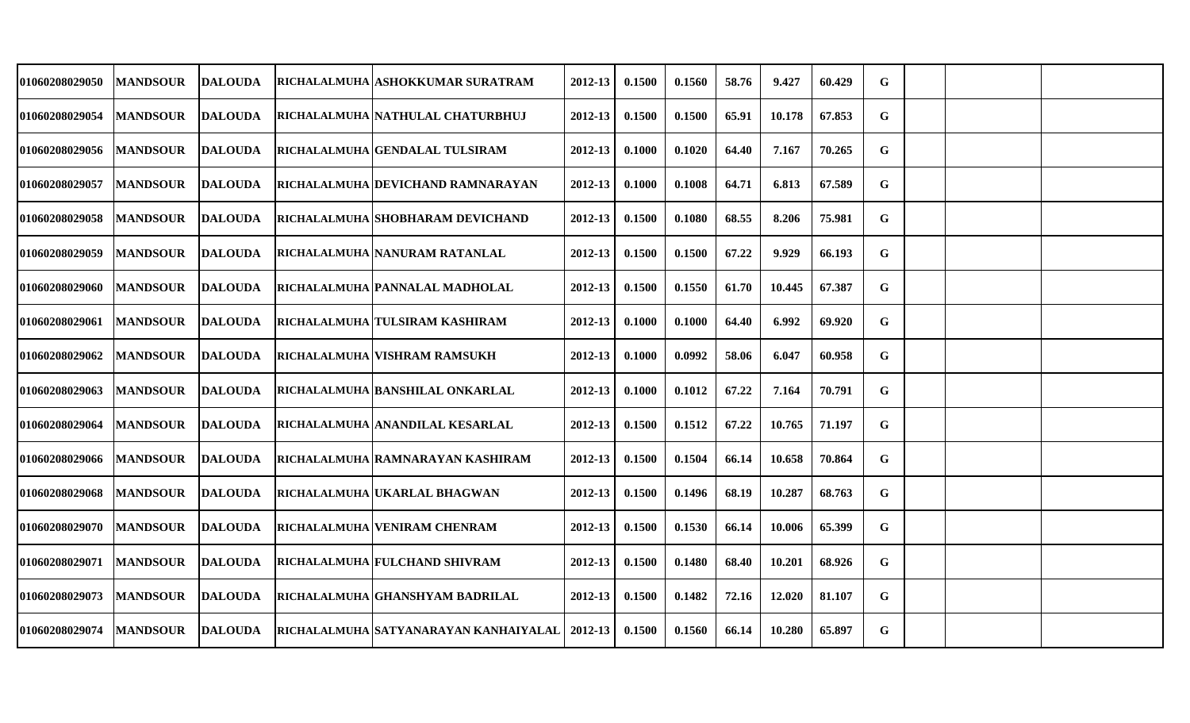| <b>01060208029050</b> | <b>MANDSOUR</b> | <b>DALOUDA</b> | RICHALALMUHA ASHOKKUMAR SURATRAM       | 2012-13     | 0.1500 | 0.1560 | 58.76 | 9.427  | 60.429 | G           |  |  |
|-----------------------|-----------------|----------------|----------------------------------------|-------------|--------|--------|-------|--------|--------|-------------|--|--|
| 01060208029054        | <b>MANDSOUR</b> | <b>DALOUDA</b> | RICHALALMUHA NATHULAL CHATURBHUJ       | 2012-13     | 0.1500 | 0.1500 | 65.91 | 10.178 | 67.853 | G           |  |  |
| <b>01060208029056</b> | <b>MANDSOUR</b> | <b>DALOUDA</b> | RICHALALMUHA GENDALAL TULSIRAM         | $2012 - 13$ | 0.1000 | 0.1020 | 64.40 | 7.167  | 70.265 | G           |  |  |
| <b>01060208029057</b> | <b>MANDSOUR</b> | <b>DALOUDA</b> | RICHALALMUHA DEVICHAND RAMNARAYAN      | $2012 - 13$ | 0.1000 | 0.1008 | 64.71 | 6.813  | 67.589 | G           |  |  |
| <b>01060208029058</b> | <b>MANDSOUR</b> | <b>DALOUDA</b> | RICHALALMUHA SHOBHARAM DEVICHAND       | 2012-13     | 0.1500 | 0.1080 | 68.55 | 8.206  | 75.981 | G           |  |  |
| <b>01060208029059</b> | <b>MANDSOUR</b> | <b>DALOUDA</b> | RICHALALMUHA NANURAM RATANLAL          | 2012-13     | 0.1500 | 0.1500 | 67.22 | 9.929  | 66.193 | G           |  |  |
| <b>01060208029060</b> | <b>MANDSOUR</b> | <b>DALOUDA</b> | RICHALALMUHA PANNALAL MADHOLAL         | 2012-13     | 0.1500 | 0.1550 | 61.70 | 10.445 | 67.387 | G           |  |  |
| 01060208029061        | <b>MANDSOUR</b> | <b>DALOUDA</b> | RICHALALMUHA TULSIRAM KASHIRAM         | 2012-13     | 0.1000 | 0.1000 | 64.40 | 6.992  | 69.920 | G           |  |  |
| <b>01060208029062</b> | <b>MANDSOUR</b> | <b>DALOUDA</b> | RICHALALMUHA VISHRAM RAMSUKH           | 2012-13     | 0.1000 | 0.0992 | 58.06 | 6.047  | 60.958 | G           |  |  |
| 01060208029063        | <b>MANDSOUR</b> | <b>DALOUDA</b> | RICHALALMUHA BANSHILAL ONKARLAL        | 2012-13     | 0.1000 | 0.1012 | 67.22 | 7.164  | 70.791 | G           |  |  |
| <b>01060208029064</b> | <b>MANDSOUR</b> | <b>DALOUDA</b> | RICHALALMUHA ANANDILAL KESARLAL        | 2012-13     | 0.1500 | 0.1512 | 67.22 | 10.765 | 71.197 | G           |  |  |
| 01060208029066        | <b>MANDSOUR</b> | <b>DALOUDA</b> | RICHALALMUHA RAMNARAYAN KASHIRAM       | $2012 - 13$ | 0.1500 | 0.1504 | 66.14 | 10.658 | 70.864 | G           |  |  |
| <b>01060208029068</b> | <b>MANDSOUR</b> | <b>DALOUDA</b> | RICHALALMUHA UKARLAL BHAGWAN           | 2012-13     | 0.1500 | 0.1496 | 68.19 | 10.287 | 68.763 | G           |  |  |
| <b>01060208029070</b> | <b>MANDSOUR</b> | <b>DALOUDA</b> | RICHALALMUHA VENIRAM CHENRAM           | 2012-13     | 0.1500 | 0.1530 | 66.14 | 10.006 | 65.399 | G           |  |  |
| <b>01060208029071</b> | <b>MANDSOUR</b> | <b>DALOUDA</b> | RICHALALMUHA FULCHAND SHIVRAM          | 2012-13     | 0.1500 | 0.1480 | 68.40 | 10.201 | 68.926 | $\mathbf G$ |  |  |
| <b>01060208029073</b> | <b>MANDSOUR</b> | <b>DALOUDA</b> | RICHALALMUHA GHANSHYAM BADRILAL        | $2012 - 13$ | 0.1500 | 0.1482 | 72.16 | 12.020 | 81.107 | G           |  |  |
| <b>01060208029074</b> | <b>MANDSOUR</b> | <b>DALOUDA</b> | RICHALALMUHA  SATYANARAYAN KANHAIYALAL | $2012 - 13$ | 0.1500 | 0.1560 | 66.14 | 10.280 | 65.897 | G           |  |  |
|                       |                 |                |                                        |             |        |        |       |        |        |             |  |  |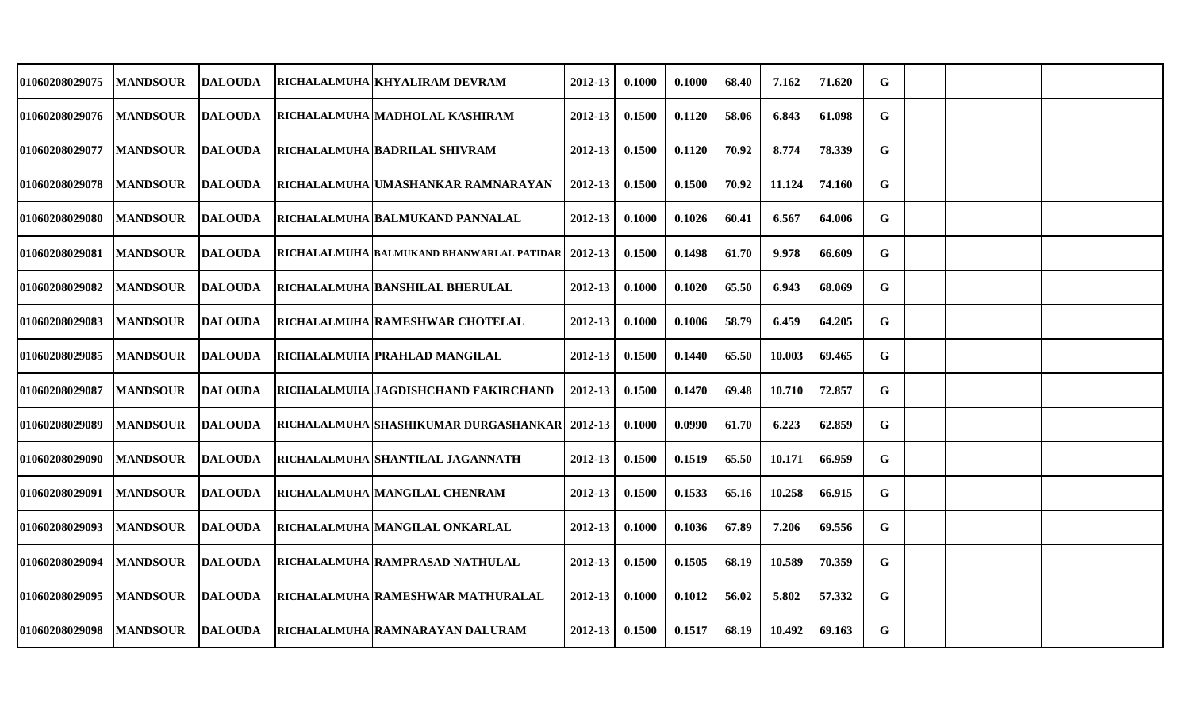| 01060208029075        | <b>MANDSOUR</b> | <b>DALOUDA</b> | RICHALALMUHA KHYALIRAM DEVRAM                   | 2012-13     | 0.1000 | 0.1000 | 68.40 | 7.162  | 71.620 | G |  |  |
|-----------------------|-----------------|----------------|-------------------------------------------------|-------------|--------|--------|-------|--------|--------|---|--|--|
| <b>01060208029076</b> | <b>MANDSOUR</b> | <b>DALOUDA</b> | RICHALALMUHA MADHOLAL KASHIRAM                  | 2012-13     | 0.1500 | 0.1120 | 58.06 | 6.843  | 61.098 | G |  |  |
| <b>01060208029077</b> | <b>MANDSOUR</b> | <b>DALOUDA</b> | RICHALALMUHA BADRILAL SHIVRAM                   | $2012 - 13$ | 0.1500 | 0.1120 | 70.92 | 8.774  | 78.339 | G |  |  |
| <b>01060208029078</b> | <b>MANDSOUR</b> | <b>DALOUDA</b> | RICHALALMUHA UMASHANKAR RAMNARAYAN              | 2012-13     | 0.1500 | 0.1500 | 70.92 | 11.124 | 74.160 | G |  |  |
| <b>01060208029080</b> | <b>MANDSOUR</b> | <b>DALOUDA</b> | RICHALALMUHA BALMUKAND PANNALAL                 | 2012-13     | 0.1000 | 0.1026 | 60.41 | 6.567  | 64.006 | G |  |  |
| 01060208029081        | <b>MANDSOUR</b> | <b>DALOUDA</b> | RICHALALMUHA BALMUKAND BHANWARLAL PATIDAR       | 2012-13     | 0.1500 | 0.1498 | 61.70 | 9.978  | 66.609 | G |  |  |
| <b>01060208029082</b> | <b>MANDSOUR</b> | <b>DALOUDA</b> | RICHALALMUHA BANSHILAL BHERULAL                 | 2012-13     | 0.1000 | 0.1020 | 65.50 | 6.943  | 68.069 | G |  |  |
| <b>01060208029083</b> | <b>MANDSOUR</b> | <b>DALOUDA</b> | RICHALALMUHA RAMESHWAR CHOTELAL                 | 2012-13     | 0.1000 | 0.1006 | 58.79 | 6.459  | 64.205 | G |  |  |
| <b>01060208029085</b> | <b>MANDSOUR</b> | <b>DALOUDA</b> | RICHALALMUHA PRAHLAD MANGILAL                   | 2012-13     | 0.1500 | 0.1440 | 65.50 | 10.003 | 69.465 | G |  |  |
| <b>01060208029087</b> | <b>MANDSOUR</b> | <b>DALOUDA</b> | RICHALALMUHA JAGDISHCHAND FAKIRCHAND            | 2012-13     | 0.1500 | 0.1470 | 69.48 | 10.710 | 72.857 | G |  |  |
| 01060208029089        | <b>MANDSOUR</b> | <b>DALOUDA</b> | RICHALALMUHA SHASHIKUMAR DURGASHANKAR   2012-13 |             | 0.1000 | 0.0990 | 61.70 | 6.223  | 62.859 | G |  |  |
| <b>01060208029090</b> | <b>MANDSOUR</b> | <b>DALOUDA</b> | RICHALALMUHA  SHANTILAL JAGANNATH               | 2012-13     | 0.1500 | 0.1519 | 65.50 | 10.171 | 66.959 | G |  |  |
| <b>01060208029091</b> | <b>MANDSOUR</b> | <b>DALOUDA</b> | RICHALALMUHA MANGILAL CHENRAM                   | 2012-13     | 0.1500 | 0.1533 | 65.16 | 10.258 | 66.915 | G |  |  |
| 01060208029093        | <b>MANDSOUR</b> | <b>DALOUDA</b> | RICHALALMUHA MANGILAL ONKARLAL                  | 2012-13     | 0.1000 | 0.1036 | 67.89 | 7.206  | 69.556 | G |  |  |
| <b>01060208029094</b> | <b>MANDSOUR</b> | <b>DALOUDA</b> | RICHALALMUHA RAMPRASAD NATHULAL                 | 2012-13     | 0.1500 | 0.1505 | 68.19 | 10.589 | 70.359 | G |  |  |
| <b>01060208029095</b> | <b>MANDSOUR</b> | <b>DALOUDA</b> | RICHALALMUHA RAMESHWAR MATHURALAL               | $2012 - 13$ | 0.1000 | 0.1012 | 56.02 | 5.802  | 57.332 | G |  |  |
| 01060208029098        | <b>MANDSOUR</b> | <b>DALOUDA</b> | RICHALALMUHA RAMNARAYAN DALURAM                 | 2012-13     | 0.1500 | 0.1517 | 68.19 | 10.492 | 69.163 | G |  |  |
|                       |                 |                |                                                 |             |        |        |       |        |        |   |  |  |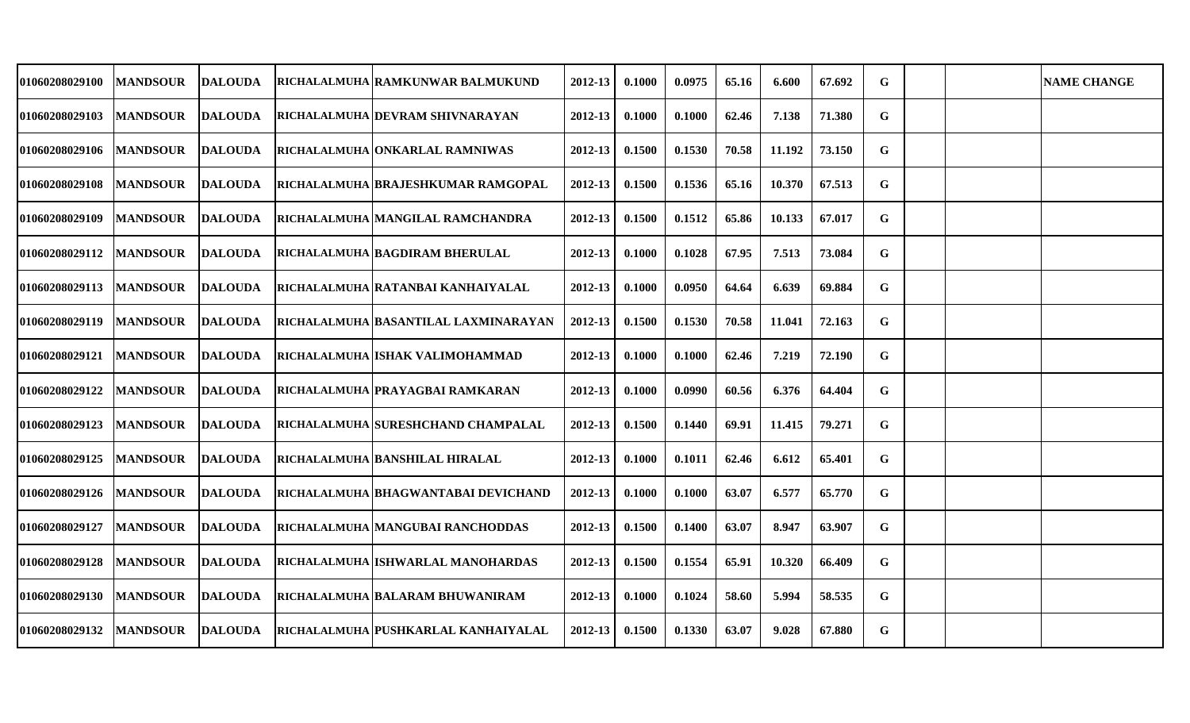| 01060208029100 | <b>MANDSOUR</b> | <b>DALOUDA</b> | RICHALALMUHA RAMKUNWAR BALMUKUND      | 2012-13 | 0.1000 | 0.0975 | 65.16 | 6.600  | 67.692 | G |  | <b>NAME CHANGE</b> |
|----------------|-----------------|----------------|---------------------------------------|---------|--------|--------|-------|--------|--------|---|--|--------------------|
| 01060208029103 | <b>MANDSOUR</b> | <b>DALOUDA</b> | RICHALALMUHA DEVRAM SHIVNARAYAN       | 2012-13 | 0.1000 | 0.1000 | 62.46 | 7.138  | 71.380 | G |  |                    |
| 01060208029106 | <b>MANDSOUR</b> | <b>DALOUDA</b> | RICHALALMUHA ONKARLAL RAMNIWAS        | 2012-13 | 0.1500 | 0.1530 | 70.58 | 11.192 | 73.150 | G |  |                    |
| 01060208029108 | <b>MANDSOUR</b> | <b>DALOUDA</b> | RICHALALMUHA BRAJESHKUMAR RAMGOPAL    | 2012-13 | 0.1500 | 0.1536 | 65.16 | 10.370 | 67.513 | G |  |                    |
| 01060208029109 | <b>MANDSOUR</b> | DALOUDA        | RICHALALMUHA MANGILAL RAMCHANDRA      | 2012-13 | 0.1500 | 0.1512 | 65.86 | 10.133 | 67.017 | G |  |                    |
| 01060208029112 | <b>MANDSOUR</b> | <b>DALOUDA</b> | RICHALALMUHA BAGDIRAM BHERULAL        | 2012-13 | 0.1000 | 0.1028 | 67.95 | 7.513  | 73.084 | G |  |                    |
| 01060208029113 | <b>MANDSOUR</b> | <b>DALOUDA</b> | RICHALALMUHA   RATANBAI KANHAIYALAL   | 2012-13 | 0.1000 | 0.0950 | 64.64 | 6.639  | 69.884 | G |  |                    |
| 01060208029119 | <b>MANDSOUR</b> | <b>DALOUDA</b> | RICHALALMUHA BASANTILAL LAXMINARAYAN  | 2012-13 | 0.1500 | 0.1530 | 70.58 | 11.041 | 72.163 | G |  |                    |
| 01060208029121 | <b>MANDSOUR</b> | <b>DALOUDA</b> | RICHALALMUHA ISHAK VALIMOHAMMAD       | 2012-13 | 0.1000 | 0.1000 | 62.46 | 7.219  | 72.190 | G |  |                    |
| 01060208029122 | <b>MANDSOUR</b> | <b>DALOUDA</b> | RICHALALMUHA PRAYAGBAI RAMKARAN       | 2012-13 | 0.1000 | 0.0990 | 60.56 | 6.376  | 64.404 | G |  |                    |
| 01060208029123 | <b>MANDSOUR</b> | <b>DALOUDA</b> | RICHALALMUHA SURESHCHAND CHAMPALAL    | 2012-13 | 0.1500 | 0.1440 | 69.91 | 11.415 | 79.271 | G |  |                    |
| 01060208029125 | <b>MANDSOUR</b> | DALOUDA        | <b>RICHALALMUHA BANSHILAL HIRALAL</b> | 2012-13 | 0.1000 | 0.1011 | 62.46 | 6.612  | 65.401 | G |  |                    |
| 01060208029126 | <b>MANDSOUR</b> | <b>DALOUDA</b> | RICHALALMUHA BHAGWANTABAI DEVICHAND   | 2012-13 | 0.1000 | 0.1000 | 63.07 | 6.577  | 65.770 | G |  |                    |
| 01060208029127 | <b>MANDSOUR</b> | <b>DALOUDA</b> | RICHALALMUHA MANGUBAI RANCHODDAS      | 2012-13 | 0.1500 | 0.1400 | 63.07 | 8.947  | 63.907 | G |  |                    |
| 01060208029128 | <b>MANDSOUR</b> | <b>DALOUDA</b> | RICHALALMUHA ISHWARLAL MANOHARDAS     | 2012-13 | 0.1500 | 0.1554 | 65.91 | 10.320 | 66.409 | G |  |                    |
| 01060208029130 | <b>MANDSOUR</b> | <b>DALOUDA</b> | RICHALALMUHA BALARAM BHUWANIRAM       | 2012-13 | 0.1000 | 0.1024 | 58.60 | 5.994  | 58.535 | G |  |                    |
| 01060208029132 | <b>MANDSOUR</b> | DALOUDA        | RICHALALMUHA PUSHKARLAL KANHAIYALAL   | 2012-13 | 0.1500 | 0.1330 | 63.07 | 9.028  | 67.880 | G |  |                    |
|                |                 |                |                                       |         |        |        |       |        |        |   |  |                    |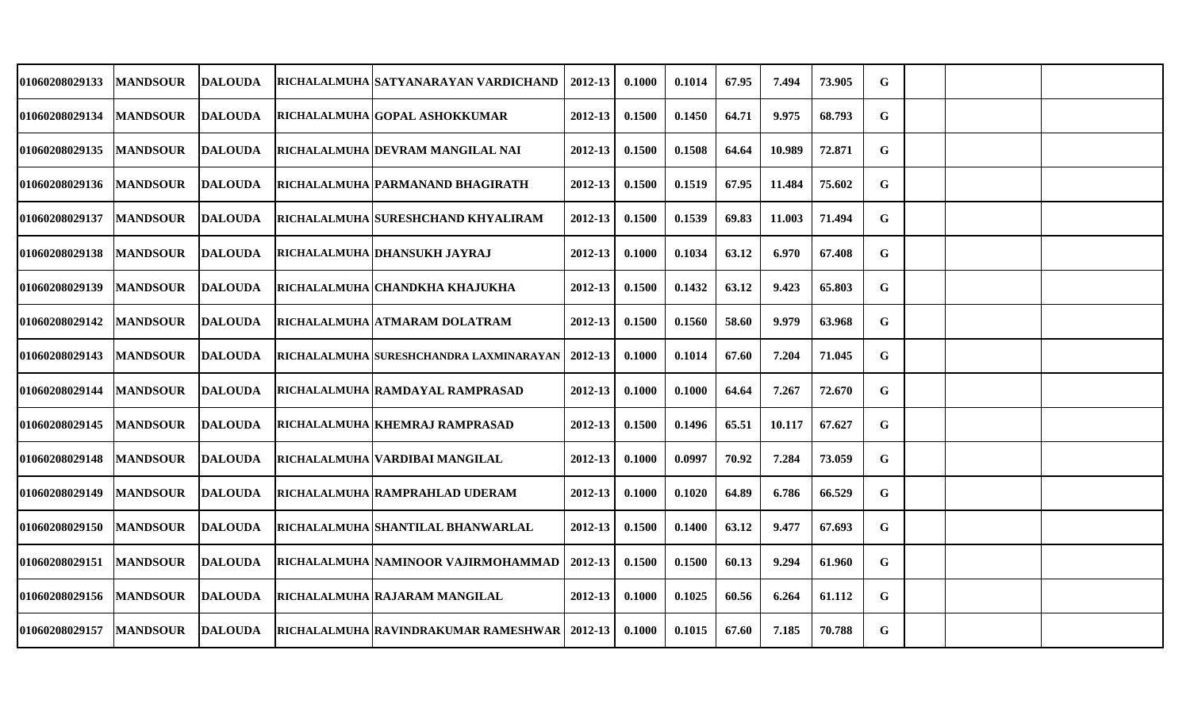| <b>01060208029133</b> | <b>MANDSOUR</b> | <b>DALOUDA</b> | RICHALALMUHA SATYANARAYAN VARDICHAND              | 2012-13     | 0.1000 | 0.1014 | 67.95 | 7.494  | 73.905 | G |  |  |
|-----------------------|-----------------|----------------|---------------------------------------------------|-------------|--------|--------|-------|--------|--------|---|--|--|
| 01060208029134        | <b>MANDSOUR</b> | <b>DALOUDA</b> | RICHALALMUHA GOPAL ASHOKKUMAR                     | 2012-13     | 0.1500 | 0.1450 | 64.71 | 9.975  | 68.793 | G |  |  |
| <b>01060208029135</b> | <b>MANDSOUR</b> | <b>DALOUDA</b> | RICHALALMUHA DEVRAM MANGILAL NAI                  | $2012 - 13$ | 0.1500 | 0.1508 | 64.64 | 10.989 | 72.871 | G |  |  |
| <b>01060208029136</b> | <b>MANDSOUR</b> | <b>DALOUDA</b> | RICHALALMUHA   PARMANAND BHAGIRATH                | $2012 - 13$ | 0.1500 | 0.1519 | 67.95 | 11.484 | 75.602 | G |  |  |
| <b>01060208029137</b> | <b>MANDSOUR</b> | <b>DALOUDA</b> | RICHALALMUHA SURESHCHAND KHYALIRAM                | 2012-13     | 0.1500 | 0.1539 | 69.83 | 11.003 | 71.494 | G |  |  |
| <b>01060208029138</b> | <b>MANDSOUR</b> | <b>DALOUDA</b> | RICHALALMUHA DHANSUKH JAYRAJ                      | 2012-13     | 0.1000 | 0.1034 | 63.12 | 6.970  | 67.408 | G |  |  |
| <b>01060208029139</b> | <b>MANDSOUR</b> | <b>DALOUDA</b> | RICHALALMUHA CHANDKHA KHAJUKHA                    | 2012-13     | 0.1500 | 0.1432 | 63.12 | 9.423  | 65.803 | G |  |  |
| <b>01060208029142</b> | <b>MANDSOUR</b> | <b>DALOUDA</b> | RICHALALMUHA ATMARAM DOLATRAM                     | 2012-13     | 0.1500 | 0.1560 | 58.60 | 9.979  | 63.968 | G |  |  |
| <b>01060208029143</b> | <b>MANDSOUR</b> | <b>DALOUDA</b> | RICHALALMUHA SURESHCHANDRA LAXMINARAYAN   2012-13 |             | 0.1000 | 0.1014 | 67.60 | 7.204  | 71.045 | G |  |  |
| 01060208029144        | <b>MANDSOUR</b> | <b>DALOUDA</b> | RICHALALMUHA RAMDAYAL RAMPRASAD                   | 2012-13     | 0.1000 | 0.1000 | 64.64 | 7.267  | 72.670 | G |  |  |
| <b>01060208029145</b> | <b>MANDSOUR</b> | <b>DALOUDA</b> | RICHALALMUHA KHEMRAJ RAMPRASAD                    | 2012-13     | 0.1500 | 0.1496 | 65.51 | 10.117 | 67.627 | G |  |  |
| <b>01060208029148</b> | <b>MANDSOUR</b> | <b>DALOUDA</b> | RICHALALMUHA   VARDIBAI MANGILAL                  | $2012 - 13$ | 0.1000 | 0.0997 | 70.92 | 7.284  | 73.059 | G |  |  |
| <b>01060208029149</b> | <b>MANDSOUR</b> | <b>DALOUDA</b> | RICHALALMUHA RAMPRAHLAD UDERAM                    | 2012-13     | 0.1000 | 0.1020 | 64.89 | 6.786  | 66.529 | G |  |  |
| <b>01060208029150</b> | <b>MANDSOUR</b> | <b>DALOUDA</b> | RICHALALMUHA SHANTILAL BHANWARLAL                 | 2012-13     | 0.1500 | 0.1400 | 63.12 | 9.477  | 67.693 | G |  |  |
| 01060208029151        | <b>MANDSOUR</b> | <b>DALOUDA</b> | RICHALALMUHA NAMINOOR VAJIRMOHAMMAD               | 2012-13     | 0.1500 | 0.1500 | 60.13 | 9.294  | 61.960 | G |  |  |
| 01060208029156        | <b>MANDSOUR</b> | <b>DALOUDA</b> | RICHALALMUHA RAJARAM MANGILAL                     | $2012 - 13$ | 0.1000 | 0.1025 | 60.56 | 6.264  | 61.112 | G |  |  |
| <b>01060208029157</b> | <b>MANDSOUR</b> | <b>DALOUDA</b> | RICHALALMUHA RAVINDRAKUMAR RAMESHWAR   2012-13    |             | 0.1000 | 0.1015 | 67.60 | 7.185  | 70.788 | G |  |  |
|                       |                 |                |                                                   |             |        |        |       |        |        |   |  |  |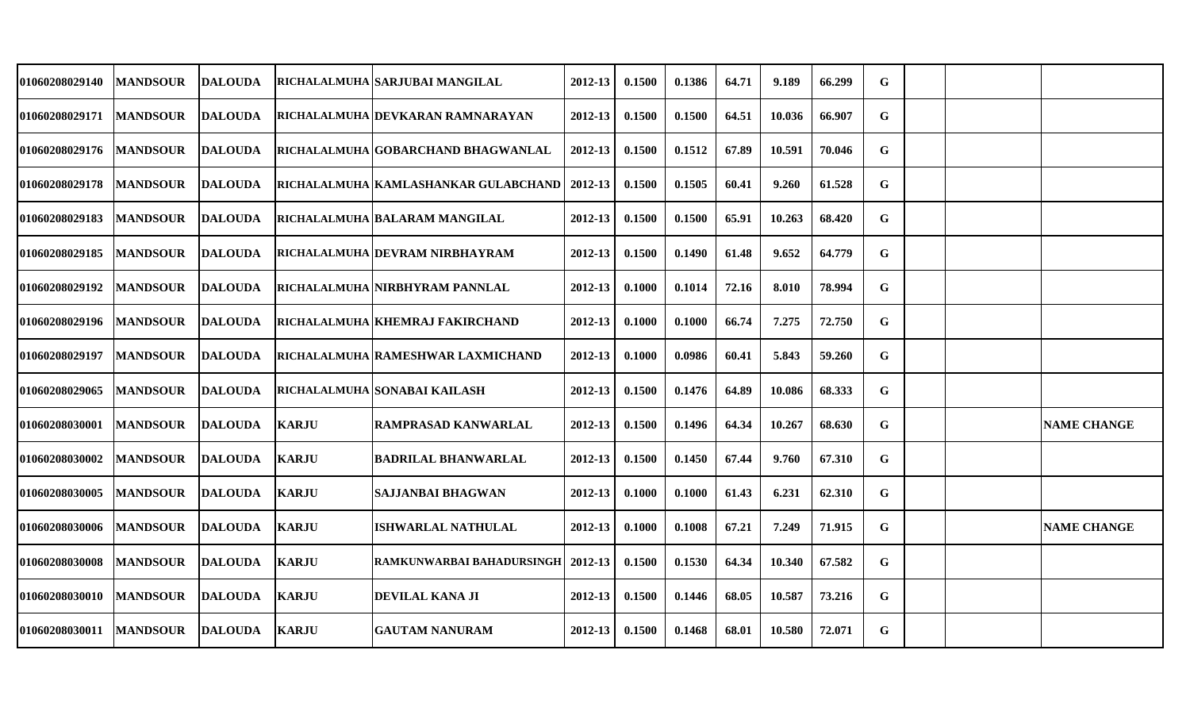| 01060208029140        | <b>MANDSOUR</b> | <b>DALOUDA</b> |              | RICHALALMUHA  SARJUBAI MANGILAL       | 2012-13     | 0.1500 | 0.1386 | 64.71 | 9.189  | 66.299 | G           |  |                    |
|-----------------------|-----------------|----------------|--------------|---------------------------------------|-------------|--------|--------|-------|--------|--------|-------------|--|--------------------|
| 01060208029171        | <b>MANDSOUR</b> | <b>DALOUDA</b> |              | RICHALALMUHA DEVKARAN RAMNARAYAN      | 2012-13     | 0.1500 | 0.1500 | 64.51 | 10.036 | 66.907 | G           |  |                    |
| <b>01060208029176</b> | <b>MANDSOUR</b> | <b>DALOUDA</b> |              | RICHALALMUHA GOBARCHAND BHAGWANLAL    | 2012-13     | 0.1500 | 0.1512 | 67.89 | 10.591 | 70.046 | G           |  |                    |
| 01060208029178        | <b>MANDSOUR</b> | DALOUDA        |              | RICHALALMUHA  KAMLASHANKAR GULABCHAND | 2012-13     | 0.1500 | 0.1505 | 60.41 | 9.260  | 61.528 | G           |  |                    |
| 01060208029183        | <b>MANDSOUR</b> | DALOUDA        |              | <b>RICHALALMUHA BALARAM MANGILAL</b>  | 2012-13     | 0.1500 | 0.1500 | 65.91 | 10.263 | 68.420 | G           |  |                    |
| 01060208029185        | <b>MANDSOUR</b> | <b>DALOUDA</b> |              | RICHALALMUHA DEVRAM NIRBHAYRAM        | 2012-13     | 0.1500 | 0.1490 | 61.48 | 9.652  | 64.779 | $\mathbf G$ |  |                    |
| 01060208029192        | <b>MANDSOUR</b> | <b>DALOUDA</b> |              | RICHALALMUHA NIRBHYRAM PANNLAL        | 2012-13     | 0.1000 | 0.1014 | 72.16 | 8.010  | 78.994 | G           |  |                    |
| 01060208029196        | <b>MANDSOUR</b> | <b>DALOUDA</b> |              | RICHALALMUHA KHEMRAJ FAKIRCHAND       | 2012-13     | 0.1000 | 0.1000 | 66.74 | 7.275  | 72.750 | G           |  |                    |
| 01060208029197        | <b>MANDSOUR</b> | <b>DALOUDA</b> |              | RICHALALMUHA RAMESHWAR LAXMICHAND     | $2012 - 13$ | 0.1000 | 0.0986 | 60.41 | 5.843  | 59.260 | G           |  |                    |
| 01060208029065        | <b>MANDSOUR</b> | <b>DALOUDA</b> |              | RICHALALMUHA SONABAI KAILASH          | 2012-13     | 0.1500 | 0.1476 | 64.89 | 10.086 | 68.333 | G           |  |                    |
| <b>01060208030001</b> | <b>MANDSOUR</b> | DALOUDA        | <b>KARJU</b> | RAMPRASAD KANWARLAL                   | 2012-13     | 0.1500 | 0.1496 | 64.34 | 10.267 | 68.630 | G           |  | <b>NAME CHANGE</b> |
| 01060208030002        | <b>MANDSOUR</b> | <b>DALOUDA</b> | <b>KARJU</b> | <b>BADRILAL BHANWARLAL</b>            | $2012 - 13$ | 0.1500 | 0.1450 | 67.44 | 9.760  | 67.310 | G           |  |                    |
| 01060208030005        | <b>MANDSOUR</b> | <b>DALOUDA</b> | <b>KARJU</b> | <b>SAJJANBAI BHAGWAN</b>              | 2012-13     | 0.1000 | 0.1000 | 61.43 | 6.231  | 62.310 | G           |  |                    |
| 01060208030006        | <b>MANDSOUR</b> | <b>DALOUDA</b> | <b>KARJU</b> | <b>ISHWARLAL NATHULAL</b>             | 2012-13     | 0.1000 | 0.1008 | 67.21 | 7.249  | 71.915 | G           |  | <b>NAME CHANGE</b> |
| 01060208030008        | <b>MANDSOUR</b> | <b>DALOUDA</b> | <b>KARJU</b> | RAMKUNWARBAI BAHADURSINGH             | 2012-13     | 0.1500 | 0.1530 | 64.34 | 10.340 | 67.582 | $\mathbf G$ |  |                    |
| 01060208030010        | <b>MANDSOUR</b> | <b>DALOUDA</b> | <b>KARJU</b> | <b>DEVILAL KANA JI</b>                | $2012 - 13$ | 0.1500 | 0.1446 | 68.05 | 10.587 | 73.216 | G           |  |                    |
| 01060208030011        | <b>MANDSOUR</b> | <b>DALOUDA</b> | KARJU        | <b>GAUTAM NANURAM</b>                 | 2012-13     | 0.1500 | 0.1468 | 68.01 | 10.580 | 72.071 | G           |  |                    |
|                       |                 |                |              |                                       |             |        |        |       |        |        |             |  |                    |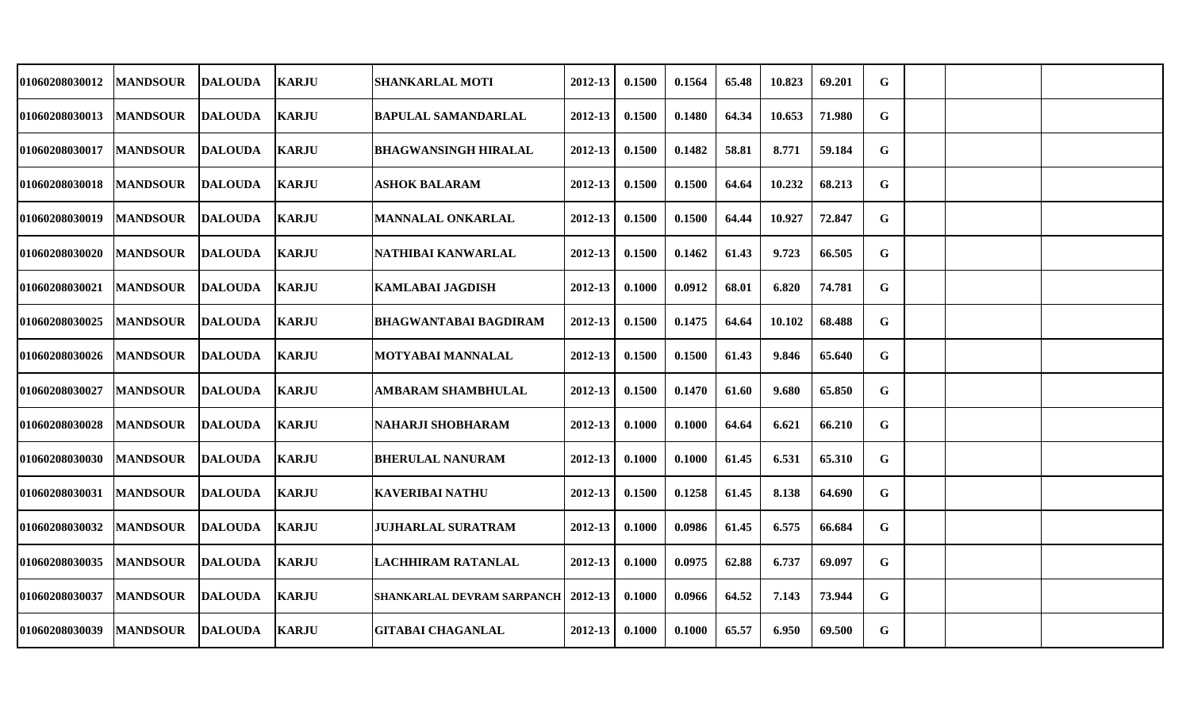| 01060208030012        | <b>MANDSOUR</b> | <b>DALOUDA</b> | <b>KARJU</b> | <b>SHANKARLAL MOTI</b>               | 2012-13     | 0.1500 | 0.1564 | 65.48 | 10.823 | 69.201 | G |  |  |
|-----------------------|-----------------|----------------|--------------|--------------------------------------|-------------|--------|--------|-------|--------|--------|---|--|--|
| <b>01060208030013</b> | <b>MANDSOUR</b> | <b>DALOUDA</b> | <b>KARJU</b> | <b>BAPULAL SAMANDARLAL</b>           | 2012-13     | 0.1500 | 0.1480 | 64.34 | 10.653 | 71.980 | G |  |  |
| <b>01060208030017</b> | <b>MANDSOUR</b> | <b>DALOUDA</b> | <b>KARJU</b> | <b>BHAGWANSINGH HIRALAL</b>          | $2012 - 13$ | 0.1500 | 0.1482 | 58.81 | 8.771  | 59.184 | G |  |  |
| <b>01060208030018</b> | <b>MANDSOUR</b> | <b>DALOUDA</b> | <b>KARJU</b> | <b>ASHOK BALARAM</b>                 | $2012 - 13$ | 0.1500 | 0.1500 | 64.64 | 10.232 | 68.213 | G |  |  |
| <b>01060208030019</b> | <b>MANDSOUR</b> | <b>DALOUDA</b> | <b>KARJU</b> | <b>MANNALAL ONKARLAL</b>             | 2012-13     | 0.1500 | 0.1500 | 64.44 | 10.927 | 72.847 | G |  |  |
| 01060208030020        | <b>MANDSOUR</b> | <b>DALOUDA</b> | <b>KARJU</b> | NATHIBAI KANWARLAL                   | 2012-13     | 0.1500 | 0.1462 | 61.43 | 9.723  | 66.505 | G |  |  |
| <b>01060208030021</b> | <b>MANDSOUR</b> | <b>DALOUDA</b> | <b>KARJU</b> | KAMLABAI JAGDISH                     | 2012-13     | 0.1000 | 0.0912 | 68.01 | 6.820  | 74.781 | G |  |  |
| <b>01060208030025</b> | <b>MANDSOUR</b> | <b>DALOUDA</b> | <b>KARJU</b> | <b>BHAGWANTABAI BAGDIRAM</b>         | 2012-13     | 0.1500 | 0.1475 | 64.64 | 10.102 | 68.488 | G |  |  |
| <b>01060208030026</b> | <b>MANDSOUR</b> | <b>DALOUDA</b> | <b>KARJU</b> | <b>MOTYABAI MANNALAL</b>             | 2012-13     | 0.1500 | 0.1500 | 61.43 | 9.846  | 65.640 | G |  |  |
| <b>01060208030027</b> | <b>MANDSOUR</b> | <b>DALOUDA</b> | <b>KARJU</b> | <b>AMBARAM SHAMBHULAL</b>            | 2012-13     | 0.1500 | 0.1470 | 61.60 | 9.680  | 65.850 | G |  |  |
| <b>01060208030028</b> | <b>MANDSOUR</b> | <b>DALOUDA</b> | <b>KARJU</b> | <b>NAHARJI SHOBHARAM</b>             | 2012-13     | 0.1000 | 0.1000 | 64.64 | 6.621  | 66.210 | G |  |  |
| <b>01060208030030</b> | <b>MANDSOUR</b> | <b>DALOUDA</b> | <b>KARJU</b> | <b>BHERULAL NANURAM</b>              | 2012-13     | 0.1000 | 0.1000 | 61.45 | 6.531  | 65.310 | G |  |  |
| 01060208030031        | <b>MANDSOUR</b> | <b>DALOUDA</b> | <b>KARJU</b> | <b>KAVERIBAI NATHU</b>               | 2012-13     | 0.1500 | 0.1258 | 61.45 | 8.138  | 64.690 | G |  |  |
| 01060208030032        | <b>MANDSOUR</b> | <b>DALOUDA</b> | <b>KARJU</b> | <b>JUJHARLAL SURATRAM</b>            | 2012-13     | 0.1000 | 0.0986 | 61.45 | 6.575  | 66.684 | G |  |  |
| <b>01060208030035</b> | <b>MANDSOUR</b> | <b>DALOUDA</b> | <b>KARJU</b> | <b>LACHHIRAM RATANLAL</b>            | 2012-13     | 0.1000 | 0.0975 | 62.88 | 6.737  | 69.097 | G |  |  |
| <b>01060208030037</b> | <b>MANDSOUR</b> | <b>DALOUDA</b> | <b>KARJU</b> | SHANKARLAL DEVRAM SARPANCH   2012-13 |             | 0.1000 | 0.0966 | 64.52 | 7.143  | 73.944 | G |  |  |
| <b>01060208030039</b> | <b>MANDSOUR</b> | <b>DALOUDA</b> | <b>KARJU</b> | <b>GITABAI CHAGANLAL</b>             | 2012-13     | 0.1000 | 0.1000 | 65.57 | 6.950  | 69.500 | G |  |  |
|                       |                 |                |              |                                      |             |        |        |       |        |        |   |  |  |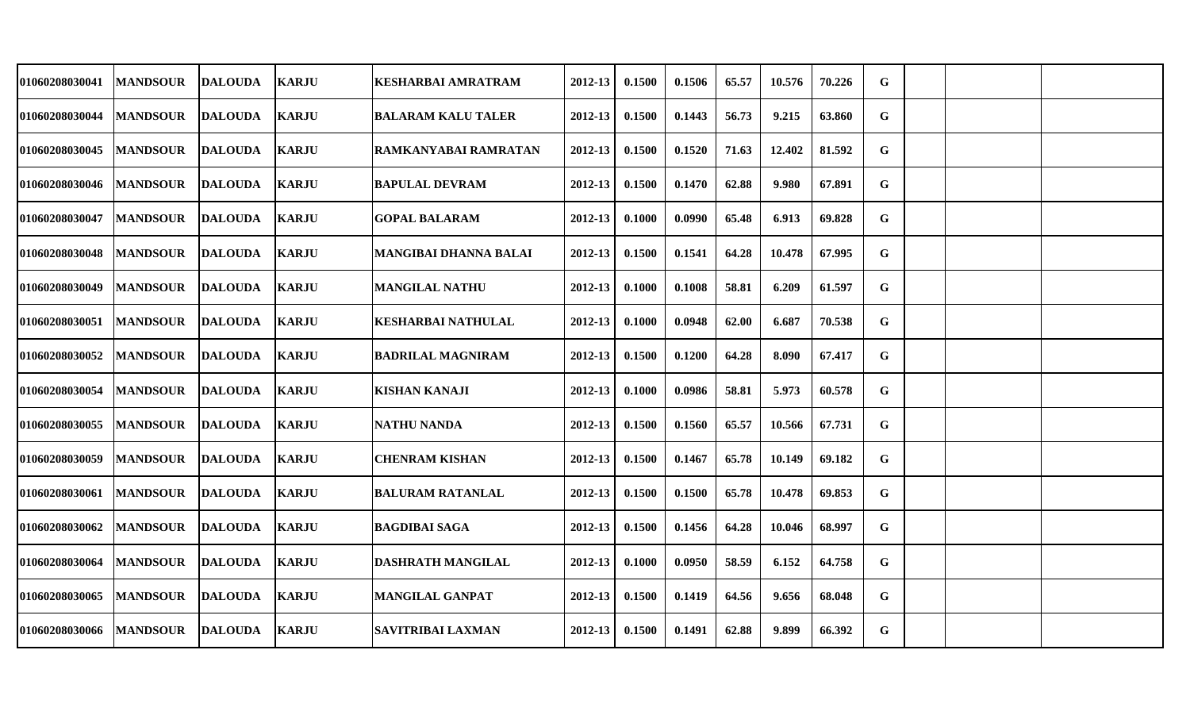| 01060208030041 | <b>MANDSOUR</b> | <b>DALOUDA</b> | <b>KARJU</b> | <b>KESHARBAI AMRATRAM</b>    | 2012-13     | 0.1500 | 0.1506 | 65.57 | 10.576 | 70.226 | G           |  |  |
|----------------|-----------------|----------------|--------------|------------------------------|-------------|--------|--------|-------|--------|--------|-------------|--|--|
| 01060208030044 | <b>MANDSOUR</b> | <b>DALOUDA</b> | <b>KARJU</b> | <b>BALARAM KALU TALER</b>    | 2012-13     | 0.1500 | 0.1443 | 56.73 | 9.215  | 63.860 | G           |  |  |
| 01060208030045 | <b>MANDSOUR</b> | <b>DALOUDA</b> | <b>KARJU</b> | RAMKANYABAI RAMRATAN         | $2012 - 13$ | 0.1500 | 0.1520 | 71.63 | 12.402 | 81.592 | $\mathbf G$ |  |  |
| 01060208030046 | <b>MANDSOUR</b> | <b>DALOUDA</b> | KARJU        | <b>BAPULAL DEVRAM</b>        | 2012-13     | 0.1500 | 0.1470 | 62.88 | 9.980  | 67.891 | G           |  |  |
| 01060208030047 | <b>MANDSOUR</b> | DALOUDA        | <b>KARJU</b> | <b>GOPAL BALARAM</b>         | 2012-13     | 0.1000 | 0.0990 | 65.48 | 6.913  | 69.828 | G           |  |  |
| 01060208030048 | <b>MANDSOUR</b> | <b>DALOUDA</b> | <b>KARJU</b> | <b>MANGIBAI DHANNA BALAI</b> | 2012-13     | 0.1500 | 0.1541 | 64.28 | 10.478 | 67.995 | G           |  |  |
| 01060208030049 | <b>MANDSOUR</b> | <b>DALOUDA</b> | <b>KARJU</b> | <b>MANGILAL NATHU</b>        | 2012-13     | 0.1000 | 0.1008 | 58.81 | 6.209  | 61.597 | G           |  |  |
| 01060208030051 | <b>MANDSOUR</b> | <b>DALOUDA</b> | <b>KARJU</b> | <b>KESHARBAI NATHULAL</b>    | 2012-13     | 0.1000 | 0.0948 | 62.00 | 6.687  | 70.538 | G           |  |  |
| 01060208030052 | <b>MANDSOUR</b> | <b>DALOUDA</b> | <b>KARJU</b> | <b>BADRILAL MAGNIRAM</b>     | $2012 - 13$ | 0.1500 | 0.1200 | 64.28 | 8.090  | 67.417 | $\mathbf G$ |  |  |
| 01060208030054 | <b>MANDSOUR</b> | <b>DALOUDA</b> | <b>KARJU</b> | <b>KISHAN KANAJI</b>         | 2012-13     | 0.1000 | 0.0986 | 58.81 | 5.973  | 60.578 | G           |  |  |
| 01060208030055 | <b>MANDSOUR</b> | <b>DALOUDA</b> | <b>KARJU</b> | <b>NATHU NANDA</b>           | 2012-13     | 0.1500 | 0.1560 | 65.57 | 10.566 | 67.731 | G           |  |  |
| 01060208030059 | <b>MANDSOUR</b> | <b>DALOUDA</b> | <b>KARJU</b> | <b>CHENRAM KISHAN</b>        | $2012 - 13$ | 0.1500 | 0.1467 | 65.78 | 10.149 | 69.182 | G           |  |  |
| 01060208030061 | <b>MANDSOUR</b> | <b>DALOUDA</b> | <b>KARJU</b> | <b>BALURAM RATANLAL</b>      | 2012-13     | 0.1500 | 0.1500 | 65.78 | 10.478 | 69.853 | G           |  |  |
| 01060208030062 | <b>MANDSOUR</b> | <b>DALOUDA</b> | <b>KARJU</b> | <b>BAGDIBAI SAGA</b>         | 2012-13     | 0.1500 | 0.1456 | 64.28 | 10.046 | 68.997 | G           |  |  |
| 01060208030064 | <b>MANDSOUR</b> | <b>DALOUDA</b> | <b>KARJU</b> | <b>DASHRATH MANGILAL</b>     | 2012-13     | 0.1000 | 0.0950 | 58.59 | 6.152  | 64.758 | G           |  |  |
| 01060208030065 | <b>MANDSOUR</b> | <b>DALOUDA</b> | <b>KARJU</b> | <b>MANGILAL GANPAT</b>       | 2012-13     | 0.1500 | 0.1419 | 64.56 | 9.656  | 68.048 | G           |  |  |
| 01060208030066 | <b>MANDSOUR</b> | <b>DALOUDA</b> | <b>KARJU</b> | <b>SAVITRIBAI LAXMAN</b>     | 2012-13     | 0.1500 | 0.1491 | 62.88 | 9.899  | 66.392 | G           |  |  |
|                |                 |                |              |                              |             |        |        |       |        |        |             |  |  |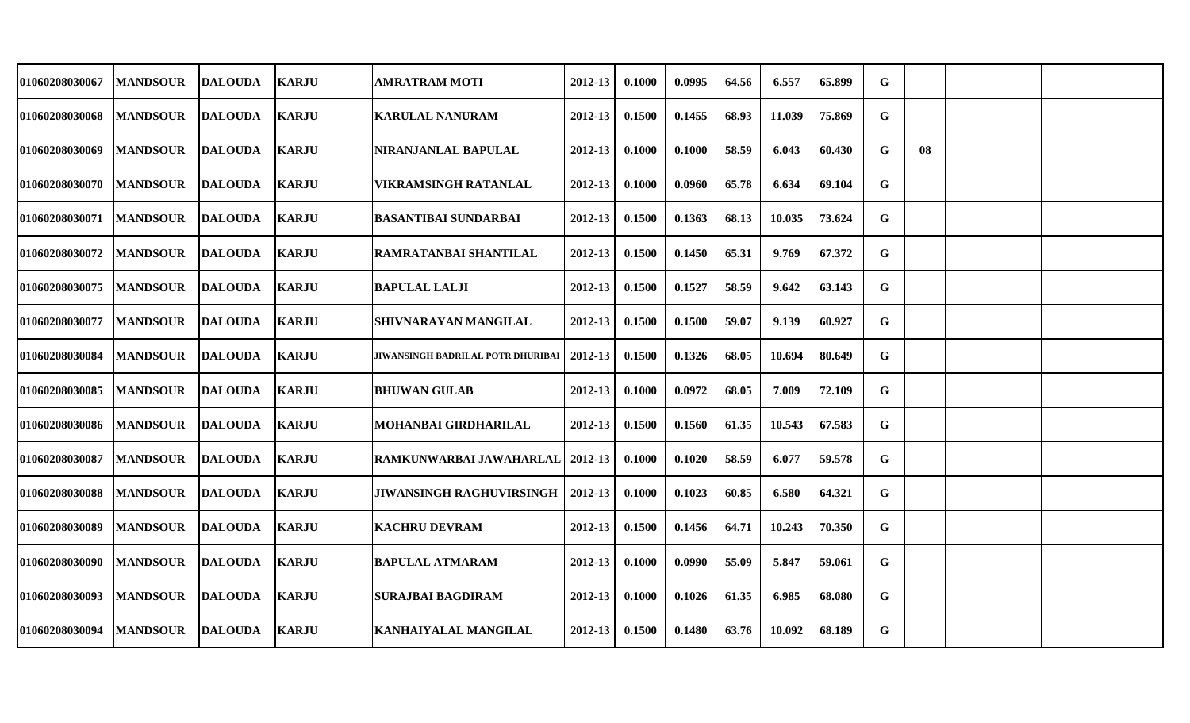| <b>01060208030067</b> | <b>MANDSOUR</b> | <b>DALOUDA</b> | <b>KARJU</b> | AMRATRAM MOTI                     | 2012-13 | 0.1000 | 0.0995 | 64.56 | 6.557  | 65.899 | $\mathbf G$ |    |  |
|-----------------------|-----------------|----------------|--------------|-----------------------------------|---------|--------|--------|-------|--------|--------|-------------|----|--|
| <b>01060208030068</b> | <b>MANDSOUR</b> | <b>DALOUDA</b> | <b>KARJU</b> | <b>KARULAL NANURAM</b>            | 2012-13 | 0.1500 | 0.1455 | 68.93 | 11.039 | 75.869 | G           |    |  |
| 01060208030069        | <b>MANDSOUR</b> | DALOUDA        | <b>KARJU</b> | NIRANJANLAL BAPULAL               | 2012-13 | 0.1000 | 0.1000 | 58.59 | 6.043  | 60.430 | G           | 08 |  |
| <b>01060208030070</b> | <b>MANDSOUR</b> | DALOUDA        | <b>KARJU</b> | VIKRAMSINGH RATANLAL              | 2012-13 | 0.1000 | 0.0960 | 65.78 | 6.634  | 69.104 | G           |    |  |
| <b>01060208030071</b> | <b>MANDSOUR</b> | DALOUDA        | <b>KARJU</b> | <b>BASANTIBAI SUNDARBAI</b>       | 2012-13 | 0.1500 | 0.1363 | 68.13 | 10.035 | 73.624 | G           |    |  |
| <b>01060208030072</b> | <b>MANDSOUR</b> | <b>DALOUDA</b> | <b>KARJU</b> | RAMRATANBAI SHANTILAL             | 2012-13 | 0.1500 | 0.1450 | 65.31 | 9.769  | 67.372 | $\mathbf G$ |    |  |
| 01060208030075        | <b>MANDSOUR</b> | DALOUDA        | <b>KARJU</b> | <b>BAPULAL LALJI</b>              | 2012-13 | 0.1500 | 0.1527 | 58.59 | 9.642  | 63.143 | G           |    |  |
| <b>01060208030077</b> | <b>MANDSOUR</b> | <b>DALOUDA</b> | <b>KARJU</b> | <b>SHIVNARAYAN MANGILAL</b>       | 2012-13 | 0.1500 | 0.1500 | 59.07 | 9.139  | 60.927 | G           |    |  |
| <b>01060208030084</b> | <b>MANDSOUR</b> | <b>DALOUDA</b> | <b>KARJU</b> | JIWANSINGH BADRILAL POTR DHURIBAI | 2012-13 | 0.1500 | 0.1326 | 68.05 | 10.694 | 80.649 | G           |    |  |
| <b>01060208030085</b> | <b>MANDSOUR</b> | <b>DALOUDA</b> | <b>KARJU</b> | <b>BHUWAN GULAB</b>               | 2012-13 | 0.1000 | 0.0972 | 68.05 | 7.009  | 72.109 | G           |    |  |
| <b>01060208030086</b> | <b>MANDSOUR</b> | DALOUDA        | <b>KARJU</b> | MOHANBAI GIRDHARILAL              | 2012-13 | 0.1500 | 0.1560 | 61.35 | 10.543 | 67.583 | G           |    |  |
| <b>01060208030087</b> | <b>MANDSOUR</b> | <b>DALOUDA</b> | <b>KARJU</b> | RAMKUNWARBAI JAWAHARLAL           | 2012-13 | 0.1000 | 0.1020 | 58.59 | 6.077  | 59.578 | G           |    |  |
| <b>01060208030088</b> | <b>MANDSOUR</b> | <b>DALOUDA</b> | <b>KARJU</b> | <b>JIWANSINGH RAGHUVIRSINGH</b>   | 2012-13 | 0.1000 | 0.1023 | 60.85 | 6.580  | 64.321 | G           |    |  |
| 01060208030089        | <b>MANDSOUR</b> | <b>DALOUDA</b> | <b>KARJU</b> | <b>KACHRU DEVRAM</b>              | 2012-13 | 0.1500 | 0.1456 | 64.71 | 10.243 | 70.350 | G           |    |  |
| 01060208030090        | <b>MANDSOUR</b> | <b>DALOUDA</b> | <b>KARJU</b> | <b>BAPULAL ATMARAM</b>            | 2012-13 | 0.1000 | 0.0990 | 55.09 | 5.847  | 59.061 | G           |    |  |
| 01060208030093        | <b>MANDSOUR</b> | DALOUDA        | <b>KARJU</b> | <b>SURAJBAI BAGDIRAM</b>          | 2012-13 | 0.1000 | 0.1026 | 61.35 | 6.985  | 68.080 | G           |    |  |
| <b>01060208030094</b> | <b>MANDSOUR</b> | <b>DALOUDA</b> | <b>KARJU</b> | KANHAIYALAL MANGILAL              | 2012-13 | 0.1500 | 0.1480 | 63.76 | 10.092 | 68.189 | G           |    |  |
|                       |                 |                |              |                                   |         |        |        |       |        |        |             |    |  |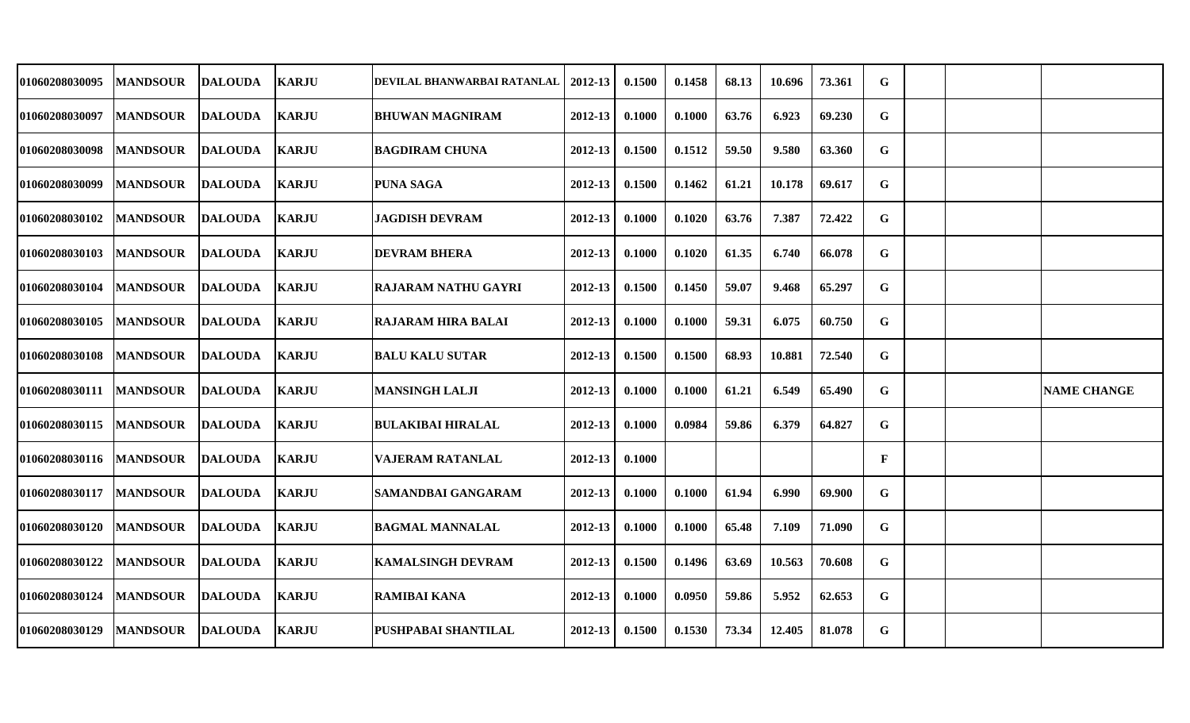| 01060208030095 | <b>MANDSOUR</b>  | <b>DALOUDA</b> | <b>KARJU</b> | DEVILAL BHANWARBAI RATANLAL | 2012-13 | 0.1500 | 0.1458 | 68.13 | 10.696 | 73.361 | G           |  |                    |
|----------------|------------------|----------------|--------------|-----------------------------|---------|--------|--------|-------|--------|--------|-------------|--|--------------------|
| 01060208030097 | <b>MANDSOUR</b>  | <b>DALOUDA</b> | <b>KARJU</b> | <b>BHUWAN MAGNIRAM</b>      | 2012-13 | 0.1000 | 0.1000 | 63.76 | 6.923  | 69.230 | G           |  |                    |
| 01060208030098 | <b>MANDSOUR</b>  | <b>DALOUDA</b> | <b>KARJU</b> | <b>BAGDIRAM CHUNA</b>       | 2012-13 | 0.1500 | 0.1512 | 59.50 | 9.580  | 63.360 | G           |  |                    |
| 01060208030099 | <b> MANDSOUR</b> | DALOUDA        | <b>KARJU</b> | <b>PUNA SAGA</b>            | 2012-13 | 0.1500 | 0.1462 | 61.21 | 10.178 | 69.617 | G           |  |                    |
| 01060208030102 | <b>MANDSOUR</b>  | <b>DALOUDA</b> | <b>KARJU</b> | JAGDISH DEVRAM              | 2012-13 | 0.1000 | 0.1020 | 63.76 | 7.387  | 72.422 | $\mathbf G$ |  |                    |
| 01060208030103 | <b>MANDSOUR</b>  | <b>DALOUDA</b> | <b>KARJU</b> | <b>DEVRAM BHERA</b>         | 2012-13 | 0.1000 | 0.1020 | 61.35 | 6.740  | 66.078 | G           |  |                    |
| 01060208030104 | <b>MANDSOUR</b>  | <b>DALOUDA</b> | <b>KARJU</b> | <b>RAJARAM NATHU GAYRI</b>  | 2012-13 | 0.1500 | 0.1450 | 59.07 | 9.468  | 65.297 | G           |  |                    |
| 01060208030105 | <b>MANDSOUR</b>  | <b>DALOUDA</b> | <b>KARJU</b> | <b>RAJARAM HIRA BALAI</b>   | 2012-13 | 0.1000 | 0.1000 | 59.31 | 6.075  | 60.750 | G           |  |                    |
| 01060208030108 | <b>MANDSOUR</b>  | <b>DALOUDA</b> | <b>KARJU</b> | <b>BALU KALU SUTAR</b>      | 2012-13 | 0.1500 | 0.1500 | 68.93 | 10.881 | 72.540 | $\mathbf G$ |  |                    |
| 01060208030111 | <b>MANDSOUR</b>  | <b>DALOUDA</b> | <b>KARJU</b> | <b>MANSINGH LALJI</b>       | 2012-13 | 0.1000 | 0.1000 | 61.21 | 6.549  | 65.490 | G           |  | <b>NAME CHANGE</b> |
| 01060208030115 | <b>MANDSOUR</b>  | <b>DALOUDA</b> | <b>KARJU</b> | <b>BULAKIBAI HIRALAL</b>    | 2012-13 | 0.1000 | 0.0984 | 59.86 | 6.379  | 64.827 | $\mathbf G$ |  |                    |
| 01060208030116 | <b>MANDSOUR</b>  | DALOUDA        | <b>KARJU</b> | <b>VAJERAM RATANLAL</b>     | 2012-13 | 0.1000 |        |       |        |        | F           |  |                    |
| 01060208030117 | <b>MANDSOUR</b>  | <b>DALOUDA</b> | KARJU        | SAMANDBAI GANGARAM          | 2012-13 | 0.1000 | 0.1000 | 61.94 | 6.990  | 69.900 | G           |  |                    |
| 01060208030120 | <b>MANDSOUR</b>  | <b>DALOUDA</b> | <b>KARJU</b> | <b>BAGMAL MANNALAL</b>      | 2012-13 | 0.1000 | 0.1000 | 65.48 | 7.109  | 71.090 | G           |  |                    |
| 01060208030122 | <b>MANDSOUR</b>  | <b>DALOUDA</b> | <b>KARJU</b> | KAMALSINGH DEVRAM           | 2012-13 | 0.1500 | 0.1496 | 63.69 | 10.563 | 70.608 | G           |  |                    |
| 01060208030124 | <b>MANDSOUR</b>  | <b>DALOUDA</b> | <b>KARJU</b> | <b>RAMIBAI KANA</b>         | 2012-13 | 0.1000 | 0.0950 | 59.86 | 5.952  | 62.653 | G           |  |                    |
| 01060208030129 | <b>MANDSOUR</b>  | <b>DALOUDA</b> | <b>KARJU</b> | PUSHPABAI SHANTILAL         | 2012-13 | 0.1500 | 0.1530 | 73.34 | 12.405 | 81.078 | G           |  |                    |
|                |                  |                |              |                             |         |        |        |       |        |        |             |  |                    |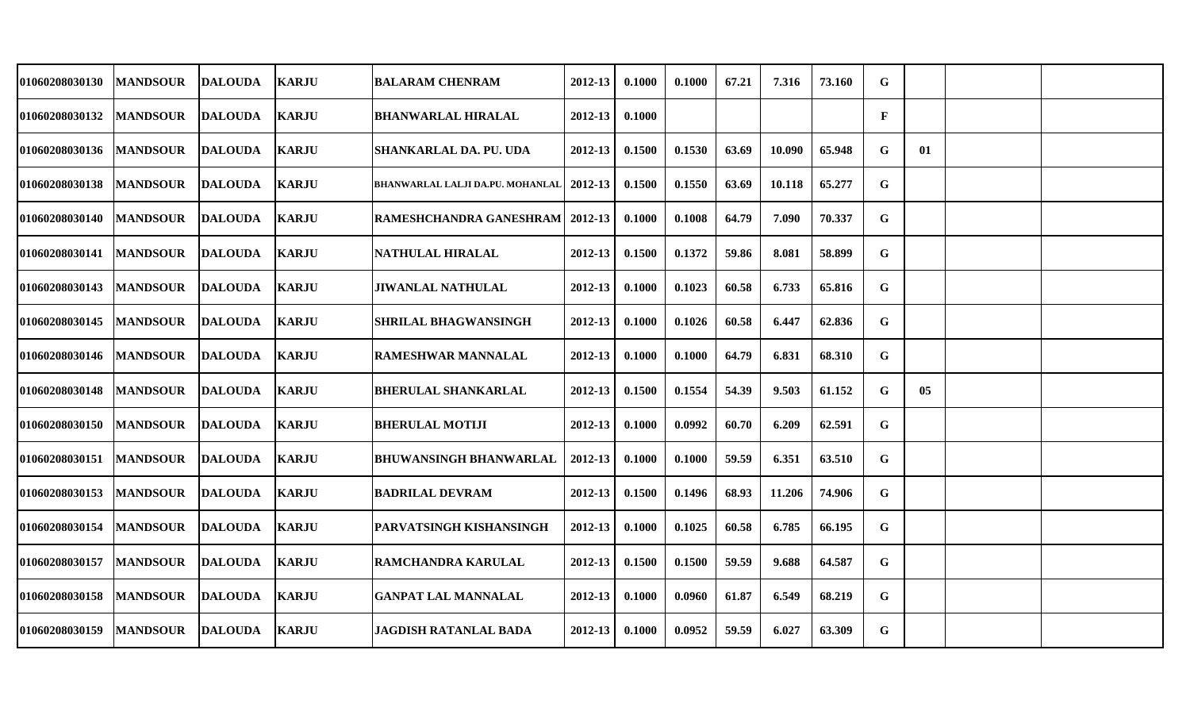| 01060208030130 | <b>MANDSOUR</b> | <b>DALOUDA</b> | <b>KARJU</b> | <b>BALARAM CHENRAM</b>            | 2012-13      | 0.1000 | 0.1000 | 67.21 | 7.316  | 73.160 | G |    |  |
|----------------|-----------------|----------------|--------------|-----------------------------------|--------------|--------|--------|-------|--------|--------|---|----|--|
| 01060208030132 | <b>MANDSOUR</b> | <b>DALOUDA</b> | <b>KARJU</b> | <b>BHANWARLAL HIRALAL</b>         | 2012-13      | 0.1000 |        |       |        |        | F |    |  |
| 01060208030136 | <b>MANDSOUR</b> | <b>DALOUDA</b> | <b>KARJU</b> | <b>SHANKARLAL DA. PU. UDA</b>     | 2012-13      | 0.1500 | 0.1530 | 63.69 | 10.090 | 65.948 | G | 01 |  |
| 01060208030138 | <b>MANDSOUR</b> | <b>DALOUDA</b> | <b>KARJU</b> | BHANWARLAL LALJI DA.PU. MOHANLAL  | $12012 - 13$ | 0.1500 | 0.1550 | 63.69 | 10.118 | 65.277 | G |    |  |
| 01060208030140 | <b>MANDSOUR</b> | <b>DALOUDA</b> | <b>KARJU</b> | RAMESHCHANDRA GANESHRAM   2012-13 |              | 0.1000 | 0.1008 | 64.79 | 7.090  | 70.337 | G |    |  |
| 01060208030141 | <b>MANDSOUR</b> | <b>DALOUDA</b> | <b>KARJU</b> | NATHULAL HIRALAL                  | 2012-13      | 0.1500 | 0.1372 | 59.86 | 8.081  | 58.899 | G |    |  |
| 01060208030143 | <b>MANDSOUR</b> | <b>DALOUDA</b> | <b>KARJU</b> | <b>JIWANLAL NATHULAL</b>          | 2012-13      | 0.1000 | 0.1023 | 60.58 | 6.733  | 65.816 | G |    |  |
| 01060208030145 | <b>MANDSOUR</b> | <b>DALOUDA</b> | <b>KARJU</b> | <b>SHRILAL BHAGWANSINGH</b>       | 2012-13      | 0.1000 | 0.1026 | 60.58 | 6.447  | 62.836 | G |    |  |
| 01060208030146 | <b>MANDSOUR</b> | <b>DALOUDA</b> | <b>KARJU</b> | <b>RAMESHWAR MANNALAL</b>         | 2012-13      | 0.1000 | 0.1000 | 64.79 | 6.831  | 68.310 | G |    |  |
| 01060208030148 | <b>MANDSOUR</b> | <b>DALOUDA</b> | <b>KARJU</b> | <b>BHERULAL SHANKARLAL</b>        | 2012-13      | 0.1500 | 0.1554 | 54.39 | 9.503  | 61.152 | G | 05 |  |
| 01060208030150 | <b>MANDSOUR</b> | <b>DALOUDA</b> | <b>KARJU</b> | <b>BHERULAL MOTIJI</b>            | 2012-13      | 0.1000 | 0.0992 | 60.70 | 6.209  | 62.591 | G |    |  |
| 01060208030151 | <b>MANDSOUR</b> | <b>DALOUDA</b> | <b>KARJU</b> | <b>BHUWANSINGH BHANWARLAL</b>     | 2012-13      | 0.1000 | 0.1000 | 59.59 | 6.351  | 63.510 | G |    |  |
| 01060208030153 | <b>MANDSOUR</b> | <b>DALOUDA</b> | <b>KARJU</b> | <b>BADRILAL DEVRAM</b>            | 2012-13      | 0.1500 | 0.1496 | 68.93 | 11.206 | 74.906 | G |    |  |
| 01060208030154 | <b>MANDSOUR</b> | <b>DALOUDA</b> | <b>KARJU</b> | <b>PARVATSINGH KISHANSINGH</b>    | 2012-13      | 0.1000 | 0.1025 | 60.58 | 6.785  | 66.195 | G |    |  |
| 01060208030157 | <b>MANDSOUR</b> | <b>DALOUDA</b> | <b>KARJU</b> | <b>RAMCHANDRA KARULAL</b>         | 2012-13      | 0.1500 | 0.1500 | 59.59 | 9.688  | 64.587 | G |    |  |
| 01060208030158 | <b>MANDSOUR</b> | <b>DALOUDA</b> | <b>KARJU</b> | <b>GANPAT LAL MANNALAL</b>        | 2012-13      | 0.1000 | 0.0960 | 61.87 | 6.549  | 68.219 | G |    |  |
| 01060208030159 | <b>MANDSOUR</b> | <b>DALOUDA</b> | <b>KARJU</b> | JAGDISH RATANLAL BADA             | 2012-13      | 0.1000 | 0.0952 | 59.59 | 6.027  | 63.309 | G |    |  |
|                |                 |                |              |                                   |              |        |        |       |        |        |   |    |  |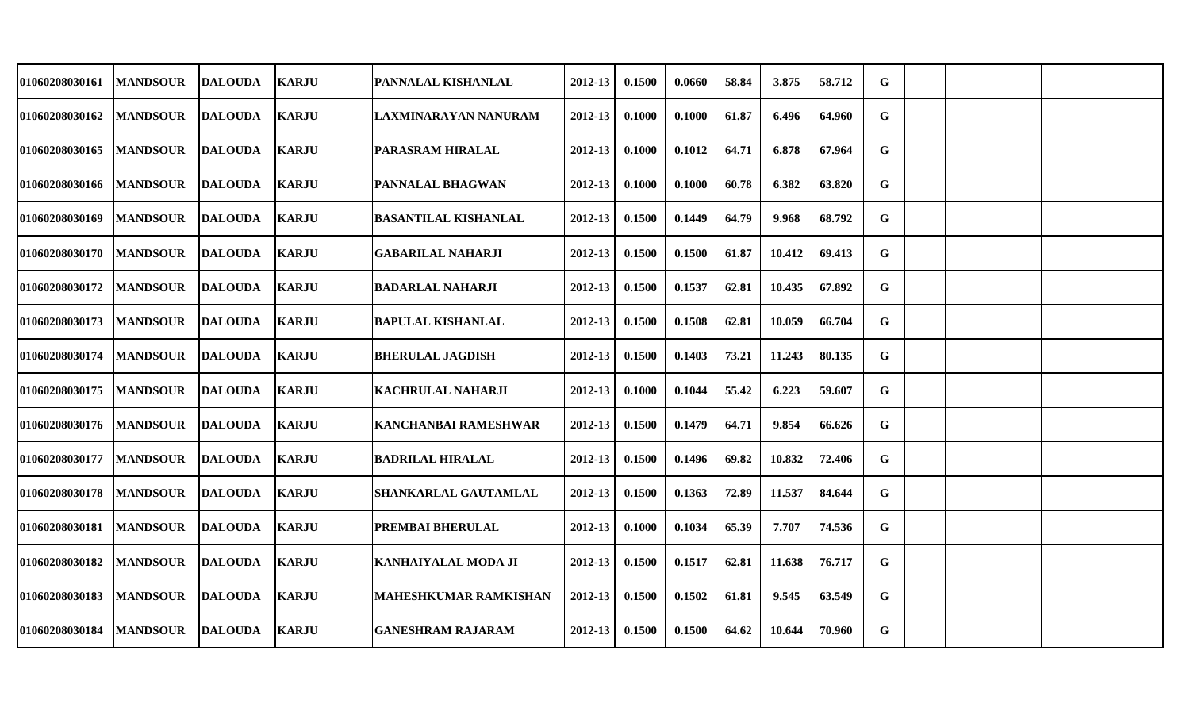| 01060208030161        | <b>MANDSOUR</b> | <b>DALOUDA</b> | <b>KARJU</b> | PANNALAL KISHANLAL          | 2012-13 | 0.1500 | 0.0660 | 58.84 | 3.875  | 58.712 | G           |  |  |
|-----------------------|-----------------|----------------|--------------|-----------------------------|---------|--------|--------|-------|--------|--------|-------------|--|--|
| 01060208030162        | <b>MANDSOUR</b> | <b>DALOUDA</b> | <b>KARJU</b> | LAXMINARAYAN NANURAM        | 2012-13 | 0.1000 | 0.1000 | 61.87 | 6.496  | 64.960 | G           |  |  |
| <b>01060208030165</b> | <b>MANDSOUR</b> | <b>DALOUDA</b> | <b>KARJU</b> | PARASRAM HIRALAL            | 2012-13 | 0.1000 | 0.1012 | 64.71 | 6.878  | 67.964 | G           |  |  |
| <b>01060208030166</b> | <b>MANDSOUR</b> | DALOUDA        | <b>KARJU</b> | PANNALAL BHAGWAN            | 2012-13 | 0.1000 | 0.1000 | 60.78 | 6.382  | 63.820 | G           |  |  |
| <b>01060208030169</b> | <b>MANDSOUR</b> | <b>DALOUDA</b> | <b>KARJU</b> | <b>BASANTILAL KISHANLAL</b> | 2012-13 | 0.1500 | 0.1449 | 64.79 | 9.968  | 68.792 | G           |  |  |
| <b>01060208030170</b> | <b>MANDSOUR</b> | <b>DALOUDA</b> | <b>KARJU</b> | <b>GABARILAL NAHARJI</b>    | 2012-13 | 0.1500 | 0.1500 | 61.87 | 10.412 | 69.413 | G           |  |  |
| <b>01060208030172</b> | <b>MANDSOUR</b> | <b>DALOUDA</b> | <b>KARJU</b> | BADARLAL NAHARJI            | 2012-13 | 0.1500 | 0.1537 | 62.81 | 10.435 | 67.892 | G           |  |  |
| <b>01060208030173</b> | <b>MANDSOUR</b> | <b>DALOUDA</b> | <b>KARJU</b> | <b>BAPULAL KISHANLAL</b>    | 2012-13 | 0.1500 | 0.1508 | 62.81 | 10.059 | 66.704 | G           |  |  |
| <b>01060208030174</b> | <b>MANDSOUR</b> | <b>DALOUDA</b> | <b>KARJU</b> | <b>BHERULAL JAGDISH</b>     | 2012-13 | 0.1500 | 0.1403 | 73.21 | 11.243 | 80.135 | $\mathbf G$ |  |  |
| <b>01060208030175</b> | <b>MANDSOUR</b> | <b>DALOUDA</b> | <b>KARJU</b> | <b>KACHRULAL NAHARJI</b>    | 2012-13 | 0.1000 | 0.1044 | 55.42 | 6.223  | 59.607 | G           |  |  |
| <b>01060208030176</b> | <b>MANDSOUR</b> | <b>DALOUDA</b> | <b>KARJU</b> | KANCHANBAI RAMESHWAR        | 2012-13 | 0.1500 | 0.1479 | 64.71 | 9.854  | 66.626 | $\mathbf G$ |  |  |
| <b>01060208030177</b> | <b>MANDSOUR</b> | <b>DALOUDA</b> | <b>KARJU</b> | BADRILAL HIRALAL            | 2012-13 | 0.1500 | 0.1496 | 69.82 | 10.832 | 72.406 | G           |  |  |
| 01060208030178        | <b>MANDSOUR</b> | <b>DALOUDA</b> | <b>KARJU</b> | SHANKARLAL GAUTAMLAL        | 2012-13 | 0.1500 | 0.1363 | 72.89 | 11.537 | 84.644 | G           |  |  |
| 01060208030181        | <b>MANDSOUR</b> | <b>DALOUDA</b> | <b>KARJU</b> | PREMBAI BHERULAL            | 2012-13 | 0.1000 | 0.1034 | 65.39 | 7.707  | 74.536 | G           |  |  |
| <b>01060208030182</b> | <b>MANDSOUR</b> | <b>DALOUDA</b> | <b>KARJU</b> | KANHAIYALAL MODA JI         | 2012-13 | 0.1500 | 0.1517 | 62.81 | 11.638 | 76.717 | G           |  |  |
| <b>01060208030183</b> | <b>MANDSOUR</b> | <b>DALOUDA</b> | <b>KARJU</b> | MAHESHKUMAR RAMKISHAN       | 2012-13 | 0.1500 | 0.1502 | 61.81 | 9.545  | 63.549 | G           |  |  |
| <b>01060208030184</b> | <b>MANDSOUR</b> | <b>DALOUDA</b> | <b>KARJU</b> | <b>GANESHRAM RAJARAM</b>    | 2012-13 | 0.1500 | 0.1500 | 64.62 | 10.644 | 70.960 | $\mathbf G$ |  |  |
|                       |                 |                |              |                             |         |        |        |       |        |        |             |  |  |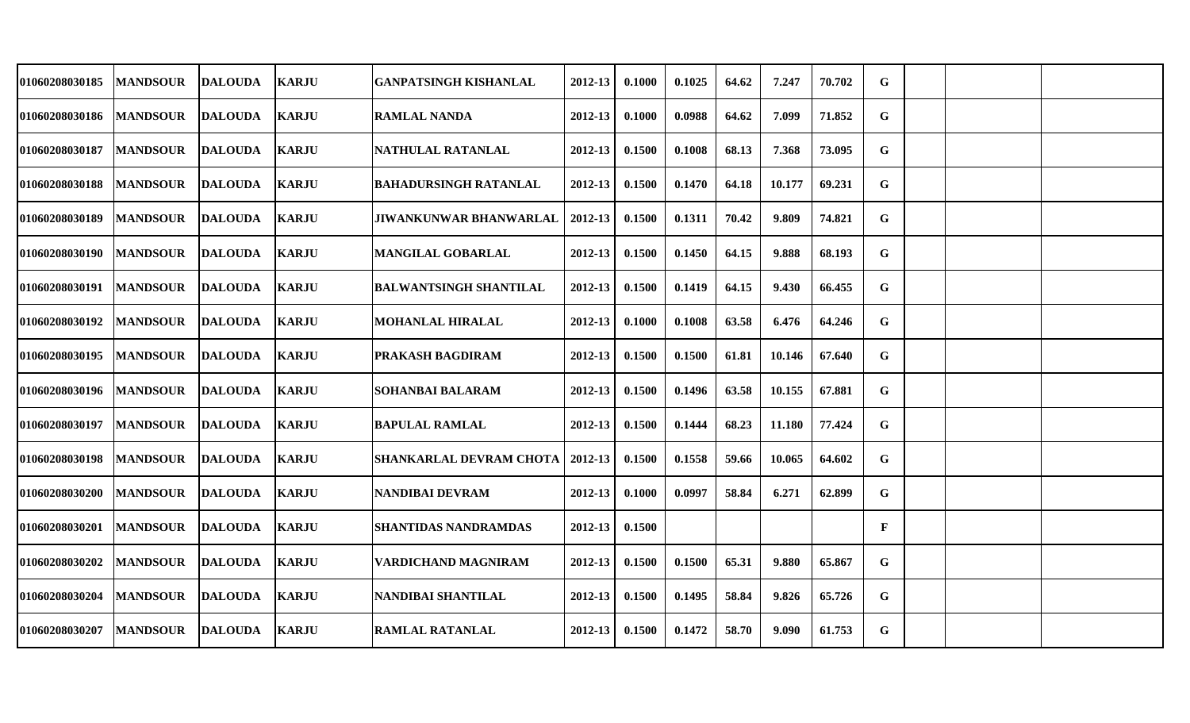| 01060208030185        | <b>MANDSOUR</b> | <b>DALOUDA</b> | <b>KARJU</b> | <b>GANPATSINGH KISHANLAL</b>   | 2012-13     | 0.1000 | 0.1025 | 64.62 | 7.247  | 70.702 | G |  |  |
|-----------------------|-----------------|----------------|--------------|--------------------------------|-------------|--------|--------|-------|--------|--------|---|--|--|
| <b>01060208030186</b> | <b>MANDSOUR</b> | <b>DALOUDA</b> | <b>KARJU</b> | <b>RAMLAL NANDA</b>            | 2012-13     | 0.1000 | 0.0988 | 64.62 | 7.099  | 71.852 | G |  |  |
| <b>01060208030187</b> | <b>MANDSOUR</b> | <b>DALOUDA</b> | <b>KARJU</b> | NATHULAL RATANLAL              | 2012-13     | 0.1500 | 0.1008 | 68.13 | 7.368  | 73.095 | G |  |  |
| <b>01060208030188</b> | <b>MANDSOUR</b> | <b>DALOUDA</b> | <b>KARJU</b> | <b>BAHADURSINGH RATANLAL</b>   | 2012-13     | 0.1500 | 0.1470 | 64.18 | 10.177 | 69.231 | G |  |  |
| <b>01060208030189</b> | <b>MANDSOUR</b> | <b>DALOUDA</b> | <b>KARJU</b> | <b>JIWANKUNWAR BHANWARLAL</b>  | 2012-13     | 0.1500 | 0.1311 | 70.42 | 9.809  | 74.821 | G |  |  |
| <b>01060208030190</b> | <b>MANDSOUR</b> | <b>DALOUDA</b> | <b>KARJU</b> | <b>MANGILAL GOBARLAL</b>       | 2012-13     | 0.1500 | 0.1450 | 64.15 | 9.888  | 68.193 | G |  |  |
| <b>01060208030191</b> | <b>MANDSOUR</b> | <b>DALOUDA</b> | <b>KARJU</b> | <b>BALWANTSINGH SHANTILAL</b>  | 2012-13     | 0.1500 | 0.1419 | 64.15 | 9.430  | 66.455 | G |  |  |
| <b>01060208030192</b> | <b>MANDSOUR</b> | <b>DALOUDA</b> | <b>KARJU</b> | <b>MOHANLAL HIRALAL</b>        | 2012-13     | 0.1000 | 0.1008 | 63.58 | 6.476  | 64.246 | G |  |  |
| <b>01060208030195</b> | <b>MANDSOUR</b> | <b>DALOUDA</b> | <b>KARJU</b> | PRAKASH BAGDIRAM               | 2012-13     | 0.1500 | 0.1500 | 61.81 | 10.146 | 67.640 | G |  |  |
| <b>01060208030196</b> | <b>MANDSOUR</b> | <b>DALOUDA</b> | <b>KARJU</b> | SOHANBAI BALARAM               | 2012-13     | 0.1500 | 0.1496 | 63.58 | 10.155 | 67.881 | G |  |  |
| <b>01060208030197</b> | <b>MANDSOUR</b> | <b>DALOUDA</b> | <b>KARJU</b> | <b>BAPULAL RAMLAL</b>          | 2012-13     | 0.1500 | 0.1444 | 68.23 | 11.180 | 77.424 | G |  |  |
| <b>01060208030198</b> | <b>MANDSOUR</b> | <b>DALOUDA</b> | <b>KARJU</b> | <b>SHANKARLAL DEVRAM CHOTA</b> | 2012-13     | 0.1500 | 0.1558 | 59.66 | 10.065 | 64.602 | G |  |  |
| <b>01060208030200</b> | <b>MANDSOUR</b> | <b>DALOUDA</b> | <b>KARJU</b> | NANDIBAI DEVRAM                | 2012-13     | 0.1000 | 0.0997 | 58.84 | 6.271  | 62.899 | G |  |  |
| 01060208030201        | <b>MANDSOUR</b> | <b>DALOUDA</b> | <b>KARJU</b> | <b>SHANTIDAS NANDRAMDAS</b>    | 2012-13     | 0.1500 |        |       |        |        | F |  |  |
| <b>01060208030202</b> | <b>MANDSOUR</b> | <b>DALOUDA</b> | <b>KARJU</b> | <b>VARDICHAND MAGNIRAM</b>     | 2012-13     | 0.1500 | 0.1500 | 65.31 | 9.880  | 65.867 | G |  |  |
| <b>01060208030204</b> | <b>MANDSOUR</b> | <b>DALOUDA</b> | <b>KARJU</b> | NANDIBAI SHANTILAL             | $2012 - 13$ | 0.1500 | 0.1495 | 58.84 | 9.826  | 65.726 | G |  |  |
| <b>01060208030207</b> | <b>MANDSOUR</b> | <b>DALOUDA</b> | <b>KARJU</b> | <b>RAMLAL RATANLAL</b>         | 2012-13     | 0.1500 | 0.1472 | 58.70 | 9.090  | 61.753 | G |  |  |
|                       |                 |                |              |                                |             |        |        |       |        |        |   |  |  |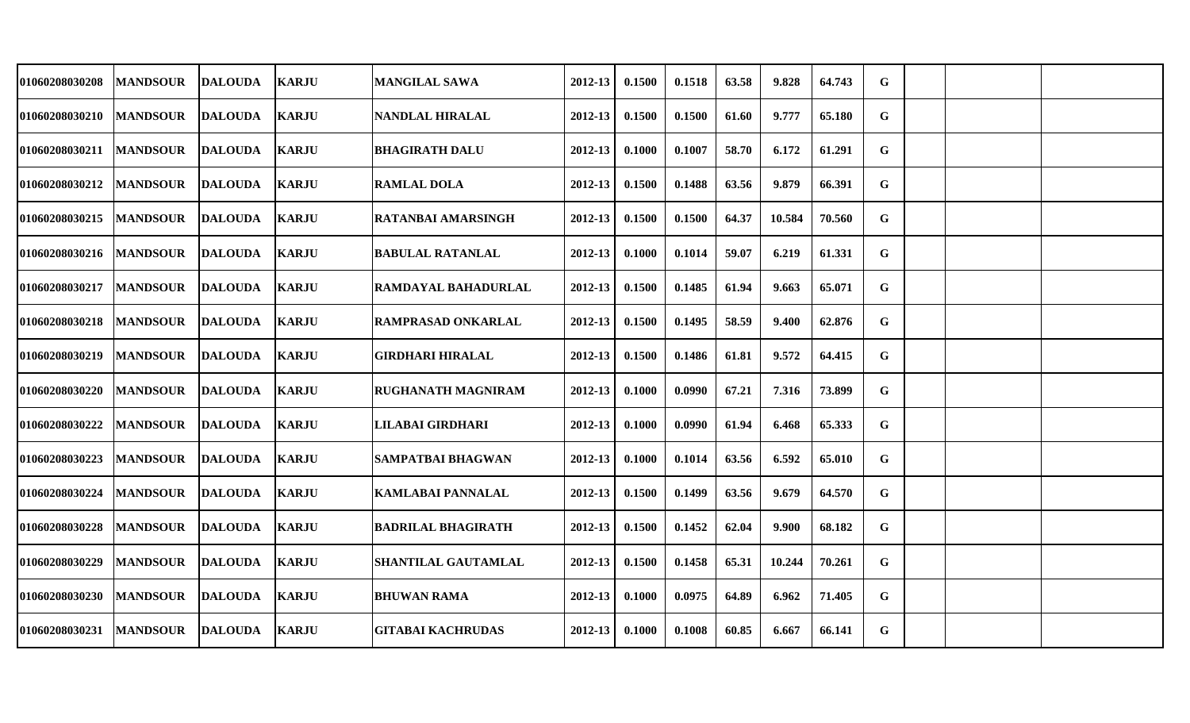| 01060208030208        | <b>MANDSOUR</b> | <b>DALOUDA</b> | <b>KARJU</b> | <b>MANGILAL SAWA</b>      | 2012-13     | 0.1500 | 0.1518 | 63.58 | 9.828  | 64.743 | $\mathbf G$ |  |  |
|-----------------------|-----------------|----------------|--------------|---------------------------|-------------|--------|--------|-------|--------|--------|-------------|--|--|
| 01060208030210        | <b>MANDSOUR</b> | <b>DALOUDA</b> | <b>KARJU</b> | <b>NANDLAL HIRALAL</b>    | 2012-13     | 0.1500 | 0.1500 | 61.60 | 9.777  | 65.180 | G           |  |  |
| <b>01060208030211</b> | <b>MANDSOUR</b> | <b>DALOUDA</b> | <b>KARJU</b> | <b>BHAGIRATH DALU</b>     | 2012-13     | 0.1000 | 0.1007 | 58.70 | 6.172  | 61.291 | G           |  |  |
| <b>01060208030212</b> | <b>MANDSOUR</b> | <b>DALOUDA</b> | <b>KARJU</b> | <b>RAMLAL DOLA</b>        | 2012-13     | 0.1500 | 0.1488 | 63.56 | 9.879  | 66.391 | G           |  |  |
| <b>01060208030215</b> | <b>MANDSOUR</b> | <b>DALOUDA</b> | <b>KARJU</b> | <b>RATANBAI AMARSINGH</b> | 2012-13     | 0.1500 | 0.1500 | 64.37 | 10.584 | 70.560 | $\mathbf G$ |  |  |
| 01060208030216        | <b>MANDSOUR</b> | <b>DALOUDA</b> | <b>KARJU</b> | <b>BABULAL RATANLAL</b>   | $2012 - 13$ | 0.1000 | 0.1014 | 59.07 | 6.219  | 61.331 | $\mathbf G$ |  |  |
| 01060208030217        | <b>MANDSOUR</b> | DALOUDA        | <b>KARJU</b> | RAMDAYAL BAHADURLAL       | 2012-13     | 0.1500 | 0.1485 | 61.94 | 9.663  | 65.071 | G           |  |  |
| 01060208030218        | <b>MANDSOUR</b> | <b>DALOUDA</b> | <b>KARJU</b> | RAMPRASAD ONKARLAL        | 2012-13     | 0.1500 | 0.1495 | 58.59 | 9.400  | 62.876 | G           |  |  |
| 01060208030219        | <b>MANDSOUR</b> | <b>DALOUDA</b> | <b>KARJU</b> | <b>GIRDHARI HIRALAL</b>   | $2012 - 13$ | 0.1500 | 0.1486 | 61.81 | 9.572  | 64.415 | G           |  |  |
| <b>01060208030220</b> | <b>MANDSOUR</b> | DALOUDA        | <b>KARJU</b> | <b>RUGHANATH MAGNIRAM</b> | 2012-13     | 0.1000 | 0.0990 | 67.21 | 7.316  | 73.899 | G           |  |  |
| 01060208030222        | <b>MANDSOUR</b> | <b>DALOUDA</b> | <b>KARJU</b> | LILABAI GIRDHARI          | 2012-13     | 0.1000 | 0.0990 | 61.94 | 6.468  | 65.333 | G           |  |  |
| 01060208030223        | <b>MANDSOUR</b> | <b>DALOUDA</b> | <b>KARJU</b> | SAMPATBAI BHAGWAN         | 2012-13     | 0.1000 | 0.1014 | 63.56 | 6.592  | 65.010 | G           |  |  |
| 01060208030224        | <b>MANDSOUR</b> | <b>DALOUDA</b> | <b>KARJU</b> | <b>KAMLABAI PANNALAL</b>  | 2012-13     | 0.1500 | 0.1499 | 63.56 | 9.679  | 64.570 | G           |  |  |
| 01060208030228        | <b>MANDSOUR</b> | <b>DALOUDA</b> | <b>KARJU</b> | <b>BADRILAL BHAGIRATH</b> | 2012-13     | 0.1500 | 0.1452 | 62.04 | 9.900  | 68.182 | G           |  |  |
| 01060208030229        | <b>MANDSOUR</b> | <b>DALOUDA</b> | <b>KARJU</b> | SHANTILAL GAUTAMLAL       | 2012-13     | 0.1500 | 0.1458 | 65.31 | 10.244 | 70.261 | $\mathbf G$ |  |  |
| <b>01060208030230</b> | <b>MANDSOUR</b> | <b>DALOUDA</b> | <b>KARJU</b> | <b>BHUWAN RAMA</b>        | 2012-13     | 0.1000 | 0.0975 | 64.89 | 6.962  | 71.405 | G           |  |  |
| 01060208030231        | <b>MANDSOUR</b> | <b>DALOUDA</b> | <b>KARJU</b> | <b>GITABAI KACHRUDAS</b>  | 2012-13     | 0.1000 | 0.1008 | 60.85 | 6.667  | 66.141 | G           |  |  |
|                       |                 |                |              |                           |             |        |        |       |        |        |             |  |  |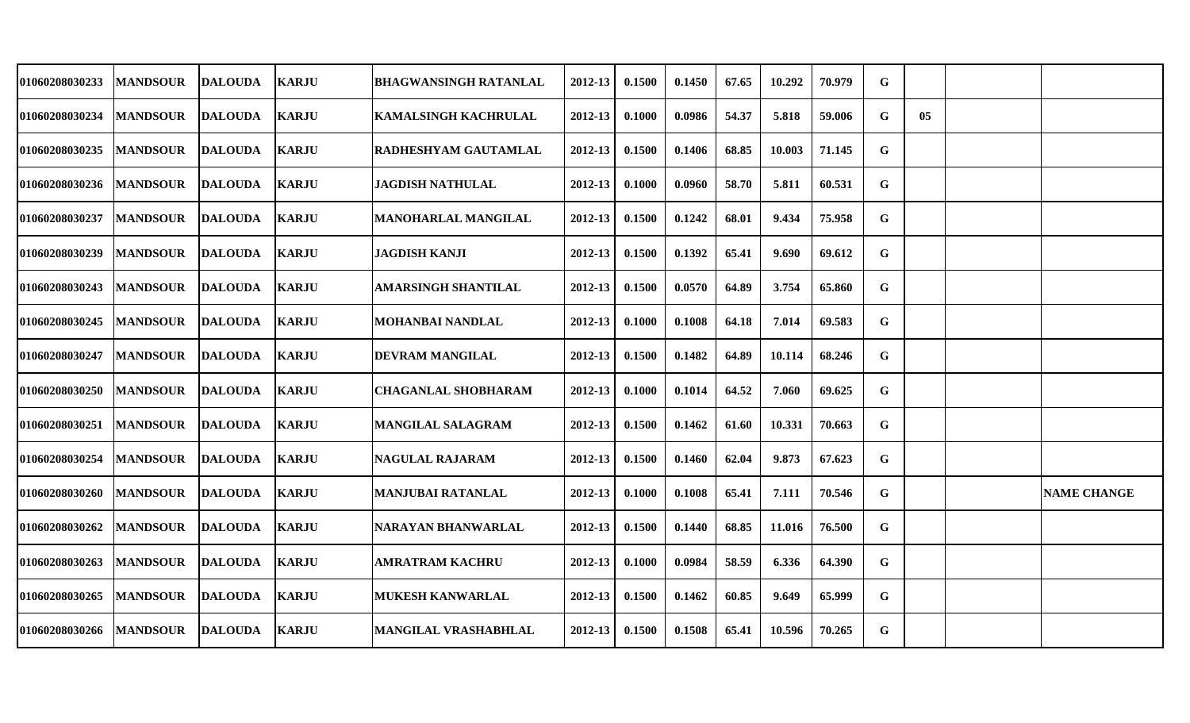| 01060208030233        | <b>MANDSOUR</b> | <b>DALOUDA</b> | <b>KARJU</b> | <b>BHAGWANSINGH RATANLAL</b> | 2012-13     | 0.1500 | 0.1450 | 67.65 | 10.292 | 70.979 | G |    |                    |
|-----------------------|-----------------|----------------|--------------|------------------------------|-------------|--------|--------|-------|--------|--------|---|----|--------------------|
| 01060208030234        | <b>MANDSOUR</b> | <b>DALOUDA</b> | <b>KARJU</b> | <b>KAMALSINGH KACHRULAL</b>  | 2012-13     | 0.1000 | 0.0986 | 54.37 | 5.818  | 59.006 | G | 05 |                    |
| 01060208030235        | <b>MANDSOUR</b> | <b>DALOUDA</b> | <b>KARJU</b> | <b>RADHESHYAM GAUTAMLAL</b>  | 2012-13     | 0.1500 | 0.1406 | 68.85 | 10.003 | 71.145 | G |    |                    |
| <b>01060208030236</b> | <b>MANDSOUR</b> | <b>DALOUDA</b> | <b>KARJU</b> | <b>JAGDISH NATHULAL</b>      | 2012-13     | 0.1000 | 0.0960 | 58.70 | 5.811  | 60.531 | G |    |                    |
| 01060208030237        | <b>MANDSOUR</b> | <b>DALOUDA</b> | <b>KARJU</b> | <b>MANOHARLAL MANGILAL</b>   | 2012-13     | 0.1500 | 0.1242 | 68.01 | 9.434  | 75.958 | G |    |                    |
| 01060208030239        | <b>MANDSOUR</b> | <b>DALOUDA</b> | <b>KARJU</b> | <b>JAGDISH KANJI</b>         | $2012 - 13$ | 0.1500 | 0.1392 | 65.41 | 9.690  | 69.612 | G |    |                    |
| 01060208030243        | <b>MANDSOUR</b> | <b>DALOUDA</b> | <b>KARJU</b> | <b>AMARSINGH SHANTILAL</b>   | 2012-13     | 0.1500 | 0.0570 | 64.89 | 3.754  | 65.860 | G |    |                    |
| 01060208030245        | <b>MANDSOUR</b> | <b>DALOUDA</b> | <b>KARJU</b> | <b>MOHANBAI NANDLAL</b>      | 2012-13     | 0.1000 | 0.1008 | 64.18 | 7.014  | 69.583 | G |    |                    |
| 01060208030247        | <b>MANDSOUR</b> | <b>DALOUDA</b> | <b>KARJU</b> | <b>DEVRAM MANGILAL</b>       | 2012-13     | 0.1500 | 0.1482 | 64.89 | 10.114 | 68.246 | G |    |                    |
| 01060208030250        | <b>MANDSOUR</b> | <b>DALOUDA</b> | <b>KARJU</b> | <b>CHAGANLAL SHOBHARAM</b>   | 2012-13     | 0.1000 | 0.1014 | 64.52 | 7.060  | 69.625 | G |    |                    |
| 01060208030251        | <b>MANDSOUR</b> | <b>DALOUDA</b> | <b>KARJU</b> | <b>MANGILAL SALAGRAM</b>     | 2012-13     | 0.1500 | 0.1462 | 61.60 | 10.331 | 70.663 | G |    |                    |
| 01060208030254        | <b>MANDSOUR</b> | <b>DALOUDA</b> | <b>KARJU</b> | <b>NAGULAL RAJARAM</b>       | 2012-13     | 0.1500 | 0.1460 | 62.04 | 9.873  | 67.623 | G |    |                    |
| 01060208030260        | <b>MANDSOUR</b> | <b>DALOUDA</b> | <b>KARJU</b> | <b>MANJUBAI RATANLAL</b>     | 2012-13     | 0.1000 | 0.1008 | 65.41 | 7.111  | 70.546 | G |    | <b>NAME CHANGE</b> |
| 01060208030262        | <b>MANDSOUR</b> | <b>DALOUDA</b> | <b>KARJU</b> | NARAYAN BHANWARLAL           | 2012-13     | 0.1500 | 0.1440 | 68.85 | 11.016 | 76.500 | G |    |                    |
| 01060208030263        | <b>MANDSOUR</b> | <b>DALOUDA</b> | <b>KARJU</b> | <b>AMRATRAM KACHRU</b>       | 2012-13     | 0.1000 | 0.0984 | 58.59 | 6.336  | 64.390 | G |    |                    |
| 01060208030265        | <b>MANDSOUR</b> | <b>DALOUDA</b> | <b>KARJU</b> | <b>MUKESH KANWARLAL</b>      | 2012-13     | 0.1500 | 0.1462 | 60.85 | 9.649  | 65.999 | G |    |                    |
| 01060208030266        | <b>MANDSOUR</b> | <b>DALOUDA</b> | <b>KARJU</b> | <b>MANGILAL VRASHABHLAL</b>  | 2012-13     | 0.1500 | 0.1508 | 65.41 | 10.596 | 70.265 | G |    |                    |
|                       |                 |                |              |                              |             |        |        |       |        |        |   |    |                    |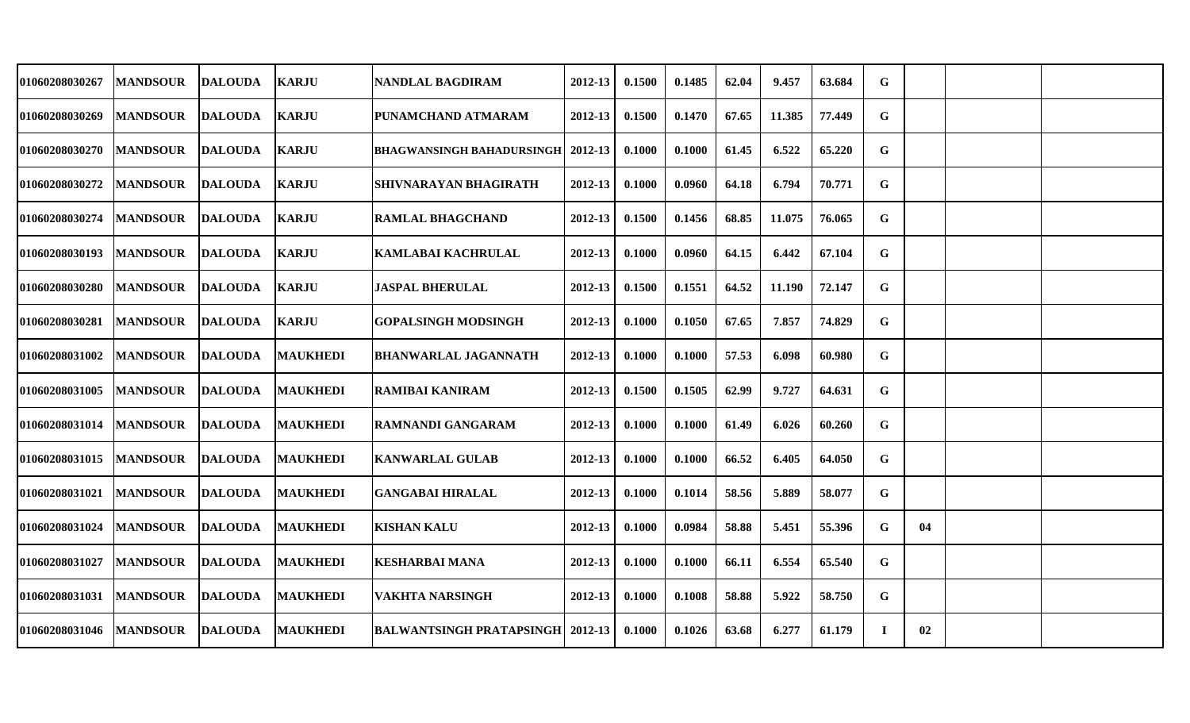| 01060208030267        | <b>MANDSOUR</b> | <b>DALOUDA</b> | <b>KARJU</b>    | <b>NANDLAL BAGDIRAM</b>                    | 2012-13     | 0.1500 | 0.1485 | 62.04 | 9.457  | 63.684 | G |    |  |
|-----------------------|-----------------|----------------|-----------------|--------------------------------------------|-------------|--------|--------|-------|--------|--------|---|----|--|
| <b>01060208030269</b> | <b>MANDSOUR</b> | <b>DALOUDA</b> | <b>KARJU</b>    | PUNAMCHAND ATMARAM                         | 2012-13     | 0.1500 | 0.1470 | 67.65 | 11.385 | 77.449 | G |    |  |
| <b>01060208030270</b> | <b>MANDSOUR</b> | <b>DALOUDA</b> | <b>KARJU</b>    | <b>BHAGWANSINGH BAHADURSINGH   2012-13</b> |             | 0.1000 | 0.1000 | 61.45 | 6.522  | 65.220 | G |    |  |
| <b>01060208030272</b> | <b>MANDSOUR</b> | <b>DALOUDA</b> | <b>KARJU</b>    | SHIVNARAYAN BHAGIRATH                      | $2012 - 13$ | 0.1000 | 0.0960 | 64.18 | 6.794  | 70.771 | G |    |  |
| <b>01060208030274</b> | <b>MANDSOUR</b> | <b>DALOUDA</b> | <b>KARJU</b>    | <b>RAMLAL BHAGCHAND</b>                    | 2012-13     | 0.1500 | 0.1456 | 68.85 | 11.075 | 76.065 | G |    |  |
| 01060208030193        | <b>MANDSOUR</b> | <b>DALOUDA</b> | <b>KARJU</b>    | KAMLABAI KACHRULAL                         | 2012-13     | 0.1000 | 0.0960 | 64.15 | 6.442  | 67.104 | G |    |  |
| <b>01060208030280</b> | <b>MANDSOUR</b> | <b>DALOUDA</b> | <b>KARJU</b>    | <b>JASPAL BHERULAL</b>                     | 2012-13     | 0.1500 | 0.1551 | 64.52 | 11.190 | 72.147 | G |    |  |
| <b>01060208030281</b> | <b>MANDSOUR</b> | <b>DALOUDA</b> | <b>KARJU</b>    | <b>GOPALSINGH MODSINGH</b>                 | 2012-13     | 0.1000 | 0.1050 | 67.65 | 7.857  | 74.829 | G |    |  |
| <b>01060208031002</b> | <b>MANDSOUR</b> | <b>DALOUDA</b> | <b>MAUKHEDI</b> | <b>BHANWARLAL JAGANNATH</b>                | 2012-13     | 0.1000 | 0.1000 | 57.53 | 6.098  | 60.980 | G |    |  |
| <b>01060208031005</b> | <b>MANDSOUR</b> | <b>DALOUDA</b> | <b>MAUKHEDI</b> | <b>RAMIBAI KANIRAM</b>                     | 2012-13     | 0.1500 | 0.1505 | 62.99 | 9.727  | 64.631 | G |    |  |
| <b>01060208031014</b> | <b>MANDSOUR</b> | <b>DALOUDA</b> | <b>MAUKHEDI</b> | <b>RAMNANDI GANGARAM</b>                   | 2012-13     | 0.1000 | 0.1000 | 61.49 | 6.026  | 60.260 | G |    |  |
| 01060208031015        | <b>MANDSOUR</b> | <b>DALOUDA</b> | <b>MAUKHEDI</b> | <b>KANWARLAL GULAB</b>                     | 2012-13     | 0.1000 | 0.1000 | 66.52 | 6.405  | 64.050 | G |    |  |
| <b>01060208031021</b> | <b>MANDSOUR</b> | <b>DALOUDA</b> | <b>MAUKHEDI</b> | <b>GANGABAI HIRALAL</b>                    | 2012-13     | 0.1000 | 0.1014 | 58.56 | 5.889  | 58.077 | G |    |  |
| 01060208031024        | <b>MANDSOUR</b> | <b>DALOUDA</b> | <b>MAUKHEDI</b> | <b>KISHAN KALU</b>                         | 2012-13     | 0.1000 | 0.0984 | 58.88 | 5.451  | 55.396 | G | 04 |  |
| <b>01060208031027</b> | <b>MANDSOUR</b> | <b>DALOUDA</b> | <b>MAUKHEDI</b> | <b>KESHARBAI MANA</b>                      | 2012-13     | 0.1000 | 0.1000 | 66.11 | 6.554  | 65.540 | G |    |  |
| <b>01060208031031</b> | <b>MANDSOUR</b> | <b>DALOUDA</b> | <b>MAUKHEDI</b> | VAKHTA NARSINGH                            | $2012 - 13$ | 0.1000 | 0.1008 | 58.88 | 5.922  | 58.750 | G |    |  |
| 01060208031046        | <b>MANDSOUR</b> | <b>DALOUDA</b> | <b>MAUKHEDI</b> | <b>BALWANTSINGH PRATAPSINGH   2012-13</b>  |             | 0.1000 | 0.1026 | 63.68 | 6.277  | 61.179 | T | 02 |  |
|                       |                 |                |                 |                                            |             |        |        |       |        |        |   |    |  |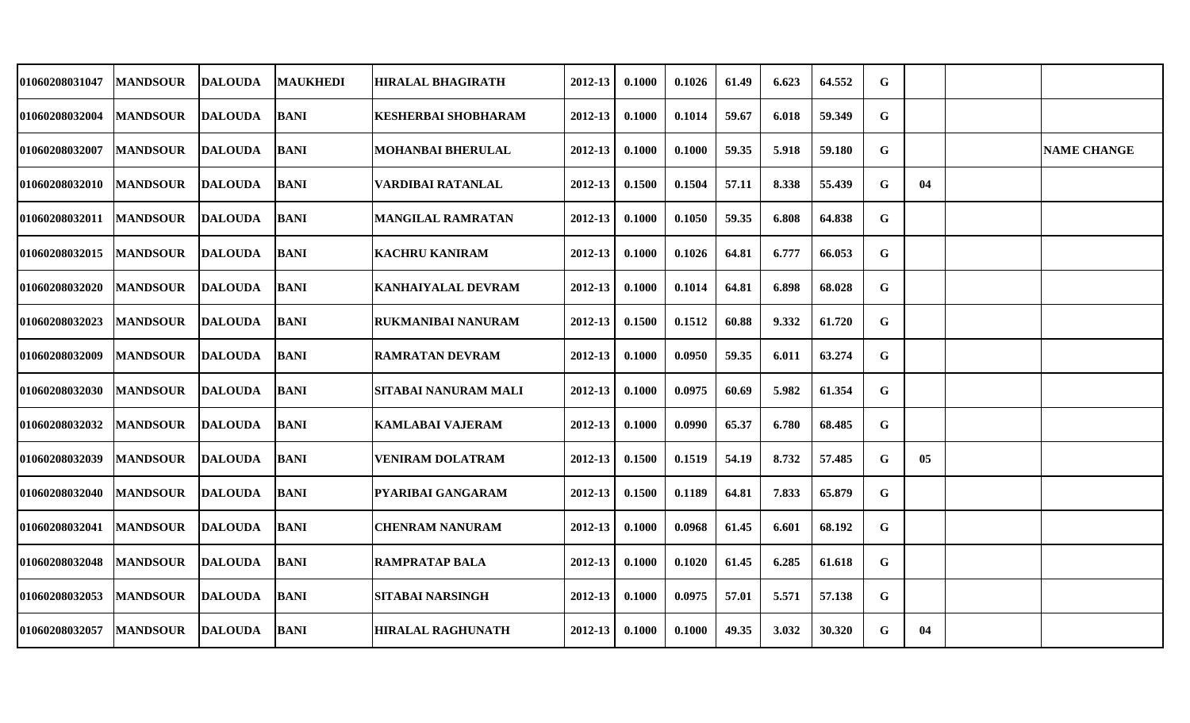| 01060208031047        | <b>MANDSOUR</b> | <b>DALOUDA</b> | <b>MAUKHEDI</b> | <b>HIRALAL BHAGIRATH</b>   | 2012-13 | 0.1000 | 0.1026 | 61.49 | 6.623 | 64.552 | G           |    |                    |
|-----------------------|-----------------|----------------|-----------------|----------------------------|---------|--------|--------|-------|-------|--------|-------------|----|--------------------|
| 01060208032004        | <b>MANDSOUR</b> | <b>DALOUDA</b> | <b>BANI</b>     | <b>KESHERBAI SHOBHARAM</b> | 2012-13 | 0.1000 | 0.1014 | 59.67 | 6.018 | 59.349 | G           |    |                    |
| 01060208032007        | <b>MANDSOUR</b> | <b>DALOUDA</b> | <b>BANI</b>     | <b>MOHANBAI BHERULAL</b>   | 2012-13 | 0.1000 | 0.1000 | 59.35 | 5.918 | 59.180 | $\mathbf G$ |    | <b>NAME CHANGE</b> |
| <b>01060208032010</b> | <b>MANDSOUR</b> | <b>DALOUDA</b> | <b>BANI</b>     | VARDIBAI RATANLAL          | 2012-13 | 0.1500 | 0.1504 | 57.11 | 8.338 | 55.439 | G           | 04 |                    |
| 01060208032011        | <b>MANDSOUR</b> | <b>DALOUDA</b> | <b>BANI</b>     | <b>MANGILAL RAMRATAN</b>   | 2012-13 | 0.1000 | 0.1050 | 59.35 | 6.808 | 64.838 | G           |    |                    |
| 01060208032015        | <b>MANDSOUR</b> | DALOUDA        | <b>BANI</b>     | <b>KACHRU KANIRAM</b>      | 2012-13 | 0.1000 | 0.1026 | 64.81 | 6.777 | 66.053 | G           |    |                    |
| 01060208032020        | <b>MANDSOUR</b> | <b>DALOUDA</b> | <b>BANI</b>     | <b>KANHAIYALAL DEVRAM</b>  | 2012-13 | 0.1000 | 0.1014 | 64.81 | 6.898 | 68.028 | G           |    |                    |
| 01060208032023        | <b>MANDSOUR</b> | <b>DALOUDA</b> | <b>BANI</b>     | RUKMANIBAI NANURAM         | 2012-13 | 0.1500 | 0.1512 | 60.88 | 9.332 | 61.720 | G           |    |                    |
| 01060208032009        | <b>MANDSOUR</b> | <b>DALOUDA</b> | <b>BANI</b>     | <b>RAMRATAN DEVRAM</b>     | 2012-13 | 0.1000 | 0.0950 | 59.35 | 6.011 | 63.274 | $\mathbf G$ |    |                    |
| 01060208032030        | <b>MANDSOUR</b> | <b>DALOUDA</b> | <b>BANI</b>     | SITABAI NANURAM MALI       | 2012-13 | 0.1000 | 0.0975 | 60.69 | 5.982 | 61.354 | G           |    |                    |
| 01060208032032        | <b>MANDSOUR</b> | <b>DALOUDA</b> | <b>BANI</b>     | <b>KAMLABAI VAJERAM</b>    | 2012-13 | 0.1000 | 0.0990 | 65.37 | 6.780 | 68.485 | G           |    |                    |
| 01060208032039        | <b>MANDSOUR</b> | <b>DALOUDA</b> | <b>BANI</b>     | <b>VENIRAM DOLATRAM</b>    | 2012-13 | 0.1500 | 0.1519 | 54.19 | 8.732 | 57.485 | G           | 05 |                    |
| 01060208032040        | <b>MANDSOUR</b> | <b>DALOUDA</b> | <b>BANI</b>     | <b>PYARIBAI GANGARAM</b>   | 2012-13 | 0.1500 | 0.1189 | 64.81 | 7.833 | 65.879 | G           |    |                    |
| 01060208032041        | <b>MANDSOUR</b> | <b>DALOUDA</b> | <b>BANI</b>     | <b>CHENRAM NANURAM</b>     | 2012-13 | 0.1000 | 0.0968 | 61.45 | 6.601 | 68.192 | G           |    |                    |
| 01060208032048        | <b>MANDSOUR</b> | <b>DALOUDA</b> | <b>BANI</b>     | <b>RAMPRATAP BALA</b>      | 2012-13 | 0.1000 | 0.1020 | 61.45 | 6.285 | 61.618 | G           |    |                    |
| 01060208032053        | <b>MANDSOUR</b> | DALOUDA        | <b>BANI</b>     | <b>SITABAI NARSINGH</b>    | 2012-13 | 0.1000 | 0.0975 | 57.01 | 5.571 | 57.138 | G           |    |                    |
| 01060208032057        | <b>MANDSOUR</b> | <b>DALOUDA</b> | <b>BANI</b>     | <b>HIRALAL RAGHUNATH</b>   | 2012-13 | 0.1000 | 0.1000 | 49.35 | 3.032 | 30.320 | G           | 04 |                    |
|                       |                 |                |                 |                            |         |        |        |       |       |        |             |    |                    |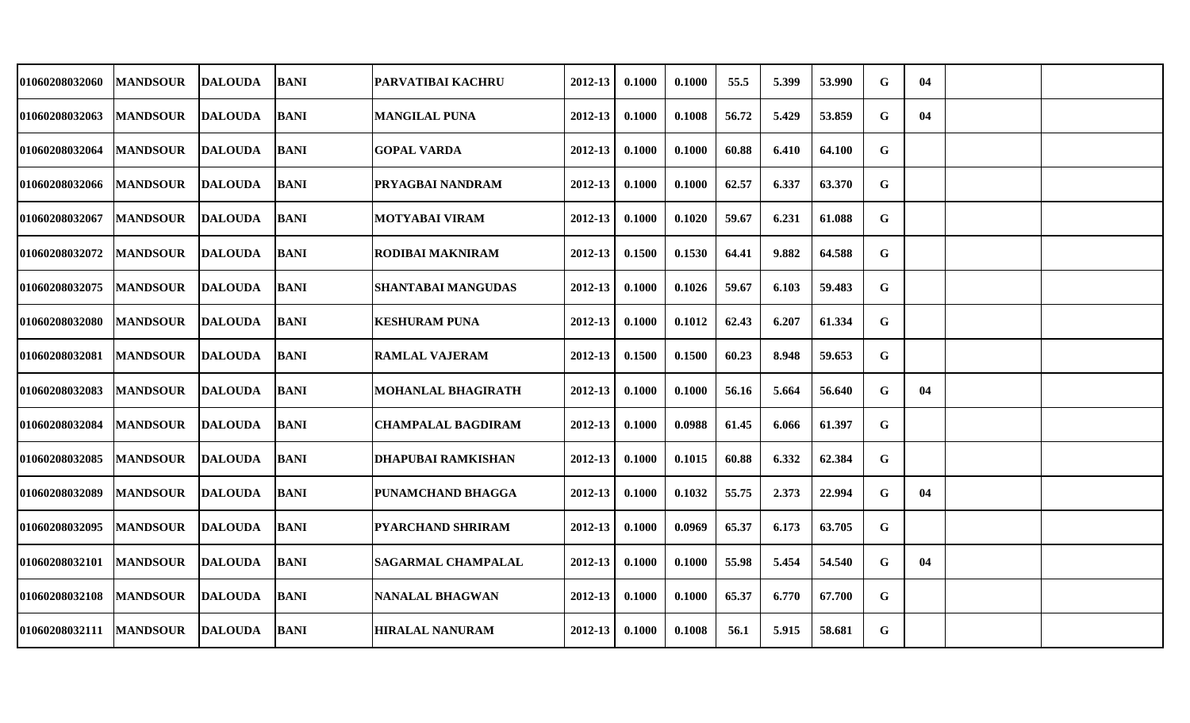| 01060208032060        | <b>MANDSOUR</b> | <b>DALOUDA</b> | <b>BANI</b> | PARVATIBAI KACHRU         | 2012-13     | 0.1000 | 0.1000 | 55.5  | 5.399 | 53.990 | G | 04 |  |
|-----------------------|-----------------|----------------|-------------|---------------------------|-------------|--------|--------|-------|-------|--------|---|----|--|
| 01060208032063        | <b>MANDSOUR</b> | <b>DALOUDA</b> | <b>BANI</b> | <b>MANGILAL PUNA</b>      | 2012-13     | 0.1000 | 0.1008 | 56.72 | 5.429 | 53.859 | G | 04 |  |
| <b>01060208032064</b> | <b>MANDSOUR</b> | <b>DALOUDA</b> | <b>BANI</b> | <b>GOPAL VARDA</b>        | $2012 - 13$ | 0.1000 | 0.1000 | 60.88 | 6.410 | 64.100 | G |    |  |
| <b>01060208032066</b> | <b>MANDSOUR</b> | <b>DALOUDA</b> | BANI        | PRYAGBAI NANDRAM          | $2012 - 13$ | 0.1000 | 0.1000 | 62.57 | 6.337 | 63.370 | G |    |  |
| <b>01060208032067</b> | <b>MANDSOUR</b> | <b>DALOUDA</b> | <b>BANI</b> | <b>MOTYABAI VIRAM</b>     | 2012-13     | 0.1000 | 0.1020 | 59.67 | 6.231 | 61.088 | G |    |  |
| 01060208032072        | <b>MANDSOUR</b> | <b>DALOUDA</b> | <b>BANI</b> | <b>RODIBAI MAKNIRAM</b>   | 2012-13     | 0.1500 | 0.1530 | 64.41 | 9.882 | 64.588 | G |    |  |
| <b>01060208032075</b> | <b>MANDSOUR</b> | <b>DALOUDA</b> | <b>BANI</b> | <b>SHANTABAI MANGUDAS</b> | 2012-13     | 0.1000 | 0.1026 | 59.67 | 6.103 | 59.483 | G |    |  |
| 01060208032080        | <b>MANDSOUR</b> | <b>DALOUDA</b> | <b>BANI</b> | <b>KESHURAM PUNA</b>      | 2012-13     | 0.1000 | 0.1012 | 62.43 | 6.207 | 61.334 | G |    |  |
| <b>01060208032081</b> | <b>MANDSOUR</b> | <b>DALOUDA</b> | <b>BANI</b> | <b>RAMLAL VAJERAM</b>     | 2012-13     | 0.1500 | 0.1500 | 60.23 | 8.948 | 59.653 | G |    |  |
| <b>01060208032083</b> | <b>MANDSOUR</b> | <b>DALOUDA</b> | <b>BANI</b> | <b>MOHANLAL BHAGIRATH</b> | 2012-13     | 0.1000 | 0.1000 | 56.16 | 5.664 | 56.640 | G | 04 |  |
| <b>01060208032084</b> | <b>MANDSOUR</b> | <b>DALOUDA</b> | <b>BANI</b> | <b>CHAMPALAL BAGDIRAM</b> | 2012-13     | 0.1000 | 0.0988 | 61.45 | 6.066 | 61.397 | G |    |  |
| 01060208032085        | <b>MANDSOUR</b> | <b>DALOUDA</b> | <b>BANI</b> | <b>DHAPUBAI RAMKISHAN</b> | 2012-13     | 0.1000 | 0.1015 | 60.88 | 6.332 | 62.384 | G |    |  |
| <b>01060208032089</b> | <b>MANDSOUR</b> | <b>DALOUDA</b> | <b>BANI</b> | PUNAMCHAND BHAGGA         | 2012-13     | 0.1000 | 0.1032 | 55.75 | 2.373 | 22.994 | G | 04 |  |
| 01060208032095        | <b>MANDSOUR</b> | <b>DALOUDA</b> | <b>BANI</b> | <b>PYARCHAND SHRIRAM</b>  | 2012-13     | 0.1000 | 0.0969 | 65.37 | 6.173 | 63.705 | G |    |  |
| <b>01060208032101</b> | <b>MANDSOUR</b> | <b>DALOUDA</b> | <b>BANI</b> | <b>SAGARMAL CHAMPALAL</b> | 2012-13     | 0.1000 | 0.1000 | 55.98 | 5.454 | 54.540 | G | 04 |  |
| <b>01060208032108</b> | <b>MANDSOUR</b> | <b>DALOUDA</b> | <b>BANI</b> | <b>NANALAL BHAGWAN</b>    | $2012 - 13$ | 0.1000 | 0.1000 | 65.37 | 6.770 | 67.700 | G |    |  |
| <b>01060208032111</b> | <b>MANDSOUR</b> | <b>DALOUDA</b> | <b>BANI</b> | <b>HIRALAL NANURAM</b>    | 2012-13     | 0.1000 | 0.1008 | 56.1  | 5.915 | 58.681 | G |    |  |
|                       |                 |                |             |                           |             |        |        |       |       |        |   |    |  |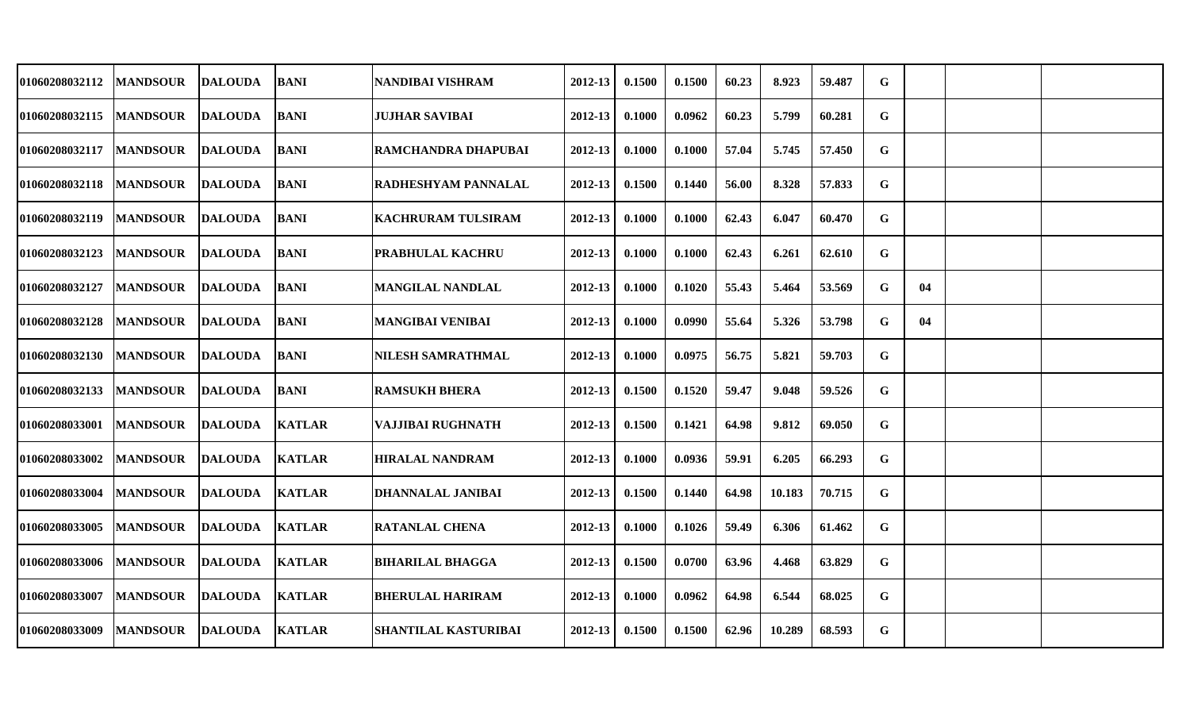| 01060208032112        | <b>MANDSOUR</b> | <b>DALOUDA</b> | <b>BANI</b>   | NANDIBAI VISHRAM            | 2012-13     | 0.1500 | 0.1500 | 60.23 | 8.923  | 59.487 | G |    |  |
|-----------------------|-----------------|----------------|---------------|-----------------------------|-------------|--------|--------|-------|--------|--------|---|----|--|
| 01060208032115        | <b>MANDSOUR</b> | <b>DALOUDA</b> | <b>BANI</b>   | <b>JUJHAR SAVIBAI</b>       | 2012-13     | 0.1000 | 0.0962 | 60.23 | 5.799  | 60.281 | G |    |  |
| <b>01060208032117</b> | <b>MANDSOUR</b> | <b>DALOUDA</b> | <b>BANI</b>   | RAMCHANDRA DHAPUBAI         | $2012 - 13$ | 0.1000 | 0.1000 | 57.04 | 5.745  | 57.450 | G |    |  |
| <b>01060208032118</b> | <b>MANDSOUR</b> | <b>DALOUDA</b> | BANI          | <b>RADHESHYAM PANNALAL</b>  | $2012 - 13$ | 0.1500 | 0.1440 | 56.00 | 8.328  | 57.833 | G |    |  |
| <b>01060208032119</b> | <b>MANDSOUR</b> | <b>DALOUDA</b> | <b>BANI</b>   | <b>KACHRURAM TULSIRAM</b>   | 2012-13     | 0.1000 | 0.1000 | 62.43 | 6.047  | 60.470 | G |    |  |
| 01060208032123        | <b>MANDSOUR</b> | <b>DALOUDA</b> | <b>BANI</b>   | <b>PRABHULAL KACHRU</b>     | 2012-13     | 0.1000 | 0.1000 | 62.43 | 6.261  | 62.610 | G |    |  |
| <b>01060208032127</b> | <b>MANDSOUR</b> | <b>DALOUDA</b> | <b>BANI</b>   | <b>MANGILAL NANDLAL</b>     | 2012-13     | 0.1000 | 0.1020 | 55.43 | 5.464  | 53.569 | G | 04 |  |
| <b>01060208032128</b> | <b>MANDSOUR</b> | <b>DALOUDA</b> | <b>BANI</b>   | <b>MANGIBAI VENIBAI</b>     | 2012-13     | 0.1000 | 0.0990 | 55.64 | 5.326  | 53.798 | G | 04 |  |
| <b>01060208032130</b> | <b>MANDSOUR</b> | <b>DALOUDA</b> | <b>BANI</b>   | <b>NILESH SAMRATHMAL</b>    | 2012-13     | 0.1000 | 0.0975 | 56.75 | 5.821  | 59.703 | G |    |  |
| <b>01060208032133</b> | <b>MANDSOUR</b> | <b>DALOUDA</b> | <b>BANI</b>   | <b>RAMSUKH BHERA</b>        | 2012-13     | 0.1500 | 0.1520 | 59.47 | 9.048  | 59.526 | G |    |  |
| <b>01060208033001</b> | <b>MANDSOUR</b> | <b>DALOUDA</b> | <b>KATLAR</b> | VAJJIBAI RUGHNATH           | 2012-13     | 0.1500 | 0.1421 | 64.98 | 9.812  | 69.050 | G |    |  |
| 01060208033002        | <b>MANDSOUR</b> | <b>DALOUDA</b> | <b>KATLAR</b> | <b>HIRALAL NANDRAM</b>      | 2012-13     | 0.1000 | 0.0936 | 59.91 | 6.205  | 66.293 | G |    |  |
| <b>01060208033004</b> | <b>MANDSOUR</b> | <b>DALOUDA</b> | <b>KATLAR</b> | DHANNALAL JANIBAI           | 2012-13     | 0.1500 | 0.1440 | 64.98 | 10.183 | 70.715 | G |    |  |
| 01060208033005        | <b>MANDSOUR</b> | <b>DALOUDA</b> | <b>KATLAR</b> | <b>RATANLAL CHENA</b>       | 2012-13     | 0.1000 | 0.1026 | 59.49 | 6.306  | 61.462 | G |    |  |
| 01060208033006        | <b>MANDSOUR</b> | <b>DALOUDA</b> | <b>KATLAR</b> | <b>BIHARILAL BHAGGA</b>     | 2012-13     | 0.1500 | 0.0700 | 63.96 | 4.468  | 63.829 | G |    |  |
| <b>01060208033007</b> | <b>MANDSOUR</b> | <b>DALOUDA</b> | <b>KATLAR</b> | <b>BHERULAL HARIRAM</b>     | $2012 - 13$ | 0.1000 | 0.0962 | 64.98 | 6.544  | 68.025 | G |    |  |
| 01060208033009        | <b>MANDSOUR</b> | <b>DALOUDA</b> | <b>KATLAR</b> | <b>SHANTILAL KASTURIBAI</b> | 2012-13     | 0.1500 | 0.1500 | 62.96 | 10.289 | 68.593 | G |    |  |
|                       |                 |                |               |                             |             |        |        |       |        |        |   |    |  |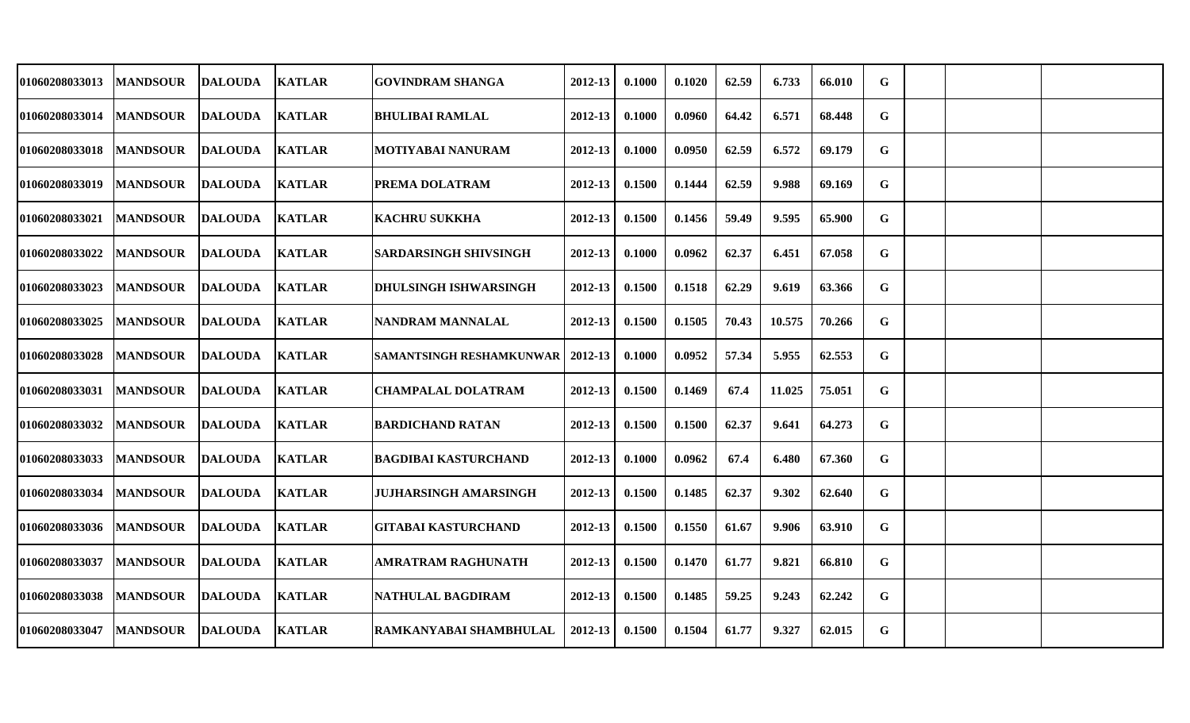| 01060208033013        | <b>MANDSOUR</b> | <b>DALOUDA</b> | <b>KATLAR</b> | <b>GOVINDRAM SHANGA</b>         | 2012-13     | 0.1000 | 0.1020 | 62.59 | 6.733  | 66.010 | G |  |  |
|-----------------------|-----------------|----------------|---------------|---------------------------------|-------------|--------|--------|-------|--------|--------|---|--|--|
| 01060208033014        | <b>MANDSOUR</b> | <b>DALOUDA</b> | <b>KATLAR</b> | <b>BHULIBAI RAMLAL</b>          | 2012-13     | 0.1000 | 0.0960 | 64.42 | 6.571  | 68.448 | G |  |  |
| <b>01060208033018</b> | <b>MANDSOUR</b> | <b>DALOUDA</b> | <b>KATLAR</b> | <b>MOTIYABAI NANURAM</b>        | $2012 - 13$ | 0.1000 | 0.0950 | 62.59 | 6.572  | 69.179 | G |  |  |
| <b>01060208033019</b> | <b>MANDSOUR</b> | <b>DALOUDA</b> | <b>KATLAR</b> | PREMA DOLATRAM                  | $2012 - 13$ | 0.1500 | 0.1444 | 62.59 | 9.988  | 69.169 | G |  |  |
| <b>01060208033021</b> | <b>MANDSOUR</b> | <b>DALOUDA</b> | <b>KATLAR</b> | <b>KACHRU SUKKHA</b>            | 2012-13     | 0.1500 | 0.1456 | 59.49 | 9.595  | 65.900 | G |  |  |
| 01060208033022        | <b>MANDSOUR</b> | <b>DALOUDA</b> | <b>KATLAR</b> | <b>SARDARSINGH SHIVSINGH</b>    | 2012-13     | 0.1000 | 0.0962 | 62.37 | 6.451  | 67.058 | G |  |  |
| <b>01060208033023</b> | <b>MANDSOUR</b> | <b>DALOUDA</b> | <b>KATLAR</b> | <b>DHULSINGH ISHWARSINGH</b>    | 2012-13     | 0.1500 | 0.1518 | 62.29 | 9.619  | 63.366 | G |  |  |
| 01060208033025        | <b>MANDSOUR</b> | <b>DALOUDA</b> | <b>KATLAR</b> | NANDRAM MANNALAL                | 2012-13     | 0.1500 | 0.1505 | 70.43 | 10.575 | 70.266 | G |  |  |
| <b>01060208033028</b> | <b>MANDSOUR</b> | <b>DALOUDA</b> | <b>KATLAR</b> | <b>SAMANTSINGH RESHAMKUNWAR</b> | 2012-13     | 0.1000 | 0.0952 | 57.34 | 5.955  | 62.553 | G |  |  |
| <b>01060208033031</b> | <b>MANDSOUR</b> | <b>DALOUDA</b> | <b>KATLAR</b> | <b>CHAMPALAL DOLATRAM</b>       | 2012-13     | 0.1500 | 0.1469 | 67.4  | 11.025 | 75.051 | G |  |  |
| <b>01060208033032</b> | <b>MANDSOUR</b> | <b>DALOUDA</b> | <b>KATLAR</b> | <b>BARDICHAND RATAN</b>         | 2012-13     | 0.1500 | 0.1500 | 62.37 | 9.641  | 64.273 | G |  |  |
| 01060208033033        | <b>MANDSOUR</b> | <b>DALOUDA</b> | <b>KATLAR</b> | <b>BAGDIBAI KASTURCHAND</b>     | 2012-13     | 0.1000 | 0.0962 | 67.4  | 6.480  | 67.360 | G |  |  |
| <b>01060208033034</b> | <b>MANDSOUR</b> | <b>DALOUDA</b> | <b>KATLAR</b> | <b>JUJHARSINGH AMARSINGH</b>    | 2012-13     | 0.1500 | 0.1485 | 62.37 | 9.302  | 62.640 | G |  |  |
| 01060208033036        | <b>MANDSOUR</b> | <b>DALOUDA</b> | <b>KATLAR</b> | <b>GITABAI KASTURCHAND</b>      | 2012-13     | 0.1500 | 0.1550 | 61.67 | 9.906  | 63.910 | G |  |  |
| <b>01060208033037</b> | <b>MANDSOUR</b> | <b>DALOUDA</b> | <b>KATLAR</b> | <b>AMRATRAM RAGHUNATH</b>       | 2012-13     | 0.1500 | 0.1470 | 61.77 | 9.821  | 66.810 | G |  |  |
| 01060208033038        | <b>MANDSOUR</b> | <b>DALOUDA</b> | <b>KATLAR</b> | NATHULAL BAGDIRAM               | $2012 - 13$ | 0.1500 | 0.1485 | 59.25 | 9.243  | 62.242 | G |  |  |
| 01060208033047        | <b>MANDSOUR</b> | <b>DALOUDA</b> | <b>KATLAR</b> | RAMKANYABAI SHAMBHULAL          | 2012-13     | 0.1500 | 0.1504 | 61.77 | 9.327  | 62.015 | G |  |  |
|                       |                 |                |               |                                 |             |        |        |       |        |        |   |  |  |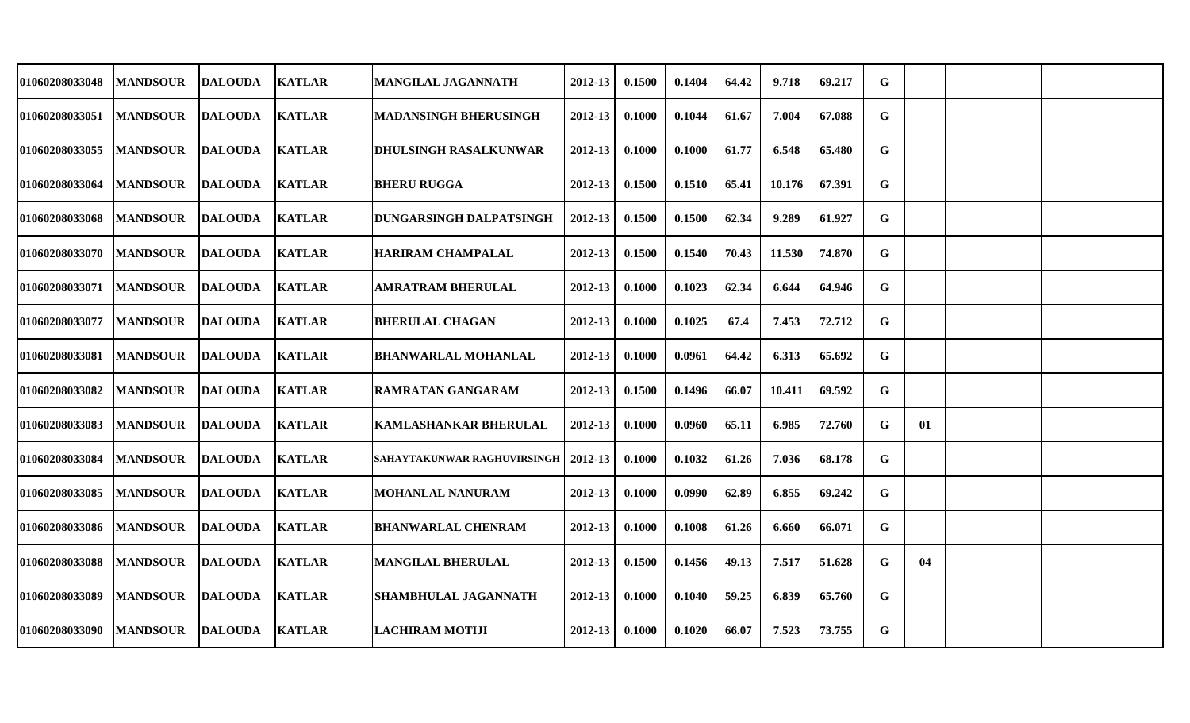| 01060208033048 | <b>MANDSOUR</b> | <b>DALOUDA</b> | <b>KATLAR</b> | <b>MANGILAL JAGANNATH</b>      | 2012-13     | 0.1500 | 0.1404 | 64.42 | 9.718  | 69.217 | G           |    |  |
|----------------|-----------------|----------------|---------------|--------------------------------|-------------|--------|--------|-------|--------|--------|-------------|----|--|
| 01060208033051 | <b>MANDSOUR</b> | <b>DALOUDA</b> | <b>KATLAR</b> | <b>MADANSINGH BHERUSINGH</b>   | 2012-13     | 0.1000 | 0.1044 | 61.67 | 7.004  | 67.088 | G           |    |  |
| 01060208033055 | <b>MANDSOUR</b> | <b>DALOUDA</b> | <b>KATLAR</b> | DHULSINGH RASALKUNWAR          | 2012-13     | 0.1000 | 0.1000 | 61.77 | 6.548  | 65.480 | $\mathbf G$ |    |  |
| 01060208033064 | <b>MANDSOUR</b> | DALOUDA        | <b>KATLAR</b> | <b>BHERU RUGGA</b>             | 2012-13     | 0.1500 | 0.1510 | 65.41 | 10.176 | 67.391 | G           |    |  |
| 01060208033068 | <b>MANDSOUR</b> | DALOUDA        | <b>KATLAR</b> | <b>DUNGARSINGH DALPATSINGH</b> | 2012-13     | 0.1500 | 0.1500 | 62.34 | 9.289  | 61.927 | $\mathbf G$ |    |  |
| 01060208033070 | <b>MANDSOUR</b> | DALOUDA        | <b>KATLAR</b> | <b>HARIRAM CHAMPALAL</b>       | 2012-13     | 0.1500 | 0.1540 | 70.43 | 11.530 | 74.870 | G           |    |  |
| 01060208033071 | <b>MANDSOUR</b> | DALOUDA        | <b>KATLAR</b> | <b>AMRATRAM BHERULAL</b>       | 2012-13     | 0.1000 | 0.1023 | 62.34 | 6.644  | 64.946 | G           |    |  |
| 01060208033077 | <b>MANDSOUR</b> | <b>DALOUDA</b> | <b>KATLAR</b> | <b>BHERULAL CHAGAN</b>         | 2012-13     | 0.1000 | 0.1025 | 67.4  | 7.453  | 72.712 | G           |    |  |
| 01060208033081 | <b>MANDSOUR</b> | <b>DALOUDA</b> | <b>KATLAR</b> | <b>BHANWARLAL MOHANLAL</b>     | 2012-13     | 0.1000 | 0.0961 | 64.42 | 6.313  | 65.692 | G           |    |  |
| 01060208033082 | <b>MANDSOUR</b> | DALOUDA        | <b>KATLAR</b> | RAMRATAN GANGARAM              | 2012-13     | 0.1500 | 0.1496 | 66.07 | 10.411 | 69.592 | G           |    |  |
| 01060208033083 | <b>MANDSOUR</b> | DALOUDA        | <b>KATLAR</b> | <b>KAMLASHANKAR BHERULAL</b>   | 2012-13     | 0.1000 | 0.0960 | 65.11 | 6.985  | 72.760 | G           | 01 |  |
| 01060208033084 | <b>MANDSOUR</b> | <b>DALOUDA</b> | <b>KATLAR</b> | SAHAYTAKUNWAR RAGHUVIRSINGH    | $2012 - 13$ | 0.1000 | 0.1032 | 61.26 | 7.036  | 68.178 | $\mathbf G$ |    |  |
| 01060208033085 | <b>MANDSOUR</b> | DALOUDA        | <b>KATLAR</b> | <b>MOHANLAL NANURAM</b>        | 2012-13     | 0.1000 | 0.0990 | 62.89 | 6.855  | 69.242 | G           |    |  |
| 01060208033086 | <b>MANDSOUR</b> | <b>DALOUDA</b> | <b>KATLAR</b> | <b>BHANWARLAL CHENRAM</b>      | 2012-13     | 0.1000 | 0.1008 | 61.26 | 6.660  | 66.071 | G           |    |  |
| 01060208033088 | <b>MANDSOUR</b> | <b>DALOUDA</b> | <b>KATLAR</b> | <b>MANGILAL BHERULAL</b>       | 2012-13     | 0.1500 | 0.1456 | 49.13 | 7.517  | 51.628 | G           | 04 |  |
| 01060208033089 | <b>MANDSOUR</b> | <b>DALOUDA</b> | <b>KATLAR</b> | <b>SHAMBHULAL JAGANNATH</b>    | $2012 - 13$ | 0.1000 | 0.1040 | 59.25 | 6.839  | 65.760 | G           |    |  |
| 01060208033090 | <b>MANDSOUR</b> | <b>DALOUDA</b> | <b>KATLAR</b> | <b>LACHIRAM MOTIJI</b>         | 2012-13     | 0.1000 | 0.1020 | 66.07 | 7.523  | 73.755 | G           |    |  |
|                |                 |                |               |                                |             |        |        |       |        |        |             |    |  |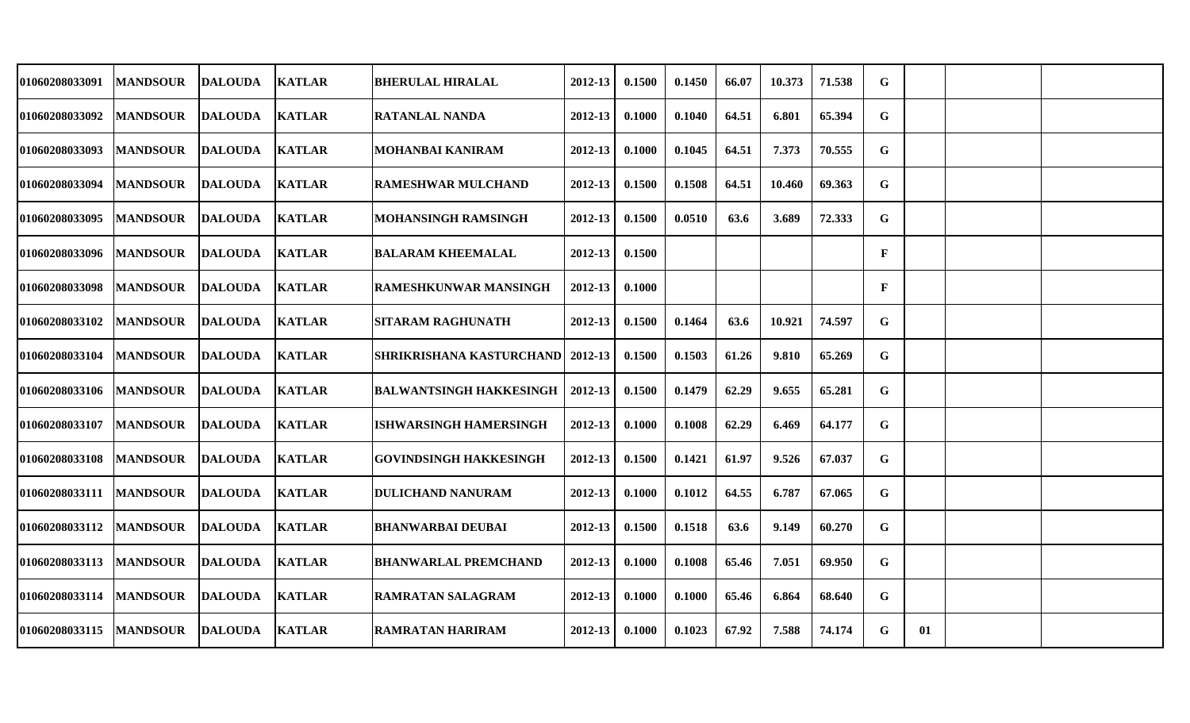| 01060208033091 | <b>MANDSOUR</b> | <b>DALOUDA</b> | <b>KATLAR</b> | <b>BHERULAL HIRALAL</b>                   | 2012-13     | 0.1500 | 0.1450 | 66.07 | 10.373 | 71.538 | G           |    |  |
|----------------|-----------------|----------------|---------------|-------------------------------------------|-------------|--------|--------|-------|--------|--------|-------------|----|--|
| 01060208033092 | <b>MANDSOUR</b> | <b>DALOUDA</b> | <b>KATLAR</b> | <b>RATANLAL NANDA</b>                     | 2012-13     | 0.1000 | 0.1040 | 64.51 | 6.801  | 65.394 | G           |    |  |
| 01060208033093 | <b>MANDSOUR</b> | <b>DALOUDA</b> | <b>KATLAR</b> | MOHANBAI KANIRAM                          | $2012 - 13$ | 0.1000 | 0.1045 | 64.51 | 7.373  | 70.555 | $\mathbf G$ |    |  |
| 01060208033094 | <b>MANDSOUR</b> | <b>DALOUDA</b> | <b>KATLAR</b> | <b>RAMESHWAR MULCHAND</b>                 | 2012-13     | 0.1500 | 0.1508 | 64.51 | 10.460 | 69.363 | G           |    |  |
| 01060208033095 | <b>MANDSOUR</b> | <b>DALOUDA</b> | <b>KATLAR</b> | <b>MOHANSINGH RAMSINGH</b>                | 2012-13     | 0.1500 | 0.0510 | 63.6  | 3.689  | 72.333 | $\mathbf G$ |    |  |
| 01060208033096 | <b>MANDSOUR</b> | <b>DALOUDA</b> | <b>KATLAR</b> | <b>BALARAM KHEEMALAL</b>                  | $2012 - 13$ | 0.1500 |        |       |        |        | F           |    |  |
| 01060208033098 | <b>MANDSOUR</b> | <b>DALOUDA</b> | <b>KATLAR</b> | <b>RAMESHKUNWAR MANSINGH</b>              | 2012-13     | 0.1000 |        |       |        |        | F           |    |  |
| 01060208033102 | <b>MANDSOUR</b> | <b>DALOUDA</b> | <b>KATLAR</b> | <b>SITARAM RAGHUNATH</b>                  | 2012-13     | 0.1500 | 0.1464 | 63.6  | 10.921 | 74.597 | G           |    |  |
| 01060208033104 | <b>MANDSOUR</b> | <b>DALOUDA</b> | <b>KATLAR</b> | <b>SHRIKRISHANA KASTURCHAND   2012-13</b> |             | 0.1500 | 0.1503 | 61.26 | 9.810  | 65.269 | $\mathbf G$ |    |  |
| 01060208033106 | <b>MANDSOUR</b> | <b>DALOUDA</b> | <b>KATLAR</b> | <b>BALWANTSINGH HAKKESINGH</b>            | 2012-13     | 0.1500 | 0.1479 | 62.29 | 9.655  | 65.281 | G           |    |  |
| 01060208033107 | <b>MANDSOUR</b> | <b>DALOUDA</b> | <b>KATLAR</b> | <b>ISHWARSINGH HAMERSINGH</b>             | 2012-13     | 0.1000 | 0.1008 | 62.29 | 6.469  | 64.177 | $\mathbf G$ |    |  |
| 01060208033108 | <b>MANDSOUR</b> | <b>DALOUDA</b> | <b>KATLAR</b> | <b>GOVINDSINGH HAKKESINGH</b>             | $2012 - 13$ | 0.1500 | 0.1421 | 61.97 | 9.526  | 67.037 | G           |    |  |
| 01060208033111 | <b>MANDSOUR</b> | <b>DALOUDA</b> | <b>KATLAR</b> | <b>DULICHAND NANURAM</b>                  | 2012-13     | 0.1000 | 0.1012 | 64.55 | 6.787  | 67.065 | G           |    |  |
| 01060208033112 | <b>MANDSOUR</b> | <b>DALOUDA</b> | <b>KATLAR</b> | <b>BHANWARBAI DEUBAI</b>                  | 2012-13     | 0.1500 | 0.1518 | 63.6  | 9.149  | 60.270 | G           |    |  |
| 01060208033113 | <b>MANDSOUR</b> | <b>DALOUDA</b> | <b>KATLAR</b> | <b>BHANWARLAL PREMCHAND</b>               | 2012-13     | 0.1000 | 0.1008 | 65.46 | 7.051  | 69.950 | $\mathbf G$ |    |  |
| 01060208033114 | <b>MANDSOUR</b> | <b>DALOUDA</b> | <b>KATLAR</b> | <b>RAMRATAN SALAGRAM</b>                  | 2012-13     | 0.1000 | 0.1000 | 65.46 | 6.864  | 68.640 | G           |    |  |
| 01060208033115 | <b>MANDSOUR</b> | <b>DALOUDA</b> | <b>KATLAR</b> | <b>RAMRATAN HARIRAM</b>                   | 2012-13     | 0.1000 | 0.1023 | 67.92 | 7.588  | 74.174 | G           | 01 |  |
|                |                 |                |               |                                           |             |        |        |       |        |        |             |    |  |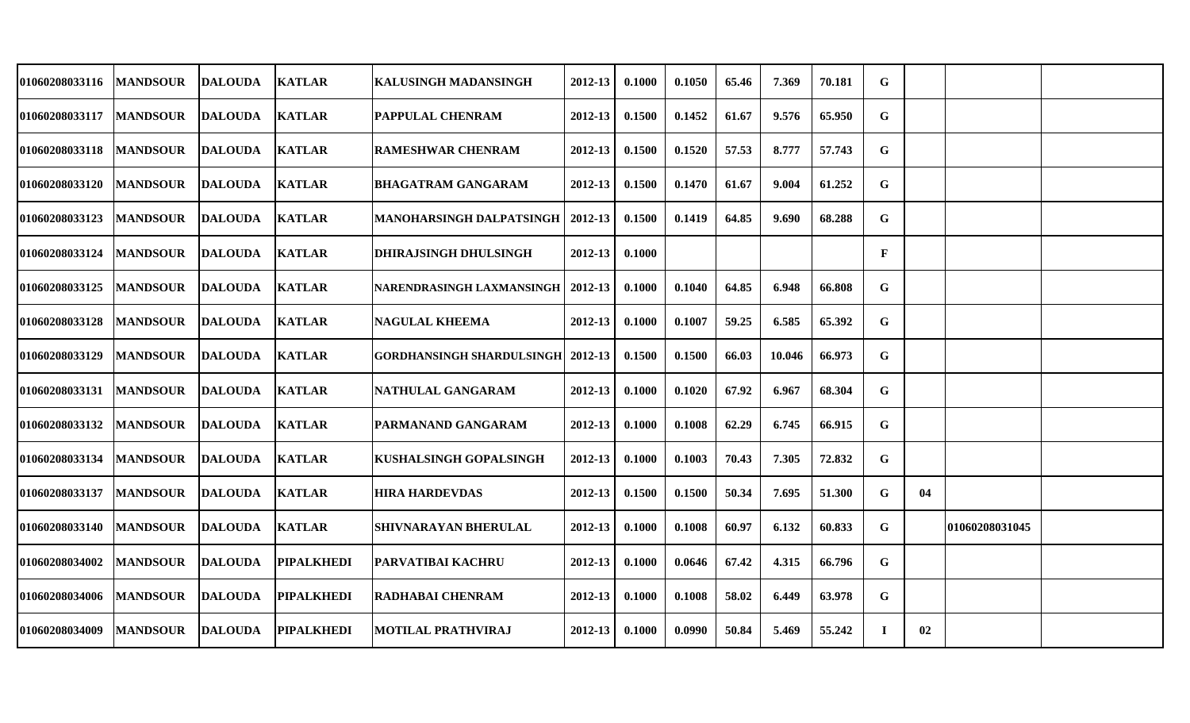| 01060208033116        | <b>MANDSOUR</b> | <b>DALOUDA</b> | <b>KATLAR</b>     | <b>KALUSINGH MADANSINGH</b>                  | 2012-13     | 0.1000 | 0.1050 | 65.46 | 7.369  | 70.181 | $\mathbf G$ |    |                |  |
|-----------------------|-----------------|----------------|-------------------|----------------------------------------------|-------------|--------|--------|-------|--------|--------|-------------|----|----------------|--|
| 01060208033117        | <b>MANDSOUR</b> | <b>DALOUDA</b> | <b>KATLAR</b>     | PAPPULAL CHENRAM                             | 2012-13     | 0.1500 | 0.1452 | 61.67 | 9.576  | 65.950 | G           |    |                |  |
| 01060208033118        | <b>MANDSOUR</b> | DALOUDA        | <b>KATLAR</b>     | <b>RAMESHWAR CHENRAM</b>                     | 2012-13     | 0.1500 | 0.1520 | 57.53 | 8.777  | 57.743 | G           |    |                |  |
| <b>01060208033120</b> | <b>MANDSOUR</b> | <b>DALOUDA</b> | <b>KATLAR</b>     | <b>BHAGATRAM GANGARAM</b>                    | 2012-13     | 0.1500 | 0.1470 | 61.67 | 9.004  | 61.252 | G           |    |                |  |
| 01060208033123        | <b>MANDSOUR</b> | <b>DALOUDA</b> | <b>KATLAR</b>     | MANOHARSINGH DALPATSINGH                     | $ 2012-13$  | 0.1500 | 0.1419 | 64.85 | 9.690  | 68.288 | G           |    |                |  |
| 01060208033124        | <b>MANDSOUR</b> | <b>DALOUDA</b> | <b>KATLAR</b>     | <b>DHIRAJSINGH DHULSINGH</b>                 | $2012 - 13$ | 0.1000 |        |       |        |        | $\mathbf F$ |    |                |  |
| 01060208033125        | <b>MANDSOUR</b> | DALOUDA        | <b>KATLAR</b>     | <b>NARENDRASINGH LAXMANSINGH   2012-13</b>   |             | 0.1000 | 0.1040 | 64.85 | 6.948  | 66.808 | G           |    |                |  |
| 01060208033128        | <b>MANDSOUR</b> | <b>DALOUDA</b> | <b>KATLAR</b>     | <b>NAGULAL KHEEMA</b>                        | 2012-13     | 0.1000 | 0.1007 | 59.25 | 6.585  | 65.392 | G           |    |                |  |
| 01060208033129        | <b>MANDSOUR</b> | <b>DALOUDA</b> | <b>KATLAR</b>     | <b>GORDHANSINGH SHARDULSINGH   2012-13  </b> |             | 0.1500 | 0.1500 | 66.03 | 10.046 | 66.973 | G           |    |                |  |
| <b>01060208033131</b> | <b>MANDSOUR</b> | DALOUDA        | <b>KATLAR</b>     | NATHULAL GANGARAM                            | 2012-13     | 0.1000 | 0.1020 | 67.92 | 6.967  | 68.304 | G           |    |                |  |
| <b>01060208033132</b> | <b>MANDSOUR</b> | <b>DALOUDA</b> | <b>KATLAR</b>     | PARMANAND GANGARAM                           | 2012-13     | 0.1000 | 0.1008 | 62.29 | 6.745  | 66.915 | G           |    |                |  |
| 01060208033134        | <b>MANDSOUR</b> | <b>DALOUDA</b> | <b>KATLAR</b>     | <b>KUSHALSINGH GOPALSINGH</b>                | 2012-13     | 0.1000 | 0.1003 | 70.43 | 7.305  | 72.832 | $\mathbf G$ |    |                |  |
| 01060208033137        | <b>MANDSOUR</b> | <b>DALOUDA</b> | <b>KATLAR</b>     | <b>HIRA HARDEVDAS</b>                        | 2012-13     | 0.1500 | 0.1500 | 50.34 | 7.695  | 51.300 | G           | 04 |                |  |
| 01060208033140        | <b>MANDSOUR</b> | <b>DALOUDA</b> | <b>KATLAR</b>     | <b>SHIVNARAYAN BHERULAL</b>                  | 2012-13     | 0.1000 | 0.1008 | 60.97 | 6.132  | 60.833 | G           |    | 01060208031045 |  |
| 01060208034002        | <b>MANDSOUR</b> | <b>DALOUDA</b> | <b>PIPALKHEDI</b> | PARVATIBAI KACHRU                            | 2012-13     | 0.1000 | 0.0646 | 67.42 | 4.315  | 66.796 | G           |    |                |  |
| 01060208034006        | <b>MANDSOUR</b> | <b>DALOUDA</b> | <b>PIPALKHEDI</b> | <b>RADHABAI CHENRAM</b>                      | 2012-13     | 0.1000 | 0.1008 | 58.02 | 6.449  | 63.978 | G           |    |                |  |
| 01060208034009        | <b>MANDSOUR</b> | <b>DALOUDA</b> | <b>PIPALKHEDI</b> | <b>MOTILAL PRATHVIRAJ</b>                    | 2012-13     | 0.1000 | 0.0990 | 50.84 | 5.469  | 55.242 | $\mathbf I$ | 02 |                |  |
|                       |                 |                |                   |                                              |             |        |        |       |        |        |             |    |                |  |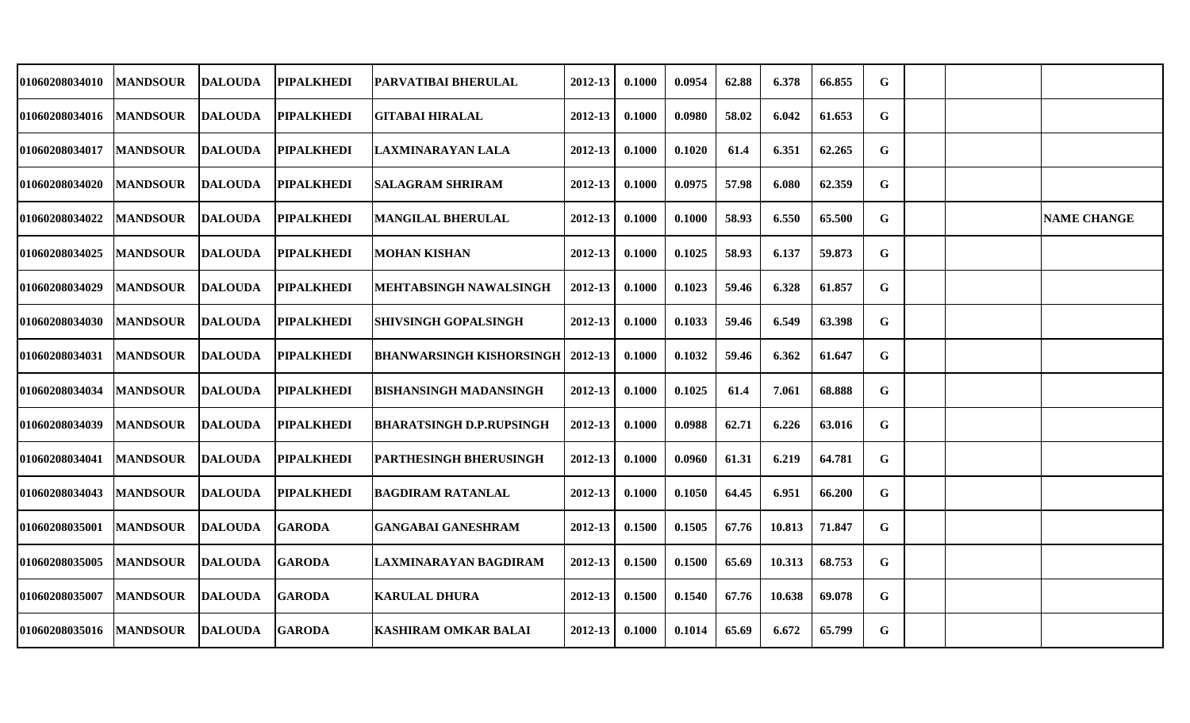| 01060208034010        | <b>MANDSOUR</b> | <b>DALOUDA</b> | <b>PIPALKHEDI</b> | PARVATIBAI BHERULAL             | 2012-13 | 0.1000 | 0.0954 | 62.88 | 6.378  | 66.855 | G           |  |                    |
|-----------------------|-----------------|----------------|-------------------|---------------------------------|---------|--------|--------|-------|--------|--------|-------------|--|--------------------|
| 01060208034016        | <b>MANDSOUR</b> | DALOUDA        | <b>PIPALKHEDI</b> | <b>GITABAI HIRALAL</b>          | 2012-13 | 0.1000 | 0.0980 | 58.02 | 6.042  | 61.653 | G           |  |                    |
| 01060208034017        | <b>MANDSOUR</b> | <b>DALOUDA</b> | <b>PIPALKHEDI</b> | LAXMINARAYAN LALA               | 2012-13 | 0.1000 | 0.1020 | 61.4  | 6.351  | 62.265 | $\mathbf G$ |  |                    |
| 01060208034020        | <b>MANDSOUR</b> | <b>DALOUDA</b> | <b>PIPALKHEDI</b> | <b>SALAGRAM SHRIRAM</b>         | 2012-13 | 0.1000 | 0.0975 | 57.98 | 6.080  | 62.359 | G           |  |                    |
| 01060208034022        | <b>MANDSOUR</b> | DALOUDA        | <b>PIPALKHEDI</b> | <b>MANGILAL BHERULAL</b>        | 2012-13 | 0.1000 | 0.1000 | 58.93 | 6.550  | 65.500 | G           |  | <b>NAME CHANGE</b> |
| 01060208034025        | <b>MANDSOUR</b> | DALOUDA        | <b>PIPALKHEDI</b> | <b>MOHAN KISHAN</b>             | 2012-13 | 0.1000 | 0.1025 | 58.93 | 6.137  | 59.873 | G           |  |                    |
| <b>01060208034029</b> | <b>MANDSOUR</b> | DALOUDA        | <b>PIPALKHEDI</b> | MEHTABSINGH NAWALSINGH          | 2012-13 | 0.1000 | 0.1023 | 59.46 | 6.328  | 61.857 | G           |  |                    |
| 01060208034030        | <b>MANDSOUR</b> | <b>DALOUDA</b> | <b>PIPALKHEDI</b> | <b>SHIVSINGH GOPALSINGH</b>     | 2012-13 | 0.1000 | 0.1033 | 59.46 | 6.549  | 63.398 | G           |  |                    |
| 01060208034031        | <b>MANDSOUR</b> | <b>DALOUDA</b> | <b>PIPALKHEDI</b> | BHANWARSINGH KISHORSINGH        | 2012-13 | 0.1000 | 0.1032 | 59.46 | 6.362  | 61.647 | G           |  |                    |
| <b>01060208034034</b> | <b>MANDSOUR</b> | <b>DALOUDA</b> | <b>PIPALKHEDI</b> | <b>BISHANSINGH MADANSINGH</b>   | 2012-13 | 0.1000 | 0.1025 | 61.4  | 7.061  | 68.888 | G           |  |                    |
| 01060208034039        | <b>MANDSOUR</b> | DALOUDA        | <b>PIPALKHEDI</b> | <b>BHARATSINGH D.P.RUPSINGH</b> | 2012-13 | 0.1000 | 0.0988 | 62.71 | 6.226  | 63.016 | G           |  |                    |
| 01060208034041        | <b>MANDSOUR</b> | <b>DALOUDA</b> | <b>PIPALKHEDI</b> | <b>IPARTHESINGH BHERUSINGH</b>  | 2012-13 | 0.1000 | 0.0960 | 61.31 | 6.219  | 64.781 | G           |  |                    |
| 01060208034043        | <b>MANDSOUR</b> | <b>DALOUDA</b> | <b>PIPALKHEDI</b> | <b>BAGDIRAM RATANLAL</b>        | 2012-13 | 0.1000 | 0.1050 | 64.45 | 6.951  | 66.200 | G           |  |                    |
| 01060208035001        | <b>MANDSOUR</b> | <b>DALOUDA</b> | <b>GARODA</b>     | <b>GANGABAI GANESHRAM</b>       | 2012-13 | 0.1500 | 0.1505 | 67.76 | 10.813 | 71.847 | G           |  |                    |
| 01060208035005        | <b>MANDSOUR</b> | <b>DALOUDA</b> | <b>GARODA</b>     | LAXMINARAYAN BAGDIRAM           | 2012-13 | 0.1500 | 0.1500 | 65.69 | 10.313 | 68.753 | G           |  |                    |
| 01060208035007        | <b>MANDSOUR</b> | <b>DALOUDA</b> | <b>GARODA</b>     | <b>KARULAL DHURA</b>            | 2012-13 | 0.1500 | 0.1540 | 67.76 | 10.638 | 69.078 | G           |  |                    |
| 01060208035016        | <b>MANDSOUR</b> | <b>DALOUDA</b> | <b>GARODA</b>     | <b>KASHIRAM OMKAR BALAI</b>     | 2012-13 | 0.1000 | 0.1014 | 65.69 | 6.672  | 65.799 | G           |  |                    |
|                       |                 |                |                   |                                 |         |        |        |       |        |        |             |  |                    |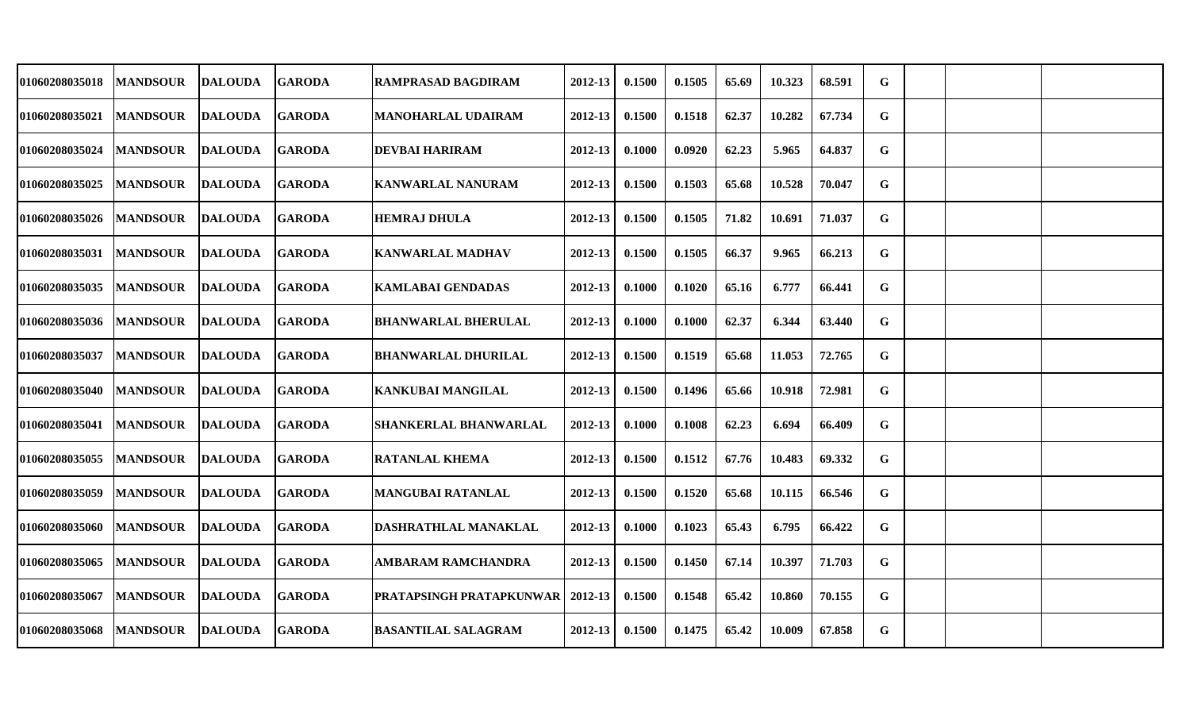| 01060208035018        | <b>MANDSOUR</b> | <b>DALOUDA</b> | <b>GARODA</b> | <b>RAMPRASAD BAGDIRAM</b>                   | 2012-13     | 0.1500 | 0.1505 | 65.69 | 10.323 | 68.591 | G |  |  |
|-----------------------|-----------------|----------------|---------------|---------------------------------------------|-------------|--------|--------|-------|--------|--------|---|--|--|
| 01060208035021        | <b>MANDSOUR</b> | <b>DALOUDA</b> | <b>GARODA</b> | <b>MANOHARLAL UDAIRAM</b>                   | 2012-13     | 0.1500 | 0.1518 | 62.37 | 10.282 | 67.734 | G |  |  |
| <b>01060208035024</b> | <b>MANDSOUR</b> | <b>DALOUDA</b> | <b>GARODA</b> | <b>DEVBAI HARIRAM</b>                       | $2012 - 13$ | 0.1000 | 0.0920 | 62.23 | 5.965  | 64.837 | G |  |  |
| <b>01060208035025</b> | <b>MANDSOUR</b> | <b>DALOUDA</b> | <b>GARODA</b> | <b>KANWARLAL NANURAM</b>                    | $2012 - 13$ | 0.1500 | 0.1503 | 65.68 | 10.528 | 70.047 | G |  |  |
| <b>01060208035026</b> | <b>MANDSOUR</b> | <b>DALOUDA</b> | <b>GARODA</b> | <b>HEMRAJ DHULA</b>                         | 2012-13     | 0.1500 | 0.1505 | 71.82 | 10.691 | 71.037 | G |  |  |
| 01060208035031        | <b>MANDSOUR</b> | <b>DALOUDA</b> | <b>GARODA</b> | <b>KANWARLAL MADHAV</b>                     | 2012-13     | 0.1500 | 0.1505 | 66.37 | 9.965  | 66.213 | G |  |  |
| <b>01060208035035</b> | <b>MANDSOUR</b> | <b>DALOUDA</b> | <b>GARODA</b> | <b>KAMLABAI GENDADAS</b>                    | 2012-13     | 0.1000 | 0.1020 | 65.16 | 6.777  | 66.441 | G |  |  |
| 01060208035036        | <b>MANDSOUR</b> | <b>DALOUDA</b> | <b>GARODA</b> | <b>BHANWARLAL BHERULAL</b>                  | 2012-13     | 0.1000 | 0.1000 | 62.37 | 6.344  | 63.440 | G |  |  |
| <b>01060208035037</b> | <b>MANDSOUR</b> | <b>DALOUDA</b> | <b>GARODA</b> | <b>BHANWARLAL DHURILAL</b>                  | 2012-13     | 0.1500 | 0.1519 | 65.68 | 11.053 | 72.765 | G |  |  |
| <b>01060208035040</b> | <b>MANDSOUR</b> | <b>DALOUDA</b> | <b>GARODA</b> | KANKUBAI MANGILAL                           | 2012-13     | 0.1500 | 0.1496 | 65.66 | 10.918 | 72.981 | G |  |  |
| <b>01060208035041</b> | <b>MANDSOUR</b> | <b>DALOUDA</b> | <b>GARODA</b> | <b>SHANKERLAL BHANWARLAL</b>                | 2012-13     | 0.1000 | 0.1008 | 62.23 | 6.694  | 66.409 | G |  |  |
| 01060208035055        | <b>MANDSOUR</b> | <b>DALOUDA</b> | <b>GARODA</b> | <b>RATANLAL KHEMA</b>                       | 2012-13     | 0.1500 | 0.1512 | 67.76 | 10.483 | 69.332 | G |  |  |
| <b>01060208035059</b> | <b>MANDSOUR</b> | <b>DALOUDA</b> | <b>GARODA</b> | <b>MANGUBAI RATANLAL</b>                    | 2012-13     | 0.1500 | 0.1520 | 65.68 | 10.115 | 66.546 | G |  |  |
| 01060208035060        | <b>MANDSOUR</b> | <b>DALOUDA</b> | <b>GARODA</b> | <b>DASHRATHLAL MANAKLAL</b>                 | 2012-13     | 0.1000 | 0.1023 | 65.43 | 6.795  | 66.422 | G |  |  |
| <b>01060208035065</b> | <b>MANDSOUR</b> | <b>DALOUDA</b> | <b>GARODA</b> | <b>AMBARAM RAMCHANDRA</b>                   | 2012-13     | 0.1500 | 0.1450 | 67.14 | 10.397 | 71.703 | G |  |  |
| <b>01060208035067</b> | <b>MANDSOUR</b> | <b>DALOUDA</b> | <b>GARODA</b> | <b>PRATAPSINGH PRATAPKUNWAR   2012-13  </b> |             | 0.1500 | 0.1548 | 65.42 | 10.860 | 70.155 | G |  |  |
| 01060208035068        | <b>MANDSOUR</b> | <b>DALOUDA</b> | <b>GARODA</b> | <b>BASANTILAL SALAGRAM</b>                  | 2012-13     | 0.1500 | 0.1475 | 65.42 | 10.009 | 67.858 | G |  |  |
|                       |                 |                |               |                                             |             |        |        |       |        |        |   |  |  |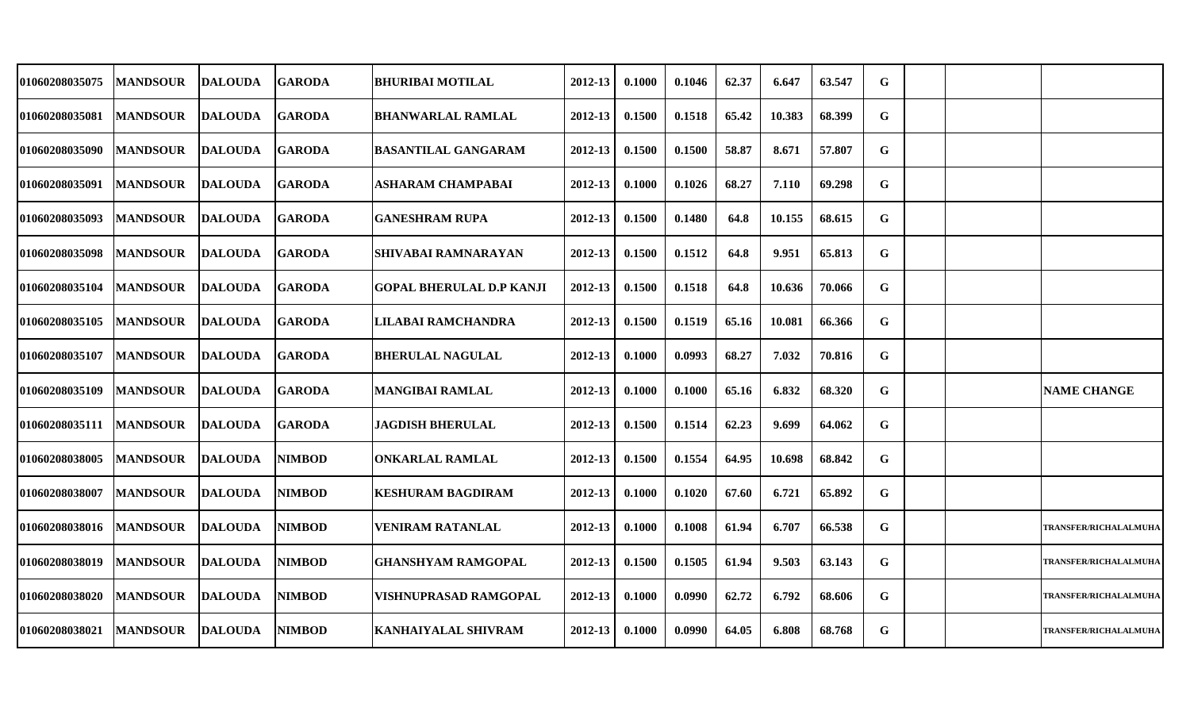| 01060208035075 | <b>MANDSOUR</b> | <b>DALOUDA</b>  | <b>GARODA</b> | <b>BHURIBAI MOTILAL</b>         | 2012-13     | 0.1000 | 0.1046 | 62.37 | 6.647  | 63.547 | G |  |                              |
|----------------|-----------------|-----------------|---------------|---------------------------------|-------------|--------|--------|-------|--------|--------|---|--|------------------------------|
| 01060208035081 | <b>MANDSOUR</b> | <b>DALOUDA</b>  | <b>GARODA</b> | <b>BHANWARLAL RAMLAL</b>        | 2012-13     | 0.1500 | 0.1518 | 65.42 | 10.383 | 68.399 | G |  |                              |
| 01060208035090 | <b>MANDSOUR</b> | <b>DALOUDA</b>  | <b>GARODA</b> | <b>BASANTILAL GANGARAM</b>      | 2012-13     | 0.1500 | 0.1500 | 58.87 | 8.671  | 57.807 | G |  |                              |
| 01060208035091 | <b>MANDSOUR</b> | <b>DALOUDA</b>  | <b>GARODA</b> | <b>ASHARAM CHAMPABAI</b>        | 2012-13     | 0.1000 | 0.1026 | 68.27 | 7.110  | 69.298 | G |  |                              |
| 01060208035093 | <b>MANDSOUR</b> | <b>DALOUDA</b>  | <b>GARODA</b> | <b>GANESHRAM RUPA</b>           | 2012-13     | 0.1500 | 0.1480 | 64.8  | 10.155 | 68.615 | G |  |                              |
| 01060208035098 | <b>MANDSOUR</b> | <b>DALOUDA</b>  | <b>GARODA</b> | SHIVABAI RAMNARAYAN             | 2012-13     | 0.1500 | 0.1512 | 64.8  | 9.951  | 65.813 | G |  |                              |
| 01060208035104 | <b>MANDSOUR</b> | <b>DALOUDA</b>  | <b>GARODA</b> | <b>GOPAL BHERULAL D.P KANJI</b> | $2012 - 13$ | 0.1500 | 0.1518 | 64.8  | 10.636 | 70.066 | G |  |                              |
| 01060208035105 | <b>MANDSOUR</b> | <b>DALOUDA</b>  | <b>GARODA</b> | <b>LILABAI RAMCHANDRA</b>       | 2012-13     | 0.1500 | 0.1519 | 65.16 | 10.081 | 66.366 | G |  |                              |
| 01060208035107 | <b>MANDSOUR</b> | <b>DALOUDA</b>  | <b>GARODA</b> | <b>BHERULAL NAGULAL</b>         | 2012-13     | 0.1000 | 0.0993 | 68.27 | 7.032  | 70.816 | G |  |                              |
| 01060208035109 | <b>MANDSOUR</b> | <b>DALOUDA</b>  | <b>GARODA</b> | <b>MANGIBAI RAMLAL</b>          | 2012-13     | 0.1000 | 0.1000 | 65.16 | 6.832  | 68.320 | G |  | <b>NAME CHANGE</b>           |
| 01060208035111 | <b>MANDSOUR</b> | <b>DALOUDA</b>  | <b>GARODA</b> | <b>JAGDISH BHERULAL</b>         | 2012-13     | 0.1500 | 0.1514 | 62.23 | 9.699  | 64.062 | G |  |                              |
| 01060208038005 | <b>MANDSOUR</b> | <b>DALOUDA</b>  | <b>NIMBOD</b> | <b>ONKARLAL RAMLAL</b>          | 2012-13     | 0.1500 | 0.1554 | 64.95 | 10.698 | 68.842 | G |  |                              |
| 01060208038007 | <b>MANDSOUR</b> | <b>IDALOUDA</b> | <b>NIMBOD</b> | <b>KESHURAM BAGDIRAM</b>        | 2012-13     | 0.1000 | 0.1020 | 67.60 | 6.721  | 65.892 | G |  |                              |
| 01060208038016 | <b>MANDSOUR</b> | <b>DALOUDA</b>  | <b>NIMBOD</b> | <b>VENIRAM RATANLAL</b>         | 2012-13     | 0.1000 | 0.1008 | 61.94 | 6.707  | 66.538 | G |  | <b>TRANSFER/RICHALALMUHA</b> |
| 01060208038019 | <b>MANDSOUR</b> | <b>DALOUDA</b>  | <b>NIMBOD</b> | <b>GHANSHYAM RAMGOPAL</b>       | 2012-13     | 0.1500 | 0.1505 | 61.94 | 9.503  | 63.143 | G |  | <b>TRANSFER/RICHALALMUHA</b> |
| 01060208038020 | <b>MANDSOUR</b> | <b>DALOUDA</b>  | <b>NIMBOD</b> | <b>VISHNUPRASAD RAMGOPAL</b>    | 2012-13     | 0.1000 | 0.0990 | 62.72 | 6.792  | 68.606 | G |  | <b>TRANSFER/RICHALALMUHA</b> |
| 01060208038021 | <b>MANDSOUR</b> | <b>DALOUDA</b>  | <b>NIMBOD</b> | KANHAIYALAL SHIVRAM             | 2012-13     | 0.1000 | 0.0990 | 64.05 | 6.808  | 68.768 | G |  | <b>TRANSFER/RICHALALMUHA</b> |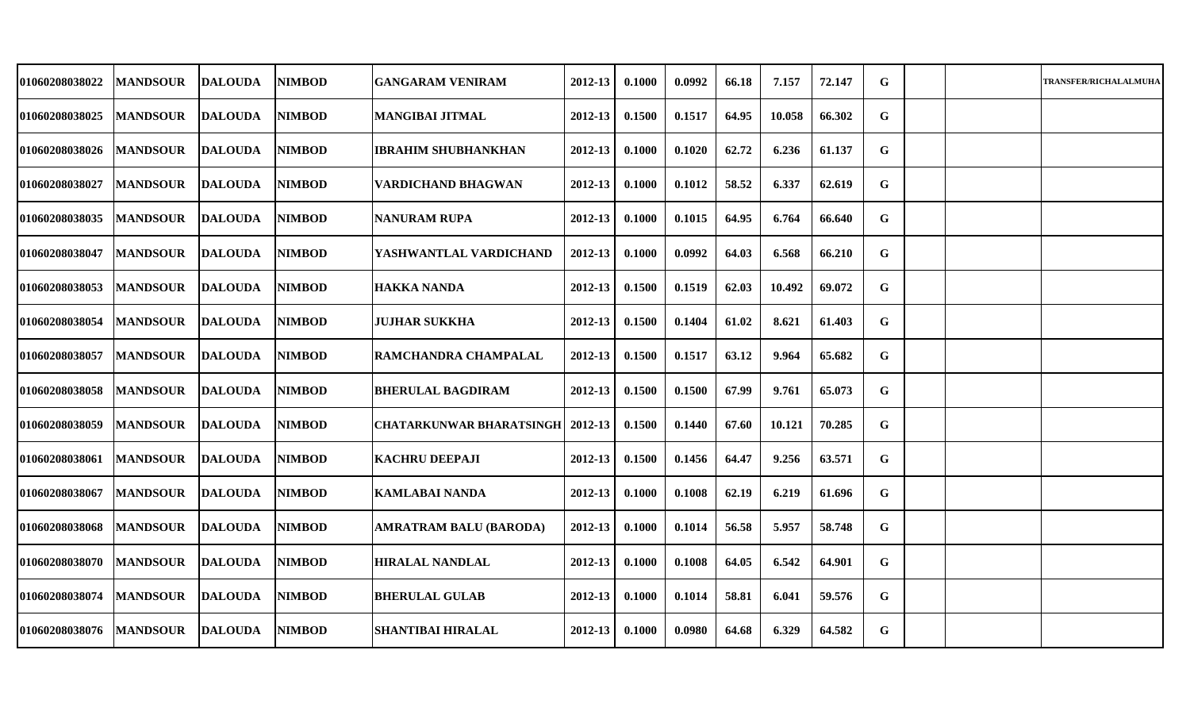| 01060208038022 | <b>MANDSOUR</b> | <b>DALOUDA</b> | <b>NIMBOD</b> | <b>GANGARAM VENIRAM</b>       | 2012-13 | 0.1000 | 0.0992 | 66.18 | 7.157  | 72.147 | G |  | <b>TRANSFER/RICHALALMUHA</b> |
|----------------|-----------------|----------------|---------------|-------------------------------|---------|--------|--------|-------|--------|--------|---|--|------------------------------|
| 01060208038025 | <b>MANDSOUR</b> | <b>DALOUDA</b> | <b>NIMBOD</b> | <b>MANGIBAI JITMAL</b>        | 2012-13 | 0.1500 | 0.1517 | 64.95 | 10.058 | 66.302 | G |  |                              |
| 01060208038026 | <b>MANDSOUR</b> | <b>DALOUDA</b> | <b>NIMBOD</b> | <b>IBRAHIM SHUBHANKHAN</b>    | 2012-13 | 0.1000 | 0.1020 | 62.72 | 6.236  | 61.137 | G |  |                              |
| 01060208038027 | <b>MANDSOUR</b> | <b>DALOUDA</b> | <b>NIMBOD</b> | <b>VARDICHAND BHAGWAN</b>     | 2012-13 | 0.1000 | 0.1012 | 58.52 | 6.337  | 62.619 | G |  |                              |
| 01060208038035 | <b>MANDSOUR</b> | DALOUDA        | <b>NIMBOD</b> | <b>NANURAM RUPA</b>           | 2012-13 | 0.1000 | 0.1015 | 64.95 | 6.764  | 66.640 | G |  |                              |
| 01060208038047 | <b>MANDSOUR</b> | <b>DALOUDA</b> | <b>NIMBOD</b> | YASHWANTLAL VARDICHAND        | 2012-13 | 0.1000 | 0.0992 | 64.03 | 6.568  | 66.210 | G |  |                              |
| 01060208038053 | <b>MANDSOUR</b> | DALOUDA        | <b>NIMBOD</b> | HAKKA NANDA                   | 2012-13 | 0.1500 | 0.1519 | 62.03 | 10.492 | 69.072 | G |  |                              |
| 01060208038054 | <b>MANDSOUR</b> | <b>DALOUDA</b> | <b>NIMBOD</b> | <b>JUJHAR SUKKHA</b>          | 2012-13 | 0.1500 | 0.1404 | 61.02 | 8.621  | 61.403 | G |  |                              |
| 01060208038057 | <b>MANDSOUR</b> | <b>DALOUDA</b> | <b>NIMBOD</b> | RAMCHANDRA CHAMPALAL          | 2012-13 | 0.1500 | 0.1517 | 63.12 | 9.964  | 65.682 | G |  |                              |
| 01060208038058 | <b>MANDSOUR</b> | <b>DALOUDA</b> | <b>NIMBOD</b> | <b>BHERULAL BAGDIRAM</b>      | 2012-13 | 0.1500 | 0.1500 | 67.99 | 9.761  | 65.073 | G |  |                              |
| 01060208038059 | <b>MANDSOUR</b> | <b>DALOUDA</b> | <b>NIMBOD</b> | CHATARKUNWAR BHARATSINGH      | 2012-13 | 0.1500 | 0.1440 | 67.60 | 10.121 | 70.285 | G |  |                              |
| 01060208038061 | <b>MANDSOUR</b> | <b>DALOUDA</b> | <b>NIMBOD</b> | <b>KACHRU DEEPAJI</b>         | 2012-13 | 0.1500 | 0.1456 | 64.47 | 9.256  | 63.571 | G |  |                              |
| 01060208038067 | <b>MANDSOUR</b> | <b>DALOUDA</b> | <b>NIMBOD</b> | <b>KAMLABAI NANDA</b>         | 2012-13 | 0.1000 | 0.1008 | 62.19 | 6.219  | 61.696 | G |  |                              |
| 01060208038068 | <b>MANDSOUR</b> | DALOUDA        | <b>NIMBOD</b> | <b>AMRATRAM BALU (BARODA)</b> | 2012-13 | 0.1000 | 0.1014 | 56.58 | 5.957  | 58.748 | G |  |                              |
| 01060208038070 | <b>MANDSOUR</b> | <b>DALOUDA</b> | <b>NIMBOD</b> | <b>HIRALAL NANDLAL</b>        | 2012-13 | 0.1000 | 0.1008 | 64.05 | 6.542  | 64.901 | G |  |                              |
| 01060208038074 | <b>MANDSOUR</b> | <b>DALOUDA</b> | <b>NIMBOD</b> | <b>BHERULAL GULAB</b>         | 2012-13 | 0.1000 | 0.1014 | 58.81 | 6.041  | 59.576 | G |  |                              |
| 01060208038076 | <b>MANDSOUR</b> | DALOUDA        | <b>NIMBOD</b> | <b>SHANTIBAI HIRALAL</b>      | 2012-13 | 0.1000 | 0.0980 | 64.68 | 6.329  | 64.582 | G |  |                              |
|                |                 |                |               |                               |         |        |        |       |        |        |   |  |                              |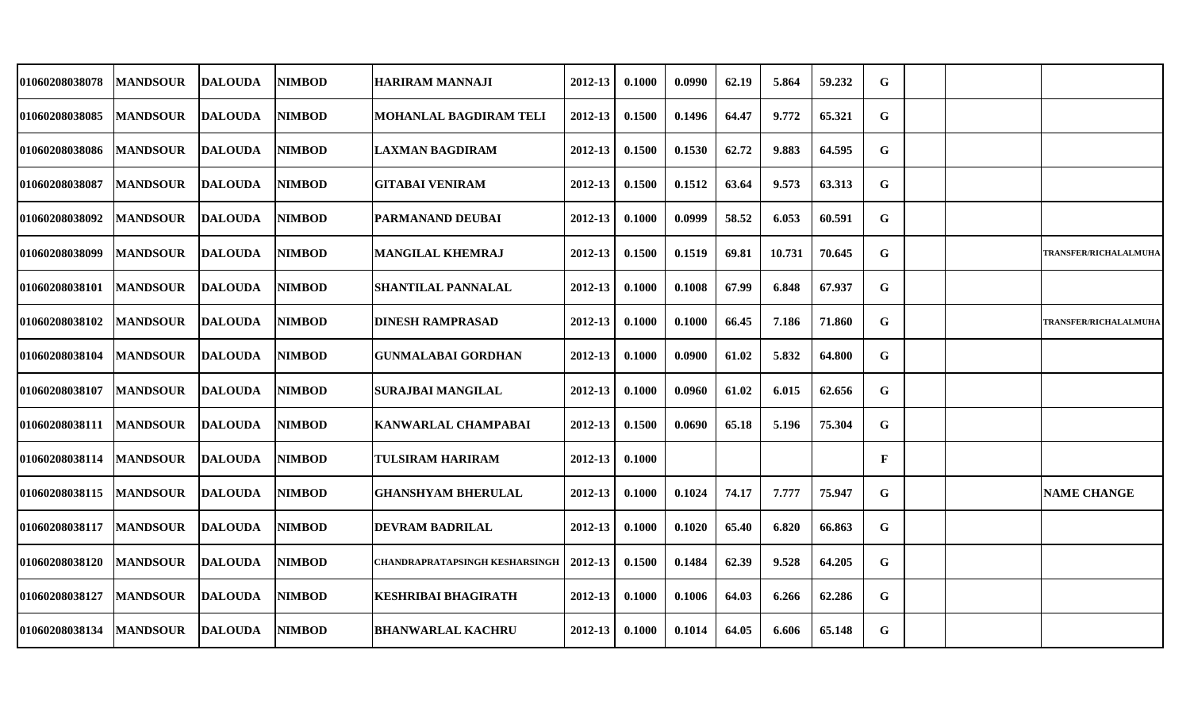| 01060208038078 | <b>MANDSOUR</b> | <b>DALOUDA</b> | <b>NIMBOD</b> | <b>HARIRAM MANNAJI</b>                | 2012-13 | 0.1000 | 0.0990 | 62.19 | 5.864  | 59.232 | G            |  |                              |
|----------------|-----------------|----------------|---------------|---------------------------------------|---------|--------|--------|-------|--------|--------|--------------|--|------------------------------|
| 01060208038085 | <b>MANDSOUR</b> | <b>DALOUDA</b> | <b>NIMBOD</b> | <b>MOHANLAL BAGDIRAM TELI</b>         | 2012-13 | 0.1500 | 0.1496 | 64.47 | 9.772  | 65.321 | G            |  |                              |
| 01060208038086 | <b>MANDSOUR</b> | <b>DALOUDA</b> | <b>NIMBOD</b> | LAXMAN BAGDIRAM                       | 2012-13 | 0.1500 | 0.1530 | 62.72 | 9.883  | 64.595 | G            |  |                              |
| 01060208038087 | <b>MANDSOUR</b> | <b>DALOUDA</b> | <b>NIMBOD</b> | <b>GITABAI VENIRAM</b>                | 2012-13 | 0.1500 | 0.1512 | 63.64 | 9.573  | 63.313 | G            |  |                              |
| 01060208038092 | <b>MANDSOUR</b> | <b>DALOUDA</b> | <b>NIMBOD</b> | IPARMANAND DEUBAI                     | 2012-13 | 0.1000 | 0.0999 | 58.52 | 6.053  | 60.591 | G            |  |                              |
| 01060208038099 | <b>MANDSOUR</b> | <b>DALOUDA</b> | <b>NIMBOD</b> | <b>MANGILAL KHEMRAJ</b>               | 2012-13 | 0.1500 | 0.1519 | 69.81 | 10.731 | 70.645 | G            |  | <b>TRANSFER/RICHALALMUHA</b> |
| 01060208038101 | <b>MANDSOUR</b> | <b>DALOUDA</b> | <b>NIMBOD</b> | <b>SHANTILAL PANNALAL</b>             | 2012-13 | 0.1000 | 0.1008 | 67.99 | 6.848  | 67.937 | G            |  |                              |
| 01060208038102 | <b>MANDSOUR</b> | <b>DALOUDA</b> | <b>NIMBOD</b> | <b> DINESH RAMPRASAD</b>              | 2012-13 | 0.1000 | 0.1000 | 66.45 | 7.186  | 71.860 | G            |  | <b>TRANSFER/RICHALALMUHA</b> |
| 01060208038104 | <b>MANDSOUR</b> | <b>DALOUDA</b> | <b>NIMBOD</b> | <b>GUNMALABAI GORDHAN</b>             | 2012-13 | 0.1000 | 0.0900 | 61.02 | 5.832  | 64.800 | G            |  |                              |
| 01060208038107 | <b>MANDSOUR</b> | <b>DALOUDA</b> | <b>NIMBOD</b> | SURAJBAI MANGILAL                     | 2012-13 | 0.1000 | 0.0960 | 61.02 | 6.015  | 62.656 | G            |  |                              |
| 01060208038111 | <b>MANDSOUR</b> | <b>DALOUDA</b> | <b>NIMBOD</b> | <b>KANWARLAL CHAMPABAI</b>            | 2012-13 | 0.1500 | 0.0690 | 65.18 | 5.196  | 75.304 | G            |  |                              |
| 01060208038114 | <b>MANDSOUR</b> | <b>DALOUDA</b> | <b>NIMBOD</b> | <b>TULSIRAM HARIRAM</b>               | 2012-13 | 0.1000 |        |       |        |        | $\mathbf{F}$ |  |                              |
| 01060208038115 | <b>MANDSOUR</b> | <b>DALOUDA</b> | <b>NIMBOD</b> | <b>GHANSHYAM BHERULAL</b>             | 2012-13 | 0.1000 | 0.1024 | 74.17 | 7.777  | 75.947 | G            |  | <b>NAME CHANGE</b>           |
| 01060208038117 | <b>MANDSOUR</b> | <b>DALOUDA</b> | <b>NIMBOD</b> | <b>DEVRAM BADRILAL</b>                | 2012-13 | 0.1000 | 0.1020 | 65.40 | 6.820  | 66.863 | G            |  |                              |
| 01060208038120 | <b>MANDSOUR</b> | <b>DALOUDA</b> | <b>NIMBOD</b> | <b>CHANDRAPRATAPSINGH KESHARSINGH</b> | 2012-13 | 0.1500 | 0.1484 | 62.39 | 9.528  | 64.205 | G            |  |                              |
| 01060208038127 | <b>MANDSOUR</b> | <b>DALOUDA</b> | <b>NIMBOD</b> | <b>KESHRIBAI BHAGIRATH</b>            | 2012-13 | 0.1000 | 0.1006 | 64.03 | 6.266  | 62.286 | G            |  |                              |
| 01060208038134 | <b>MANDSOUR</b> | <b>DALOUDA</b> | <b>NIMBOD</b> | <b>BHANWARLAL KACHRU</b>              | 2012-13 | 0.1000 | 0.1014 | 64.05 | 6.606  | 65.148 | G            |  |                              |
|                |                 |                |               |                                       |         |        |        |       |        |        |              |  |                              |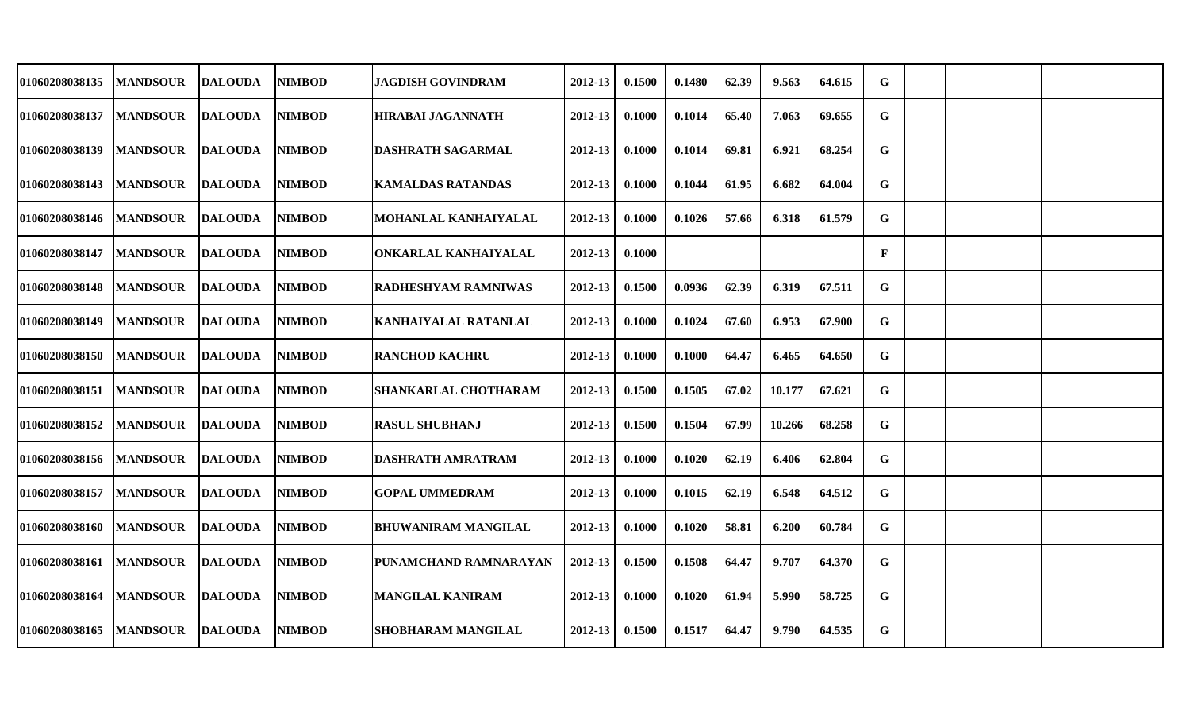| 01060208038135        | <b>MANDSOUR</b> | <b>DALOUDA</b> | <b>NIMBOD</b> | <b>JAGDISH GOVINDRAM</b>    | 2012-13     | 0.1500 | 0.1480 | 62.39 | 9.563  | 64.615 | G |  |  |
|-----------------------|-----------------|----------------|---------------|-----------------------------|-------------|--------|--------|-------|--------|--------|---|--|--|
| 01060208038137        | <b>MANDSOUR</b> | <b>DALOUDA</b> | <b>NIMBOD</b> | <b>HIRABAI JAGANNATH</b>    | 2012-13     | 0.1000 | 0.1014 | 65.40 | 7.063  | 69.655 | G |  |  |
| 01060208038139        | <b>MANDSOUR</b> | <b>DALOUDA</b> | <b>NIMBOD</b> | DASHRATH SAGARMAL           | 2012-13     | 0.1000 | 0.1014 | 69.81 | 6.921  | 68.254 | G |  |  |
| <b>01060208038143</b> | <b>MANDSOUR</b> | <b>DALOUDA</b> | <b>NIMBOD</b> | <b>KAMALDAS RATANDAS</b>    | 2012-13     | 0.1000 | 0.1044 | 61.95 | 6.682  | 64.004 | G |  |  |
| <b>01060208038146</b> | <b>MANDSOUR</b> | <b>DALOUDA</b> | <b>NIMBOD</b> | MOHANLAL KANHAIYALAL        | 2012-13     | 0.1000 | 0.1026 | 57.66 | 6.318  | 61.579 | G |  |  |
| <b>01060208038147</b> | <b>MANDSOUR</b> | <b>DALOUDA</b> | <b>NIMBOD</b> | ONKARLAL KANHAIYALAL        | 2012-13     | 0.1000 |        |       |        |        | F |  |  |
| <b>01060208038148</b> | <b>MANDSOUR</b> | <b>DALOUDA</b> | <b>NIMBOD</b> | <b>RADHESHYAM RAMNIWAS</b>  | 2012-13     | 0.1500 | 0.0936 | 62.39 | 6.319  | 67.511 | G |  |  |
| <b>01060208038149</b> | <b>MANDSOUR</b> | <b>DALOUDA</b> | <b>NIMBOD</b> | KANHAIYALAL RATANLAL        | 2012-13     | 0.1000 | 0.1024 | 67.60 | 6.953  | 67.900 | G |  |  |
| <b>01060208038150</b> | <b>MANDSOUR</b> | <b>DALOUDA</b> | <b>NIMBOD</b> | <b>RANCHOD KACHRU</b>       | 2012-13     | 0.1000 | 0.1000 | 64.47 | 6.465  | 64.650 | G |  |  |
| <b>01060208038151</b> | <b>MANDSOUR</b> | <b>DALOUDA</b> | <b>NIMBOD</b> | <b>SHANKARLAL CHOTHARAM</b> | 2012-13     | 0.1500 | 0.1505 | 67.02 | 10.177 | 67.621 | G |  |  |
| <b>01060208038152</b> | <b>MANDSOUR</b> | <b>DALOUDA</b> | <b>NIMBOD</b> | <b>RASUL SHUBHANJ</b>       | 2012-13     | 0.1500 | 0.1504 | 67.99 | 10.266 | 68.258 | G |  |  |
| 01060208038156        | <b>MANDSOUR</b> | <b>DALOUDA</b> | <b>NIMBOD</b> | <b>DASHRATH AMRATRAM</b>    | 2012-13     | 0.1000 | 0.1020 | 62.19 | 6.406  | 62.804 | G |  |  |
| <b>01060208038157</b> | <b>MANDSOUR</b> | <b>DALOUDA</b> | <b>NIMBOD</b> | <b>GOPAL UMMEDRAM</b>       | 2012-13     | 0.1000 | 0.1015 | 62.19 | 6.548  | 64.512 | G |  |  |
| 01060208038160        | <b>MANDSOUR</b> | <b>DALOUDA</b> | <b>NIMBOD</b> | <b>BHUWANIRAM MANGILAL</b>  | 2012-13     | 0.1000 | 0.1020 | 58.81 | 6.200  | 60.784 | G |  |  |
| 01060208038161        | <b>MANDSOUR</b> | <b>DALOUDA</b> | <b>NIMBOD</b> | PUNAMCHAND RAMNARAYAN       | 2012-13     | 0.1500 | 0.1508 | 64.47 | 9.707  | 64.370 | G |  |  |
| <b>01060208038164</b> | <b>MANDSOUR</b> | <b>DALOUDA</b> | <b>NIMBOD</b> | <b>MANGILAL KANIRAM</b>     | $2012 - 13$ | 0.1000 | 0.1020 | 61.94 | 5.990  | 58.725 | G |  |  |
| 01060208038165        | <b>MANDSOUR</b> | <b>DALOUDA</b> | <b>NIMBOD</b> | <b>SHOBHARAM MANGILAL</b>   | 2012-13     | 0.1500 | 0.1517 | 64.47 | 9.790  | 64.535 | G |  |  |
|                       |                 |                |               |                             |             |        |        |       |        |        |   |  |  |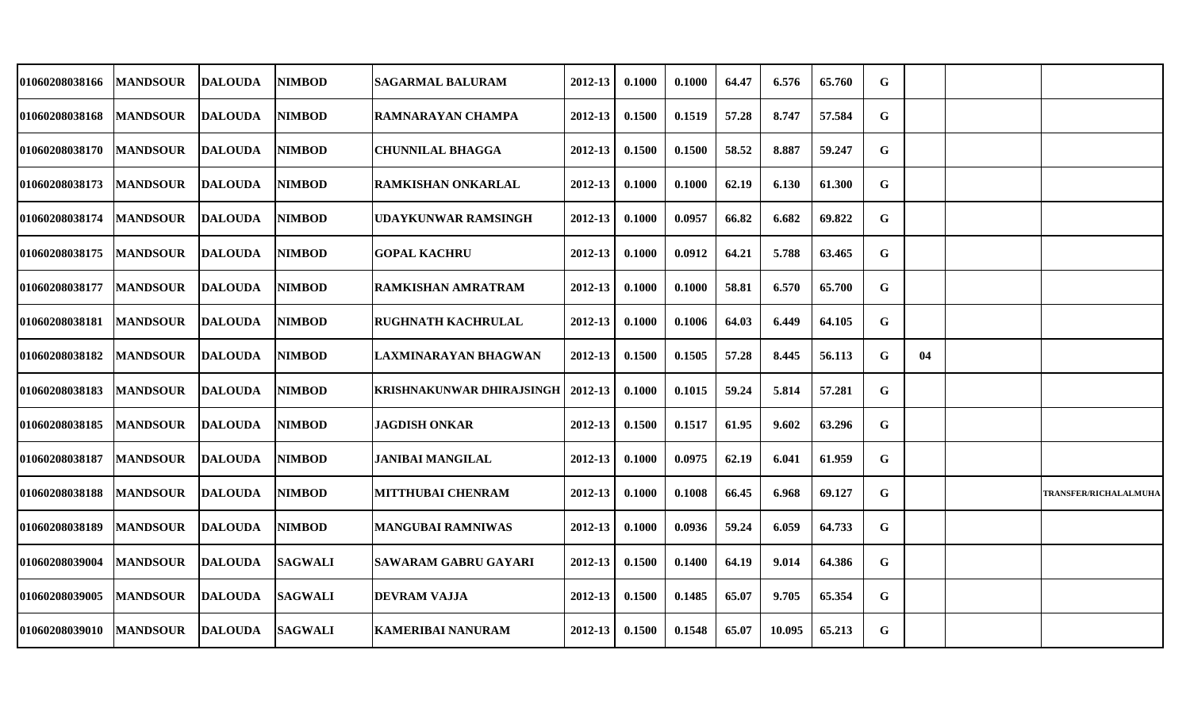| 01060208038166 | <b>MANDSOUR</b> | <b>DALOUDA</b> | <b>NIMBOD</b>  | <b>SAGARMAL BALURAM</b>          | 2012-13 | 0.1000 | 0.1000 | 64.47 | 6.576  | 65.760 | G           |    |                              |
|----------------|-----------------|----------------|----------------|----------------------------------|---------|--------|--------|-------|--------|--------|-------------|----|------------------------------|
| 01060208038168 | <b>MANDSOUR</b> | <b>DALOUDA</b> | <b>NIMBOD</b>  | <b>RAMNARAYAN CHAMPA</b>         | 2012-13 | 0.1500 | 0.1519 | 57.28 | 8.747  | 57.584 | G           |    |                              |
| 01060208038170 | <b>MANDSOUR</b> | <b>DALOUDA</b> | <b>NIMBOD</b>  | <b>CHUNNILAL BHAGGA</b>          | 2012-13 | 0.1500 | 0.1500 | 58.52 | 8.887  | 59.247 | $\mathbf G$ |    |                              |
| 01060208038173 | <b>MANDSOUR</b> | <b>DALOUDA</b> | <b>NIMBOD</b>  | RAMKISHAN ONKARLAL               | 2012-13 | 0.1000 | 0.1000 | 62.19 | 6.130  | 61.300 | G           |    |                              |
| 01060208038174 | <b>MANDSOUR</b> | <b>DALOUDA</b> | <b>NIMBOD</b>  | UDAYKUNWAR RAMSINGH              | 2012-13 | 0.1000 | 0.0957 | 66.82 | 6.682  | 69.822 | G           |    |                              |
| 01060208038175 | <b>MANDSOUR</b> | <b>DALOUDA</b> | <b>NIMBOD</b>  | <b>GOPAL KACHRU</b>              | 2012-13 | 0.1000 | 0.0912 | 64.21 | 5.788  | 63.465 | G           |    |                              |
| 01060208038177 | <b>MANDSOUR</b> | <b>DALOUDA</b> | <b>NIMBOD</b>  | <b>RAMKISHAN AMRATRAM</b>        | 2012-13 | 0.1000 | 0.1000 | 58.81 | 6.570  | 65.700 | G           |    |                              |
| 01060208038181 | <b>MANDSOUR</b> | <b>DALOUDA</b> | <b>NIMBOD</b>  | <b>RUGHNATH KACHRULAL</b>        | 2012-13 | 0.1000 | 0.1006 | 64.03 | 6.449  | 64.105 | G           |    |                              |
| 01060208038182 | <b>MANDSOUR</b> | <b>DALOUDA</b> | <b>NIMBOD</b>  | LAXMINARAYAN BHAGWAN             | 2012-13 | 0.1500 | 0.1505 | 57.28 | 8.445  | 56.113 | G           | 04 |                              |
| 01060208038183 | <b>MANDSOUR</b> | <b>DALOUDA</b> | <b>NIMBOD</b>  | <b>KRISHNAKUNWAR DHIRAJSINGH</b> | 2012-13 | 0.1000 | 0.1015 | 59.24 | 5.814  | 57.281 | G           |    |                              |
| 01060208038185 | <b>MANDSOUR</b> | <b>DALOUDA</b> | <b>NIMBOD</b>  | <b>JAGDISH ONKAR</b>             | 2012-13 | 0.1500 | 0.1517 | 61.95 | 9.602  | 63.296 | G           |    |                              |
| 01060208038187 | <b>MANDSOUR</b> | <b>DALOUDA</b> | <b>NIMBOD</b>  | <b>JANIBAI MANGILAL</b>          | 2012-13 | 0.1000 | 0.0975 | 62.19 | 6.041  | 61.959 | G           |    |                              |
| 01060208038188 | <b>MANDSOUR</b> | <b>DALOUDA</b> | <b>NIMBOD</b>  | <b>MITTHUBAI CHENRAM</b>         | 2012-13 | 0.1000 | 0.1008 | 66.45 | 6.968  | 69.127 | G           |    | <b>TRANSFER/RICHALALMUHA</b> |
| 01060208038189 | <b>MANDSOUR</b> | <b>DALOUDA</b> | <b>NIMBOD</b>  | <b>MANGUBAI RAMNIWAS</b>         | 2012-13 | 0.1000 | 0.0936 | 59.24 | 6.059  | 64.733 | G           |    |                              |
| 01060208039004 | <b>MANDSOUR</b> | <b>DALOUDA</b> | <b>SAGWALI</b> | <b>SAWARAM GABRU GAYARI</b>      | 2012-13 | 0.1500 | 0.1400 | 64.19 | 9.014  | 64.386 | G           |    |                              |
| 01060208039005 | <b>MANDSOUR</b> | <b>DALOUDA</b> | <b>SAGWALI</b> | <b>DEVRAM VAJJA</b>              | 2012-13 | 0.1500 | 0.1485 | 65.07 | 9.705  | 65.354 | G           |    |                              |
| 01060208039010 | <b>MANDSOUR</b> | <b>DALOUDA</b> | <b>SAGWALI</b> | <b>KAMERIBAI NANURAM</b>         | 2012-13 | 0.1500 | 0.1548 | 65.07 | 10.095 | 65.213 | G           |    |                              |
|                |                 |                |                |                                  |         |        |        |       |        |        |             |    |                              |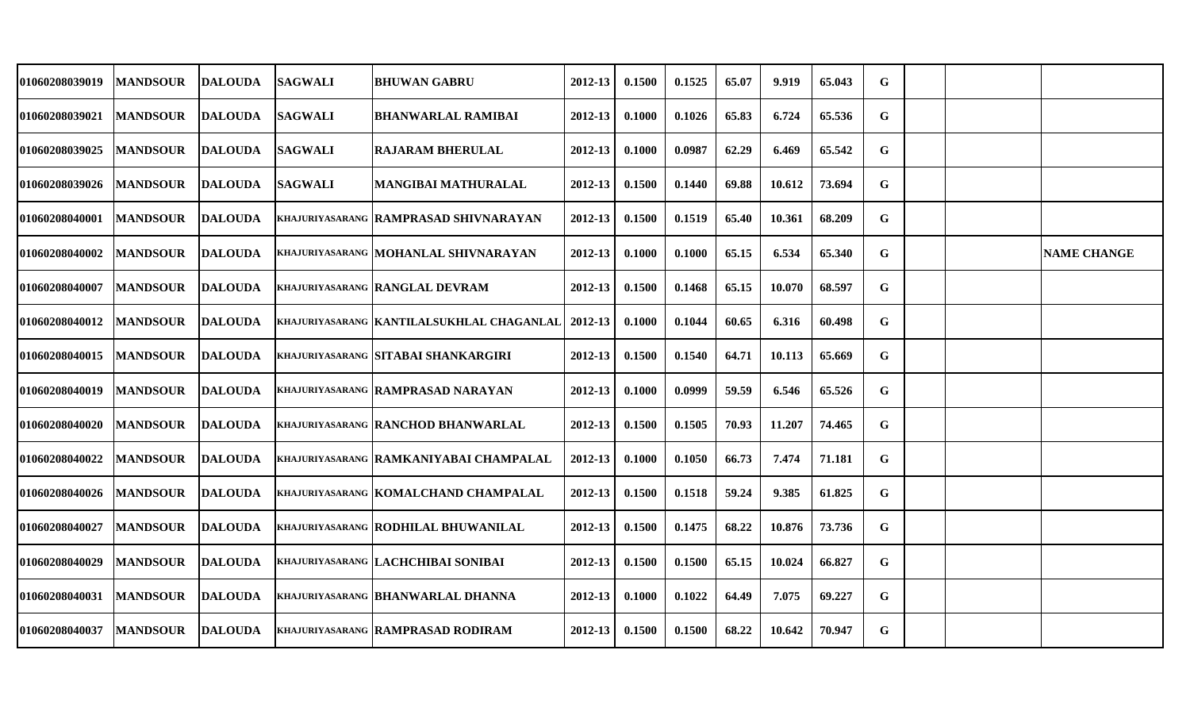| 01060208039019 | <b>MANDSOUR</b> | <b>DALOUDA</b> | <b>SAGWALI</b> | <b>BHUWAN GABRU</b>                       | 2012-13     | 0.1500 | 0.1525 | 65.07 | 9.919  | 65.043 | G |  |                    |
|----------------|-----------------|----------------|----------------|-------------------------------------------|-------------|--------|--------|-------|--------|--------|---|--|--------------------|
| 01060208039021 | <b>MANDSOUR</b> | <b>DALOUDA</b> | <b>SAGWALI</b> | <b>BHANWARLAL RAMIBAI</b>                 | 2012-13     | 0.1000 | 0.1026 | 65.83 | 6.724  | 65.536 | G |  |                    |
| 01060208039025 | <b>MANDSOUR</b> | <b>DALOUDA</b> | <b>SAGWALI</b> | <b>RAJARAM BHERULAL</b>                   | 2012-13     | 0.1000 | 0.0987 | 62.29 | 6.469  | 65.542 | G |  |                    |
| 01060208039026 | <b>MANDSOUR</b> | <b>DALOUDA</b> | <b>SAGWALI</b> | <b>MANGIBAI MATHURALAL</b>                | 2012-13     | 0.1500 | 0.1440 | 69.88 | 10.612 | 73.694 | G |  |                    |
| 01060208040001 | <b>MANDSOUR</b> | <b>DALOUDA</b> |                | KHAJURIYASARANG RAMPRASAD SHIVNARAYAN     | 2012-13     | 0.1500 | 0.1519 | 65.40 | 10.361 | 68.209 | G |  |                    |
| 01060208040002 | <b>MANDSOUR</b> | <b>DALOUDA</b> |                | KHAJURIYASARANG MOHANLAL SHIVNARAYAN      | 2012-13     | 0.1000 | 0.1000 | 65.15 | 6.534  | 65.340 | G |  | <b>NAME CHANGE</b> |
| 01060208040007 | <b>MANDSOUR</b> | <b>DALOUDA</b> |                | KHAJURIYASARANG RANGLAL DEVRAM            | 2012-13     | 0.1500 | 0.1468 | 65.15 | 10.070 | 68.597 | G |  |                    |
| 01060208040012 | <b>MANDSOUR</b> | <b>DALOUDA</b> |                | KHAJURIYASARANG KANTILALSUKHLAL CHAGANLAL | 2012-13     | 0.1000 | 0.1044 | 60.65 | 6.316  | 60.498 | G |  |                    |
| 01060208040015 | <b>MANDSOUR</b> | <b>DALOUDA</b> |                | KHAJURIYASARANG SITABAI SHANKARGIRI       | 2012-13     | 0.1500 | 0.1540 | 64.71 | 10.113 | 65.669 | G |  |                    |
| 01060208040019 | <b>MANDSOUR</b> | <b>DALOUDA</b> |                | KHAJURIYASARANG RAMPRASAD NARAYAN         | 2012-13     | 0.1000 | 0.0999 | 59.59 | 6.546  | 65.526 | G |  |                    |
| 01060208040020 | <b>MANDSOUR</b> | <b>DALOUDA</b> |                | KHAJURIYASARANG RANCHOD BHANWARLAL        | 2012-13     | 0.1500 | 0.1505 | 70.93 | 11.207 | 74.465 | G |  |                    |
| 01060208040022 | <b>MANDSOUR</b> | <b>DALOUDA</b> |                | KHAJURIYASARANG RAMKANIYABAI CHAMPALAL    | 2012-13     | 0.1000 | 0.1050 | 66.73 | 7.474  | 71.181 | G |  |                    |
| 01060208040026 | <b>MANDSOUR</b> | <b>DALOUDA</b> |                | KHAJURIYASARANG KOMALCHAND CHAMPALAL      | 2012-13     | 0.1500 | 0.1518 | 59.24 | 9.385  | 61.825 | G |  |                    |
| 01060208040027 | <b>MANDSOUR</b> | <b>DALOUDA</b> |                | KHAJURIYASARANG RODHILAL BHUWANILAL       | 2012-13     | 0.1500 | 0.1475 | 68.22 | 10.876 | 73.736 | G |  |                    |
| 01060208040029 | <b>MANDSOUR</b> | <b>DALOUDA</b> |                | KHAJURIYASARANG LACHCHIBAI SONIBAI        | 2012-13     | 0.1500 | 0.1500 | 65.15 | 10.024 | 66.827 | G |  |                    |
| 01060208040031 | <b>MANDSOUR</b> | <b>DALOUDA</b> |                | <b>KHAJURIYASARANG BHANWARLAL DHANNA</b>  | $2012 - 13$ | 0.1000 | 0.1022 | 64.49 | 7.075  | 69.227 | G |  |                    |
| 01060208040037 | <b>MANDSOUR</b> | <b>DALOUDA</b> |                | KHAJURIYASARANG RAMPRASAD RODIRAM         | 2012-13     | 0.1500 | 0.1500 | 68.22 | 10.642 | 70.947 | G |  |                    |
|                |                 |                |                |                                           |             |        |        |       |        |        |   |  |                    |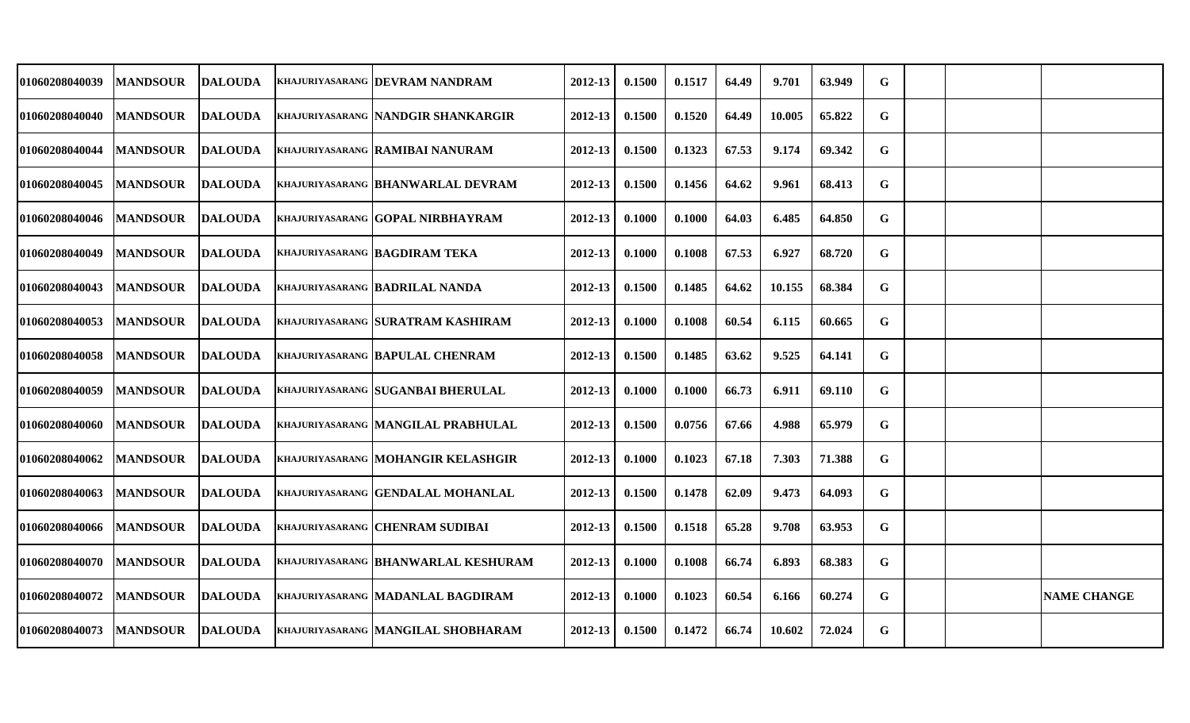| <b>01060208040039</b> | <b>MANDSOUR</b> | <b>DALOUDA</b> | KHAJURIYASARANG DEVRAM NANDRAM            | 2012-13     | 0.1500 | 0.1517 | 64.49 | 9.701  | 63.949 | G           |  |                    |
|-----------------------|-----------------|----------------|-------------------------------------------|-------------|--------|--------|-------|--------|--------|-------------|--|--------------------|
| <b>01060208040040</b> | <b>MANDSOUR</b> | <b>DALOUDA</b> | KHAJURIYASARANG NANDGIR SHANKARGIR        | 2012-13     | 0.1500 | 0.1520 | 64.49 | 10.005 | 65.822 | G           |  |                    |
| <b>01060208040044</b> | <b>MANDSOUR</b> | <b>DALOUDA</b> | KHAJURIYASARANG RAMIBAI NANURAM           | 2012-13     | 0.1500 | 0.1323 | 67.53 | 9.174  | 69.342 | $\mathbf G$ |  |                    |
| <b>01060208040045</b> | <b>MANDSOUR</b> | <b>DALOUDA</b> | KHAJURIYASARANG BHANWARLAL DEVRAM         | $2012 - 13$ | 0.1500 | 0.1456 | 64.62 | 9.961  | 68.413 | G           |  |                    |
| 01060208040046        | <b>MANDSOUR</b> | <b>DALOUDA</b> | KHAJURIYASARANG IGOPAL NIRBHAYRAM         | 2012-13     | 0.1000 | 0.1000 | 64.03 | 6.485  | 64.850 | G           |  |                    |
| <b>01060208040049</b> | <b>MANDSOUR</b> | <b>DALOUDA</b> | <b>KHAJURIYASARANG BAGDIRAM TEKA</b>      | 2012-13     | 0.1000 | 0.1008 | 67.53 | 6.927  | 68.720 | $\mathbf G$ |  |                    |
| <b>01060208040043</b> | <b>MANDSOUR</b> | <b>DALOUDA</b> | <b>KHAJURIYASARANG BADRILAL NANDA</b>     | 2012-13     | 0.1500 | 0.1485 | 64.62 | 10.155 | 68.384 | G           |  |                    |
| <b>01060208040053</b> | <b>MANDSOUR</b> | <b>DALOUDA</b> | KHAJURIYASARANG SURATRAM KASHIRAM         | 2012-13     | 0.1000 | 0.1008 | 60.54 | 6.115  | 60.665 | G           |  |                    |
| 01060208040058        | <b>MANDSOUR</b> | <b>DALOUDA</b> | KHAJURIYASARANG BAPULAL CHENRAM           | 2012-13     | 0.1500 | 0.1485 | 63.62 | 9.525  | 64.141 | G           |  |                    |
| 01060208040059        | <b>MANDSOUR</b> | <b>DALOUDA</b> | <b>KHAJURIYASARANG SUGANBAI BHERULAL</b>  | 2012-13     | 0.1000 | 0.1000 | 66.73 | 6.911  | 69.110 | G           |  |                    |
| <b>01060208040060</b> | <b>MANDSOUR</b> | <b>DALOUDA</b> | KHAJURIYASARANG MANGILAL PRABHULAL        | 2012-13     | 0.1500 | 0.0756 | 67.66 | 4.988  | 65.979 | G           |  |                    |
| <b>01060208040062</b> | <b>MANDSOUR</b> | <b>DALOUDA</b> | <b>KHAJURIYASARANG MOHANGIR KELASHGIR</b> | $2012 - 13$ | 0.1000 | 0.1023 | 67.18 | 7.303  | 71.388 | G           |  |                    |
| <b>01060208040063</b> | <b>MANDSOUR</b> | <b>DALOUDA</b> | KHAJURIYASARANG GENDALAL MOHANLAL         | 2012-13     | 0.1500 | 0.1478 | 62.09 | 9.473  | 64.093 | G           |  |                    |
| 01060208040066        | <b>MANDSOUR</b> | <b>DALOUDA</b> | KHAJURIYASARANG CHENRAM SUDIBAI           | 2012-13     | 0.1500 | 0.1518 | 65.28 | 9.708  | 63.953 | G           |  |                    |
| <b>01060208040070</b> | <b>MANDSOUR</b> | <b>DALOUDA</b> | KHAJURIYASARANG BHANWARLAL KESHURAM       | 2012-13     | 0.1000 | 0.1008 | 66.74 | 6.893  | 68.383 | $\mathbf G$ |  |                    |
| <b>01060208040072</b> | <b>MANDSOUR</b> | <b>DALOUDA</b> | KHAJURIYASARANG MADANLAL BAGDIRAM         | $2012 - 13$ | 0.1000 | 0.1023 | 60.54 | 6.166  | 60.274 | G           |  | <b>NAME CHANGE</b> |
| <b>01060208040073</b> | <b>MANDSOUR</b> | <b>DALOUDA</b> | KHAJURIYASARANG MANGILAL SHOBHARAM        | 2012-13     | 0.1500 | 0.1472 | 66.74 | 10.602 | 72.024 | G           |  |                    |
|                       |                 |                |                                           |             |        |        |       |        |        |             |  |                    |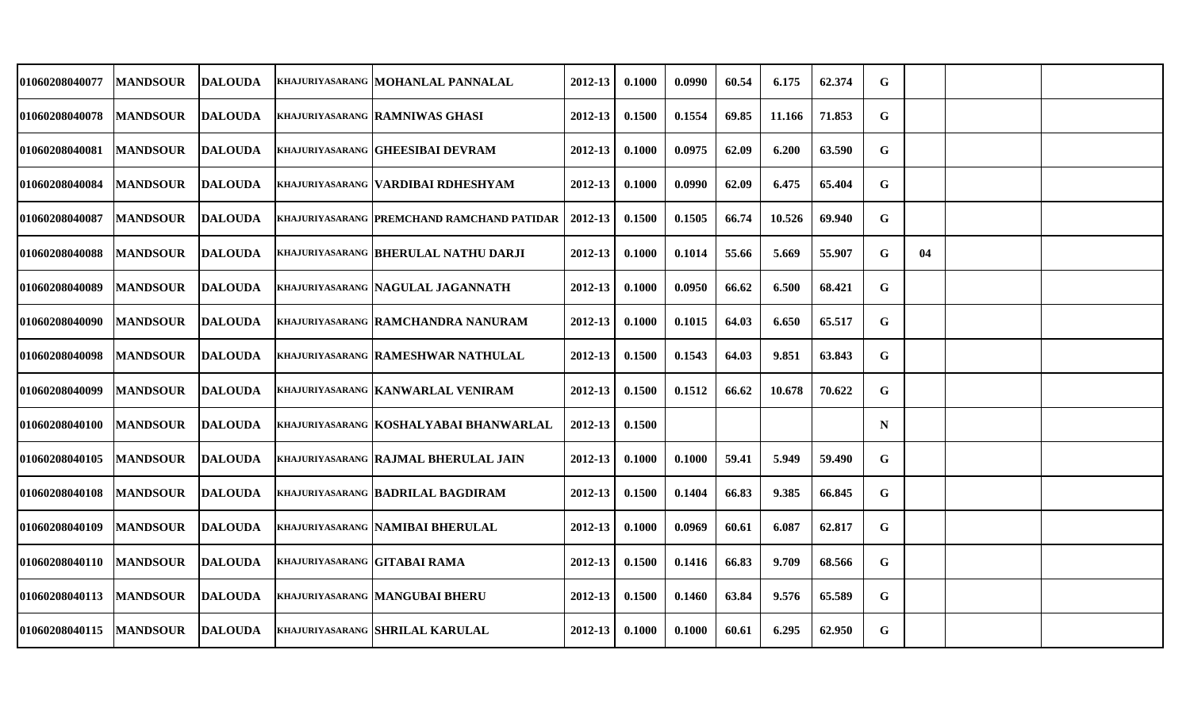| 01060208040077 | <b>MANDSOUR</b> | <b>DALOUDA</b> |                              | KHAJURIYASARANG MOHANLAL PANNALAL          | 2012-13     | 0.1000 | 0.0990 | 60.54 | 6.175  | 62.374 | G           |    |  |
|----------------|-----------------|----------------|------------------------------|--------------------------------------------|-------------|--------|--------|-------|--------|--------|-------------|----|--|
| 01060208040078 | <b>MANDSOUR</b> | <b>DALOUDA</b> |                              | KHAJURIYASARANG RAMNIWAS GHASI             | 2012-13     | 0.1500 | 0.1554 | 69.85 | 11.166 | 71.853 | G           |    |  |
| 01060208040081 | <b>MANDSOUR</b> | <b>DALOUDA</b> |                              | KHAJURIYASARANG GHEESIBAI DEVRAM           | $2012 - 13$ | 0.1000 | 0.0975 | 62.09 | 6.200  | 63.590 | $\mathbf G$ |    |  |
| 01060208040084 | <b>MANDSOUR</b> | <b>DALOUDA</b> |                              | KHAJURIYASARANG  VARDIBAI RDHESHYAM        | 2012-13     | 0.1000 | 0.0990 | 62.09 | 6.475  | 65.404 | G           |    |  |
| 01060208040087 | <b>MANDSOUR</b> | DALOUDA        |                              | KHAJURIYASARANG PREMCHAND RAMCHAND PATIDAR | 2012-13     | 0.1500 | 0.1505 | 66.74 | 10.526 | 69.940 | G           |    |  |
| 01060208040088 | <b>MANDSOUR</b> | <b>DALOUDA</b> |                              | KHAJURIYASARANG BHERULAL NATHU DARJI       | 2012-13     | 0.1000 | 0.1014 | 55.66 | 5.669  | 55.907 | G           | 04 |  |
| 01060208040089 | <b>MANDSOUR</b> | <b>DALOUDA</b> |                              | KHAJURIYASARANG NAGULAL JAGANNATH          | 2012-13     | 0.1000 | 0.0950 | 66.62 | 6.500  | 68.421 | G           |    |  |
| 01060208040090 | <b>MANDSOUR</b> | <b>DALOUDA</b> |                              | KHAJURIYASARANG RAMCHANDRA NANURAM         | 2012-13     | 0.1000 | 0.1015 | 64.03 | 6.650  | 65.517 | G           |    |  |
| 01060208040098 | <b>MANDSOUR</b> | <b>DALOUDA</b> |                              | KHAJURIYASARANG RAMESHWAR NATHULAL         | $2012 - 13$ | 0.1500 | 0.1543 | 64.03 | 9.851  | 63.843 | $\mathbf G$ |    |  |
| 01060208040099 | <b>MANDSOUR</b> | <b>DALOUDA</b> |                              | <b>KHAJURIYASARANG   KANWARLAL VENIRAM</b> | 2012-13     | 0.1500 | 0.1512 | 66.62 | 10.678 | 70.622 | G           |    |  |
| 01060208040100 | <b>MANDSOUR</b> | <b>DALOUDA</b> |                              | KHAJURIYASARANG KOSHALYABAI BHANWARLAL     | 2012-13     | 0.1500 |        |       |        |        | $\mathbf N$ |    |  |
| 01060208040105 | <b>MANDSOUR</b> | <b>DALOUDA</b> |                              | KHAJURIYASARANG RAJMAL BHERULAL JAIN       | $2012 - 13$ | 0.1000 | 0.1000 | 59.41 | 5.949  | 59.490 | G           |    |  |
| 01060208040108 | <b>MANDSOUR</b> | <b>DALOUDA</b> |                              | KHAJURIYASARANG BADRILAL BAGDIRAM          | 2012-13     | 0.1500 | 0.1404 | 66.83 | 9.385  | 66.845 | G           |    |  |
| 01060208040109 | <b>MANDSOUR</b> | <b>DALOUDA</b> |                              | KHAJURIYASARANG NAMIBAI BHERULAL           | 2012-13     | 0.1000 | 0.0969 | 60.61 | 6.087  | 62.817 | G           |    |  |
| 01060208040110 | <b>MANDSOUR</b> | <b>DALOUDA</b> | KHAJURIYASARANG GITABAI RAMA |                                            | 2012-13     | 0.1500 | 0.1416 | 66.83 | 9.709  | 68.566 | G           |    |  |
| 01060208040113 | <b>MANDSOUR</b> | <b>DALOUDA</b> |                              | <b>KHAJURIYASARANG MANGUBAI BHERU</b>      | $2012 - 13$ | 0.1500 | 0.1460 | 63.84 | 9.576  | 65.589 | G           |    |  |
| 01060208040115 | <b>MANDSOUR</b> | <b>DALOUDA</b> |                              | KHAJURIYASARANG SHRILAL KARULAL            | 2012-13     | 0.1000 | 0.1000 | 60.61 | 6.295  | 62.950 | G           |    |  |
|                |                 |                |                              |                                            |             |        |        |       |        |        |             |    |  |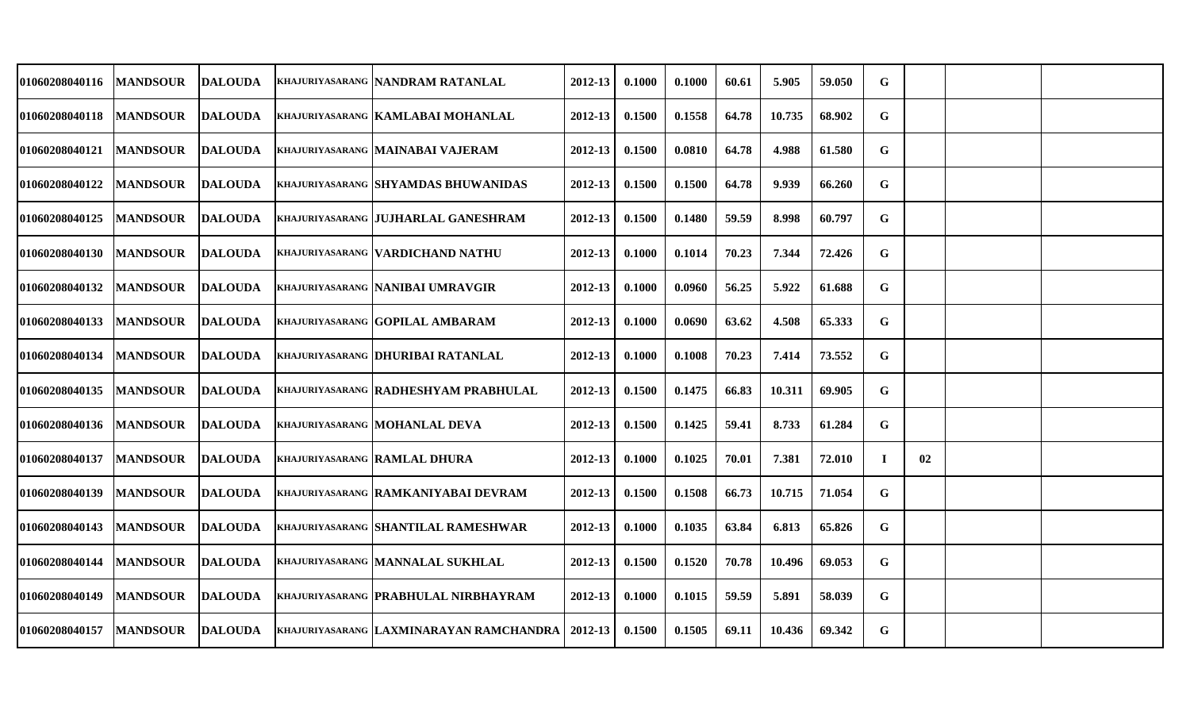| 01060208040116 | <b>MANDSOUR</b> | <b>DALOUDA</b> | KHAJURIYASARANG NANDRAM RATANLAL            | 2012-13     | 0.1000 | 0.1000 | 60.61 | 5.905  | 59.050 | G           |    |  |
|----------------|-----------------|----------------|---------------------------------------------|-------------|--------|--------|-------|--------|--------|-------------|----|--|
| 01060208040118 | <b>MANDSOUR</b> | <b>DALOUDA</b> | KHAJURIYASARANG KAMLABAI MOHANLAL           | 2012-13     | 0.1500 | 0.1558 | 64.78 | 10.735 | 68.902 | G           |    |  |
| 01060208040121 | <b>MANDSOUR</b> | <b>DALOUDA</b> | KHAJURIYASARANG MAINABAI VAJERAM            | 2012-13     | 0.1500 | 0.0810 | 64.78 | 4.988  | 61.580 | G           |    |  |
| 01060208040122 | <b>MANDSOUR</b> | <b>DALOUDA</b> | KHAJURIYASARANG SHYAMDAS BHUWANIDAS         | 2012-13     | 0.1500 | 0.1500 | 64.78 | 9.939  | 66.260 | G           |    |  |
| 01060208040125 | <b>MANDSOUR</b> | DALOUDA        | KHAJURIYASARANG IJUJHARLAL GANESHRAM        | 2012-13     | 0.1500 | 0.1480 | 59.59 | 8.998  | 60.797 | G           |    |  |
| 01060208040130 | <b>MANDSOUR</b> | <b>DALOUDA</b> | <b>KHAJURIYASARANG VARDICHAND NATHU</b>     | 2012-13     | 0.1000 | 0.1014 | 70.23 | 7.344  | 72.426 | $\mathbf G$ |    |  |
| 01060208040132 | <b>MANDSOUR</b> | <b>DALOUDA</b> | KHAJURIYASARANG NANIBAI UMRAVGIR            | 2012-13     | 0.1000 | 0.0960 | 56.25 | 5.922  | 61.688 | G           |    |  |
| 01060208040133 | <b>MANDSOUR</b> | <b>DALOUDA</b> | KHAJURIYASARANG GOPILAL AMBARAM             | 2012-13     | 0.1000 | 0.0690 | 63.62 | 4.508  | 65.333 | G           |    |  |
| 01060208040134 | <b>MANDSOUR</b> | <b>DALOUDA</b> | KHAJURIYASARANG DHURIBAI RATANLAL           | 2012-13     | 0.1000 | 0.1008 | 70.23 | 7.414  | 73.552 | G           |    |  |
| 01060208040135 | <b>MANDSOUR</b> | <b>DALOUDA</b> | <b>KHAJURIYASARANG RADHESHYAM PRABHULAL</b> | 2012-13     | 0.1500 | 0.1475 | 66.83 | 10.311 | 69.905 | G           |    |  |
| 01060208040136 | <b>MANDSOUR</b> | <b>DALOUDA</b> | <b>KHAJURIYASARANG  MOHANLAL DEVA</b>       | 2012-13     | 0.1500 | 0.1425 | 59.41 | 8.733  | 61.284 | G           |    |  |
| 01060208040137 | <b>MANDSOUR</b> | <b>DALOUDA</b> | <b>KHAJURIYASARANG RAMLAL DHURA</b>         | $2012 - 13$ | 0.1000 | 0.1025 | 70.01 | 7.381  | 72.010 | $\mathbf I$ | 02 |  |
| 01060208040139 | <b>MANDSOUR</b> | DALOUDA        | KHAJURIYASARANG RAMKANIYABAI DEVRAM         | 2012-13     | 0.1500 | 0.1508 | 66.73 | 10.715 | 71.054 | G           |    |  |
| 01060208040143 | <b>MANDSOUR</b> | <b>DALOUDA</b> | <b>KHAJURIYASARANG SHANTILAL RAMESHWAR</b>  | 2012-13     | 0.1000 | 0.1035 | 63.84 | 6.813  | 65.826 | G           |    |  |
| 01060208040144 | <b>MANDSOUR</b> | <b>DALOUDA</b> | KHAJURIYASARANG MANNALAL SUKHLAL            | 2012-13     | 0.1500 | 0.1520 | 70.78 | 10.496 | 69.053 | $\mathbf G$ |    |  |
| 01060208040149 | <b>MANDSOUR</b> | <b>DALOUDA</b> | KHAJURIYASARANG PRABHULAL NIRBHAYRAM        | $2012 - 13$ | 0.1000 | 0.1015 | 59.59 | 5.891  | 58.039 | G           |    |  |
| 01060208040157 | <b>MANDSOUR</b> | <b>DALOUDA</b> | KHAJURIYASARANG LAXMINARAYAN RAMCHANDRA     | 2012-13     | 0.1500 | 0.1505 | 69.11 | 10.436 | 69.342 | G           |    |  |
|                |                 |                |                                             |             |        |        |       |        |        |             |    |  |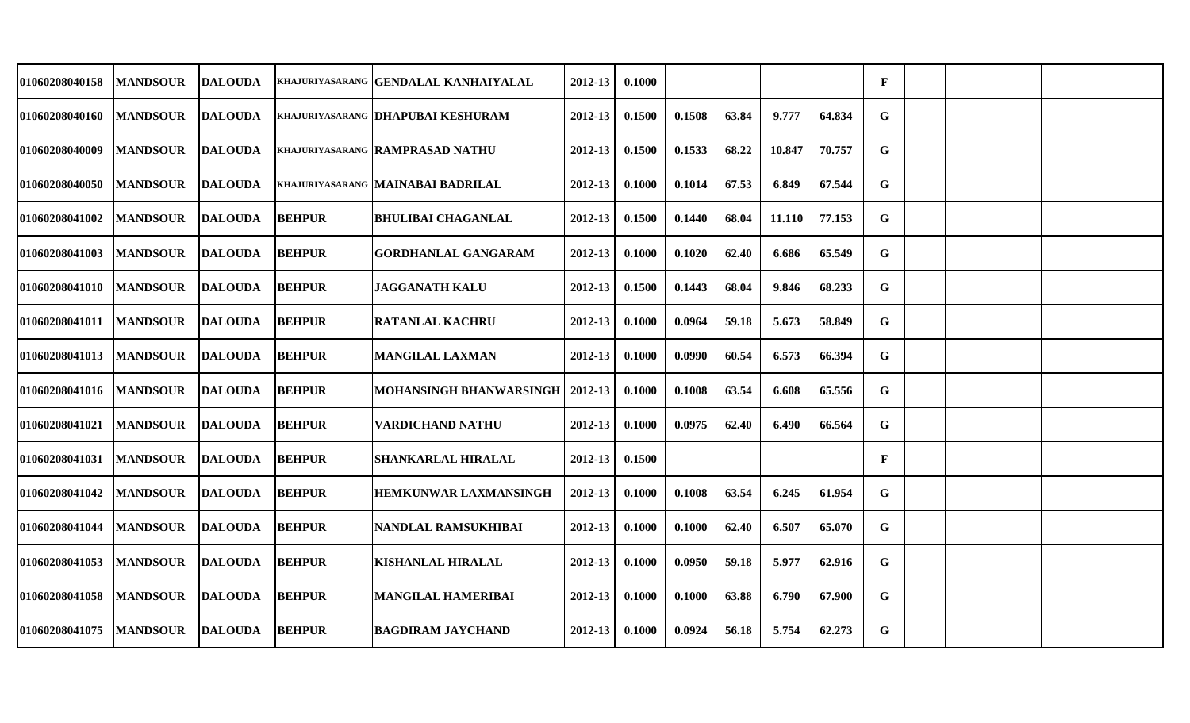| 01060208040158        | <b>MANDSOUR</b> | <b>DALOUDA</b> |               | KHAJURIYASARANG   GENDALAL KANHAIYALAL | 2012-13 | 0.1000 |        |       |        |        | $\mathbf{F}$ |  |  |
|-----------------------|-----------------|----------------|---------------|----------------------------------------|---------|--------|--------|-------|--------|--------|--------------|--|--|
| 01060208040160        | <b>MANDSOUR</b> | <b>DALOUDA</b> |               | KHAJURIYASARANG DHAPUBAI KESHURAM      | 2012-13 | 0.1500 | 0.1508 | 63.84 | 9.777  | 64.834 | G            |  |  |
| 01060208040009        | <b>MANDSOUR</b> | <b>DALOUDA</b> |               | KHAJURIYASARANG RAMPRASAD NATHU        | 2012-13 | 0.1500 | 0.1533 | 68.22 | 10.847 | 70.757 | G            |  |  |
| 01060208040050        | <b>MANDSOUR</b> | DALOUDA        |               | KHAJURIYASARANG IMAINABAI BADRILAL     | 2012-13 | 0.1000 | 0.1014 | 67.53 | 6.849  | 67.544 | $\mathbf G$  |  |  |
| 01060208041002        | <b>MANDSOUR</b> | <b>DALOUDA</b> | <b>BEHPUR</b> | <b>BHULIBAI CHAGANLAL</b>              | 2012-13 | 0.1500 | 0.1440 | 68.04 | 11.110 | 77.153 | G            |  |  |
| 01060208041003        | <b>MANDSOUR</b> | <b>DALOUDA</b> | <b>BEHPUR</b> | <b>GORDHANLAL GANGARAM</b>             | 2012-13 | 0.1000 | 0.1020 | 62.40 | 6.686  | 65.549 | G            |  |  |
| 01060208041010        | <b>MANDSOUR</b> | <b>DALOUDA</b> | <b>BEHPUR</b> | <b>JAGGANATH KALU</b>                  | 2012-13 | 0.1500 | 0.1443 | 68.04 | 9.846  | 68.233 | G            |  |  |
| 01060208041011        | <b>MANDSOUR</b> | <b>DALOUDA</b> | <b>BEHPUR</b> | <b>RATANLAL KACHRU</b>                 | 2012-13 | 0.1000 | 0.0964 | 59.18 | 5.673  | 58.849 | G            |  |  |
| 01060208041013        | <b>MANDSOUR</b> | <b>DALOUDA</b> | <b>BEHPUR</b> | <b>MANGILAL LAXMAN</b>                 | 2012-13 | 0.1000 | 0.0990 | 60.54 | 6.573  | 66.394 | G            |  |  |
| 01060208041016        | <b>MANDSOUR</b> | <b>DALOUDA</b> | <b>BEHPUR</b> | MOHANSINGH BHANWARSINGH                | 2012-13 | 0.1000 | 0.1008 | 63.54 | 6.608  | 65.556 | G            |  |  |
| 01060208041021        | <b>MANDSOUR</b> | <b>DALOUDA</b> | <b>BEHPUR</b> | <b>VARDICHAND NATHU</b>                | 2012-13 | 0.1000 | 0.0975 | 62.40 | 6.490  | 66.564 | G            |  |  |
| 01060208041031        | <b>MANDSOUR</b> | <b>DALOUDA</b> | <b>BEHPUR</b> | <b>SHANKARLAL HIRALAL</b>              | 2012-13 | 0.1500 |        |       |        |        | $\mathbf{F}$ |  |  |
| <b>01060208041042</b> | <b>MANDSOUR</b> | DALOUDA        | <b>BEHPUR</b> | <b>HEMKUNWAR LAXMANSINGH</b>           | 2012-13 | 0.1000 | 0.1008 | 63.54 | 6.245  | 61.954 | G            |  |  |
| 01060208041044        | <b>MANDSOUR</b> | <b>DALOUDA</b> | <b>BEHPUR</b> | NANDLAL RAMSUKHIBAI                    | 2012-13 | 0.1000 | 0.1000 | 62.40 | 6.507  | 65.070 | G            |  |  |
| 01060208041053        | <b>MANDSOUR</b> | <b>DALOUDA</b> | <b>BEHPUR</b> | <b>KISHANLAL HIRALAL</b>               | 2012-13 | 0.1000 | 0.0950 | 59.18 | 5.977  | 62.916 | G            |  |  |
| 01060208041058        | <b>MANDSOUR</b> | <b>DALOUDA</b> | <b>BEHPUR</b> | <b>MANGILAL HAMERIBAI</b>              | 2012-13 | 0.1000 | 0.1000 | 63.88 | 6.790  | 67.900 | G            |  |  |
| 01060208041075        | <b>MANDSOUR</b> | <b>DALOUDA</b> | <b>BEHPUR</b> | <b>BAGDIRAM JAYCHAND</b>               | 2012-13 | 0.1000 | 0.0924 | 56.18 | 5.754  | 62.273 | G            |  |  |
|                       |                 |                |               |                                        |         |        |        |       |        |        |              |  |  |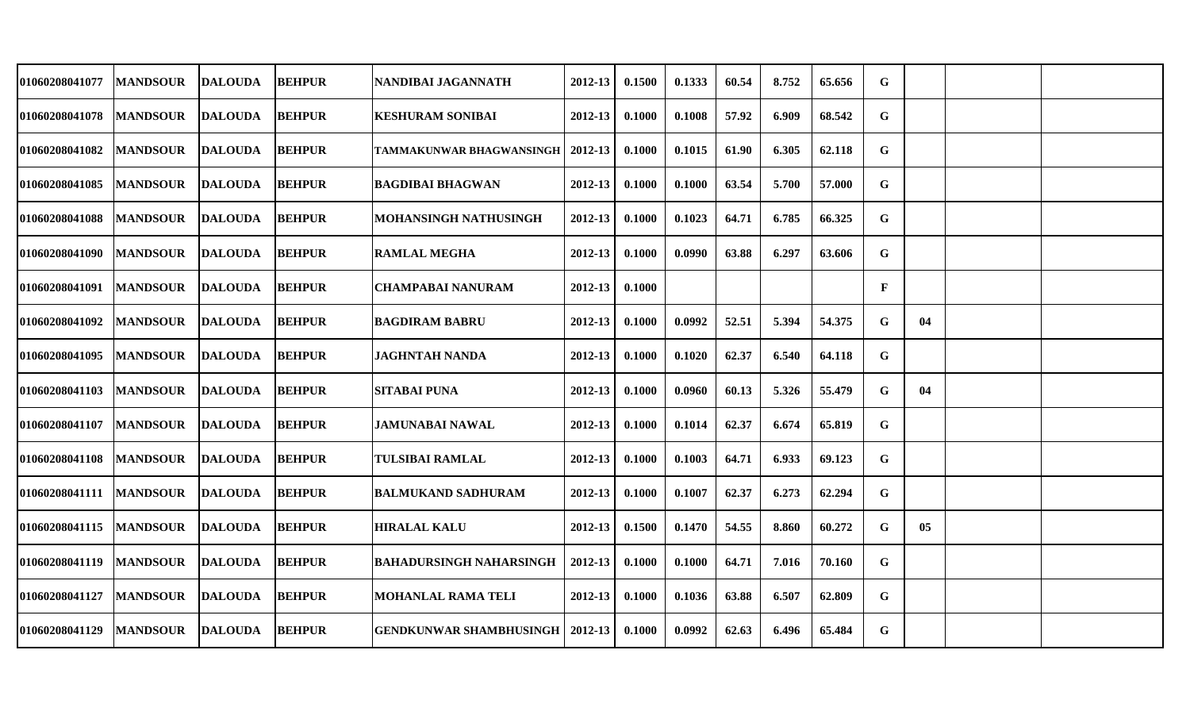| 01060208041077 | <b>MANDSOUR</b> | <b>DALOUDA</b> | <b>BEHPUR</b> | NANDIBAI JAGANNATH                | 2012-13     | 0.1500 | 0.1333 | 60.54 | 8.752 | 65.656 | G |    |  |
|----------------|-----------------|----------------|---------------|-----------------------------------|-------------|--------|--------|-------|-------|--------|---|----|--|
| 01060208041078 | <b>MANDSOUR</b> | <b>DALOUDA</b> | <b>BEHPUR</b> | <b>KESHURAM SONIBAI</b>           | 2012-13     | 0.1000 | 0.1008 | 57.92 | 6.909 | 68.542 | G |    |  |
| 01060208041082 | <b>MANDSOUR</b> | <b>DALOUDA</b> | <b>BEHPUR</b> | <b>TAMMAKUNWAR BHAGWANSINGH  </b> | 2012-13     | 0.1000 | 0.1015 | 61.90 | 6.305 | 62.118 | G |    |  |
| 01060208041085 | <b>MANDSOUR</b> | <b>DALOUDA</b> | <b>BEHPUR</b> | <b>BAGDIBAI BHAGWAN</b>           | 2012-13     | 0.1000 | 0.1000 | 63.54 | 5.700 | 57.000 | G |    |  |
| 01060208041088 | <b>MANDSOUR</b> | <b>DALOUDA</b> | <b>BEHPUR</b> | <b>MOHANSINGH NATHUSINGH</b>      | 2012-13     | 0.1000 | 0.1023 | 64.71 | 6.785 | 66.325 | G |    |  |
| 01060208041090 | <b>MANDSOUR</b> | <b>DALOUDA</b> | <b>BEHPUR</b> | <b>RAMLAL MEGHA</b>               | $2012 - 13$ | 0.1000 | 0.0990 | 63.88 | 6.297 | 63.606 | G |    |  |
| 01060208041091 | <b>MANDSOUR</b> | <b>DALOUDA</b> | <b>BEHPUR</b> | <b>CHAMPABAI NANURAM</b>          | 2012-13     | 0.1000 |        |       |       |        | F |    |  |
| 01060208041092 | <b>MANDSOUR</b> | <b>DALOUDA</b> | <b>BEHPUR</b> | <b>BAGDIRAM BABRU</b>             | 2012-13     | 0.1000 | 0.0992 | 52.51 | 5.394 | 54.375 | G | 04 |  |
| 01060208041095 | <b>MANDSOUR</b> | <b>DALOUDA</b> | <b>BEHPUR</b> | <b>JAGHNTAH NANDA</b>             | 2012-13     | 0.1000 | 0.1020 | 62.37 | 6.540 | 64.118 | G |    |  |
| 01060208041103 | <b>MANDSOUR</b> | <b>DALOUDA</b> | <b>BEHPUR</b> | <b>SITABAI PUNA</b>               | 2012-13     | 0.1000 | 0.0960 | 60.13 | 5.326 | 55.479 | G | 04 |  |
| 01060208041107 | <b>MANDSOUR</b> | <b>DALOUDA</b> | <b>BEHPUR</b> | <b>JAMUNABAI NAWAL</b>            | 2012-13     | 0.1000 | 0.1014 | 62.37 | 6.674 | 65.819 | G |    |  |
| 01060208041108 | <b>MANDSOUR</b> | <b>DALOUDA</b> | <b>BEHPUR</b> | <b>TULSIBAI RAMLAL</b>            | 2012-13     | 0.1000 | 0.1003 | 64.71 | 6.933 | 69.123 | G |    |  |
| 01060208041111 | <b>MANDSOUR</b> | <b>DALOUDA</b> | <b>BEHPUR</b> | <b>BALMUKAND SADHURAM</b>         | 2012-13     | 0.1000 | 0.1007 | 62.37 | 6.273 | 62.294 | G |    |  |
| 01060208041115 | <b>MANDSOUR</b> | <b>DALOUDA</b> | <b>BEHPUR</b> | <b>HIRALAL KALU</b>               | 2012-13     | 0.1500 | 0.1470 | 54.55 | 8.860 | 60.272 | G | 05 |  |
| 01060208041119 | <b>MANDSOUR</b> | <b>DALOUDA</b> | <b>BEHPUR</b> | <b>BAHADURSINGH NAHARSINGH</b>    | 2012-13     | 0.1000 | 0.1000 | 64.71 | 7.016 | 70.160 | G |    |  |
| 01060208041127 | <b>MANDSOUR</b> | <b>DALOUDA</b> | <b>BEHPUR</b> | <b>MOHANLAL RAMA TELI</b>         | $2012 - 13$ | 0.1000 | 0.1036 | 63.88 | 6.507 | 62.809 | G |    |  |
| 01060208041129 | <b>MANDSOUR</b> | <b>DALOUDA</b> | <b>BEHPUR</b> | <b>GENDKUNWAR SHAMBHUSINGH</b>    | 2012-13     | 0.1000 | 0.0992 | 62.63 | 6.496 | 65.484 | G |    |  |
|                |                 |                |               |                                   |             |        |        |       |       |        |   |    |  |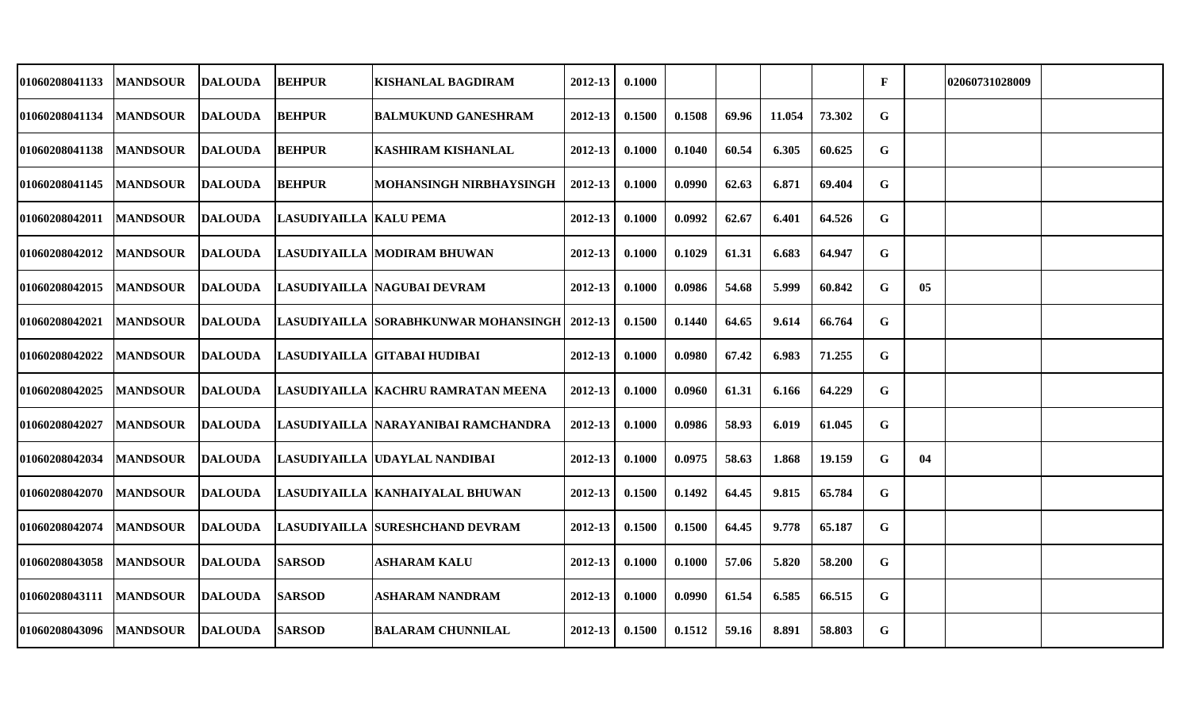| 01060208041133        | <b>MANDSOUR</b> | <b>DALOUDA</b> | <b>BEHPUR</b>          | <b>KISHANLAL BAGDIRAM</b>                      | 2012-13     | 0.1000 |        |       |        |        | F |    | 02060731028009 |  |
|-----------------------|-----------------|----------------|------------------------|------------------------------------------------|-------------|--------|--------|-------|--------|--------|---|----|----------------|--|
| 01060208041134        | <b>MANDSOUR</b> | <b>DALOUDA</b> | <b>BEHPUR</b>          | <b>BALMUKUND GANESHRAM</b>                     | 2012-13     | 0.1500 | 0.1508 | 69.96 | 11.054 | 73.302 | G |    |                |  |
| 01060208041138        | <b>MANDSOUR</b> | <b>DALOUDA</b> | <b>BEHPUR</b>          | <b>KASHIRAM KISHANLAL</b>                      | 2012-13     | 0.1000 | 0.1040 | 60.54 | 6.305  | 60.625 | G |    |                |  |
| 01060208041145        | <b>MANDSOUR</b> | <b>DALOUDA</b> | <b>BEHPUR</b>          | MOHANSINGH NIRBHAYSINGH                        | 2012-13     | 0.1000 | 0.0990 | 62.63 | 6.871  | 69.404 | G |    |                |  |
| 01060208042011        | <b>MANDSOUR</b> | <b>DALOUDA</b> | LASUDIYAILLA KALU PEMA |                                                | 2012-13     | 0.1000 | 0.0992 | 62.67 | 6.401  | 64.526 | G |    |                |  |
| 01060208042012        | <b>MANDSOUR</b> | <b>DALOUDA</b> |                        | ILASUDIYAILLA  MODIRAM BHUWAN                  | 2012-13     | 0.1000 | 0.1029 | 61.31 | 6.683  | 64.947 | G |    |                |  |
| 01060208042015        | <b>MANDSOUR</b> | <b>DALOUDA</b> |                        | LASUDIYAILLA NAGUBAI DEVRAM                    | 2012-13     | 0.1000 | 0.0986 | 54.68 | 5.999  | 60.842 | G | 05 |                |  |
| 01060208042021        | <b>MANDSOUR</b> | DALOUDA        |                        | LASUDIYAILLA SORABHKUNWAR MOHANSINGH   2012-13 |             | 0.1500 | 0.1440 | 64.65 | 9.614  | 66.764 | G |    |                |  |
| <b>01060208042022</b> | <b>MANDSOUR</b> | DALOUDA        |                        | LASUDIYAILLA GITABAI HUDIBAI                   | $2012 - 13$ | 0.1000 | 0.0980 | 67.42 | 6.983  | 71.255 | G |    |                |  |
| 01060208042025        | <b>MANDSOUR</b> | <b>DALOUDA</b> |                        | LASUDIYAILLA KACHRU RAMRATAN MEENA             | 2012-13     | 0.1000 | 0.0960 | 61.31 | 6.166  | 64.229 | G |    |                |  |
| 01060208042027        | <b>MANDSOUR</b> | <b>DALOUDA</b> |                        | LASUDIYAILLA  NARAYANIBAI RAMCHANDRA           | 2012-13     | 0.1000 | 0.0986 | 58.93 | 6.019  | 61.045 | G |    |                |  |
| 01060208042034        | <b>MANDSOUR</b> | <b>DALOUDA</b> |                        | LASUDIYAILLA UDAYLAL NANDIBAI                  | 2012-13     | 0.1000 | 0.0975 | 58.63 | 1.868  | 19.159 | G | 04 |                |  |
| 01060208042070        | <b>MANDSOUR</b> | <b>DALOUDA</b> |                        | LASUDIYAILLA  KANHAIYALAL BHUWAN               | $2012 - 13$ | 0.1500 | 0.1492 | 64.45 | 9.815  | 65.784 | G |    |                |  |
| 01060208042074        | <b>MANDSOUR</b> | <b>DALOUDA</b> |                        | <b>LASUDIYAILLA SURESHCHAND DEVRAM</b>         | 2012-13     | 0.1500 | 0.1500 | 64.45 | 9.778  | 65.187 | G |    |                |  |
| 01060208043058        | <b>MANDSOUR</b> | <b>DALOUDA</b> | <b>SARSOD</b>          | <b>ASHARAM KALU</b>                            | 2012-13     | 0.1000 | 0.1000 | 57.06 | 5.820  | 58.200 | G |    |                |  |
| 01060208043111        | <b>MANDSOUR</b> | <b>DALOUDA</b> | <b>SARSOD</b>          | <b>ASHARAM NANDRAM</b>                         | 2012-13     | 0.1000 | 0.0990 | 61.54 | 6.585  | 66.515 | G |    |                |  |
| 01060208043096        | <b>MANDSOUR</b> | <b>DALOUDA</b> | <b>SARSOD</b>          | <b>BALARAM CHUNNILAL</b>                       | 2012-13     | 0.1500 | 0.1512 | 59.16 | 8.891  | 58.803 | G |    |                |  |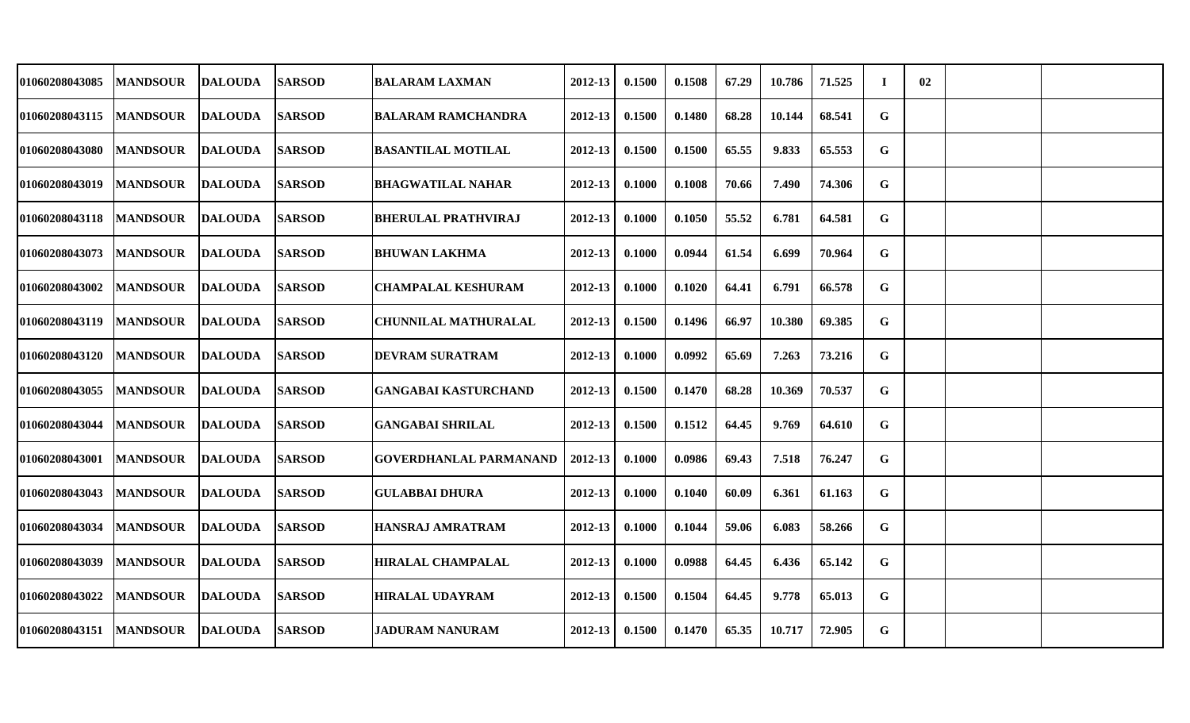| 01060208043085        | <b>MANDSOUR</b> | <b>DALOUDA</b> | <b>SARSOD</b> | <b>BALARAM LAXMAN</b>         | 2012-13     | 0.1500 | 0.1508 | 67.29 | 10.786 | 71.525 | T | 02 |  |
|-----------------------|-----------------|----------------|---------------|-------------------------------|-------------|--------|--------|-------|--------|--------|---|----|--|
| 01060208043115        | <b>MANDSOUR</b> | <b>DALOUDA</b> | <b>SARSOD</b> | <b>BALARAM RAMCHANDRA</b>     | 2012-13     | 0.1500 | 0.1480 | 68.28 | 10.144 | 68.541 | G |    |  |
| 01060208043080        | <b>MANDSOUR</b> | <b>DALOUDA</b> | <b>SARSOD</b> | <b>BASANTILAL MOTILAL</b>     | 2012-13     | 0.1500 | 0.1500 | 65.55 | 9.833  | 65.553 | G |    |  |
| <b>01060208043019</b> | <b>MANDSOUR</b> | <b>DALOUDA</b> | <b>SARSOD</b> | <b>BHAGWATILAL NAHAR</b>      | 2012-13     | 0.1000 | 0.1008 | 70.66 | 7.490  | 74.306 | G |    |  |
| <b>01060208043118</b> | <b>MANDSOUR</b> | <b>DALOUDA</b> | <b>SARSOD</b> | <b>BHERULAL PRATHVIRAJ</b>    | 2012-13     | 0.1000 | 0.1050 | 55.52 | 6.781  | 64.581 | G |    |  |
| <b>01060208043073</b> | <b>MANDSOUR</b> | <b>DALOUDA</b> | <b>SARSOD</b> | <b>BHUWAN LAKHMA</b>          | 2012-13     | 0.1000 | 0.0944 | 61.54 | 6.699  | 70.964 | G |    |  |
| <b>01060208043002</b> | <b>MANDSOUR</b> | <b>DALOUDA</b> | <b>SARSOD</b> | <b>CHAMPALAL KESHURAM</b>     | 2012-13     | 0.1000 | 0.1020 | 64.41 | 6.791  | 66.578 | G |    |  |
| 01060208043119        | <b>MANDSOUR</b> | <b>DALOUDA</b> | <b>SARSOD</b> | <b>CHUNNILAL MATHURALAL</b>   | 2012-13     | 0.1500 | 0.1496 | 66.97 | 10.380 | 69.385 | G |    |  |
| <b>01060208043120</b> | <b>MANDSOUR</b> | <b>DALOUDA</b> | <b>SARSOD</b> | <b>DEVRAM SURATRAM</b>        | 2012-13     | 0.1000 | 0.0992 | 65.69 | 7.263  | 73.216 | G |    |  |
| <b>01060208043055</b> | <b>MANDSOUR</b> | <b>DALOUDA</b> | <b>SARSOD</b> | <b>GANGABAI KASTURCHAND</b>   | 2012-13     | 0.1500 | 0.1470 | 68.28 | 10.369 | 70.537 | G |    |  |
| 01060208043044        | <b>MANDSOUR</b> | <b>DALOUDA</b> | <b>SARSOD</b> | <b>GANGABAI SHRILAL</b>       | 2012-13     | 0.1500 | 0.1512 | 64.45 | 9.769  | 64.610 | G |    |  |
| 01060208043001        | <b>MANDSOUR</b> | <b>DALOUDA</b> | <b>SARSOD</b> | <b>GOVERDHANLAL PARMANAND</b> | 2012-13     | 0.1000 | 0.0986 | 69.43 | 7.518  | 76.247 | G |    |  |
| 01060208043043        | <b>MANDSOUR</b> | <b>DALOUDA</b> | <b>SARSOD</b> | <b>GULABBAI DHURA</b>         | 2012-13     | 0.1000 | 0.1040 | 60.09 | 6.361  | 61.163 | G |    |  |
| 01060208043034        | <b>MANDSOUR</b> | <b>DALOUDA</b> | <b>SARSOD</b> | <b>HANSRAJ AMRATRAM</b>       | 2012-13     | 0.1000 | 0.1044 | 59.06 | 6.083  | 58.266 | G |    |  |
| 01060208043039        | <b>MANDSOUR</b> | <b>DALOUDA</b> | <b>SARSOD</b> | <b>HIRALAL CHAMPALAL</b>      | 2012-13     | 0.1000 | 0.0988 | 64.45 | 6.436  | 65.142 | G |    |  |
| <b>01060208043022</b> | <b>MANDSOUR</b> | <b>DALOUDA</b> | <b>SARSOD</b> | <b>HIRALAL UDAYRAM</b>        | $2012 - 13$ | 0.1500 | 0.1504 | 64.45 | 9.778  | 65.013 | G |    |  |
| 01060208043151        | <b>MANDSOUR</b> | <b>DALOUDA</b> | <b>SARSOD</b> | <b>JADURAM NANURAM</b>        | 2012-13     | 0.1500 | 0.1470 | 65.35 | 10.717 | 72.905 | G |    |  |
|                       |                 |                |               |                               |             |        |        |       |        |        |   |    |  |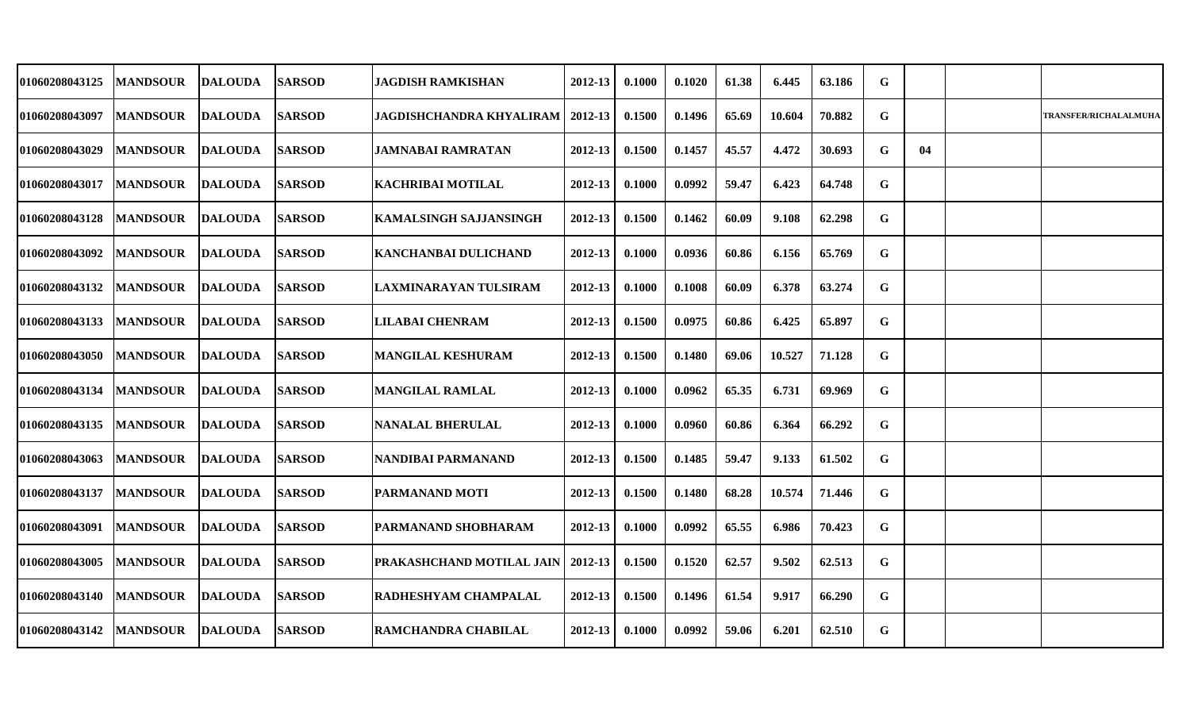| 01060208043125 | <b>MANDSOUR</b> | <b>DALOUDA</b> | <b>SARSOD</b> | <b>JAGDISH RAMKISHAN</b>        | 2012-13     | 0.1000 | 0.1020 | 61.38 | 6.445  | 63.186 | G           |    |                              |
|----------------|-----------------|----------------|---------------|---------------------------------|-------------|--------|--------|-------|--------|--------|-------------|----|------------------------------|
| 01060208043097 | <b>MANDSOUR</b> | <b>DALOUDA</b> | <b>SARSOD</b> | <b>JAGDISHCHANDRA KHYALIRAM</b> | $2012 - 13$ | 0.1500 | 0.1496 | 65.69 | 10.604 | 70.882 | G           |    | <b>TRANSFER/RICHALALMUHA</b> |
| 01060208043029 | <b>MANDSOUR</b> | <b>DALOUDA</b> | <b>SARSOD</b> | <b>JAMNABAI RAMRATAN</b>        | $2012 - 13$ | 0.1500 | 0.1457 | 45.57 | 4.472  | 30.693 | G           | 04 |                              |
| 01060208043017 | <b>MANDSOUR</b> | <b>DALOUDA</b> | <b>SARSOD</b> | <b>KACHRIBAI MOTILAL</b>        | 2012-13     | 0.1000 | 0.0992 | 59.47 | 6.423  | 64.748 | $\mathbf G$ |    |                              |
| 01060208043128 | <b>MANDSOUR</b> | <b>DALOUDA</b> | <b>SARSOD</b> | <b>KAMALSINGH SAJJANSINGH</b>   | 2012-13     | 0.1500 | 0.1462 | 60.09 | 9.108  | 62.298 | G           |    |                              |
| 01060208043092 | <b>MANDSOUR</b> | <b>DALOUDA</b> | <b>SARSOD</b> | <b>KANCHANBAI DULICHAND</b>     | 2012-13     | 0.1000 | 0.0936 | 60.86 | 6.156  | 65.769 | G           |    |                              |
| 01060208043132 | <b>MANDSOUR</b> | <b>DALOUDA</b> | <b>SARSOD</b> | LAXMINARAYAN TULSIRAM           | 2012-13     | 0.1000 | 0.1008 | 60.09 | 6.378  | 63.274 | G           |    |                              |
| 01060208043133 | <b>MANDSOUR</b> | <b>DALOUDA</b> | <b>SARSOD</b> | <b>LILABAI CHENRAM</b>          | 2012-13     | 0.1500 | 0.0975 | 60.86 | 6.425  | 65.897 | G           |    |                              |
| 01060208043050 | <b>MANDSOUR</b> | <b>DALOUDA</b> | <b>SARSOD</b> | <b>MANGILAL KESHURAM</b>        | $2012 - 13$ | 0.1500 | 0.1480 | 69.06 | 10.527 | 71.128 | G           |    |                              |
| 01060208043134 | <b>MANDSOUR</b> | <b>DALOUDA</b> | <b>SARSOD</b> | <b>MANGILAL RAMLAL</b>          | 2012-13     | 0.1000 | 0.0962 | 65.35 | 6.731  | 69.969 | G           |    |                              |
| 01060208043135 | <b>MANDSOUR</b> | <b>DALOUDA</b> | <b>SARSOD</b> | <b>NANALAL BHERULAL</b>         | 2012-13     | 0.1000 | 0.0960 | 60.86 | 6.364  | 66.292 | G           |    |                              |
| 01060208043063 | <b>MANDSOUR</b> | <b>DALOUDA</b> | <b>SARSOD</b> | NANDIBAI PARMANAND              | 2012-13     | 0.1500 | 0.1485 | 59.47 | 9.133  | 61.502 | G           |    |                              |
| 01060208043137 | <b>MANDSOUR</b> | <b>DALOUDA</b> | <b>SARSOD</b> | <b>PARMANAND MOTI</b>           | $2012 - 13$ | 0.1500 | 0.1480 | 68.28 | 10.574 | 71.446 | G           |    |                              |
| 01060208043091 | <b>MANDSOUR</b> | <b>DALOUDA</b> | <b>SARSOD</b> | <b>PARMANAND SHOBHARAM</b>      | 2012-13     | 0.1000 | 0.0992 | 65.55 | 6.986  | 70.423 | G           |    |                              |
| 01060208043005 | <b>MANDSOUR</b> | <b>DALOUDA</b> | <b>SARSOD</b> | PRAKASHCHAND MOTILAL JAIN       | 2012-13     | 0.1500 | 0.1520 | 62.57 | 9.502  | 62.513 | G           |    |                              |
| 01060208043140 | <b>MANDSOUR</b> | <b>DALOUDA</b> | <b>SARSOD</b> | <b>RADHESHYAM CHAMPALAL</b>     | $2012 - 13$ | 0.1500 | 0.1496 | 61.54 | 9.917  | 66.290 | G           |    |                              |
| 01060208043142 | <b>MANDSOUR</b> | <b>DALOUDA</b> | <b>SARSOD</b> | <b>RAMCHANDRA CHABILAL</b>      | 2012-13     | 0.1000 | 0.0992 | 59.06 | 6.201  | 62.510 | G           |    |                              |
|                |                 |                |               |                                 |             |        |        |       |        |        |             |    |                              |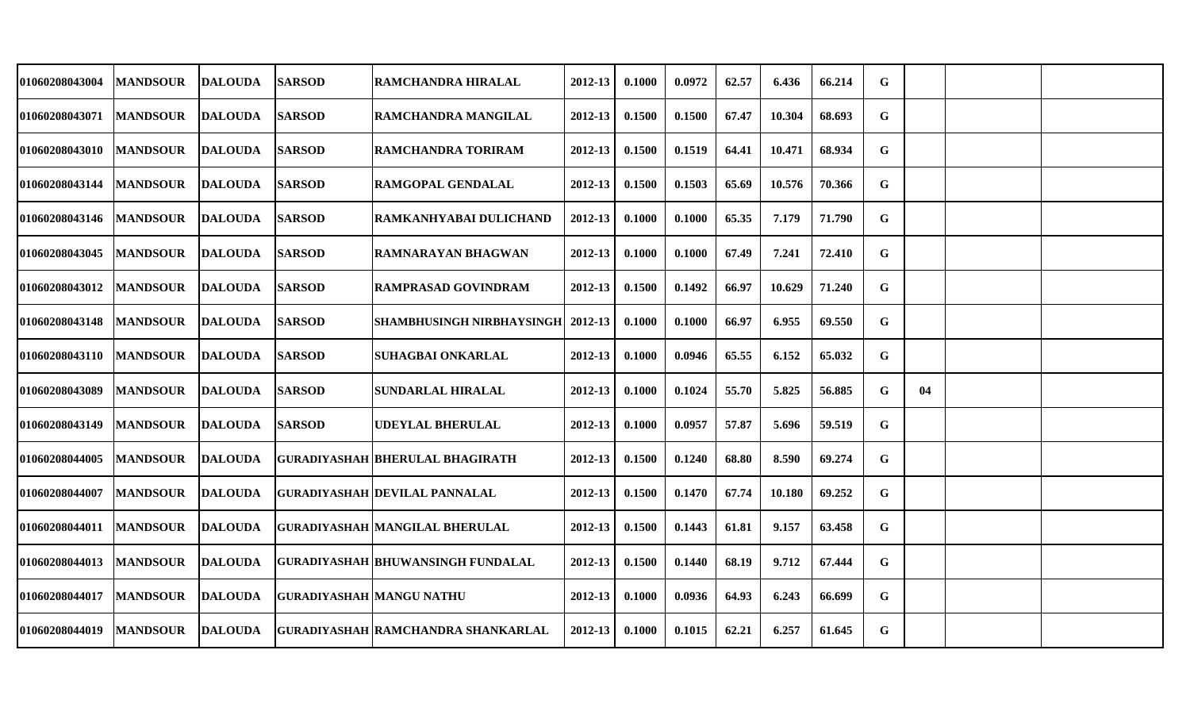| 01060208043004        | <b>MANDSOUR</b> | <b>DALOUDA</b> | <b>SARSOD</b>                   | RAMCHANDRA HIRALAL                         | 2012-13     | 0.1000 | 0.0972 | 62.57 | 6.436  | 66.214 | $\mathbf G$ |    |  |
|-----------------------|-----------------|----------------|---------------------------------|--------------------------------------------|-------------|--------|--------|-------|--------|--------|-------------|----|--|
| 01060208043071        | <b>MANDSOUR</b> | <b>DALOUDA</b> | <b>SARSOD</b>                   | RAMCHANDRA MANGILAL                        | 2012-13     | 0.1500 | 0.1500 | 67.47 | 10.304 | 68.693 | G           |    |  |
| <b>01060208043010</b> | <b>MANDSOUR</b> | <b>DALOUDA</b> | <b>SARSOD</b>                   | <b>RAMCHANDRA TORIRAM</b>                  | 2012-13     | 0.1500 | 0.1519 | 64.41 | 10.471 | 68.934 | G           |    |  |
| 01060208043144        | <b>MANDSOUR</b> | <b>DALOUDA</b> | <b>SARSOD</b>                   | <b>RAMGOPAL GENDALAL</b>                   | 2012-13     | 0.1500 | 0.1503 | 65.69 | 10.576 | 70.366 | G           |    |  |
| <b>01060208043146</b> | <b>MANDSOUR</b> | <b>DALOUDA</b> | <b>SARSOD</b>                   | RAMKANHYABAI DULICHAND                     | 2012-13     | 0.1000 | 0.1000 | 65.35 | 7.179  | 71.790 | G           |    |  |
| 01060208043045        | <b>MANDSOUR</b> | <b>DALOUDA</b> | <b>SARSOD</b>                   | <b>RAMNARAYAN BHAGWAN</b>                  | $2012 - 13$ | 0.1000 | 0.1000 | 67.49 | 7.241  | 72.410 | G           |    |  |
| 01060208043012        | <b>MANDSOUR</b> | DALOUDA        | <b>SARSOD</b>                   | <b>RAMPRASAD GOVINDRAM</b>                 | 2012-13     | 0.1500 | 0.1492 | 66.97 | 10.629 | 71.240 | G           |    |  |
| 01060208043148        | <b>MANDSOUR</b> | <b>DALOUDA</b> | <b>SARSOD</b>                   | <b>SHAMBHUSINGH NIRBHAYSINGH   2012-13</b> |             | 0.1000 | 0.1000 | 66.97 | 6.955  | 69.550 | G           |    |  |
| 01060208043110        | <b>MANDSOUR</b> | <b>DALOUDA</b> | <b>SARSOD</b>                   | <b>SUHAGBAI ONKARLAL</b>                   | $2012 - 13$ | 0.1000 | 0.0946 | 65.55 | 6.152  | 65.032 | G           |    |  |
| 01060208043089        | <b>MANDSOUR</b> | DALOUDA        | <b>SARSOD</b>                   | SUNDARLAL HIRALAL                          | 2012-13     | 0.1000 | 0.1024 | 55.70 | 5.825  | 56.885 | G           | 04 |  |
| 01060208043149        | <b>MANDSOUR</b> | <b>DALOUDA</b> | <b>SARSOD</b>                   | <b>UDEYLAL BHERULAL</b>                    | 2012-13     | 0.1000 | 0.0957 | 57.87 | 5.696  | 59.519 | G           |    |  |
| 01060208044005        | <b>MANDSOUR</b> | <b>DALOUDA</b> |                                 | GURADIYASHAH  BHERULAL BHAGIRATH           | 2012-13     | 0.1500 | 0.1240 | 68.80 | 8.590  | 69.274 | G           |    |  |
| 01060208044007        | <b>MANDSOUR</b> | <b>DALOUDA</b> |                                 | <b>GURADIYASHAH DEVILAL PANNALAL</b>       | 2012-13     | 0.1500 | 0.1470 | 67.74 | 10.180 | 69.252 | G           |    |  |
| 01060208044011        | <b>MANDSOUR</b> | <b>DALOUDA</b> |                                 | <b>GURADIYASHAH MANGILAL BHERULAL</b>      | 2012-13     | 0.1500 | 0.1443 | 61.81 | 9.157  | 63.458 | G           |    |  |
| 01060208044013        | <b>MANDSOUR</b> | <b>DALOUDA</b> |                                 | <b>GURADIYASHAH BHUWANSINGH FUNDALAL</b>   | 2012-13     | 0.1500 | 0.1440 | 68.19 | 9.712  | 67.444 | $\mathbf G$ |    |  |
| 01060208044017        | <b>MANDSOUR</b> | <b>DALOUDA</b> | <b>GURADIYASHAH MANGU NATHU</b> |                                            | 2012-13     | 0.1000 | 0.0936 | 64.93 | 6.243  | 66.699 | G           |    |  |
| 01060208044019        | <b>MANDSOUR</b> | <b>DALOUDA</b> |                                 | <b>GURADIYASHAH RAMCHANDRA SHANKARLAL</b>  | 2012-13     | 0.1000 | 0.1015 | 62.21 | 6.257  | 61.645 | G           |    |  |
|                       |                 |                |                                 |                                            |             |        |        |       |        |        |             |    |  |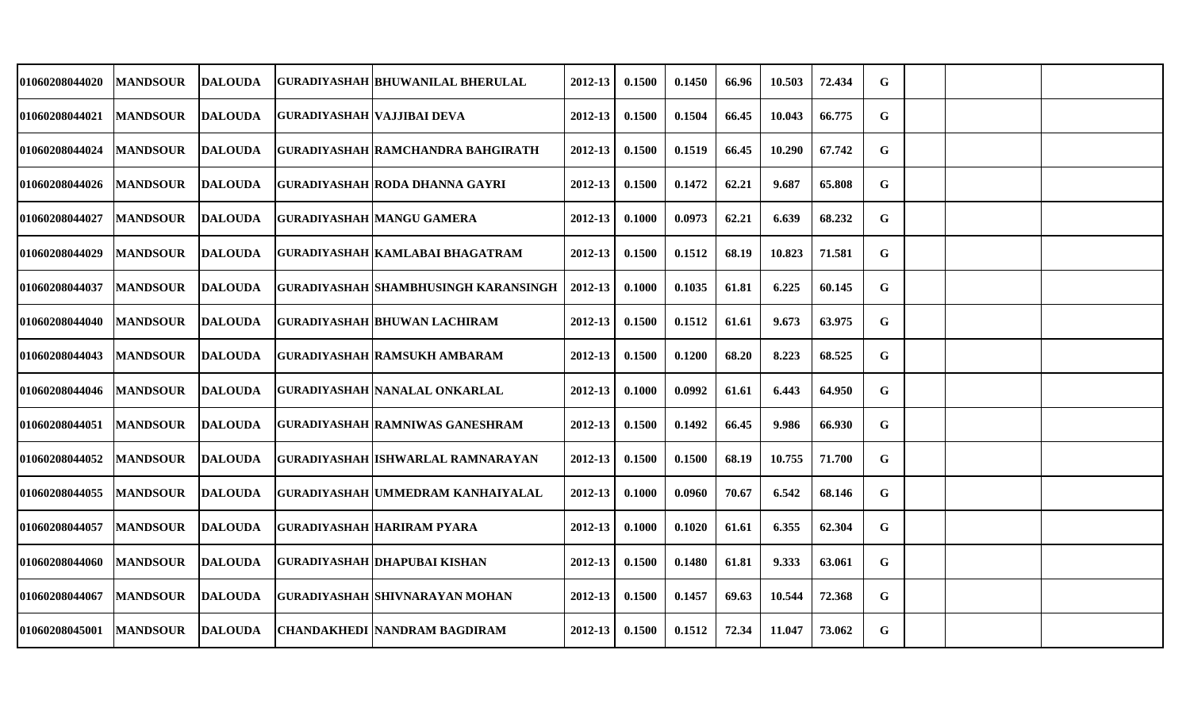| 01060208044020 | <b>MANDSOUR</b> | <b>DALOUDA</b> |                                   | GURADIYASHAH BHUWANILAL BHERULAL            | 2012-13     | 0.1500 | 0.1450 | 66.96 | 10.503 | 72.434 | G           |  |  |
|----------------|-----------------|----------------|-----------------------------------|---------------------------------------------|-------------|--------|--------|-------|--------|--------|-------------|--|--|
| 01060208044021 | <b>MANDSOUR</b> | <b>DALOUDA</b> | <b>GURADIYASHAH VAJJIBAI DEVA</b> |                                             | 2012-13     | 0.1500 | 0.1504 | 66.45 | 10.043 | 66.775 | G           |  |  |
| 01060208044024 | <b>MANDSOUR</b> | <b>DALOUDA</b> |                                   | GURADIYASHAH RAMCHANDRA BAHGIRATH           | $2012 - 13$ | 0.1500 | 0.1519 | 66.45 | 10.290 | 67.742 | $\mathbf G$ |  |  |
| 01060208044026 | <b>MANDSOUR</b> | <b>DALOUDA</b> |                                   | GURADIYASHAH RODA DHANNA GAYRI              | 2012-13     | 0.1500 | 0.1472 | 62.21 | 9.687  | 65.808 | G           |  |  |
| 01060208044027 | <b>MANDSOUR</b> | <b>DALOUDA</b> |                                   | <b>GURADIYASHAH MANGU GAMERA</b>            | 2012-13     | 0.1000 | 0.0973 | 62.21 | 6.639  | 68.232 | G           |  |  |
| 01060208044029 | <b>MANDSOUR</b> | <b>DALOUDA</b> |                                   | GURADIYASHAH KAMLABAI BHAGATRAM             | 2012-13     | 0.1500 | 0.1512 | 68.19 | 10.823 | 71.581 | G           |  |  |
| 01060208044037 | <b>MANDSOUR</b> | <b>DALOUDA</b> |                                   | <b>GURADIYASHAH SHAMBHUSINGH KARANSINGH</b> | 2012-13     | 0.1000 | 0.1035 | 61.81 | 6.225  | 60.145 | G           |  |  |
| 01060208044040 | <b>MANDSOUR</b> | <b>DALOUDA</b> |                                   | GURADIYASHAH  BHUWAN LACHIRAM               | 2012-13     | 0.1500 | 0.1512 | 61.61 | 9.673  | 63.975 | G           |  |  |
| 01060208044043 | <b>MANDSOUR</b> | <b>DALOUDA</b> |                                   | <b>GURADIYASHAH RAMSUKH AMBARAM</b>         | $2012 - 13$ | 0.1500 | 0.1200 | 68.20 | 8.223  | 68.525 | $\mathbf G$ |  |  |
| 01060208044046 | <b>MANDSOUR</b> | <b>DALOUDA</b> |                                   | <b>GURADIYASHAH NANALAL ONKARLAL</b>        | 2012-13     | 0.1000 | 0.0992 | 61.61 | 6.443  | 64.950 | G           |  |  |
| 01060208044051 | <b>MANDSOUR</b> | <b>DALOUDA</b> |                                   | <b>GURADIYASHAH RAMNIWAS GANESHRAM</b>      | 2012-13     | 0.1500 | 0.1492 | 66.45 | 9.986  | 66.930 | G           |  |  |
| 01060208044052 | <b>MANDSOUR</b> | <b>DALOUDA</b> |                                   | <b>GURADIYASHAH ISHWARLAL RAMNARAYAN</b>    | $2012 - 13$ | 0.1500 | 0.1500 | 68.19 | 10.755 | 71.700 | G           |  |  |
| 01060208044055 | <b>MANDSOUR</b> | <b>DALOUDA</b> |                                   | <b>GURADIYASHAH UMMEDRAM KANHAIYALAL</b>    | 2012-13     | 0.1000 | 0.0960 | 70.67 | 6.542  | 68.146 | G           |  |  |
| 01060208044057 | <b>MANDSOUR</b> | <b>DALOUDA</b> |                                   | <b>GURADIYASHAH HARIRAM PYARA</b>           | 2012-13     | 0.1000 | 0.1020 | 61.61 | 6.355  | 62.304 | G           |  |  |
| 01060208044060 | <b>MANDSOUR</b> | <b>DALOUDA</b> |                                   | <b>GURADIYASHAH DHAPUBAI KISHAN</b>         | 2012-13     | 0.1500 | 0.1480 | 61.81 | 9.333  | 63.061 | G           |  |  |
| 01060208044067 | <b>MANDSOUR</b> | <b>DALOUDA</b> |                                   | GURADIYASHAH  SHIVNARAYAN MOHAN             | $2012 - 13$ | 0.1500 | 0.1457 | 69.63 | 10.544 | 72.368 | G           |  |  |
| 01060208045001 | <b>MANDSOUR</b> | <b>DALOUDA</b> |                                   | CHANDAKHEDI  NANDRAM BAGDIRAM               | 2012-13     | 0.1500 | 0.1512 | 72.34 | 11.047 | 73.062 | G           |  |  |
|                |                 |                |                                   |                                             |             |        |        |       |        |        |             |  |  |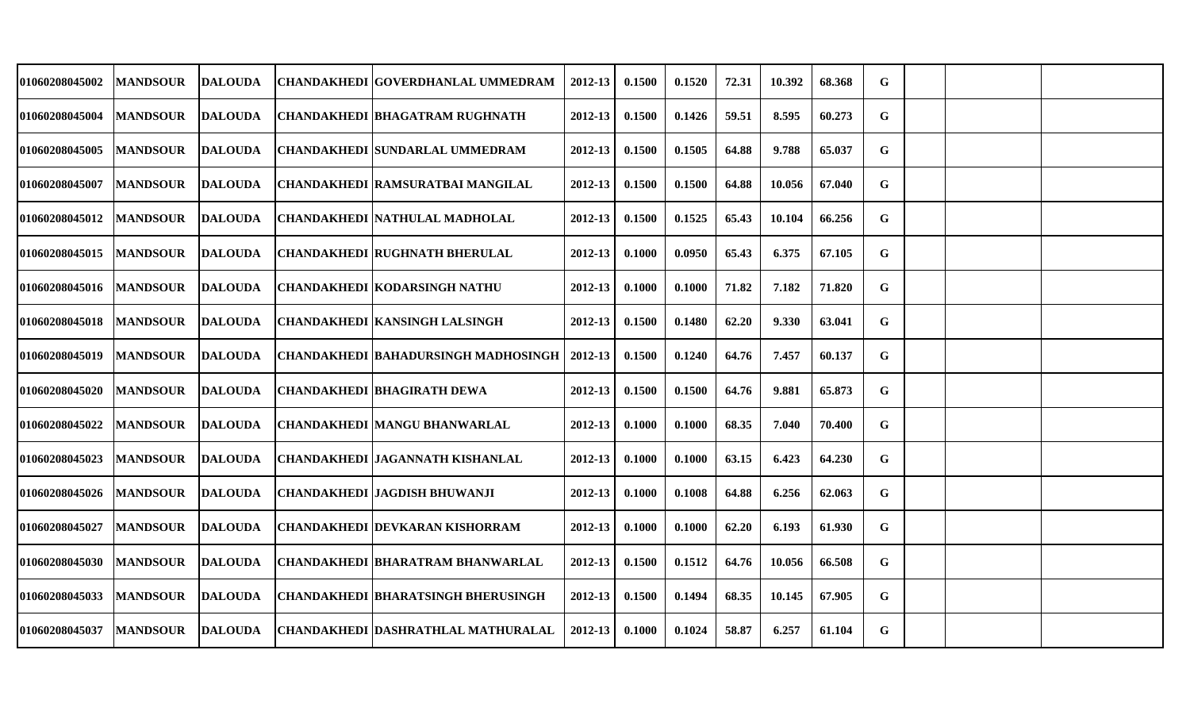| <b>01060208045002</b> | <b>MANDSOUR</b> | <b>DALOUDA</b> | <b>CHANDAKHEDI GOVERDHANLAL UMMEDRAM</b>  | 2012-13     | 0.1500 | 0.1520 | 72.31 | 10.392 | 68.368 | G |  |  |
|-----------------------|-----------------|----------------|-------------------------------------------|-------------|--------|--------|-------|--------|--------|---|--|--|
| 01060208045004        | <b>MANDSOUR</b> | <b>DALOUDA</b> | <b>CHANDAKHEDI BHAGATRAM RUGHNATH</b>     | 2012-13     | 0.1500 | 0.1426 | 59.51 | 8.595  | 60.273 | G |  |  |
| 01060208045005        | <b>MANDSOUR</b> | <b>DALOUDA</b> | <b>CHANDAKHEDI ISUNDARLAL UMMEDRAM</b>    | $2012 - 13$ | 0.1500 | 0.1505 | 64.88 | 9.788  | 65.037 | G |  |  |
| <b>01060208045007</b> | <b>MANDSOUR</b> | <b>DALOUDA</b> | CHANDAKHEDI  RAMSURATBAI MANGILAL         | $2012 - 13$ | 0.1500 | 0.1500 | 64.88 | 10.056 | 67.040 | G |  |  |
| <b>01060208045012</b> | <b>MANDSOUR</b> | <b>DALOUDA</b> | CHANDAKHEDI   NATHULAL MADHOLAL           | 2012-13     | 0.1500 | 0.1525 | 65.43 | 10.104 | 66.256 | G |  |  |
| <b>01060208045015</b> | <b>MANDSOUR</b> | <b>DALOUDA</b> | <b>CHANDAKHEDI RUGHNATH BHERULAL</b>      | 2012-13     | 0.1000 | 0.0950 | 65.43 | 6.375  | 67.105 | G |  |  |
| <b>01060208045016</b> | <b>MANDSOUR</b> | <b>DALOUDA</b> | <b>CHANDAKHEDI KODARSINGH NATHU</b>       | 2012-13     | 0.1000 | 0.1000 | 71.82 | 7.182  | 71.820 | G |  |  |
| 01060208045018        | <b>MANDSOUR</b> | <b>DALOUDA</b> | <b>CHANDAKHEDI KANSINGH LALSINGH</b>      | 2012-13     | 0.1500 | 0.1480 | 62.20 | 9.330  | 63.041 | G |  |  |
| 01060208045019        | <b>MANDSOUR</b> | <b>DALOUDA</b> | CHANDAKHEDI  BAHADURSINGH MADHOSINGH      | 2012-13     | 0.1500 | 0.1240 | 64.76 | 7.457  | 60.137 | G |  |  |
| <b>01060208045020</b> | <b>MANDSOUR</b> | <b>DALOUDA</b> | <b>CHANDAKHEDI BHAGIRATH DEWA</b>         | 2012-13     | 0.1500 | 0.1500 | 64.76 | 9.881  | 65.873 | G |  |  |
| <b>01060208045022</b> | <b>MANDSOUR</b> | <b>DALOUDA</b> | CHANDAKHEDI  MANGU BHANWARLAL             | 2012-13     | 0.1000 | 0.1000 | 68.35 | 7.040  | 70.400 | G |  |  |
| <b>01060208045023</b> | <b>MANDSOUR</b> | <b>DALOUDA</b> | CHANDAKHEDI  JAGANNATH KISHANLAL          | $2012 - 13$ | 0.1000 | 0.1000 | 63.15 | 6.423  | 64.230 | G |  |  |
| <b>01060208045026</b> | <b>MANDSOUR</b> | <b>DALOUDA</b> | <b>CHANDAKHEDI JAGDISH BHUWANJI</b>       | 2012-13     | 0.1000 | 0.1008 | 64.88 | 6.256  | 62.063 | G |  |  |
| <b>01060208045027</b> | <b>MANDSOUR</b> | <b>DALOUDA</b> | <b>CHANDAKHEDI DEVKARAN KISHORRAM</b>     | 2012-13     | 0.1000 | 0.1000 | 62.20 | 6.193  | 61.930 | G |  |  |
| 01060208045030        | <b>MANDSOUR</b> | <b>DALOUDA</b> | <b>CHANDAKHEDI BHARATRAM BHANWARLAL</b>   | 2012-13     | 0.1500 | 0.1512 | 64.76 | 10.056 | 66.508 | G |  |  |
| 01060208045033        | <b>MANDSOUR</b> | <b>DALOUDA</b> | <b>CHANDAKHEDI BHARATSINGH BHERUSINGH</b> | $2012 - 13$ | 0.1500 | 0.1494 | 68.35 | 10.145 | 67.905 | G |  |  |
| <b>01060208045037</b> | <b>MANDSOUR</b> | <b>DALOUDA</b> | CHANDAKHEDI  DASHRATHLAL MATHURALAL       | 2012-13     | 0.1000 | 0.1024 | 58.87 | 6.257  | 61.104 | G |  |  |
|                       |                 |                |                                           |             |        |        |       |        |        |   |  |  |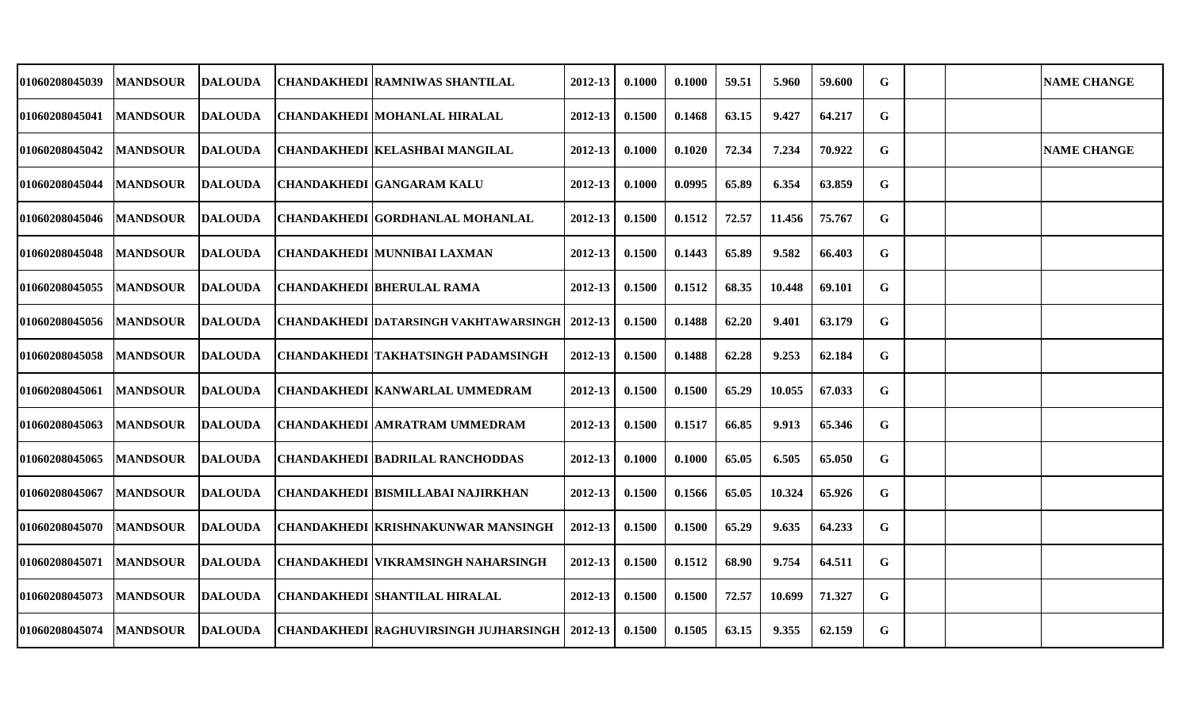| <b>CHANDAKHEDI MOHANLAL HIRALAL</b><br>2012-13<br>9.427<br>64.217<br>G<br><b>MANDSOUR</b><br><b>DALOUDA</b><br>0.1500<br>0.1468<br>63.15<br>7.234<br>G<br><b>DALOUDA</b><br><b>CHANDAKHEDI KELASHBAI MANGILAL</b><br>2012-13<br>0.1000<br>0.1020<br>72.34<br>70.922<br><b>NAME CHANGE</b><br><b>MANDSOUR</b><br>G<br><b>DALOUDA</b><br><b>CHANDAKHEDI GANGARAM KALU</b><br>2012-13<br>0.1000<br>0.0995<br>65.89<br>6.354<br>63.859<br><b>MANDSOUR</b><br>G<br>CHANDAKHEDI  GORDHANLAL MOHANLAL<br>2012-13<br>0.1500<br>0.1512<br>11.456<br><b>MANDSOUR</b><br><b>DALOUDA</b><br>72.57<br>75.767<br>G<br><b>CHANDAKHEDI MUNNIBAI LAXMAN</b><br>$2012 - 13$<br>0.1500<br>65.89<br>9.582<br><b>MANDSOUR</b><br><b>DALOUDA</b><br>0.1443<br>66.403<br><b>MANDSOUR</b><br><b>DALOUDA</b><br><b>CHANDAKHEDI BHERULAL RAMA</b><br>2012-13<br>0.1500<br>0.1512<br>68.35<br>10.448<br>69.101<br>G<br>G<br><b>MANDSOUR</b><br><b>DALOUDA</b><br><b>CHANDAKHEDI DATARSINGH VAKHTAWARSINGH   2012-13</b><br>0.1500<br>0.1488<br>62.20<br>9.401<br>63.179<br>G<br><b>CHANDAKHEDI TAKHATSINGH PADAMSINGH</b><br>62.28<br>9.253<br>62.184<br><b>MANDSOUR</b><br><b>DALOUDA</b><br>2012-13<br>0.1500<br>0.1488<br>2012-13<br>0.1500<br>0.1500<br>65.29<br>10.055<br>67.033<br>G<br><b>MANDSOUR</b><br><b>DALOUDA</b><br>CHANDAKHEDI  KANWARLAL UMMEDRAM<br>G<br>CHANDAKHEDI  AMRATRAM UMMEDRAM<br>2012-13<br>0.1517<br>66.85<br>9.913<br>65.346<br><b>MANDSOUR</b><br><b>DALOUDA</b><br>0.1500<br><b>CHANDAKHEDI BADRILAL RANCHODDAS</b><br>2012-13<br>6.505<br>65.050<br>G<br><b>MANDSOUR</b><br><b>DALOUDA</b><br>0.1000<br>0.1000<br>65.05<br><b>MANDSOUR</b><br><b>DALOUDA</b><br><b>CHANDAKHEDI BISMILLABAI NAJIRKHAN</b><br>2012-13<br>0.1500<br>0.1566<br>65.05<br>10.324<br>65.926<br>G<br><b>CHANDAKHEDI KRISHNAKUNWAR MANSINGH</b><br>G<br><b>MANDSOUR</b><br><b>DALOUDA</b><br>2012-13<br>0.1500<br>0.1500<br>65.29<br>9.635<br>64.233<br><b>CHANDAKHEDI VIKRAMSINGH NAHARSINGH</b><br>G<br><b>MANDSOUR</b><br><b>DALOUDA</b><br>2012-13<br>0.1500<br>0.1512<br>68.90<br>9.754<br>64.511<br><b>CHANDAKHEDI SHANTILAL HIRALAL</b><br>2012-13<br>0.1500<br>0.1500<br>72.57<br>10.699<br>71.327<br>G<br><b>MANDSOUR</b><br>DALOUDA<br>G<br><b>MANDSOUR</b><br> CHANDAKHEDI RAGHUVIRSINGH JUJHARSINGH<br>0.1500<br>0.1505<br>63.15<br>9.355<br>62.159<br>DALOUDA<br>2012-13 | 01060208045039 | <b>MANDSOUR</b> | <b>DALOUDA</b> | CHANDAKHEDI  RAMNIWAS SHANTILAL | 2012-13 | 0.1000 | 0.1000 | 59.51 | 5.960 | 59.600 | G |  | <b>NAME CHANGE</b> |
|--------------------------------------------------------------------------------------------------------------------------------------------------------------------------------------------------------------------------------------------------------------------------------------------------------------------------------------------------------------------------------------------------------------------------------------------------------------------------------------------------------------------------------------------------------------------------------------------------------------------------------------------------------------------------------------------------------------------------------------------------------------------------------------------------------------------------------------------------------------------------------------------------------------------------------------------------------------------------------------------------------------------------------------------------------------------------------------------------------------------------------------------------------------------------------------------------------------------------------------------------------------------------------------------------------------------------------------------------------------------------------------------------------------------------------------------------------------------------------------------------------------------------------------------------------------------------------------------------------------------------------------------------------------------------------------------------------------------------------------------------------------------------------------------------------------------------------------------------------------------------------------------------------------------------------------------------------------------------------------------------------------------------------------------------------------------------------------------------------------------------------------------------------------------------------------------------------------------------------------------------------------------------------------------------------------------------------------------------------------------|----------------|-----------------|----------------|---------------------------------|---------|--------|--------|-------|-------|--------|---|--|--------------------|
|                                                                                                                                                                                                                                                                                                                                                                                                                                                                                                                                                                                                                                                                                                                                                                                                                                                                                                                                                                                                                                                                                                                                                                                                                                                                                                                                                                                                                                                                                                                                                                                                                                                                                                                                                                                                                                                                                                                                                                                                                                                                                                                                                                                                                                                                                                                                                                    | 01060208045041 |                 |                |                                 |         |        |        |       |       |        |   |  |                    |
|                                                                                                                                                                                                                                                                                                                                                                                                                                                                                                                                                                                                                                                                                                                                                                                                                                                                                                                                                                                                                                                                                                                                                                                                                                                                                                                                                                                                                                                                                                                                                                                                                                                                                                                                                                                                                                                                                                                                                                                                                                                                                                                                                                                                                                                                                                                                                                    | 01060208045042 |                 |                |                                 |         |        |        |       |       |        |   |  |                    |
|                                                                                                                                                                                                                                                                                                                                                                                                                                                                                                                                                                                                                                                                                                                                                                                                                                                                                                                                                                                                                                                                                                                                                                                                                                                                                                                                                                                                                                                                                                                                                                                                                                                                                                                                                                                                                                                                                                                                                                                                                                                                                                                                                                                                                                                                                                                                                                    | 01060208045044 |                 |                |                                 |         |        |        |       |       |        |   |  |                    |
|                                                                                                                                                                                                                                                                                                                                                                                                                                                                                                                                                                                                                                                                                                                                                                                                                                                                                                                                                                                                                                                                                                                                                                                                                                                                                                                                                                                                                                                                                                                                                                                                                                                                                                                                                                                                                                                                                                                                                                                                                                                                                                                                                                                                                                                                                                                                                                    | 01060208045046 |                 |                |                                 |         |        |        |       |       |        |   |  |                    |
|                                                                                                                                                                                                                                                                                                                                                                                                                                                                                                                                                                                                                                                                                                                                                                                                                                                                                                                                                                                                                                                                                                                                                                                                                                                                                                                                                                                                                                                                                                                                                                                                                                                                                                                                                                                                                                                                                                                                                                                                                                                                                                                                                                                                                                                                                                                                                                    | 01060208045048 |                 |                |                                 |         |        |        |       |       |        |   |  |                    |
|                                                                                                                                                                                                                                                                                                                                                                                                                                                                                                                                                                                                                                                                                                                                                                                                                                                                                                                                                                                                                                                                                                                                                                                                                                                                                                                                                                                                                                                                                                                                                                                                                                                                                                                                                                                                                                                                                                                                                                                                                                                                                                                                                                                                                                                                                                                                                                    | 01060208045055 |                 |                |                                 |         |        |        |       |       |        |   |  |                    |
|                                                                                                                                                                                                                                                                                                                                                                                                                                                                                                                                                                                                                                                                                                                                                                                                                                                                                                                                                                                                                                                                                                                                                                                                                                                                                                                                                                                                                                                                                                                                                                                                                                                                                                                                                                                                                                                                                                                                                                                                                                                                                                                                                                                                                                                                                                                                                                    | 01060208045056 |                 |                |                                 |         |        |        |       |       |        |   |  |                    |
|                                                                                                                                                                                                                                                                                                                                                                                                                                                                                                                                                                                                                                                                                                                                                                                                                                                                                                                                                                                                                                                                                                                                                                                                                                                                                                                                                                                                                                                                                                                                                                                                                                                                                                                                                                                                                                                                                                                                                                                                                                                                                                                                                                                                                                                                                                                                                                    | 01060208045058 |                 |                |                                 |         |        |        |       |       |        |   |  |                    |
|                                                                                                                                                                                                                                                                                                                                                                                                                                                                                                                                                                                                                                                                                                                                                                                                                                                                                                                                                                                                                                                                                                                                                                                                                                                                                                                                                                                                                                                                                                                                                                                                                                                                                                                                                                                                                                                                                                                                                                                                                                                                                                                                                                                                                                                                                                                                                                    | 01060208045061 |                 |                |                                 |         |        |        |       |       |        |   |  |                    |
|                                                                                                                                                                                                                                                                                                                                                                                                                                                                                                                                                                                                                                                                                                                                                                                                                                                                                                                                                                                                                                                                                                                                                                                                                                                                                                                                                                                                                                                                                                                                                                                                                                                                                                                                                                                                                                                                                                                                                                                                                                                                                                                                                                                                                                                                                                                                                                    | 01060208045063 |                 |                |                                 |         |        |        |       |       |        |   |  |                    |
|                                                                                                                                                                                                                                                                                                                                                                                                                                                                                                                                                                                                                                                                                                                                                                                                                                                                                                                                                                                                                                                                                                                                                                                                                                                                                                                                                                                                                                                                                                                                                                                                                                                                                                                                                                                                                                                                                                                                                                                                                                                                                                                                                                                                                                                                                                                                                                    | 01060208045065 |                 |                |                                 |         |        |        |       |       |        |   |  |                    |
|                                                                                                                                                                                                                                                                                                                                                                                                                                                                                                                                                                                                                                                                                                                                                                                                                                                                                                                                                                                                                                                                                                                                                                                                                                                                                                                                                                                                                                                                                                                                                                                                                                                                                                                                                                                                                                                                                                                                                                                                                                                                                                                                                                                                                                                                                                                                                                    | 01060208045067 |                 |                |                                 |         |        |        |       |       |        |   |  |                    |
|                                                                                                                                                                                                                                                                                                                                                                                                                                                                                                                                                                                                                                                                                                                                                                                                                                                                                                                                                                                                                                                                                                                                                                                                                                                                                                                                                                                                                                                                                                                                                                                                                                                                                                                                                                                                                                                                                                                                                                                                                                                                                                                                                                                                                                                                                                                                                                    | 01060208045070 |                 |                |                                 |         |        |        |       |       |        |   |  |                    |
|                                                                                                                                                                                                                                                                                                                                                                                                                                                                                                                                                                                                                                                                                                                                                                                                                                                                                                                                                                                                                                                                                                                                                                                                                                                                                                                                                                                                                                                                                                                                                                                                                                                                                                                                                                                                                                                                                                                                                                                                                                                                                                                                                                                                                                                                                                                                                                    | 01060208045071 |                 |                |                                 |         |        |        |       |       |        |   |  |                    |
|                                                                                                                                                                                                                                                                                                                                                                                                                                                                                                                                                                                                                                                                                                                                                                                                                                                                                                                                                                                                                                                                                                                                                                                                                                                                                                                                                                                                                                                                                                                                                                                                                                                                                                                                                                                                                                                                                                                                                                                                                                                                                                                                                                                                                                                                                                                                                                    | 01060208045073 |                 |                |                                 |         |        |        |       |       |        |   |  |                    |
|                                                                                                                                                                                                                                                                                                                                                                                                                                                                                                                                                                                                                                                                                                                                                                                                                                                                                                                                                                                                                                                                                                                                                                                                                                                                                                                                                                                                                                                                                                                                                                                                                                                                                                                                                                                                                                                                                                                                                                                                                                                                                                                                                                                                                                                                                                                                                                    | 01060208045074 |                 |                |                                 |         |        |        |       |       |        |   |  |                    |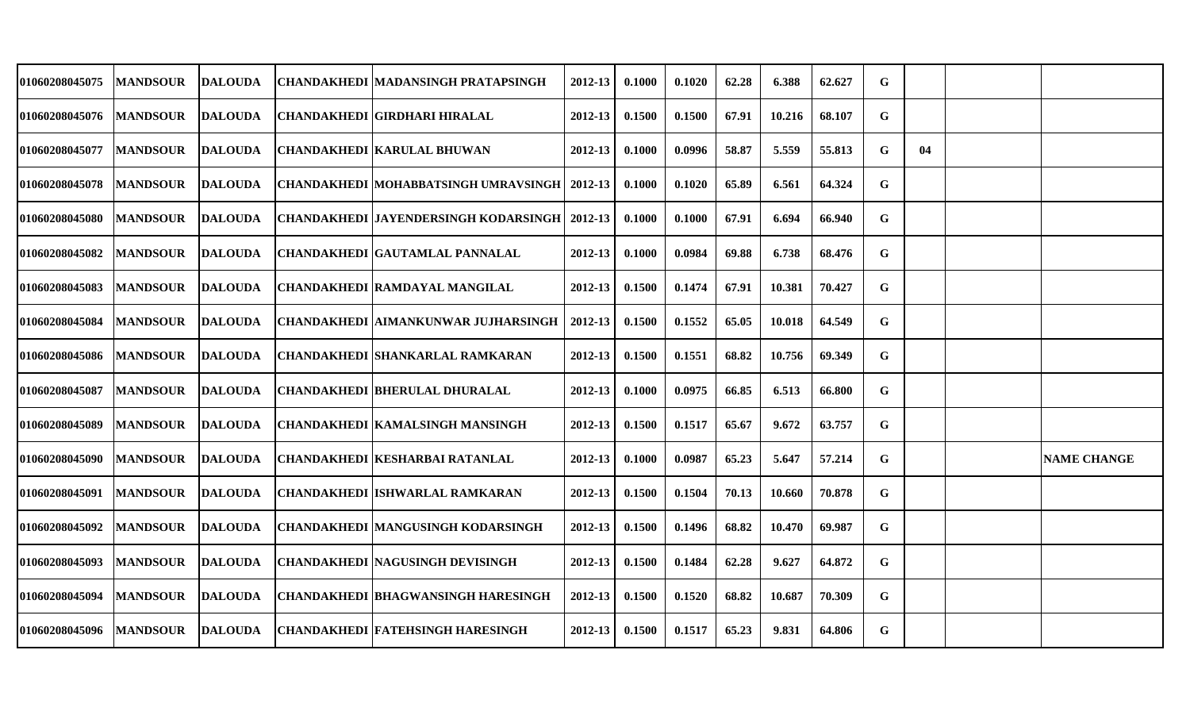| 01060208045075 | <b>MANDSOUR</b> | <b>DALOUDA</b> | CHANDAKHEDI  MADANSINGH PRATAPSINGH             | 2012-13     | 0.1000 | 0.1020 | 62.28 | 6.388  | 62.627 | G |    |                    |
|----------------|-----------------|----------------|-------------------------------------------------|-------------|--------|--------|-------|--------|--------|---|----|--------------------|
| 01060208045076 | <b>MANDSOUR</b> | <b>DALOUDA</b> | CHANDAKHEDI  GIRDHARI HIRALAL                   | 2012-13     | 0.1500 | 0.1500 | 67.91 | 10.216 | 68.107 | G |    |                    |
| 01060208045077 | <b>MANDSOUR</b> | <b>DALOUDA</b> | <b>CHANDAKHEDI KARULAL BHUWAN</b>               | 2012-13     | 0.1000 | 0.0996 | 58.87 | 5.559  | 55.813 | G | 04 |                    |
| 01060208045078 | <b>MANDSOUR</b> | DALOUDA        | CHANDAKHEDI  MOHABBATSINGH UMRAVSINGH   2012-13 |             | 0.1000 | 0.1020 | 65.89 | 6.561  | 64.324 | G |    |                    |
| 01060208045080 | <b>MANDSOUR</b> | <b>DALOUDA</b> | CHANDAKHEDI  JAYENDERSINGH KODARSINGH           | 2012-13     | 0.1000 | 0.1000 | 67.91 | 6.694  | 66.940 | G |    |                    |
| 01060208045082 | <b>MANDSOUR</b> | <b>DALOUDA</b> | <b>CHANDAKHEDI GAUTAMLAL PANNALAL</b>           | 2012-13     | 0.1000 | 0.0984 | 69.88 | 6.738  | 68.476 | G |    |                    |
| 01060208045083 | <b>MANDSOUR</b> | <b>DALOUDA</b> | <b>CHANDAKHEDI RAMDAYAL MANGILAL</b>            | 2012-13     | 0.1500 | 0.1474 | 67.91 | 10.381 | 70.427 | G |    |                    |
| 01060208045084 | <b>MANDSOUR</b> | <b>DALOUDA</b> | CHANDAKHEDI  AIMANKUNWAR JUJHARSINGH            | 2012-13     | 0.1500 | 0.1552 | 65.05 | 10.018 | 64.549 | G |    |                    |
| 01060208045086 | <b>MANDSOUR</b> | <b>DALOUDA</b> | <b>CHANDAKHEDI SHANKARLAL RAMKARAN</b>          | $2012 - 13$ | 0.1500 | 0.1551 | 68.82 | 10.756 | 69.349 | G |    |                    |
| 01060208045087 | <b>MANDSOUR</b> | <b>DALOUDA</b> | <b>CHANDAKHEDI BHERULAL DHURALAL</b>            | 2012-13     | 0.1000 | 0.0975 | 66.85 | 6.513  | 66.800 | G |    |                    |
| 01060208045089 | <b>MANDSOUR</b> | DALOUDA        | <b>CHANDAKHEDI KAMALSINGH MANSINGH</b>          | 2012-13     | 0.1500 | 0.1517 | 65.67 | 9.672  | 63.757 | G |    |                    |
| 01060208045090 | <b>MANDSOUR</b> | <b>DALOUDA</b> | <b>CHANDAKHEDI KESHARBAI RATANLAL</b>           | $2012 - 13$ | 0.1000 | 0.0987 | 65.23 | 5.647  | 57.214 | G |    | <b>NAME CHANGE</b> |
| 01060208045091 | <b>MANDSOUR</b> | DALOUDA        | <b>CHANDAKHEDI ISHWARLAL RAMKARAN</b>           | 2012-13     | 0.1500 | 0.1504 | 70.13 | 10.660 | 70.878 | G |    |                    |
| 01060208045092 | <b>MANDSOUR</b> | <b>DALOUDA</b> | <b>CHANDAKHEDI MANGUSINGH KODARSINGH</b>        | 2012-13     | 0.1500 | 0.1496 | 68.82 | 10.470 | 69.987 | G |    |                    |
| 01060208045093 | <b>MANDSOUR</b> | <b>DALOUDA</b> | <b>CHANDAKHEDI NAGUSINGH DEVISINGH</b>          | 2012-13     | 0.1500 | 0.1484 | 62.28 | 9.627  | 64.872 | G |    |                    |
| 01060208045094 | <b>MANDSOUR</b> | <b>DALOUDA</b> | CHANDAKHEDI  BHAGWANSINGH HARESINGH             | $2012 - 13$ | 0.1500 | 0.1520 | 68.82 | 10.687 | 70.309 | G |    |                    |
| 01060208045096 | <b>MANDSOUR</b> | DALOUDA        | CHANDAKHEDI  FATEHSINGH HARESINGH               | 2012-13     | 0.1500 | 0.1517 | 65.23 | 9.831  | 64.806 | G |    |                    |
|                |                 |                |                                                 |             |        |        |       |        |        |   |    |                    |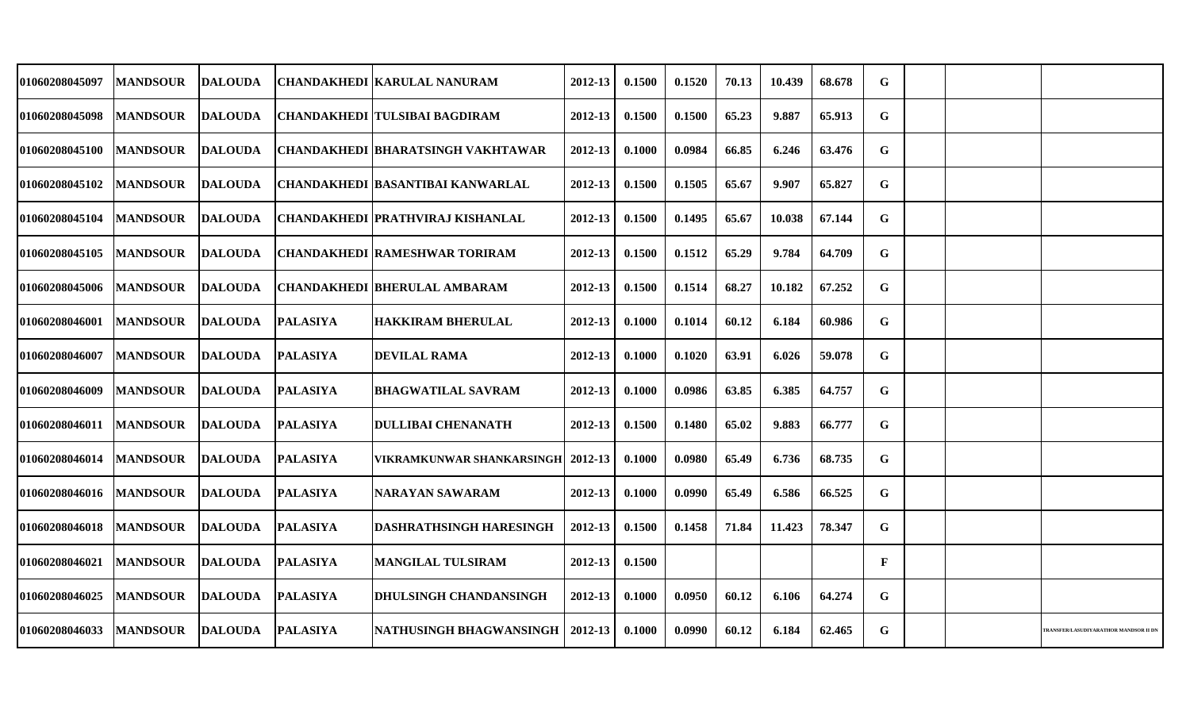| 01060208045097        | <b>MANDSOUR</b>  | <b>DALOUDA</b> |                 | <b>CHANDAKHEDI   KARULAL NANURAM</b>    | 2012-13 | 0.1500 | 0.1520 | 70.13 | 10.439 | 68.678 | G            |  |                                      |
|-----------------------|------------------|----------------|-----------------|-----------------------------------------|---------|--------|--------|-------|--------|--------|--------------|--|--------------------------------------|
| 01060208045098        | <b>MANDSOUR</b>  | <b>DALOUDA</b> |                 | <b>CHANDAKHEDI TULSIBAI BAGDIRAM</b>    | 2012-13 | 0.1500 | 0.1500 | 65.23 | 9.887  | 65.913 | G            |  |                                      |
| 01060208045100        | <b>MANDSOUR</b>  | <b>DALOUDA</b> |                 | CHANDAKHEDI   BHARATSINGH VAKHTAWAR     | 2012-13 | 0.1000 | 0.0984 | 66.85 | 6.246  | 63.476 | G            |  |                                      |
| 01060208045102        | <b>MANDSOUR</b>  | DALOUDA        |                 | CHANDAKHEDI  BASANTIBAI KANWARLAL       | 2012-13 | 0.1500 | 0.1505 | 65.67 | 9.907  | 65.827 | G            |  |                                      |
| 01060208045104        | <b>IMANDSOUR</b> | <b>DALOUDA</b> |                 | <b>CHANDAKHEDI PRATHVIRAJ KISHANLAL</b> | 2012-13 | 0.1500 | 0.1495 | 65.67 | 10.038 | 67.144 | G            |  |                                      |
| 01060208045105        | <b>MANDSOUR</b>  | DALOUDA        |                 | <b>CHANDAKHEDI RAMESHWAR TORIRAM</b>    | 2012-13 | 0.1500 | 0.1512 | 65.29 | 9.784  | 64.709 | $\mathbf G$  |  |                                      |
| 01060208045006        | <b>MANDSOUR</b>  | <b>DALOUDA</b> |                 | <b>CHANDAKHEDI BHERULAL AMBARAM</b>     | 2012-13 | 0.1500 | 0.1514 | 68.27 | 10.182 | 67.252 | G            |  |                                      |
| 01060208046001        | <b>MANDSOUR</b>  | <b>DALOUDA</b> | <b>PALASIYA</b> | <b>HAKKIRAM BHERULAL</b>                | 2012-13 | 0.1000 | 0.1014 | 60.12 | 6.184  | 60.986 | G            |  |                                      |
| 01060208046007        | <b>MANDSOUR</b>  | DALOUDA        | <b>PALASIYA</b> | <b>DEVILAL RAMA</b>                     | 2012-13 | 0.1000 | 0.1020 | 63.91 | 6.026  | 59.078 | G            |  |                                      |
| 01060208046009        | <b>MANDSOUR</b>  | <b>DALOUDA</b> | <b>PALASIYA</b> | <b>BHAGWATILAL SAVRAM</b>               | 2012-13 | 0.1000 | 0.0986 | 63.85 | 6.385  | 64.757 | G            |  |                                      |
| <b>01060208046011</b> | <b>MANDSOUR</b>  | <b>DALOUDA</b> | <b>PALASIYA</b> | <b>DULLIBAI CHENANATH</b>               | 2012-13 | 0.1500 | 0.1480 | 65.02 | 9.883  | 66.777 | G            |  |                                      |
| 01060208046014        | <b>MANDSOUR</b>  | DALOUDA        | <b>PALASIYA</b> | VIKRAMKUNWAR SHANKARSINGH   2012-13     |         | 0.1000 | 0.0980 | 65.49 | 6.736  | 68.735 | G            |  |                                      |
| 01060208046016        | <b>MANDSOUR</b>  | <b>DALOUDA</b> | <b>PALASIYA</b> | <b>NARAYAN SAWARAM</b>                  | 2012-13 | 0.1000 | 0.0990 | 65.49 | 6.586  | 66.525 | G            |  |                                      |
| 01060208046018        | <b>MANDSOUR</b>  | <b>DALOUDA</b> | <b>PALASIYA</b> | <b>DASHRATHSINGH HARESINGH</b>          | 2012-13 | 0.1500 | 0.1458 | 71.84 | 11.423 | 78.347 | G            |  |                                      |
| <b>01060208046021</b> | <b>MANDSOUR</b>  | <b>DALOUDA</b> | <b>PALASIYA</b> | <b>MANGILAL TULSIRAM</b>                | 2012-13 | 0.1500 |        |       |        |        | $\mathbf{F}$ |  |                                      |
| 01060208046025        | <b>MANDSOUR</b>  | <b>DALOUDA</b> | <b>PALASIYA</b> | <b>DHULSINGH CHANDANSINGH</b>           | 2012-13 | 0.1000 | 0.0950 | 60.12 | 6.106  | 64.274 | G            |  |                                      |
| 01060208046033        | <b>MANDSOUR</b>  | <b>DALOUDA</b> | <b>PALASIYA</b> | NATHUSINGH BHAGWANSINGH   2012-13       |         | 0.1000 | 0.0990 | 60.12 | 6.184  | 62.465 | G            |  | RANSFER/LASUDIYARATHOR MANDSOR II DN |
|                       |                  |                |                 |                                         |         |        |        |       |        |        |              |  |                                      |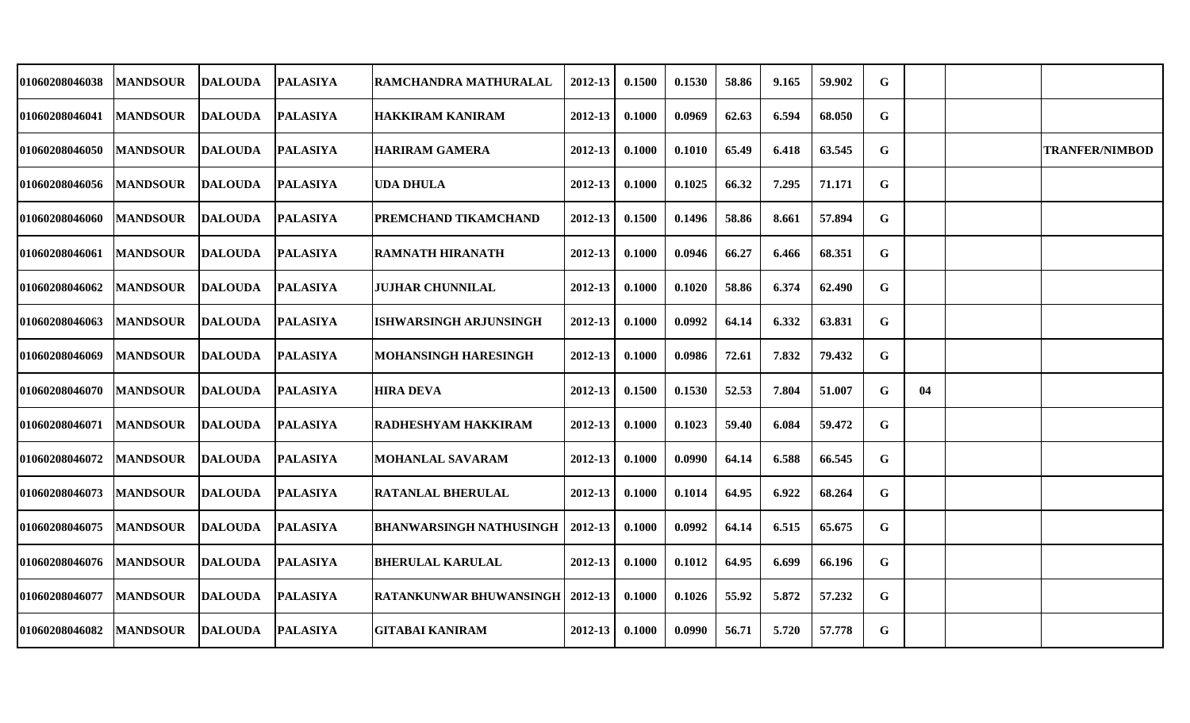| 01060208046038        | <b>MANDSOUR</b> | <b>DALOUDA</b> | <b>PALASIYA</b> | RAMCHANDRA MATHURALAL             | 2012-13     | 0.1500 | 0.1530 | 58.86 | 9.165 | 59.902 | G           |    |                       |
|-----------------------|-----------------|----------------|-----------------|-----------------------------------|-------------|--------|--------|-------|-------|--------|-------------|----|-----------------------|
| 01060208046041        | <b>MANDSOUR</b> | <b>DALOUDA</b> | <b>PALASIYA</b> | <b>HAKKIRAM KANIRAM</b>           | 2012-13     | 0.1000 | 0.0969 | 62.63 | 6.594 | 68.050 | G           |    |                       |
| 01060208046050        | <b>MANDSOUR</b> | <b>DALOUDA</b> | <b>PALASIYA</b> | <b>HARIRAM GAMERA</b>             | 2012-13     | 0.1000 | 0.1010 | 65.49 | 6.418 | 63.545 | G           |    | <b>TRANFER/NIMBOD</b> |
| 01060208046056        | <b>MANDSOUR</b> | <b>DALOUDA</b> | <b>PALASIYA</b> | <b>UDA DHULA</b>                  | 2012-13     | 0.1000 | 0.1025 | 66.32 | 7.295 | 71.171 | G           |    |                       |
| 01060208046060        | <b>MANDSOUR</b> | <b>DALOUDA</b> | <b>PALASIYA</b> | PREMCHAND TIKAMCHAND              | 2012-13     | 0.1500 | 0.1496 | 58.86 | 8.661 | 57.894 | $\mathbf G$ |    |                       |
| 01060208046061        | <b>MANDSOUR</b> | <b>DALOUDA</b> | <b>PALASIYA</b> | IRAMNATH HIRANATH                 | 2012-13     | 0.1000 | 0.0946 | 66.27 | 6.466 | 68.351 | G           |    |                       |
| 01060208046062        | <b>MANDSOUR</b> | <b>DALOUDA</b> | <b>PALASIYA</b> | <b>JUJHAR CHUNNILAL</b>           | 2012-13     | 0.1000 | 0.1020 | 58.86 | 6.374 | 62.490 | G           |    |                       |
| 01060208046063        | <b>MANDSOUR</b> | <b>DALOUDA</b> | <b>PALASIYA</b> | <b>ISHWARSINGH ARJUNSINGH</b>     | 2012-13     | 0.1000 | 0.0992 | 64.14 | 6.332 | 63.831 | G           |    |                       |
| 01060208046069        | <b>MANDSOUR</b> | <b>DALOUDA</b> | <b>PALASIYA</b> | <b>MOHANSINGH HARESINGH</b>       | 2012-13     | 0.1000 | 0.0986 | 72.61 | 7.832 | 79.432 | G           |    |                       |
| 01060208046070        | <b>MANDSOUR</b> | <b>DALOUDA</b> | <b>PALASIYA</b> | <b>HIRA DEVA</b>                  | 2012-13     | 0.1500 | 0.1530 | 52.53 | 7.804 | 51.007 | G           | 04 |                       |
| <b>01060208046071</b> | <b>MANDSOUR</b> | <b>DALOUDA</b> | <b>PALASIYA</b> | <b>RADHESHYAM HAKKIRAM</b>        | 2012-13     | 0.1000 | 0.1023 | 59.40 | 6.084 | 59.472 | G           |    |                       |
| 01060208046072        | <b>MANDSOUR</b> | <b>DALOUDA</b> | <b>PALASIYA</b> | <b>MOHANLAL SAVARAM</b>           | $2012 - 13$ | 0.1000 | 0.0990 | 64.14 | 6.588 | 66.545 | G           |    |                       |
| 01060208046073        | <b>MANDSOUR</b> | <b>DALOUDA</b> | <b>PALASIYA</b> | IRATANLAL BHERULAL                | 2012-13     | 0.1000 | 0.1014 | 64.95 | 6.922 | 68.264 | G           |    |                       |
| 01060208046075        | <b>MANDSOUR</b> | <b>DALOUDA</b> | <b>PALASIYA</b> | <b>BHANWARSINGH NATHUSINGH</b>    | 2012-13     | 0.1000 | 0.0992 | 64.14 | 6.515 | 65.675 | G           |    |                       |
| 01060208046076        | <b>MANDSOUR</b> | <b>DALOUDA</b> | <b>PALASIYA</b> | <b>BHERULAL KARULAL</b>           | 2012-13     | 0.1000 | 0.1012 | 64.95 | 6.699 | 66.196 | G           |    |                       |
| 01060208046077        | <b>MANDSOUR</b> | <b>DALOUDA</b> | <b>PALASIYA</b> | RATANKUNWAR BHUWANSINGH   2012-13 |             | 0.1000 | 0.1026 | 55.92 | 5.872 | 57.232 | G           |    |                       |
| 01060208046082        | <b>MANDSOUR</b> | <b>DALOUDA</b> | <b>PALASIYA</b> | <b>GITABAI KANIRAM</b>            | 2012-13     | 0.1000 | 0.0990 | 56.71 | 5.720 | 57.778 | G           |    |                       |
|                       |                 |                |                 |                                   |             |        |        |       |       |        |             |    |                       |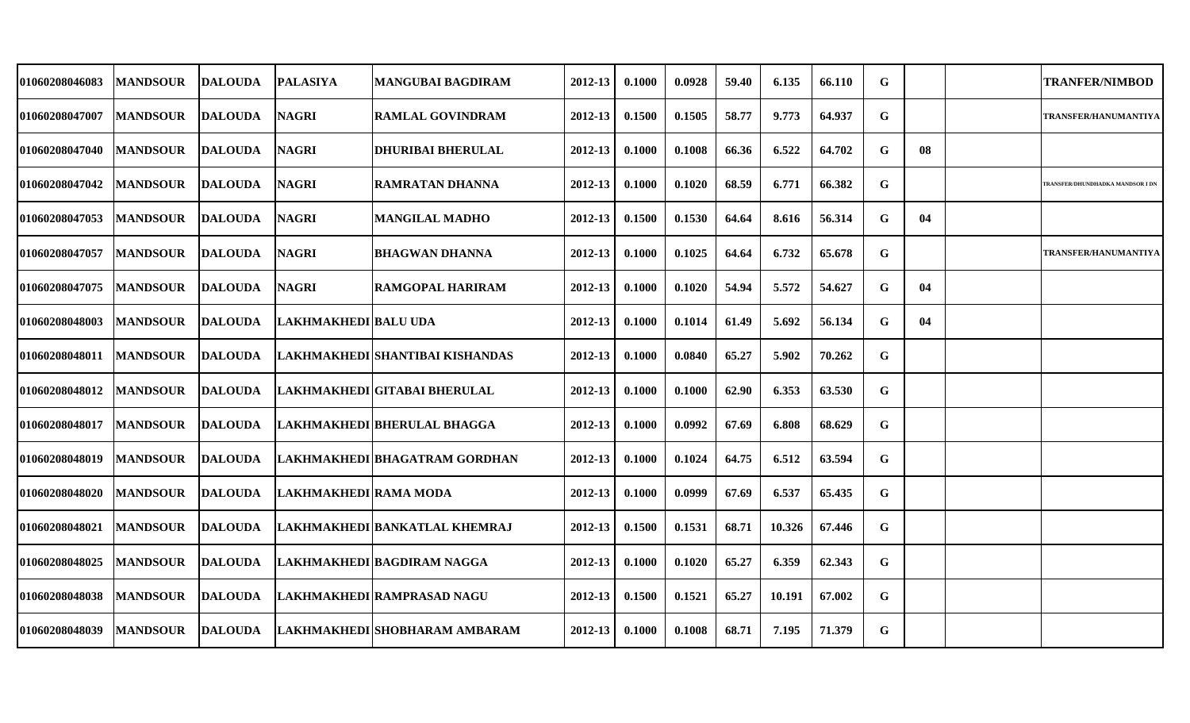| 01060208046083 | <b>MANDSOUR</b>  | <b>IDALOUDA</b> | <b>PALASIYA</b>       | <b>MANGUBAI BAGDIRAM</b>                       | 2012-13     | 0.1000 | 0.0928 | 59.40 | 6.135  | 66.110 | G |    | <b>TRANFER/NIMBOD</b>            |
|----------------|------------------|-----------------|-----------------------|------------------------------------------------|-------------|--------|--------|-------|--------|--------|---|----|----------------------------------|
| 01060208047007 | <b>IMANDSOUR</b> | <b>DALOUDA</b>  | <b>NAGRI</b>          | <b>RAMLAL GOVINDRAM</b>                        | 2012-13     | 0.1500 | 0.1505 | 58.77 | 9.773  | 64.937 | G |    | TRANSFER/HANUMANTIYA             |
| 01060208047040 | <b>MANDSOUR</b>  | <b>DALOUDA</b>  | <b>NAGRI</b>          | <b>DHURIBAI BHERULAL</b>                       | $2012 - 13$ | 0.1000 | 0.1008 | 66.36 | 6.522  | 64.702 | G | 08 |                                  |
| 01060208047042 | <b>MANDSOUR</b>  | <b>DALOUDA</b>  | <b>NAGRI</b>          | RAMRATAN DHANNA                                | $2012 - 13$ | 0.1000 | 0.1020 | 68.59 | 6.771  | 66.382 | G |    | TRANSFER/DHUNDHADKA MANDSOR I DN |
| 01060208047053 | <b>MANDSOUR</b>  | <b>DALOUDA</b>  | <b>NAGRI</b>          | <b>MANGILAL MADHO</b>                          | 2012-13     | 0.1500 | 0.1530 | 64.64 | 8.616  | 56.314 | G | 04 |                                  |
| 01060208047057 | <b>MANDSOUR</b>  | <b>DALOUDA</b>  | <b>NAGRI</b>          | BHAGWAN DHANNA                                 | 2012-13     | 0.1000 | 0.1025 | 64.64 | 6.732  | 65.678 | G |    | <b>TRANSFER/HANUMANTIYA</b>      |
| 01060208047075 | <b>MANDSOUR</b>  | <b>DALOUDA</b>  | <b>NAGRI</b>          | <b>RAMGOPAL HARIRAM</b>                        | 2012-13     | 0.1000 | 0.1020 | 54.94 | 5.572  | 54.627 | G | 04 |                                  |
| 01060208048003 | <b>MANDSOUR</b>  | <b>DALOUDA</b>  | LAKHMAKHEDI BALU UDA  |                                                | $2012 - 13$ | 0.1000 | 0.1014 | 61.49 | 5.692  | 56.134 | G | 04 |                                  |
| 01060208048011 | <b> MANDSOUR</b> | <b>DALOUDA</b>  |                       | LAKHMAKHEDI SHANTIBAI KISHANDAS                | $2012 - 13$ | 0.1000 | 0.0840 | 65.27 | 5.902  | 70.262 | G |    |                                  |
| 01060208048012 | <b>MANDSOUR</b>  | <b>DALOUDA</b>  |                       | LAKHMAKHEDI GITABAI BHERULAL                   | 2012-13     | 0.1000 | 0.1000 | 62.90 | 6.353  | 63.530 | G |    |                                  |
| 01060208048017 | <b>MANDSOUR</b>  | <b>DALOUDA</b>  |                       | LAKHMAKHEDI BHERULAL BHAGGA                    | 2012-13     | 0.1000 | 0.0992 | 67.69 | 6.808  | 68.629 | G |    |                                  |
| 01060208048019 | MANDSOUR DALOUDA |                 |                       | LAKHMAKHEDI BHAGATRAM GORDHAN                  | $2012 - 13$ | 0.1000 | 0.1024 | 64.75 | 6.512  | 63.594 | G |    |                                  |
| 01060208048020 | <b>MANDSOUR</b>  | <b>DALOUDA</b>  | LAKHMAKHEDI RAMA MODA |                                                | 2012-13     | 0.1000 | 0.0999 | 67.69 | 6.537  | 65.435 | G |    |                                  |
| 01060208048021 | <b>MANDSOUR</b>  | <b>DALOUDA</b>  |                       | LAKHMAKHEDI BANKATLAL KHEMRAJ                  | 2012-13     | 0.1500 | 0.1531 | 68.71 | 10.326 | 67.446 | G |    |                                  |
| 01060208048025 | <b>MANDSOUR</b>  | <b>DALOUDA</b>  |                       | LAKHMAKHEDI BAGDIRAM NAGGA                     | $2012 - 13$ | 0.1000 | 0.1020 | 65.27 | 6.359  | 62.343 | G |    |                                  |
| 01060208048038 | <b>MANDSOUR</b>  | <b>DALOUDA</b>  |                       | LAKHMAKHEDI RAMPRASAD NAGU                     | 2012-13     | 0.1500 | 0.1521 | 65.27 | 10.191 | 67.002 | G |    |                                  |
| 01060208048039 |                  |                 |                       | MANDSOUR DALOUDA LAKHMAKHEDI SHOBHARAM AMBARAM | $2012 - 13$ | 0.1000 | 0.1008 | 68.71 | 7.195  | 71.379 | G |    |                                  |
|                |                  |                 |                       |                                                |             |        |        |       |        |        |   |    |                                  |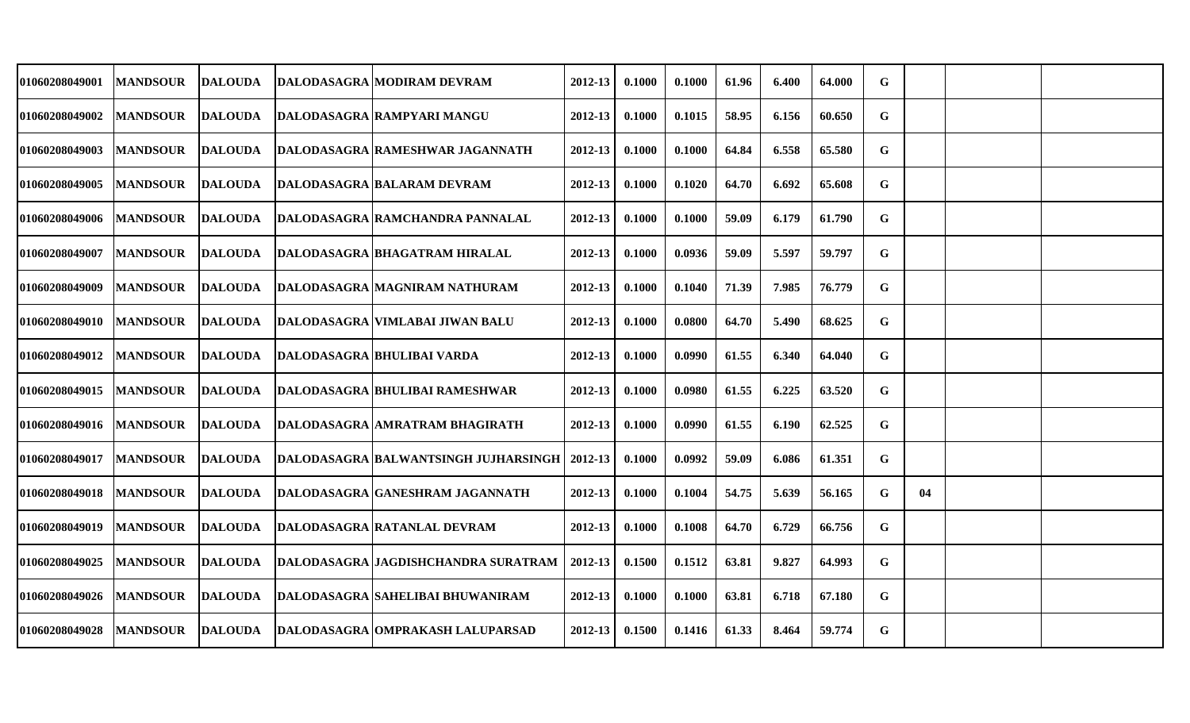| 01060208049001 | <b>MANDSOUR</b>  | <b>DALOUDA</b> | <b>DALODASAGRA MODIRAM DEVRAM</b>                        | 2012-13 | 0.1000 | 0.1000 | 61.96 | 6.400 | 64.000 | G           |    |  |
|----------------|------------------|----------------|----------------------------------------------------------|---------|--------|--------|-------|-------|--------|-------------|----|--|
| 01060208049002 | <b>MANDSOUR</b>  | <b>DALOUDA</b> | DALODASAGRA RAMPYARI MANGU                               | 2012-13 | 0.1000 | 0.1015 | 58.95 | 6.156 | 60.650 | G           |    |  |
| 01060208049003 | <b>MANDSOUR</b>  | <b>DALOUDA</b> | DALODASAGRA RAMESHWAR JAGANNATH                          | 2012-13 | 0.1000 | 0.1000 | 64.84 | 6.558 | 65.580 | G           |    |  |
| 01060208049005 | <b>MANDSOUR</b>  | DALOUDA        | <b>DALODASAGRA BALARAM DEVRAM</b>                        | 2012-13 | 0.1000 | 0.1020 | 64.70 | 6.692 | 65.608 | G           |    |  |
| 01060208049006 | <b>IMANDSOUR</b> | <b>DALOUDA</b> | <b>DALODASAGRA RAMCHANDRA PANNALAL</b>                   | 2012-13 | 0.1000 | 0.1000 | 59.09 | 6.179 | 61.790 | G           |    |  |
| 01060208049007 | <b>MANDSOUR</b>  |                | DALOUDA DALODASAGRA BHAGATRAM HIRALAL                    | 2012-13 | 0.1000 | 0.0936 | 59.09 | 5.597 | 59.797 | $\mathbf G$ |    |  |
| 01060208049009 | <b>MANDSOUR</b>  | <b>DALOUDA</b> | DALODASAGRA MAGNIRAM NATHURAM                            | 2012-13 | 0.1000 | 0.1040 | 71.39 | 7.985 | 76.779 | G           |    |  |
| 01060208049010 | <b>MANDSOUR</b>  | <b>DALOUDA</b> | DALODASAGRA   VIMLABAI JIWAN BALU                        | 2012-13 | 0.1000 | 0.0800 | 64.70 | 5.490 | 68.625 | G           |    |  |
| 01060208049012 | <b>MANDSOUR</b>  | DALOUDA        | <b>DALODASAGRA BHULIBAI VARDA</b>                        | 2012-13 | 0.1000 | 0.0990 | 61.55 | 6.340 | 64.040 | G           |    |  |
| 01060208049015 | <b>MANDSOUR</b>  | <b>DALOUDA</b> | <b>DALODASAGRA BHULIBAI RAMESHWAR</b>                    | 2012-13 | 0.1000 | 0.0980 | 61.55 | 6.225 | 63.520 | G           |    |  |
| 01060208049016 | <b>MANDSOUR</b>  | DALOUDA        | DALODASAGRA JAMRATRAM BHAGIRATH                          | 2012-13 | 0.1000 | 0.0990 | 61.55 | 6.190 | 62.525 | G           |    |  |
| 01060208049017 | <b>MANDSOUR</b>  |                | DALOUDA   DALODASAGRA BALWANTSINGH JUJHARSINGH   2012-13 |         | 0.1000 | 0.0992 | 59.09 | 6.086 | 61.351 | G           |    |  |
| 01060208049018 | <b>MANDSOUR</b>  | <b>DALOUDA</b> | DALODASAGRA GANESHRAM JAGANNATH                          | 2012-13 | 0.1000 | 0.1004 | 54.75 | 5.639 | 56.165 | G           | 04 |  |
| 01060208049019 | <b>MANDSOUR</b>  | <b>DALOUDA</b> | DALODASAGRA RATANLAL DEVRAM                              | 2012-13 | 0.1000 | 0.1008 | 64.70 | 6.729 | 66.756 | G           |    |  |
| 01060208049025 | <b>MANDSOUR</b>  | <b>DALOUDA</b> | DALODASAGRA JAGDISHCHANDRA SURATRAM   2012-13            |         | 0.1500 | 0.1512 | 63.81 | 9.827 | 64.993 | G           |    |  |
| 01060208049026 | <b>IMANDSOUR</b> | <b>DALOUDA</b> | <b>DALODASAGRA SAHELIBAI BHUWANIRAM</b>                  | 2012-13 | 0.1000 | 0.1000 | 63.81 | 6.718 | 67.180 | G           |    |  |
| 01060208049028 | <b> MANDSOUR</b> | DALOUDA        | DALODASAGRA OMPRAKASH LALUPARSAD                         | 2012-13 | 0.1500 | 0.1416 | 61.33 | 8.464 | 59.774 | G           |    |  |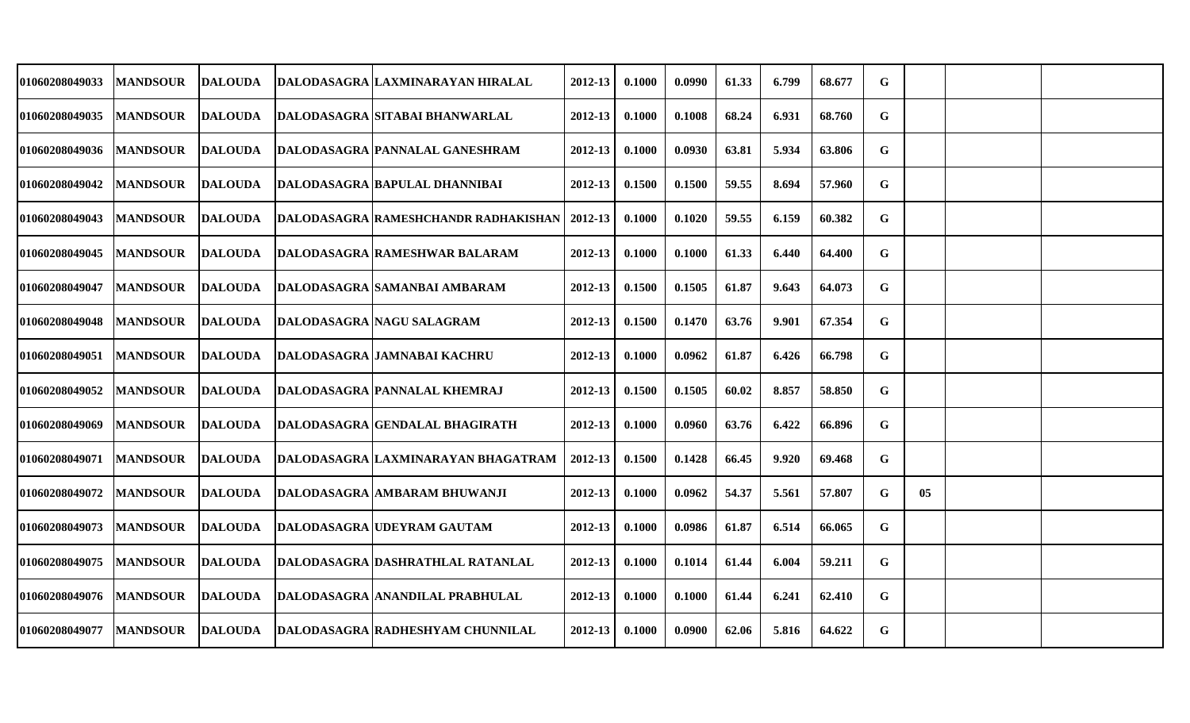| 01060208049033 | <b>MANDSOUR</b> | DALOUDA        | DALODASAGRA LAXMINARAYAN HIRALAL            | 2012-13     | 0.1000 | 0.0990 | 61.33 | 6.799 | 68.677 | G           |    |  |
|----------------|-----------------|----------------|---------------------------------------------|-------------|--------|--------|-------|-------|--------|-------------|----|--|
| 01060208049035 | <b>MANDSOUR</b> | <b>DALOUDA</b> | DALODASAGRA SITABAI BHANWARLAL              | 2012-13     | 0.1000 | 0.1008 | 68.24 | 6.931 | 68.760 | G           |    |  |
| 01060208049036 | <b>MANDSOUR</b> | <b>DALOUDA</b> | DALODASAGRA PANNALAL GANESHRAM              | 2012-13     | 0.1000 | 0.0930 | 63.81 | 5.934 | 63.806 | G           |    |  |
| 01060208049042 | <b>MANDSOUR</b> | DALOUDA        | DALODASAGRA BAPULAL DHANNIBAI               | 2012-13     | 0.1500 | 0.1500 | 59.55 | 8.694 | 57.960 | G           |    |  |
| 01060208049043 | <b>MANDSOUR</b> | <b>DALOUDA</b> | <b>DALODASAGRA RAMESHCHANDR RADHAKISHAN</b> | 2012-13     | 0.1000 | 0.1020 | 59.55 | 6.159 | 60.382 | G           |    |  |
| 01060208049045 | <b>MANDSOUR</b> | <b>DALOUDA</b> | <b>DALODASAGRA RAMESHWAR BALARAM</b>        | $2012 - 13$ | 0.1000 | 0.1000 | 61.33 | 6.440 | 64.400 | $\mathbf G$ |    |  |
| 01060208049047 | <b>MANDSOUR</b> | <b>DALOUDA</b> | <b>DALODASAGRA SAMANBAI AMBARAM</b>         | 2012-13     | 0.1500 | 0.1505 | 61.87 | 9.643 | 64.073 | G           |    |  |
| 01060208049048 | <b>MANDSOUR</b> | <b>DALOUDA</b> | DALODASAGRA   NAGU SALAGRAM                 | 2012-13     | 0.1500 | 0.1470 | 63.76 | 9.901 | 67.354 | G           |    |  |
| 01060208049051 | <b>MANDSOUR</b> | <b>DALOUDA</b> | <b>DALODASAGRA JAMNABAI KACHRU</b>          | 2012-13     | 0.1000 | 0.0962 | 61.87 | 6.426 | 66.798 | G           |    |  |
| 01060208049052 | <b>MANDSOUR</b> | <b>DALOUDA</b> | DALODASAGRA PANNALAL KHEMRAJ                | 2012-13     | 0.1500 | 0.1505 | 60.02 | 8.857 | 58.850 | G           |    |  |
| 01060208049069 | <b>MANDSOUR</b> | DALOUDA        | DALODASAGRA GENDALAL BHAGIRATH              | 2012-13     | 0.1000 | 0.0960 | 63.76 | 6.422 | 66.896 | G           |    |  |
| 01060208049071 | <b>MANDSOUR</b> | DALOUDA        | <b>DALODASAGRA LAXMINARAYAN BHAGATRAM</b>   | $2012 - 13$ | 0.1500 | 0.1428 | 66.45 | 9.920 | 69.468 | G           |    |  |
| 01060208049072 | <b>MANDSOUR</b> | DALOUDA        | DALODASAGRA AMBARAM BHUWANJI                | 2012-13     | 0.1000 | 0.0962 | 54.37 | 5.561 | 57.807 | G           | 05 |  |
| 01060208049073 | <b>MANDSOUR</b> | <b>DALOUDA</b> | DALODASAGRA UDEYRAM GAUTAM                  | 2012-13     | 0.1000 | 0.0986 | 61.87 | 6.514 | 66.065 | G           |    |  |
| 01060208049075 | <b>MANDSOUR</b> | <b>DALOUDA</b> | DALODASAGRA DASHRATHLAL RATANLAL            | 2012-13     | 0.1000 | 0.1014 | 61.44 | 6.004 | 59.211 | $\mathbf G$ |    |  |
| 01060208049076 | <b>MANDSOUR</b> | <b>DALOUDA</b> | <b>DALODASAGRA ANANDILAL PRABHULAL</b>      | $2012 - 13$ | 0.1000 | 0.1000 | 61.44 | 6.241 | 62.410 | G           |    |  |
| 01060208049077 | <b>MANDSOUR</b> | DALOUDA        | DALODASAGRA RADHESHYAM CHUNNILAL            | 2012-13     | 0.1000 | 0.0900 | 62.06 | 5.816 | 64.622 | G           |    |  |
|                |                 |                |                                             |             |        |        |       |       |        |             |    |  |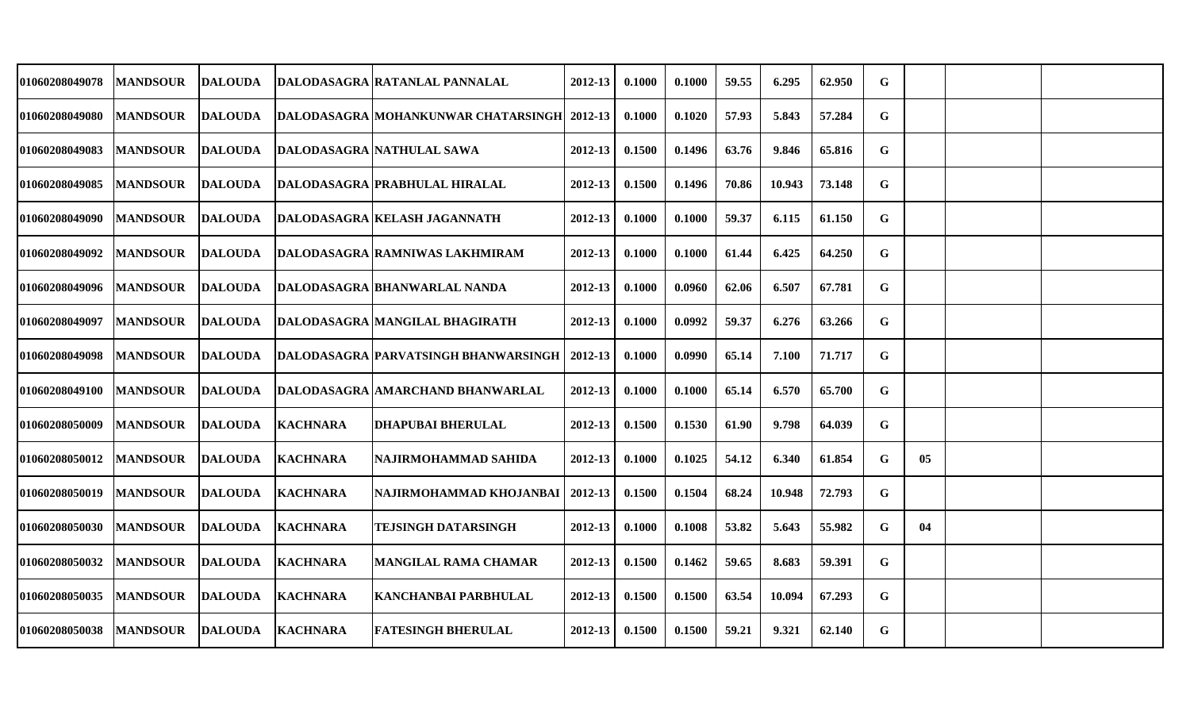| 01060208049078        | <b>MANDSOUR</b> | <b>DALOUDA</b> |                 | DALODASAGRA RATANLAL PANNALAL               | 2012-13     | 0.1000 | 0.1000 | 59.55 | 6.295  | 62.950 | G |                |  |
|-----------------------|-----------------|----------------|-----------------|---------------------------------------------|-------------|--------|--------|-------|--------|--------|---|----------------|--|
| 01060208049080        | <b>MANDSOUR</b> | <b>DALOUDA</b> |                 | DALODASAGRA MOHANKUNWAR CHATARSINGH 2012-13 |             | 0.1000 | 0.1020 | 57.93 | 5.843  | 57.284 | G |                |  |
| 01060208049083        | <b>MANDSOUR</b> | <b>DALOUDA</b> |                 | DALODASAGRA NATHULAL SAWA                   | $2012 - 13$ | 0.1500 | 0.1496 | 63.76 | 9.846  | 65.816 | G |                |  |
| <b>01060208049085</b> | <b>MANDSOUR</b> | <b>DALOUDA</b> |                 | DALODASAGRA  PRABHULAL HIRALAL              | $2012 - 13$ | 0.1500 | 0.1496 | 70.86 | 10.943 | 73.148 | G |                |  |
| 01060208049090        | <b>MANDSOUR</b> | <b>DALOUDA</b> |                 | DALODASAGRA KELASH JAGANNATH                | 2012-13     | 0.1000 | 0.1000 | 59.37 | 6.115  | 61.150 | G |                |  |
| <b>01060208049092</b> | <b>MANDSOUR</b> | <b>DALOUDA</b> |                 | <b>DALODASAGRA RAMNIWAS LAKHMIRAM</b>       | 2012-13     | 0.1000 | 0.1000 | 61.44 | 6.425  | 64.250 | G |                |  |
| 01060208049096        | <b>MANDSOUR</b> | <b>DALOUDA</b> |                 | DALODASAGRA BHANWARLAL NANDA                | 2012-13     | 0.1000 | 0.0960 | 62.06 | 6.507  | 67.781 | G |                |  |
| <b>01060208049097</b> | <b>MANDSOUR</b> | <b>DALOUDA</b> |                 | DALODASAGRA MANGILAL BHAGIRATH              | 2012-13     | 0.1000 | 0.0992 | 59.37 | 6.276  | 63.266 | G |                |  |
| 01060208049098        | <b>MANDSOUR</b> | <b>DALOUDA</b> |                 | <b>DALODASAGRA PARVATSINGH BHANWARSINGH</b> | 2012-13     | 0.1000 | 0.0990 | 65.14 | 7.100  | 71.717 | G |                |  |
| 01060208049100        | <b>MANDSOUR</b> | <b>DALOUDA</b> |                 | DALODASAGRA AMARCHAND BHANWARLAL            | 2012-13     | 0.1000 | 0.1000 | 65.14 | 6.570  | 65.700 | G |                |  |
| <b>01060208050009</b> | <b>MANDSOUR</b> | <b>DALOUDA</b> | <b>KACHNARA</b> | <b>DHAPUBAI BHERULAL</b>                    | 2012-13     | 0.1500 | 0.1530 | 61.90 | 9.798  | 64.039 | G |                |  |
| <b>01060208050012</b> | <b>MANDSOUR</b> | <b>DALOUDA</b> | <b>KACHNARA</b> | NAJIRMOHAMMAD SAHIDA                        | $2012 - 13$ | 0.1000 | 0.1025 | 54.12 | 6.340  | 61.854 | G | 0 <sub>5</sub> |  |
| <b>01060208050019</b> | <b>MANDSOUR</b> | <b>DALOUDA</b> | <b>KACHNARA</b> | NAJIRMOHAMMAD KHOJANBAI                     | 2012-13     | 0.1500 | 0.1504 | 68.24 | 10.948 | 72.793 | G |                |  |
| <b>01060208050030</b> | <b>MANDSOUR</b> | <b>DALOUDA</b> | <b>KACHNARA</b> | <b>TEJSINGH DATARSINGH</b>                  | 2012-13     | 0.1000 | 0.1008 | 53.82 | 5.643  | 55.982 | G | 04             |  |
| 01060208050032        | <b>MANDSOUR</b> | <b>DALOUDA</b> | <b>KACHNARA</b> | <b>MANGILAL RAMA CHAMAR</b>                 | 2012-13     | 0.1500 | 0.1462 | 59.65 | 8.683  | 59.391 | G |                |  |
| <b>01060208050035</b> | <b>MANDSOUR</b> | <b>DALOUDA</b> | <b>KACHNARA</b> | <b>KANCHANBAI PARBHULAL</b>                 | $2012 - 13$ | 0.1500 | 0.1500 | 63.54 | 10.094 | 67.293 | G |                |  |
| <b>01060208050038</b> | <b>MANDSOUR</b> | <b>DALOUDA</b> | <b>KACHNARA</b> | <b>FATESINGH BHERULAL</b>                   | 2012-13     | 0.1500 | 0.1500 | 59.21 | 9.321  | 62.140 | G |                |  |
|                       |                 |                |                 |                                             |             |        |        |       |        |        |   |                |  |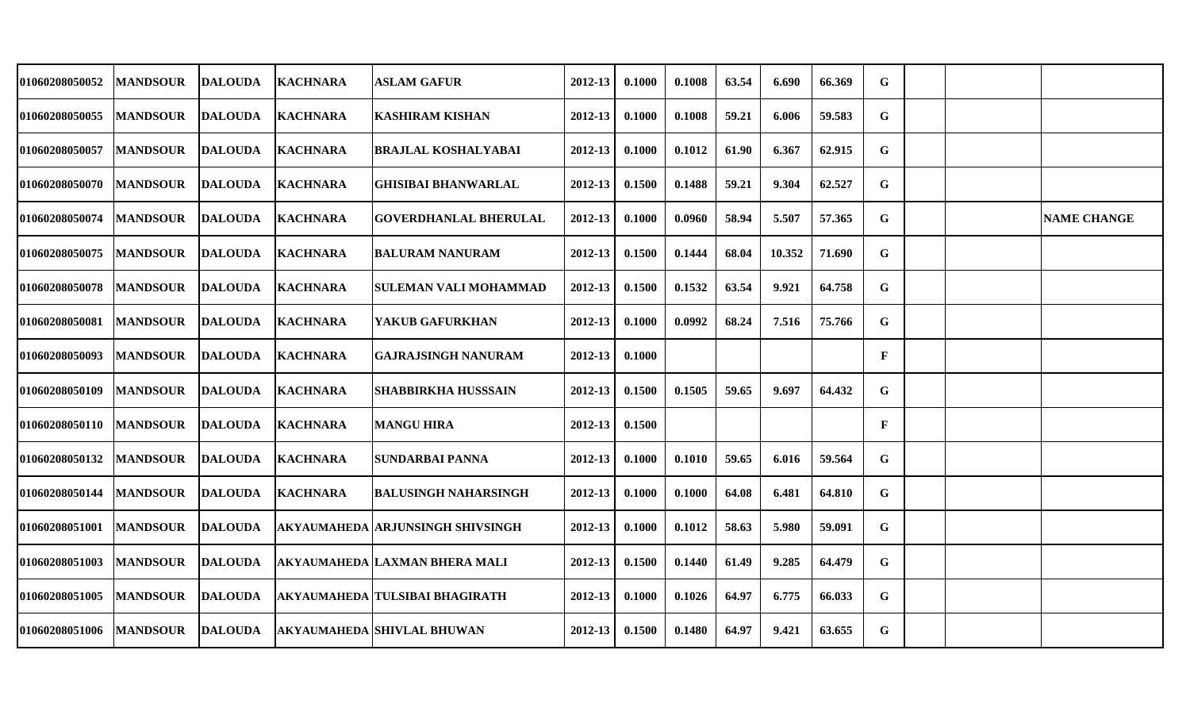| 01060208050052        | <b>MANDSOUR</b> | <b>DALOUDA</b> | <b>KACHNARA</b> | <b>ASLAM GAFUR</b>                   | 2012-13     | 0.1000 | 0.1008 | 63.54 | 6.690  | 66.369 | G            |  |                    |
|-----------------------|-----------------|----------------|-----------------|--------------------------------------|-------------|--------|--------|-------|--------|--------|--------------|--|--------------------|
| 01060208050055        | <b>MANDSOUR</b> | <b>DALOUDA</b> | <b>KACHNARA</b> | <b>KASHIRAM KISHAN</b>               | 2012-13     | 0.1000 | 0.1008 | 59.21 | 6.006  | 59.583 | G            |  |                    |
| <b>01060208050057</b> | <b>MANDSOUR</b> | <b>DALOUDA</b> | <b>KACHNARA</b> | <b>BRAJLAL KOSHALYABAI</b>           | $2012 - 13$ | 0.1000 | 0.1012 | 61.90 | 6.367  | 62.915 | $\mathbf G$  |  |                    |
| <b>01060208050070</b> | <b>MANDSOUR</b> | <b>DALOUDA</b> | <b>KACHNARA</b> | <b>GHISIBAI BHANWARLAL</b>           | 2012-13     | 0.1500 | 0.1488 | 59.21 | 9.304  | 62.527 | G            |  |                    |
| <b>01060208050074</b> | <b>MANDSOUR</b> | <b>DALOUDA</b> | <b>KACHNARA</b> | <b>GOVERDHANLAL BHERULAL</b>         | 2012-13     | 0.1000 | 0.0960 | 58.94 | 5.507  | 57.365 | G            |  | <b>NAME CHANGE</b> |
| 01060208050075        | <b>MANDSOUR</b> | <b>DALOUDA</b> | <b>KACHNARA</b> | BALURAM NANURAM                      | 2012-13     | 0.1500 | 0.1444 | 68.04 | 10.352 | 71.690 | G            |  |                    |
| <b>01060208050078</b> | <b>MANDSOUR</b> | <b>DALOUDA</b> | <b>KACHNARA</b> | SULEMAN VALI MOHAMMAD                | 2012-13     | 0.1500 | 0.1532 | 63.54 | 9.921  | 64.758 | G            |  |                    |
| 01060208050081        | <b>MANDSOUR</b> | <b>DALOUDA</b> | <b>KACHNARA</b> | YAKUB GAFURKHAN                      | 2012-13     | 0.1000 | 0.0992 | 68.24 | 7.516  | 75.766 | G            |  |                    |
| <b>01060208050093</b> | <b>MANDSOUR</b> | <b>DALOUDA</b> | <b>KACHNARA</b> | <b>GAJRAJSINGH NANURAM</b>           | 2012-13     | 0.1000 |        |       |        |        | $\mathbf{F}$ |  |                    |
| <b>01060208050109</b> | <b>MANDSOUR</b> | <b>DALOUDA</b> | <b>KACHNARA</b> | SHABBIRKHA HUSSSAIN                  | 2012-13     | 0.1500 | 0.1505 | 59.65 | 9.697  | 64.432 | G            |  |                    |
| <b>01060208050110</b> | <b>MANDSOUR</b> | <b>DALOUDA</b> | <b>KACHNARA</b> | <b>MANGU HIRA</b>                    | 2012-13     | 0.1500 |        |       |        |        | $\mathbf{F}$ |  |                    |
| 01060208050132        | <b>MANDSOUR</b> | <b>DALOUDA</b> | <b>KACHNARA</b> | <b>SUNDARBAI PANNA</b>               | $2012 - 13$ | 0.1000 | 0.1010 | 59.65 | 6.016  | 59.564 | G            |  |                    |
| <b>01060208050144</b> | <b>MANDSOUR</b> | <b>DALOUDA</b> | <b>KACHNARA</b> | <b>BALUSINGH NAHARSINGH</b>          | 2012-13     | 0.1000 | 0.1000 | 64.08 | 6.481  | 64.810 | G            |  |                    |
| 01060208051001        | <b>MANDSOUR</b> | <b>DALOUDA</b> |                 | AKYAUMAHEDA  ARJUNSINGH SHIVSINGH    | 2012-13     | 0.1000 | 0.1012 | 58.63 | 5.980  | 59.091 | G            |  |                    |
| <b>01060208051003</b> | <b>MANDSOUR</b> | <b>DALOUDA</b> |                 | <b>AKYAUMAHEDA LAXMAN BHERA MALI</b> | 2012-13     | 0.1500 | 0.1440 | 61.49 | 9.285  | 64.479 | G            |  |                    |
| <b>01060208051005</b> | <b>MANDSOUR</b> | <b>DALOUDA</b> |                 | AKYAUMAHEDA   TULSIBAI BHAGIRATH     | $2012 - 13$ | 0.1000 | 0.1026 | 64.97 | 6.775  | 66.033 | G            |  |                    |
| <b>01060208051006</b> | <b>MANDSOUR</b> | <b>DALOUDA</b> |                 | AKYAUMAHEDA  SHIVLAL BHUWAN          | 2012-13     | 0.1500 | 0.1480 | 64.97 | 9.421  | 63.655 | G            |  |                    |
|                       |                 |                |                 |                                      |             |        |        |       |        |        |              |  |                    |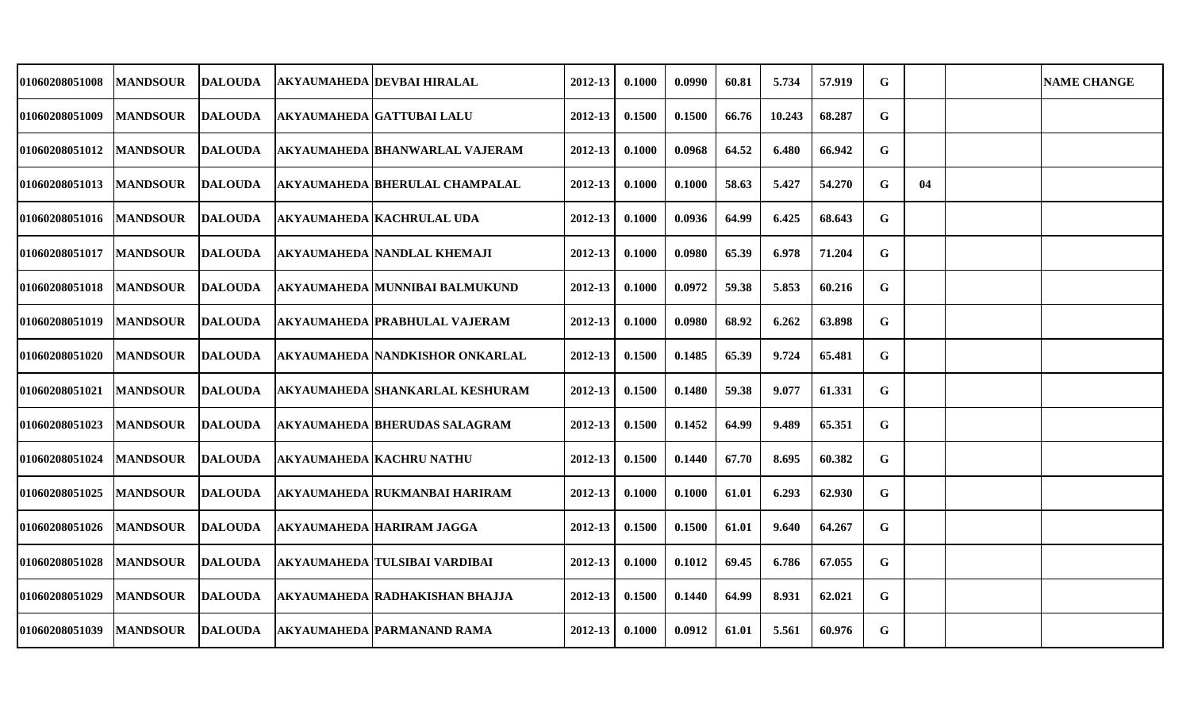| 01060208051008 | <b>MANDSOUR</b> | <b>DALOUDA</b> | AKYAUMAHEDA  DEVBAI HIRALAL           | 2012-13     | 0.1000 | 0.0990 | 60.81 | 5.734  | 57.919 | G           |    | <b>NAME CHANGE</b> |
|----------------|-----------------|----------------|---------------------------------------|-------------|--------|--------|-------|--------|--------|-------------|----|--------------------|
| 01060208051009 | <b>MANDSOUR</b> | <b>DALOUDA</b> | <b>AKYAUMAHEDA GATTUBAI LALU</b>      | 2012-13     | 0.1500 | 0.1500 | 66.76 | 10.243 | 68.287 | G           |    |                    |
| 01060208051012 | <b>MANDSOUR</b> | <b>DALOUDA</b> | <b>AKYAUMAHEDA BHANWARLAL VAJERAM</b> | 2012-13     | 0.1000 | 0.0968 | 64.52 | 6.480  | 66.942 | $\mathbf G$ |    |                    |
| 01060208051013 | <b>MANDSOUR</b> | DALOUDA        | AKYAUMAHEDA  BHERULAL CHAMPALAL       | 2012-13     | 0.1000 | 0.1000 | 58.63 | 5.427  | 54.270 | G           | 04 |                    |
| 01060208051016 | <b>MANDSOUR</b> | DALOUDA        | <b>AKYAUMAHEDA KACHRULAL UDA</b>      | 2012-13     | 0.1000 | 0.0936 | 64.99 | 6.425  | 68.643 | G           |    |                    |
| 01060208051017 | <b>MANDSOUR</b> | <b>DALOUDA</b> | <b>AKYAUMAHEDA NANDLAL KHEMAJI</b>    | 2012-13     | 0.1000 | 0.0980 | 65.39 | 6.978  | 71.204 | $\mathbf G$ |    |                    |
| 01060208051018 | <b>MANDSOUR</b> | <b>DALOUDA</b> | AKYAUMAHEDA MUNNIBAI BALMUKUND        | 2012-13     | 0.1000 | 0.0972 | 59.38 | 5.853  | 60.216 | G           |    |                    |
| 01060208051019 | <b>MANDSOUR</b> | <b>DALOUDA</b> | <b>AKYAUMAHEDA PRABHULAL VAJERAM</b>  | 2012-13     | 0.1000 | 0.0980 | 68.92 | 6.262  | 63.898 | G           |    |                    |
| 01060208051020 | <b>MANDSOUR</b> | <b>DALOUDA</b> | AKYAUMAHEDA NANDKISHOR ONKARLAL       | 2012-13     | 0.1500 | 0.1485 | 65.39 | 9.724  | 65.481 | G           |    |                    |
| 01060208051021 | <b>MANDSOUR</b> | <b>DALOUDA</b> | AKYAUMAHEDA  SHANKARLAL KESHURAM      | 2012-13     | 0.1500 | 0.1480 | 59.38 | 9.077  | 61.331 | G           |    |                    |
| 01060208051023 | <b>MANDSOUR</b> | <b>DALOUDA</b> | AKYAUMAHEDA  BHERUDAS SALAGRAM        | 2012-13     | 0.1500 | 0.1452 | 64.99 | 9.489  | 65.351 | G           |    |                    |
| 01060208051024 | <b>MANDSOUR</b> | <b>DALOUDA</b> | <b>AKYAUMAHEDA KACHRU NATHU</b>       | $2012 - 13$ | 0.1500 | 0.1440 | 67.70 | 8.695  | 60.382 | G           |    |                    |
| 01060208051025 | <b>MANDSOUR</b> | <b>DALOUDA</b> | <b>AKYAUMAHEDA RUKMANBAI HARIRAM</b>  | 2012-13     | 0.1000 | 0.1000 | 61.01 | 6.293  | 62.930 | G           |    |                    |
| 01060208051026 | <b>MANDSOUR</b> | <b>DALOUDA</b> | <b>AKYAUMAHEDA HARIRAM JAGGA</b>      | 2012-13     | 0.1500 | 0.1500 | 61.01 | 9.640  | 64.267 | G           |    |                    |
| 01060208051028 | <b>MANDSOUR</b> | <b>DALOUDA</b> | <b>AKYAUMAHEDA TULSIBAI VARDIBAI</b>  | 2012-13     | 0.1000 | 0.1012 | 69.45 | 6.786  | 67.055 | G           |    |                    |
| 01060208051029 | <b>MANDSOUR</b> | <b>DALOUDA</b> | AKYAUMAHEDA  RADHAKISHAN BHAJJA       | $2012 - 13$ | 0.1500 | 0.1440 | 64.99 | 8.931  | 62.021 | G           |    |                    |
| 01060208051039 | <b>MANDSOUR</b> | <b>DALOUDA</b> | AKYAUMAHEDA  PARMANAND RAMA           | 2012-13     | 0.1000 | 0.0912 | 61.01 | 5.561  | 60.976 | G           |    |                    |
|                |                 |                |                                       |             |        |        |       |        |        |             |    |                    |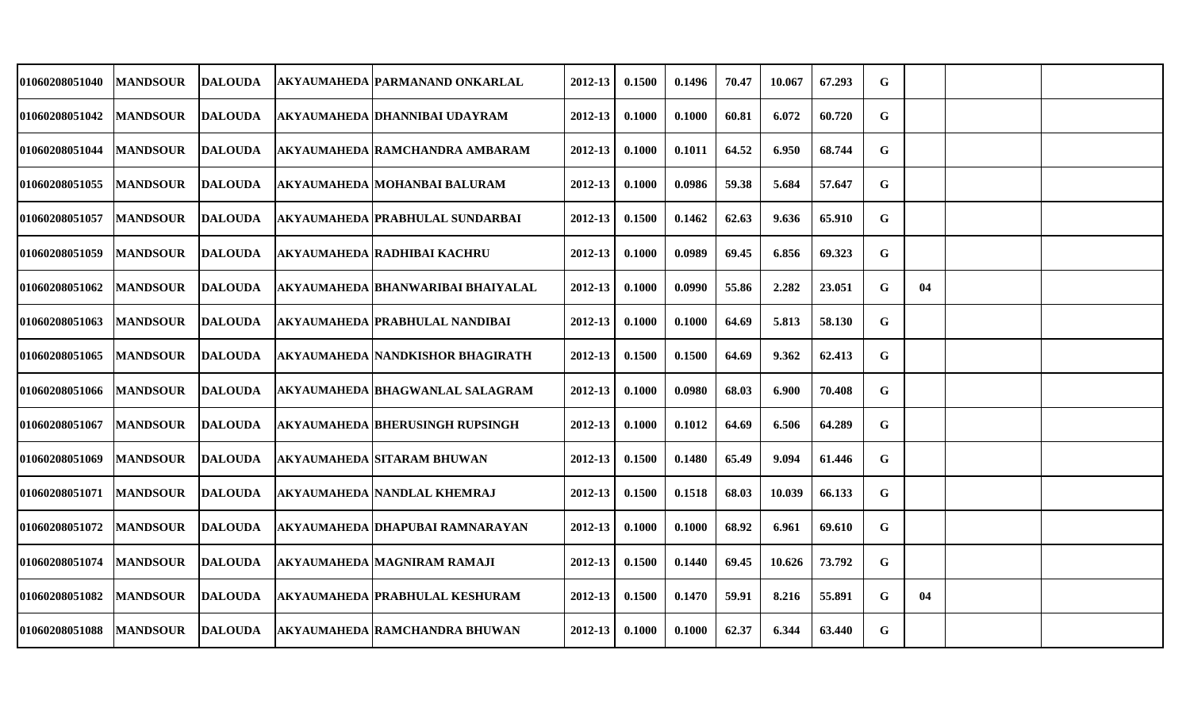| 01060208051040 | <b>MANDSOUR</b> | <b>DALOUDA</b> | AKYAUMAHEDA  PARMANAND ONKARLAL         | 2012-13     | 0.1500 | 0.1496 | 70.47 | 10.067 | 67.293 | G           |    |  |
|----------------|-----------------|----------------|-----------------------------------------|-------------|--------|--------|-------|--------|--------|-------------|----|--|
| 01060208051042 | <b>MANDSOUR</b> | <b>DALOUDA</b> | AKYAUMAHEDA DHANNIBAI UDAYRAM           | 2012-13     | 0.1000 | 0.1000 | 60.81 | 6.072  | 60.720 | G           |    |  |
| 01060208051044 | <b>MANDSOUR</b> | <b>DALOUDA</b> | AKYAUMAHEDA  RAMCHANDRA AMBARAM         | 2012-13     | 0.1000 | 0.1011 | 64.52 | 6.950  | 68.744 | G           |    |  |
| 01060208051055 | <b>MANDSOUR</b> | <b>DALOUDA</b> | AKYAUMAHEDA  MOHANBAI BALURAM           | 2012-13     | 0.1000 | 0.0986 | 59.38 | 5.684  | 57.647 | G           |    |  |
| 01060208051057 | <b>MANDSOUR</b> | DALOUDA        | AKYAUMAHEDA PRABHULAL SUNDARBAI         | 2012-13     | 0.1500 | 0.1462 | 62.63 | 9.636  | 65.910 | G           |    |  |
| 01060208051059 | <b>MANDSOUR</b> | <b>DALOUDA</b> | <b>AKYAUMAHEDA RADHIBAI KACHRU</b>      | 2012-13     | 0.1000 | 0.0989 | 69.45 | 6.856  | 69.323 | $\mathbf G$ |    |  |
| 01060208051062 | <b>MANDSOUR</b> | <b>DALOUDA</b> | AKYAUMAHEDA BHANWARIBAI BHAIYALAL       | 2012-13     | 0.1000 | 0.0990 | 55.86 | 2.282  | 23.051 | G           | 04 |  |
| 01060208051063 | <b>MANDSOUR</b> | <b>DALOUDA</b> | <b>AKYAUMAHEDA PRABHULAL NANDIBAI</b>   | 2012-13     | 0.1000 | 0.1000 | 64.69 | 5.813  | 58.130 | G           |    |  |
| 01060208051065 | <b>MANDSOUR</b> | <b>DALOUDA</b> | <b>AKYAUMAHEDA NANDKISHOR BHAGIRATH</b> | 2012-13     | 0.1500 | 0.1500 | 64.69 | 9.362  | 62.413 | G           |    |  |
| 01060208051066 | <b>MANDSOUR</b> | <b>DALOUDA</b> | AKYAUMAHEDA BHAGWANLAL SALAGRAM         | 2012-13     | 0.1000 | 0.0980 | 68.03 | 6.900  | 70.408 | G           |    |  |
| 01060208051067 | <b>MANDSOUR</b> | <b>DALOUDA</b> | <b>AKYAUMAHEDA BHERUSINGH RUPSINGH</b>  | 2012-13     | 0.1000 | 0.1012 | 64.69 | 6.506  | 64.289 | G           |    |  |
| 01060208051069 | <b>MANDSOUR</b> | <b>DALOUDA</b> | AKYAUMAHEDA SITARAM BHUWAN              | $2012 - 13$ | 0.1500 | 0.1480 | 65.49 | 9.094  | 61.446 | G           |    |  |
| 01060208051071 | <b>MANDSOUR</b> | <b>DALOUDA</b> | <b>AKYAUMAHEDA NANDLAL KHEMRAJ</b>      | 2012-13     | 0.1500 | 0.1518 | 68.03 | 10.039 | 66.133 | G           |    |  |
| 01060208051072 | <b>MANDSOUR</b> | <b>DALOUDA</b> | AKYAUMAHEDA DHAPUBAI RAMNARAYAN         | 2012-13     | 0.1000 | 0.1000 | 68.92 | 6.961  | 69.610 | G           |    |  |
| 01060208051074 | <b>MANDSOUR</b> | <b>DALOUDA</b> | <b>AKYAUMAHEDA MAGNIRAM RAMAJI</b>      | 2012-13     | 0.1500 | 0.1440 | 69.45 | 10.626 | 73.792 | $\mathbf G$ |    |  |
| 01060208051082 | <b>MANDSOUR</b> | <b>DALOUDA</b> | AKYAUMAHEDA  PRABHULAL KESHURAM         | $2012 - 13$ | 0.1500 | 0.1470 | 59.91 | 8.216  | 55.891 | G           | 04 |  |
| 01060208051088 | <b>MANDSOUR</b> | <b>DALOUDA</b> | <b>AKYAUMAHEDA RAMCHANDRA BHUWAN</b>    | 2012-13     | 0.1000 | 0.1000 | 62.37 | 6.344  | 63.440 | G           |    |  |
|                |                 |                |                                         |             |        |        |       |        |        |             |    |  |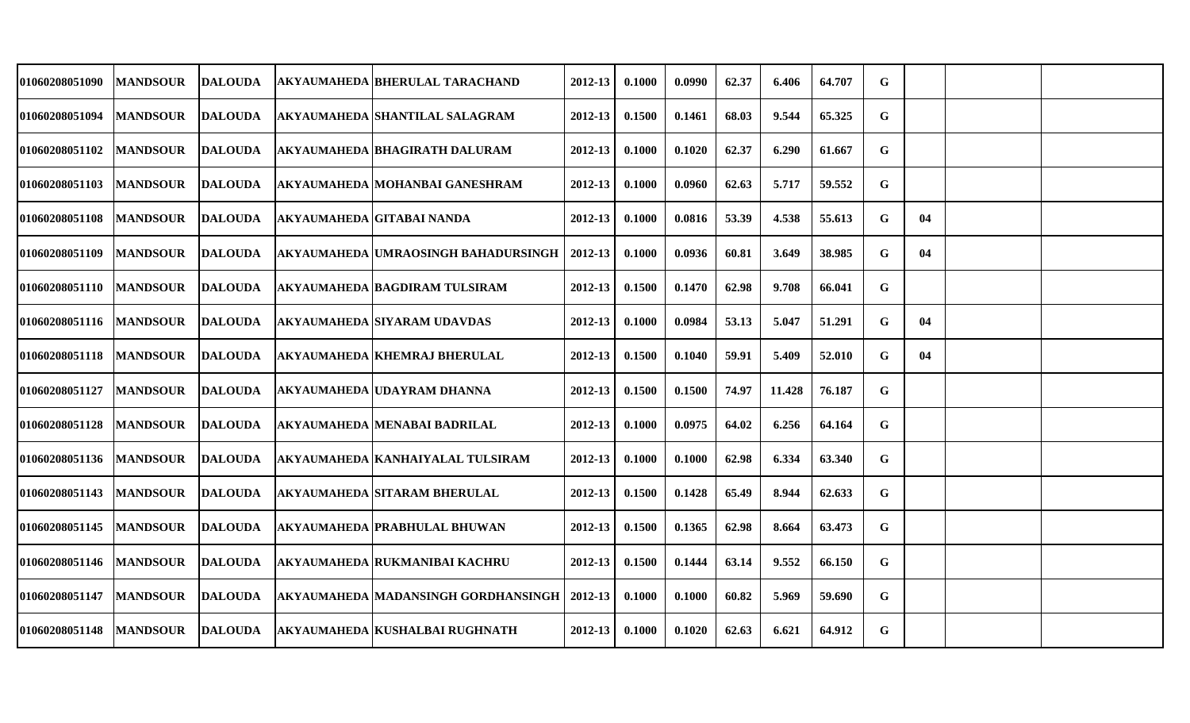| 01060208051090 | <b>MANDSOUR</b> | <b>DALOUDA</b> | AKYAUMAHEDA BHERULAL TARACHAND                 | 2012-13     | 0.1000 | 0.0990 | 62.37 | 6.406  | 64.707 | G           |    |  |
|----------------|-----------------|----------------|------------------------------------------------|-------------|--------|--------|-------|--------|--------|-------------|----|--|
| 01060208051094 | <b>MANDSOUR</b> | <b>DALOUDA</b> | AKYAUMAHEDA SHANTILAL SALAGRAM                 | 2012-13     | 0.1500 | 0.1461 | 68.03 | 9.544  | 65.325 | G           |    |  |
| 01060208051102 | <b>MANDSOUR</b> | <b>DALOUDA</b> | <b>AKYAUMAHEDA BHAGIRATH DALURAM</b>           | 2012-13     | 0.1000 | 0.1020 | 62.37 | 6.290  | 61.667 | G           |    |  |
| 01060208051103 | <b>MANDSOUR</b> | DALOUDA        | AKYAUMAHEDA   MOHANBAI GANESHRAM               | 2012-13     | 0.1000 | 0.0960 | 62.63 | 5.717  | 59.552 | G           |    |  |
| 01060208051108 | <b>MANDSOUR</b> | DALOUDA        | <b>AKYAUMAHEDA GITABAI NANDA</b>               | 2012-13     | 0.1000 | 0.0816 | 53.39 | 4.538  | 55.613 | G           | 04 |  |
| 01060208051109 | <b>MANDSOUR</b> | <b>DALOUDA</b> | AKYAUMAHEDA UMRAOSINGH BAHADURSINGH            | $2012 - 13$ | 0.1000 | 0.0936 | 60.81 | 3.649  | 38.985 | $\mathbf G$ | 04 |  |
| 01060208051110 | <b>MANDSOUR</b> | <b>DALOUDA</b> | AKYAUMAHEDA BAGDIRAM TULSIRAM                  | 2012-13     | 0.1500 | 0.1470 | 62.98 | 9.708  | 66.041 | G           |    |  |
| 01060208051116 | <b>MANDSOUR</b> | <b>DALOUDA</b> | <b>AKYAUMAHEDA SIYARAM UDAVDAS</b>             | 2012-13     | 0.1000 | 0.0984 | 53.13 | 5.047  | 51.291 | G           | 04 |  |
| 01060208051118 | <b>MANDSOUR</b> | <b>DALOUDA</b> | <b>AKYAUMAHEDA KHEMRAJ BHERULAL</b>            | 2012-13     | 0.1500 | 0.1040 | 59.91 | 5.409  | 52.010 | G           | 04 |  |
| 01060208051127 | <b>MANDSOUR</b> | <b>DALOUDA</b> | AKYAUMAHEDA  UDAYRAM DHANNA                    | 2012-13     | 0.1500 | 0.1500 | 74.97 | 11.428 | 76.187 | G           |    |  |
| 01060208051128 | <b>MANDSOUR</b> | <b>DALOUDA</b> | AKYAUMAHEDA  MENABAI BADRILAL                  | 2012-13     | 0.1000 | 0.0975 | 64.02 | 6.256  | 64.164 | G           |    |  |
| 01060208051136 | <b>MANDSOUR</b> | <b>DALOUDA</b> | AKYAUMAHEDA KANHAIYALAL TULSIRAM               | $2012 - 13$ | 0.1000 | 0.1000 | 62.98 | 6.334  | 63.340 | G           |    |  |
| 01060208051143 | <b>MANDSOUR</b> | <b>DALOUDA</b> | <b>AKYAUMAHEDA SITARAM BHERULAL</b>            | 2012-13     | 0.1500 | 0.1428 | 65.49 | 8.944  | 62.633 | G           |    |  |
| 01060208051145 | <b>MANDSOUR</b> | <b>DALOUDA</b> | <b>AKYAUMAHEDA PRABHULAL BHUWAN</b>            | 2012-13     | 0.1500 | 0.1365 | 62.98 | 8.664  | 63.473 | G           |    |  |
| 01060208051146 | <b>MANDSOUR</b> | <b>DALOUDA</b> | <b>AKYAUMAHEDA RUKMANIBAI KACHRU</b>           | 2012-13     | 0.1500 | 0.1444 | 63.14 | 9.552  | 66.150 | $\mathbf G$ |    |  |
| 01060208051147 | <b>MANDSOUR</b> | <b>DALOUDA</b> | AKYAUMAHEDA  MADANSINGH GORDHANSINGH   2012-13 |             | 0.1000 | 0.1000 | 60.82 | 5.969  | 59.690 | G           |    |  |
| 01060208051148 | <b>MANDSOUR</b> | <b>DALOUDA</b> | <b>AKYAUMAHEDA KUSHALBAI RUGHNATH</b>          | 2012-13     | 0.1000 | 0.1020 | 62.63 | 6.621  | 64.912 | G           |    |  |
|                |                 |                |                                                |             |        |        |       |        |        |             |    |  |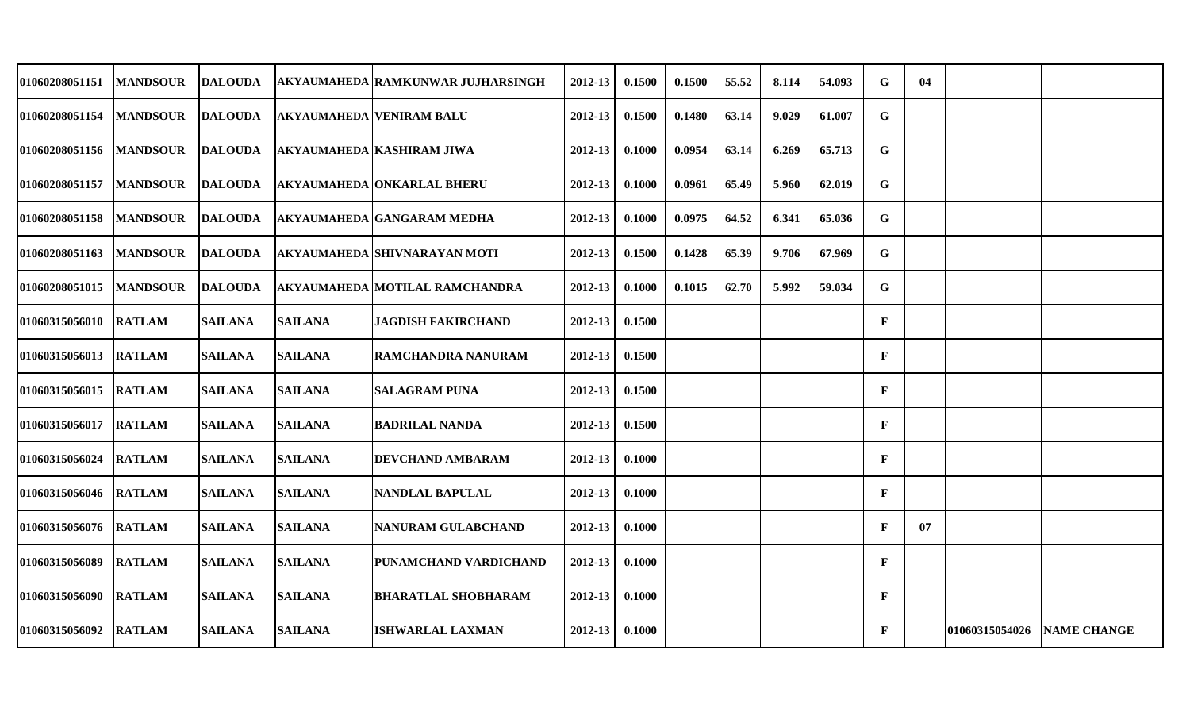| 01060208051151        | <b>MANDSOUR</b>  | DALOUDA        |                | AKYAUMAHEDA RAMKUNWAR JUJHARSINGH     | 2012-13     | 0.1500 | 0.1500 | 55.52 | 8.114 | 54.093 | G            | 04 |                |                    |
|-----------------------|------------------|----------------|----------------|---------------------------------------|-------------|--------|--------|-------|-------|--------|--------------|----|----------------|--------------------|
| 01060208051154        | <b>IMANDSOUR</b> | <b>DALOUDA</b> |                | <b>AKYAUMAHEDA VENIRAM BALU</b>       | 2012-13     | 0.1500 | 0.1480 | 63.14 | 9.029 | 61.007 | $\mathbf G$  |    |                |                    |
| 01060208051156        | <b>MANDSOUR</b>  | <b>DALOUDA</b> |                | <b>AKYAUMAHEDA KASHIRAM JIWA</b>      | 2012-13     | 0.1000 | 0.0954 | 63.14 | 6.269 | 65.713 | $\mathbf G$  |    |                |                    |
| 01060208051157        | <b>MANDSOUR</b>  | <b>DALOUDA</b> |                | <b>AKYAUMAHEDA ONKARLAL BHERU</b>     | 2012-13     | 0.1000 | 0.0961 | 65.49 | 5.960 | 62.019 | $\mathbf G$  |    |                |                    |
| 01060208051158        | <b>MANDSOUR</b>  | <b>DALOUDA</b> |                | <b>AKYAUMAHEDA GANGARAM MEDHA</b>     | 2012-13     | 0.1000 | 0.0975 | 64.52 | 6.341 | 65.036 | G            |    |                |                    |
| 01060208051163        | <b>MANDSOUR</b>  | <b>DALOUDA</b> |                | <b>AKYAUMAHEDA SHIVNARAYAN MOTI</b>   | 2012-13     | 0.1500 | 0.1428 | 65.39 | 9.706 | 67.969 | $\mathbf G$  |    |                |                    |
| <b>01060208051015</b> | <b>MANDSOUR</b>  | <b>DALOUDA</b> |                | <b>AKYAUMAHEDA MOTILAL RAMCHANDRA</b> | 2012-13     | 0.1000 | 0.1015 | 62.70 | 5.992 | 59.034 | $\mathbf G$  |    |                |                    |
| 01060315056010        | <b>RATLAM</b>    | <b>SAILANA</b> | <b>SAILANA</b> | <b>JAGDISH FAKIRCHAND</b>             | 2012-13     | 0.1500 |        |       |       |        | $\mathbf{F}$ |    |                |                    |
| 01060315056013        | <b>RATLAM</b>    | <b>SAILANA</b> | <b>SAILANA</b> | <b>RAMCHANDRA NANURAM</b>             | 2012-13     | 0.1500 |        |       |       |        | $\mathbf{F}$ |    |                |                    |
| 01060315056015        | <b>RATLAM</b>    | <b>SAILANA</b> | <b>SAILANA</b> | <b>SALAGRAM PUNA</b>                  | $2012 - 13$ | 0.1500 |        |       |       |        | $\mathbf{F}$ |    |                |                    |
| 01060315056017        | <b>RATLAM</b>    | <b>SAILANA</b> | <b>SAILANA</b> | <b>BADRILAL NANDA</b>                 | 2012-13     | 0.1500 |        |       |       |        | $\mathbf{F}$ |    |                |                    |
| 01060315056024        | <b>RATLAM</b>    | <b>SAILANA</b> | <b>SAILANA</b> | DEVCHAND AMBARAM                      | $2012 - 13$ | 0.1000 |        |       |       |        | $\mathbf{F}$ |    |                |                    |
| 01060315056046        | <b>RATLAM</b>    | <b>SAILANA</b> | <b>SAILANA</b> | <b>NANDLAL BAPULAL</b>                | 2012-13     | 0.1000 |        |       |       |        | $\mathbf{F}$ |    |                |                    |
| 01060315056076        | <b>RATLAM</b>    | <b>SAILANA</b> | <b>SAILANA</b> | <b>NANURAM GULABCHAND</b>             | 2012-13     | 0.1000 |        |       |       |        | $\mathbf{F}$ | 07 |                |                    |
| 01060315056089        | <b>RATLAM</b>    | <b>SAILANA</b> | <b>SAILANA</b> | <b>PUNAMCHAND VARDICHAND</b>          | $2012 - 13$ | 0.1000 |        |       |       |        | $\mathbf{F}$ |    |                |                    |
| 01060315056090        | <b>RATLAM</b>    | <b>SAILANA</b> | <b>SAILANA</b> | <b>BHARATLAL SHOBHARAM</b>            | 2012-13     | 0.1000 |        |       |       |        | $\mathbf{F}$ |    |                |                    |
| 01060315056092        | <b>RATLAM</b>    | <b>SAILANA</b> | <b>SAILANA</b> | <b>ISHWARLAL LAXMAN</b>               | $2012 - 13$ | 0.1000 |        |       |       |        | $\mathbf{F}$ |    | 01060315054026 | <b>NAME CHANGE</b> |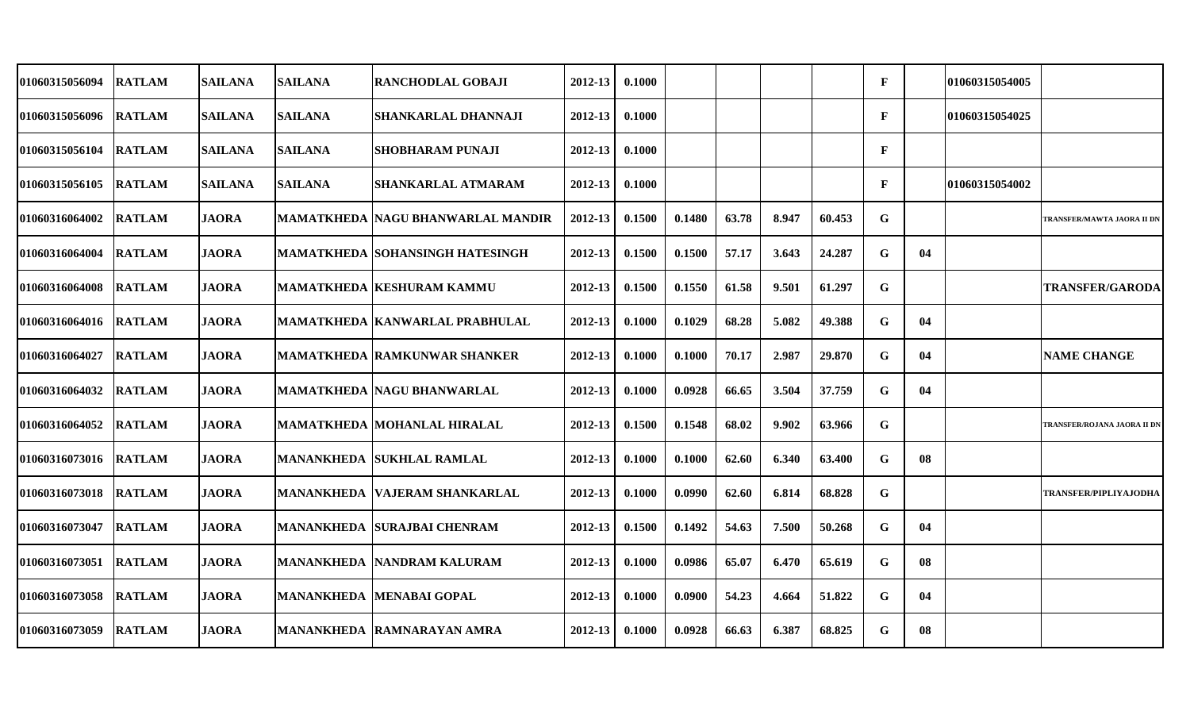| 01060315056094 | <b>RATLAM</b> | <b>SAILANA</b> | <b>SAILANA</b> | <b>RANCHODLAL GOBAJI</b>               | 2012-13 | 0.1000 |        |       |       |        | $\mathbf{F}$ |    | 01060315054005 |                              |
|----------------|---------------|----------------|----------------|----------------------------------------|---------|--------|--------|-------|-------|--------|--------------|----|----------------|------------------------------|
| 01060315056096 | <b>RATLAM</b> | <b>SAILANA</b> | <b>SAILANA</b> | <b>SHANKARLAL DHANNAJI</b>             | 2012-13 | 0.1000 |        |       |       |        | F            |    | 01060315054025 |                              |
| 01060315056104 | <b>RATLAM</b> | <b>SAILANA</b> | <b>SAILANA</b> | <b>SHOBHARAM PUNAJI</b>                | 2012-13 | 0.1000 |        |       |       |        | F            |    |                |                              |
| 01060315056105 | <b>RATLAM</b> | <b>SAILANA</b> | <b>SAILANA</b> | SHANKARLAL ATMARAM                     | 2012-13 | 0.1000 |        |       |       |        | F            |    | 01060315054002 |                              |
| 01060316064002 | <b>RATLAM</b> | <b>JAORA</b>   |                | MAMATKHEDA  NAGU BHANWARLAL MANDIR     | 2012-13 | 0.1500 | 0.1480 | 63.78 | 8.947 | 60.453 | G            |    |                | TRANSFER/MAWTA JAORA II DN   |
| 01060316064004 | <b>RATLAM</b> | <b>JAORA</b>   |                | <b>MAMATKHEDA SOHANSINGH HATESINGH</b> | 2012-13 | 0.1500 | 0.1500 | 57.17 | 3.643 | 24.287 | G            | 04 |                |                              |
| 01060316064008 | <b>RATLAM</b> | <b>JAORA</b>   |                | <b>MAMATKHEDA KESHURAM KAMMU</b>       | 2012-13 | 0.1500 | 0.1550 | 61.58 | 9.501 | 61.297 | G            |    |                | <b>TRANSFER/GARODA</b>       |
| 01060316064016 | <b>RATLAM</b> | <b>JAORA</b>   |                | <b>MAMATKHEDA KANWARLAL PRABHULAL</b>  | 2012-13 | 0.1000 | 0.1029 | 68.28 | 5.082 | 49.388 | G            | 04 |                |                              |
| 01060316064027 | <b>RATLAM</b> | <b>JAORA</b>   |                | <b>MAMATKHEDA RAMKUNWAR SHANKER</b>    | 2012-13 | 0.1000 | 0.1000 | 70.17 | 2.987 | 29.870 | G            | 04 |                | <b>NAME CHANGE</b>           |
| 01060316064032 | <b>RATLAM</b> | <b>JAORA</b>   |                | MAMATKHEDA  NAGU BHANWARLAL            | 2012-13 | 0.1000 | 0.0928 | 66.65 | 3.504 | 37.759 | G            | 04 |                |                              |
| 01060316064052 | <b>RATLAM</b> | <b>JAORA</b>   |                | MAMATKHEDA  MOHANLAL HIRALAL           | 2012-13 | 0.1500 | 0.1548 | 68.02 | 9.902 | 63.966 | G            |    |                | TRANSFER/ROJANA JAORA II DN  |
| 01060316073016 | <b>RATLAM</b> | <b>JAORA</b>   |                | <b>MANANKHEDA SUKHLAL RAMLAL</b>       | 2012-13 | 0.1000 | 0.1000 | 62.60 | 6.340 | 63.400 | G            | 08 |                |                              |
| 01060316073018 | <b>RATLAM</b> | <b>JAORA</b>   |                | <b>MANANKHEDA VAJERAM SHANKARLAL</b>   | 2012-13 | 0.1000 | 0.0990 | 62.60 | 6.814 | 68.828 | G            |    |                | <b>TRANSFER/PIPLIYAJODHA</b> |
| 01060316073047 | <b>RATLAM</b> | <b>JAORA</b>   |                | <b>MANANKHEDA SURAJBAI CHENRAM</b>     | 2012-13 | 0.1500 | 0.1492 | 54.63 | 7.500 | 50.268 | G            | 04 |                |                              |
| 01060316073051 | <b>RATLAM</b> | <b>JAORA</b>   |                | <b>MANANKHEDA NANDRAM KALURAM</b>      | 2012-13 | 0.1000 | 0.0986 | 65.07 | 6.470 | 65.619 | G            | 08 |                |                              |
| 01060316073058 | <b>RATLAM</b> | <b>JAORA</b>   |                | <b>MANANKHEDA MENABAI GOPAL</b>        | 2012-13 | 0.1000 | 0.0900 | 54.23 | 4.664 | 51.822 | G            | 04 |                |                              |
| 01060316073059 | <b>RATLAM</b> | <b>JAORA</b>   |                | <b>MANANKHEDA RAMNARAYAN AMRA</b>      | 2012-13 | 0.1000 | 0.0928 | 66.63 | 6.387 | 68.825 | G            | 08 |                |                              |
|                |               |                |                |                                        |         |        |        |       |       |        |              |    |                |                              |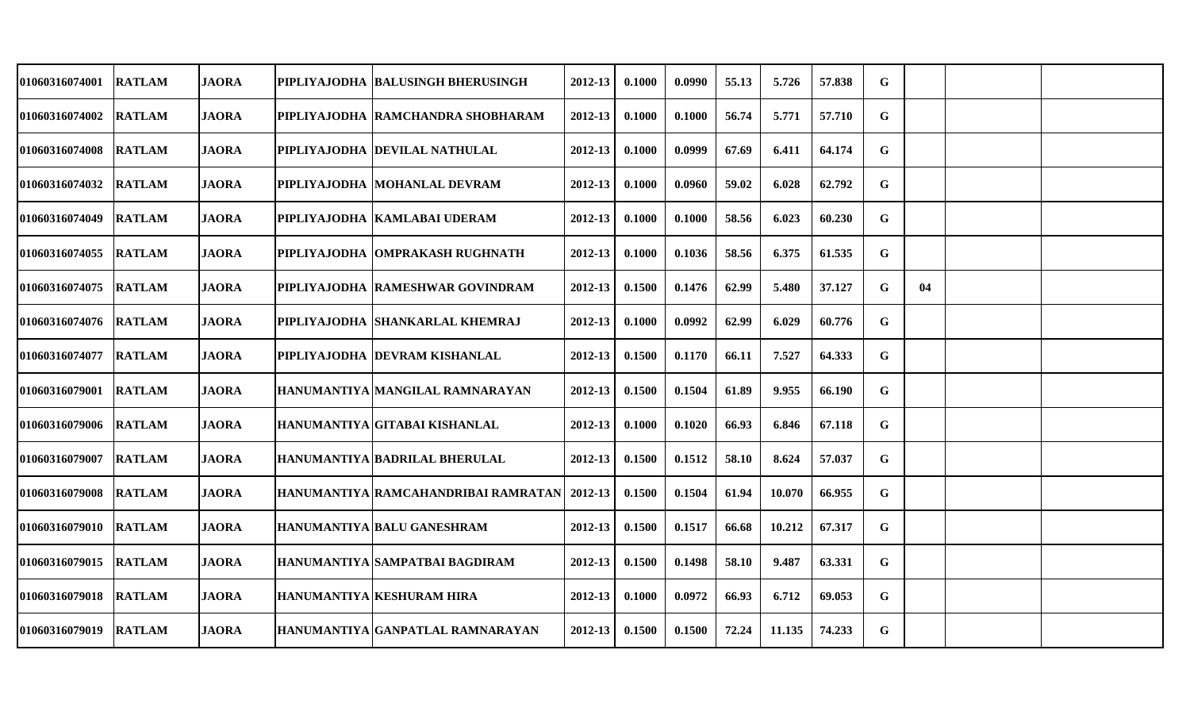| 01060316074001 | <b>RATLAM</b> | <b>JAORA</b> | PIPLIYAJODHA BALUSINGH BHERUSINGH             | 2012-13 | 0.1000 | 0.0990 | 55.13 | 5.726  | 57.838 | G |    |  |
|----------------|---------------|--------------|-----------------------------------------------|---------|--------|--------|-------|--------|--------|---|----|--|
| 01060316074002 | <b>RATLAM</b> | <b>JAORA</b> | PIPLIYAJODHA RAMCHANDRA SHOBHARAM             | 2012-13 | 0.1000 | 0.1000 | 56.74 | 5.771  | 57.710 | G |    |  |
| 01060316074008 | <b>RATLAM</b> | <b>JAORA</b> | PIPLIYAJODHA  DEVILAL NATHULAL                | 2012-13 | 0.1000 | 0.0999 | 67.69 | 6.411  | 64.174 | G |    |  |
| 01060316074032 | <b>RATLAM</b> | <b>JAORA</b> | PIPLIYAJODHA  MOHANLAL DEVRAM                 | 2012-13 | 0.1000 | 0.0960 | 59.02 | 6.028  | 62.792 | G |    |  |
| 01060316074049 | <b>RATLAM</b> | <b>JAORA</b> | PIPLIYAJODHA  KAMLABAI UDERAM                 | 2012-13 | 0.1000 | 0.1000 | 58.56 | 6.023  | 60.230 | G |    |  |
| 01060316074055 | <b>RATLAM</b> | <b>JAORA</b> | PIPLIYAJODHA OMPRAKASH RUGHNATH               | 2012-13 | 0.1000 | 0.1036 | 58.56 | 6.375  | 61.535 | G |    |  |
| 01060316074075 | <b>RATLAM</b> | <b>JAORA</b> | PIPLIYAJODHA RAMESHWAR GOVINDRAM              | 2012-13 | 0.1500 | 0.1476 | 62.99 | 5.480  | 37.127 | G | 04 |  |
| 01060316074076 | <b>RATLAM</b> | <b>JAORA</b> | PIPLIYAJODHA SHANKARLAL KHEMRAJ               | 2012-13 | 0.1000 | 0.0992 | 62.99 | 6.029  | 60.776 | G |    |  |
| 01060316074077 | <b>RATLAM</b> | <b>JAORA</b> | PIPLIYAJODHA DEVRAM KISHANLAL                 | 2012-13 | 0.1500 | 0.1170 | 66.11 | 7.527  | 64.333 | G |    |  |
| 01060316079001 | <b>RATLAM</b> | <b>JAORA</b> | HANUMANTIYA MANGILAL RAMNARAYAN               | 2012-13 | 0.1500 | 0.1504 | 61.89 | 9.955  | 66.190 | G |    |  |
| 01060316079006 | <b>RATLAM</b> | <b>JAORA</b> | HANUMANTIYA GITABAI KISHANLAL                 | 2012-13 | 0.1000 | 0.1020 | 66.93 | 6.846  | 67.118 | G |    |  |
| 01060316079007 | <b>RATLAM</b> | <b>JAORA</b> | <b>HANUMANTIYA BADRILAL BHERULAL</b>          | 2012-13 | 0.1500 | 0.1512 | 58.10 | 8.624  | 57.037 | G |    |  |
| 01060316079008 | <b>RATLAM</b> | <b>JAORA</b> | HANUMANTIYA RAMCAHANDRIBAI RAMRATAN   2012-13 |         | 0.1500 | 0.1504 | 61.94 | 10.070 | 66.955 | G |    |  |
| 01060316079010 | <b>RATLAM</b> | <b>JAORA</b> | HANUMANTIYA BALU GANESHRAM                    | 2012-13 | 0.1500 | 0.1517 | 66.68 | 10.212 | 67.317 | G |    |  |
| 01060316079015 | <b>RATLAM</b> | <b>JAORA</b> | HANUMANTIYA SAMPATBAI BAGDIRAM                | 2012-13 | 0.1500 | 0.1498 | 58.10 | 9.487  | 63.331 | G |    |  |
| 01060316079018 | <b>RATLAM</b> | <b>JAORA</b> | <b>HANUMANTIYA KESHURAM HIRA</b>              | 2012-13 | 0.1000 | 0.0972 | 66.93 | 6.712  | 69.053 | G |    |  |
| 01060316079019 | <b>RATLAM</b> | <b>JAORA</b> | HANUMANTIYA GANPATLAL RAMNARAYAN              | 2012-13 | 0.1500 | 0.1500 | 72.24 | 11.135 | 74.233 | G |    |  |
|                |               |              |                                               |         |        |        |       |        |        |   |    |  |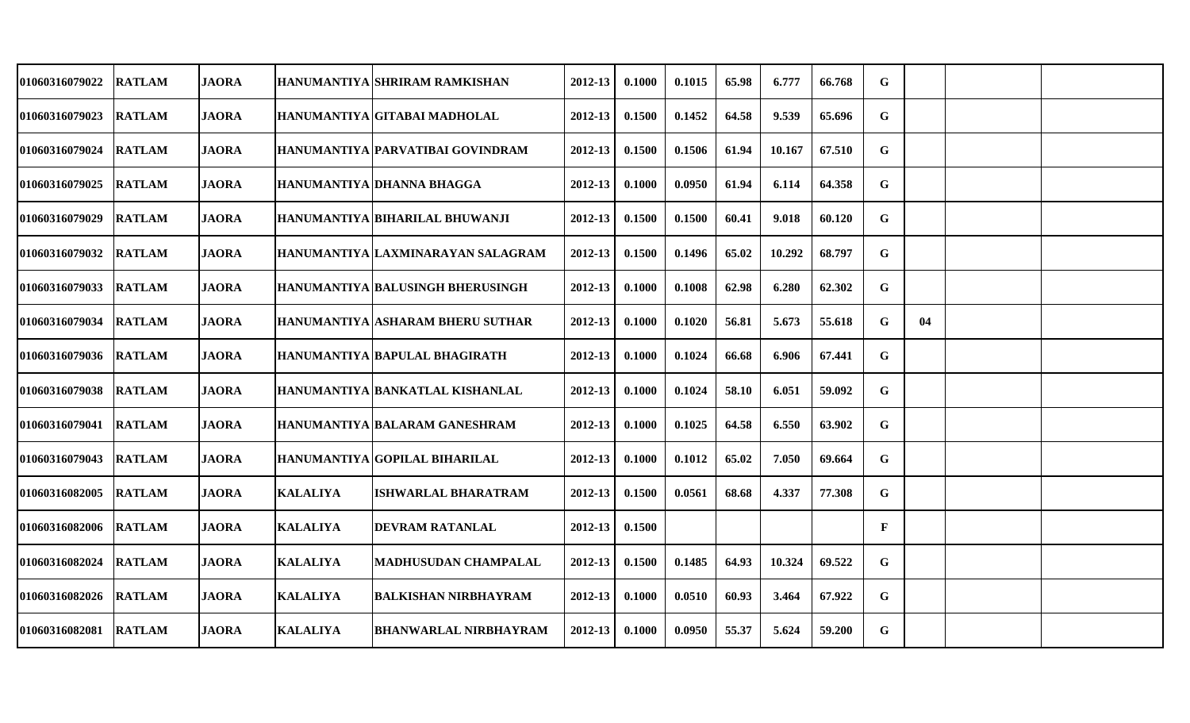| 01060316079022 | <b>RATLAM</b> | <b>JAORA</b> |                 | HANUMANTIYA  SHRIRAM RAMKISHAN          | 2012-13     | 0.1000 | 0.1015 | 65.98 | 6.777  | 66.768 | G            |    |  |
|----------------|---------------|--------------|-----------------|-----------------------------------------|-------------|--------|--------|-------|--------|--------|--------------|----|--|
| 01060316079023 | <b>RATLAM</b> | <b>JAORA</b> |                 | HANUMANTIYA GITABAI MADHOLAL            | 2012-13     | 0.1500 | 0.1452 | 64.58 | 9.539  | 65.696 | G            |    |  |
| 01060316079024 | <b>RATLAM</b> | <b>JAORA</b> |                 | HANUMANTIYA PARVATIBAI GOVINDRAM        | 2012-13     | 0.1500 | 0.1506 | 61.94 | 10.167 | 67.510 | G            |    |  |
| 01060316079025 | <b>RATLAM</b> | <b>JAORA</b> |                 | HANUMANTIYA DHANNA BHAGGA               | 2012-13     | 0.1000 | 0.0950 | 61.94 | 6.114  | 64.358 | $\mathbf G$  |    |  |
| 01060316079029 | <b>RATLAM</b> | <b>JAORA</b> |                 | HANUMANTIYA BIHARILAL BHUWANJI          | $2012 - 13$ | 0.1500 | 0.1500 | 60.41 | 9.018  | 60.120 | G            |    |  |
| 01060316079032 | <b>RATLAM</b> | <b>JAORA</b> |                 | HANUMANTIYA LAXMINARAYAN SALAGRAM       | 2012-13     | 0.1500 | 0.1496 | 65.02 | 10.292 | 68.797 | G            |    |  |
| 01060316079033 | <b>RATLAM</b> | <b>JAORA</b> |                 | <b>HANUMANTIYA BALUSINGH BHERUSINGH</b> | 2012-13     | 0.1000 | 0.1008 | 62.98 | 6.280  | 62.302 | G            |    |  |
| 01060316079034 | <b>RATLAM</b> | <b>JAORA</b> |                 | <b>HANUMANTIYA ASHARAM BHERU SUTHAR</b> | 2012-13     | 0.1000 | 0.1020 | 56.81 | 5.673  | 55.618 | G            | 04 |  |
| 01060316079036 | <b>RATLAM</b> | <b>JAORA</b> |                 | HANUMANTIYA BAPULAL BHAGIRATH           | 2012-13     | 0.1000 | 0.1024 | 66.68 | 6.906  | 67.441 | G            |    |  |
| 01060316079038 | <b>RATLAM</b> | <b>JAORA</b> |                 | HANUMANTIYA BANKATLAL KISHANLAL         | 2012-13     | 0.1000 | 0.1024 | 58.10 | 6.051  | 59.092 | G            |    |  |
| 01060316079041 | <b>RATLAM</b> | <b>JAORA</b> |                 | HANUMANTIYA BALARAM GANESHRAM           | 2012-13     | 0.1000 | 0.1025 | 64.58 | 6.550  | 63.902 | G            |    |  |
| 01060316079043 | <b>RATLAM</b> | <b>JAORA</b> |                 | HANUMANTIYA GOPILAL BIHARILAL           | 2012-13     | 0.1000 | 0.1012 | 65.02 | 7.050  | 69.664 | $\mathbf G$  |    |  |
| 01060316082005 | <b>RATLAM</b> | <b>JAORA</b> | <b>KALALIYA</b> | <b>ISHWARLAL BHARATRAM</b>              | $2012 - 13$ | 0.1500 | 0.0561 | 68.68 | 4.337  | 77.308 | G            |    |  |
| 01060316082006 | <b>RATLAM</b> | <b>JAORA</b> | <b>KALALIYA</b> | <b>DEVRAM RATANLAL</b>                  | 2012-13     | 0.1500 |        |       |        |        | $\mathbf{F}$ |    |  |
| 01060316082024 | <b>RATLAM</b> | <b>JAORA</b> | <b>KALALIYA</b> | <b>MADHUSUDAN CHAMPALAL</b>             | $2012 - 13$ | 0.1500 | 0.1485 | 64.93 | 10.324 | 69.522 | G            |    |  |
| 01060316082026 | <b>RATLAM</b> | <b>JAORA</b> | <b>KALALIYA</b> | <b>BALKISHAN NIRBHAYRAM</b>             | 2012-13     | 0.1000 | 0.0510 | 60.93 | 3.464  | 67.922 | G            |    |  |
| 01060316082081 | <b>RATLAM</b> | <b>JAORA</b> | <b>KALALIYA</b> | <b>BHANWARLAL NIRBHAYRAM</b>            | 2012-13     | 0.1000 | 0.0950 | 55.37 | 5.624  | 59.200 | G            |    |  |
|                |               |              |                 |                                         |             |        |        |       |        |        |              |    |  |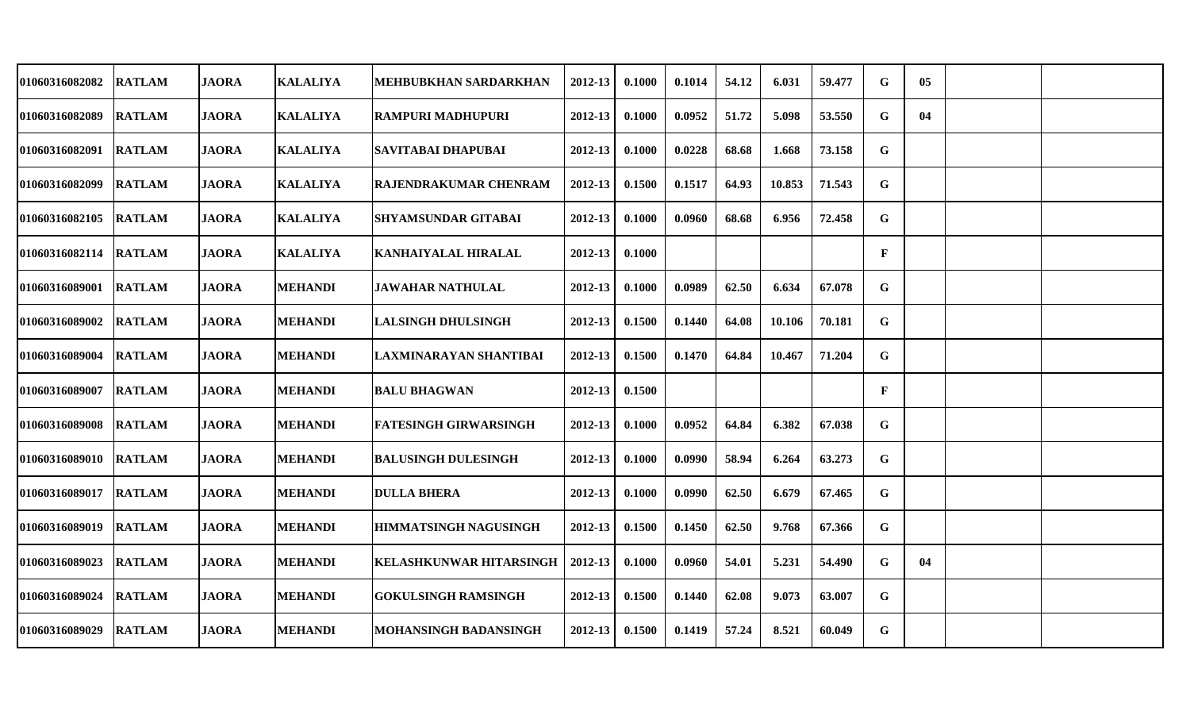| 01060316082082 | <b>RATLAM</b> | <b>JAORA</b> | <b>KALALIYA</b> | MEHBUBKHAN SARDARKHAN          | 2012-13 | 0.1000 | 0.1014 | 54.12 | 6.031  | 59.477 | G           | 05 |  |
|----------------|---------------|--------------|-----------------|--------------------------------|---------|--------|--------|-------|--------|--------|-------------|----|--|
| 01060316082089 | <b>RATLAM</b> | <b>JAORA</b> | <b>KALALIYA</b> | <b>RAMPURI MADHUPURI</b>       | 2012-13 | 0.1000 | 0.0952 | 51.72 | 5.098  | 53.550 | G           | 04 |  |
| 01060316082091 | <b>RATLAM</b> | <b>JAORA</b> | <b>KALALIYA</b> | <b>SAVITABAI DHAPUBAI</b>      | 2012-13 | 0.1000 | 0.0228 | 68.68 | 1.668  | 73.158 | G           |    |  |
| 01060316082099 | <b>RATLAM</b> | <b>JAORA</b> | <b>KALALIYA</b> | <b>RAJENDRAKUMAR CHENRAM</b>   | 2012-13 | 0.1500 | 0.1517 | 64.93 | 10.853 | 71.543 | G           |    |  |
| 01060316082105 | <b>RATLAM</b> | <b>JAORA</b> | <b>KALALIYA</b> | <b>SHYAMSUNDAR GITABAI</b>     | 2012-13 | 0.1000 | 0.0960 | 68.68 | 6.956  | 72.458 | G           |    |  |
| 01060316082114 | <b>RATLAM</b> | <b>JAORA</b> | <b>KALALIYA</b> | <b>KANHAIYALAL HIRALAL</b>     | 2012-13 | 0.1000 |        |       |        |        | F           |    |  |
| 01060316089001 | <b>RATLAM</b> | <b>JAORA</b> | <b>MEHANDI</b>  | <b>JAWAHAR NATHULAL</b>        | 2012-13 | 0.1000 | 0.0989 | 62.50 | 6.634  | 67.078 | G           |    |  |
| 01060316089002 | <b>RATLAM</b> | <b>JAORA</b> | <b>MEHANDI</b>  | <b>LALSINGH DHULSINGH</b>      | 2012-13 | 0.1500 | 0.1440 | 64.08 | 10.106 | 70.181 | G           |    |  |
| 01060316089004 | <b>RATLAM</b> | <b>JAORA</b> | <b>MEHANDI</b>  | LAXMINARAYAN SHANTIBAI         | 2012-13 | 0.1500 | 0.1470 | 64.84 | 10.467 | 71.204 | $\mathbf G$ |    |  |
| 01060316089007 | <b>RATLAM</b> | <b>JAORA</b> | <b>MEHANDI</b>  | <b>BALU BHAGWAN</b>            | 2012-13 | 0.1500 |        |       |        |        | F           |    |  |
| 01060316089008 | <b>RATLAM</b> | <b>JAORA</b> | <b>MEHANDI</b>  | <b>FATESINGH GIRWARSINGH</b>   | 2012-13 | 0.1000 | 0.0952 | 64.84 | 6.382  | 67.038 | G           |    |  |
| 01060316089010 | <b>RATLAM</b> | <b>JAORA</b> | <b>MEHANDI</b>  | <b>BALUSINGH DULESINGH</b>     | 2012-13 | 0.1000 | 0.0990 | 58.94 | 6.264  | 63.273 | G           |    |  |
| 01060316089017 | <b>RATLAM</b> | <b>JAORA</b> | <b>MEHANDI</b>  | <b>DULLA BHERA</b>             | 2012-13 | 0.1000 | 0.0990 | 62.50 | 6.679  | 67.465 | G           |    |  |
| 01060316089019 | <b>RATLAM</b> | <b>JAORA</b> | <b>MEHANDI</b>  | <b>HIMMATSINGH NAGUSINGH</b>   | 2012-13 | 0.1500 | 0.1450 | 62.50 | 9.768  | 67.366 | G           |    |  |
| 01060316089023 | <b>RATLAM</b> | <b>JAORA</b> | <b>MEHANDI</b>  | <b>KELASHKUNWAR HITARSINGH</b> | 2012-13 | 0.1000 | 0.0960 | 54.01 | 5.231  | 54.490 | G           | 04 |  |
| 01060316089024 | <b>RATLAM</b> | <b>JAORA</b> | <b>MEHANDI</b>  | <b>GOKULSINGH RAMSINGH</b>     | 2012-13 | 0.1500 | 0.1440 | 62.08 | 9.073  | 63.007 | G           |    |  |
| 01060316089029 | <b>RATLAM</b> | <b>JAORA</b> | <b>MEHANDI</b>  | MOHANSINGH BADANSINGH          | 2012-13 | 0.1500 | 0.1419 | 57.24 | 8.521  | 60.049 | G           |    |  |
|                |               |              |                 |                                |         |        |        |       |        |        |             |    |  |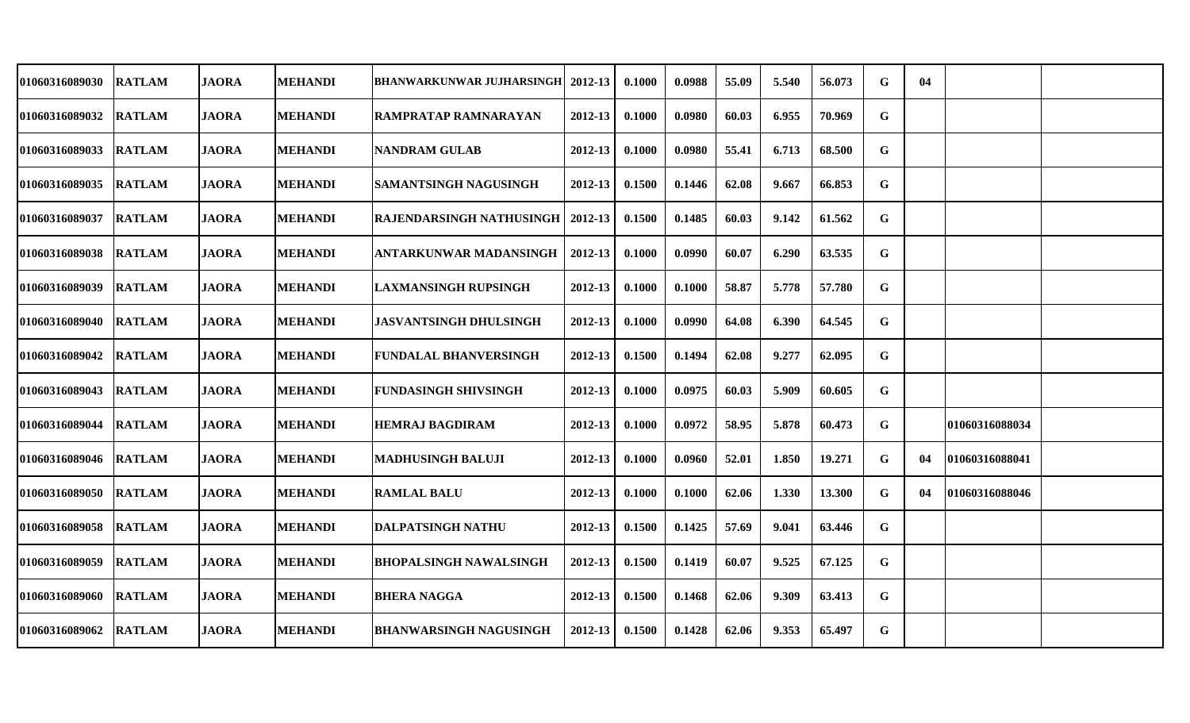| 01060316089030 | <b>RATLAM</b> | <b>JAORA</b> | <b>MEHANDI</b> | <b>BHANWARKUNWAR JUJHARSINGH</b> | 2012-13     | 0.1000 | 0.0988 | 55.09 | 5.540 | 56.073 | G           | 04 |                |  |
|----------------|---------------|--------------|----------------|----------------------------------|-------------|--------|--------|-------|-------|--------|-------------|----|----------------|--|
| 01060316089032 | <b>RATLAM</b> | <b>JAORA</b> | <b>MEHANDI</b> | <b>RAMPRATAP RAMNARAYAN</b>      | 2012-13     | 0.1000 | 0.0980 | 60.03 | 6.955 | 70.969 | G           |    |                |  |
| 01060316089033 | <b>RATLAM</b> | <b>JAORA</b> | <b>MEHANDI</b> | <b>NANDRAM GULAB</b>             | 2012-13     | 0.1000 | 0.0980 | 55.41 | 6.713 | 68.500 | G           |    |                |  |
| 01060316089035 | <b>RATLAM</b> | <b>JAORA</b> | <b>MEHANDI</b> | SAMANTSINGH NAGUSINGH            | 2012-13     | 0.1500 | 0.1446 | 62.08 | 9.667 | 66.853 | G           |    |                |  |
| 01060316089037 | <b>RATLAM</b> | <b>JAORA</b> | <b>MEHANDI</b> | <b>RAJENDARSINGH NATHUSINGH</b>  | 2012-13     | 0.1500 | 0.1485 | 60.03 | 9.142 | 61.562 | G           |    |                |  |
| 01060316089038 | <b>RATLAM</b> | <b>JAORA</b> | <b>MEHANDI</b> | <b>ANTARKUNWAR MADANSINGH</b>    | 2012-13     | 0.1000 | 0.0990 | 60.07 | 6.290 | 63.535 | G           |    |                |  |
| 01060316089039 | <b>RATLAM</b> | <b>JAORA</b> | <b>MEHANDI</b> | <b>LAXMANSINGH RUPSINGH</b>      | 2012-13     | 0.1000 | 0.1000 | 58.87 | 5.778 | 57.780 | G           |    |                |  |
| 01060316089040 | <b>RATLAM</b> | <b>JAORA</b> | <b>MEHANDI</b> | <b>JASVANTSINGH DHULSINGH</b>    | 2012-13     | 0.1000 | 0.0990 | 64.08 | 6.390 | 64.545 | G           |    |                |  |
| 01060316089042 | <b>RATLAM</b> | <b>JAORA</b> | <b>MEHANDI</b> | <b>FUNDALAL BHANVERSINGH</b>     | 2012-13     | 0.1500 | 0.1494 | 62.08 | 9.277 | 62.095 | G           |    |                |  |
| 01060316089043 | <b>RATLAM</b> | <b>JAORA</b> | <b>MEHANDI</b> | <b>FUNDASINGH SHIVSINGH</b>      | 2012-13     | 0.1000 | 0.0975 | 60.03 | 5.909 | 60.605 | G           |    |                |  |
| 01060316089044 | <b>RATLAM</b> | <b>JAORA</b> | <b>MEHANDI</b> | <b>HEMRAJ BAGDIRAM</b>           | 2012-13     | 0.1000 | 0.0972 | 58.95 | 5.878 | 60.473 | G           |    | 01060316088034 |  |
| 01060316089046 | <b>RATLAM</b> | <b>JAORA</b> | <b>MEHANDI</b> | <b>MADHUSINGH BALUJI</b>         | 2012-13     | 0.1000 | 0.0960 | 52.01 | 1.850 | 19.271 | $\mathbf G$ | 04 | 01060316088041 |  |
| 01060316089050 | <b>RATLAM</b> | <b>JAORA</b> | <b>MEHANDI</b> | <b>RAMLAL BALU</b>               | 2012-13     | 0.1000 | 0.1000 | 62.06 | 1.330 | 13.300 | G           | 04 | 01060316088046 |  |
| 01060316089058 | <b>RATLAM</b> | <b>JAORA</b> | <b>MEHANDI</b> | <b>DALPATSINGH NATHU</b>         | 2012-13     | 0.1500 | 0.1425 | 57.69 | 9.041 | 63.446 | G           |    |                |  |
| 01060316089059 | <b>RATLAM</b> | <b>JAORA</b> | <b>MEHANDI</b> | <b>BHOPALSINGH NAWALSINGH</b>    | 2012-13     | 0.1500 | 0.1419 | 60.07 | 9.525 | 67.125 | G           |    |                |  |
| 01060316089060 | <b>RATLAM</b> | <b>JAORA</b> | <b>MEHANDI</b> | <b>BHERA NAGGA</b>               | $2012 - 13$ | 0.1500 | 0.1468 | 62.06 | 9.309 | 63.413 | G           |    |                |  |
| 01060316089062 | <b>RATLAM</b> | <b>JAORA</b> | <b>MEHANDI</b> | <b>BHANWARSINGH NAGUSINGH</b>    | 2012-13     | 0.1500 | 0.1428 | 62.06 | 9.353 | 65.497 | G           |    |                |  |
|                |               |              |                |                                  |             |        |        |       |       |        |             |    |                |  |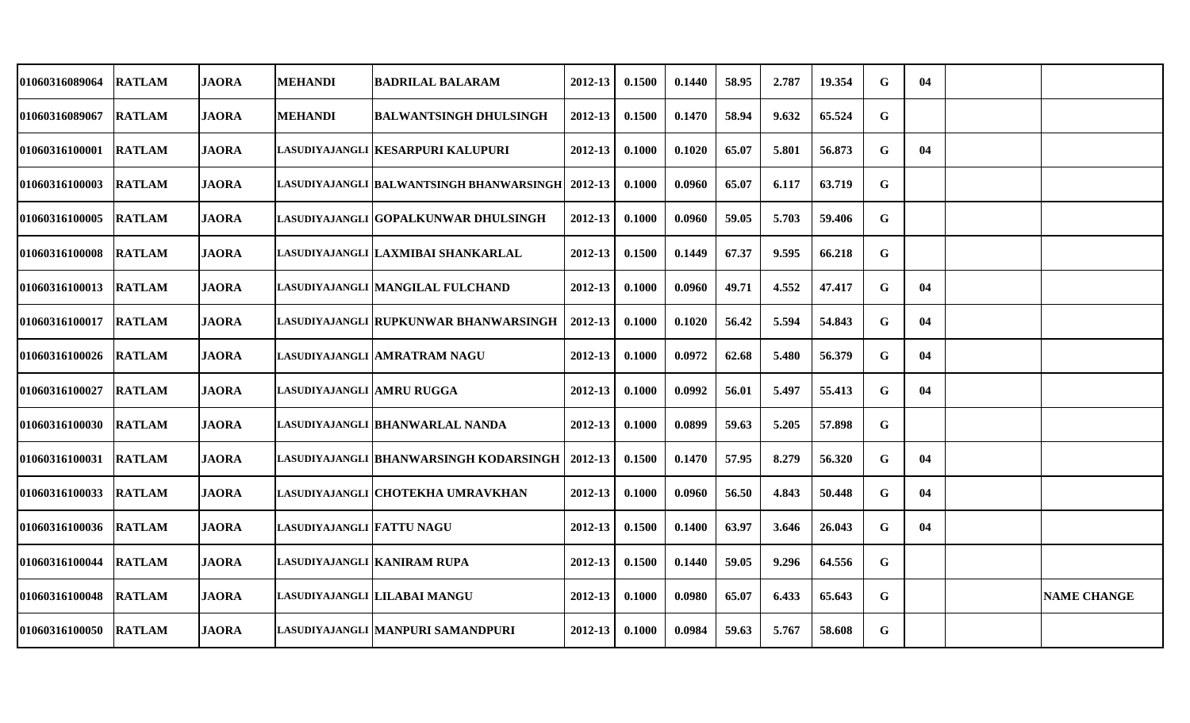| 01060316089064 | <b>RATLAM</b> | <b>JAORA</b> | <b>MEHANDI</b>             | <b>BADRILAL BALARAM</b>                             | 2012-13     | 0.1500 | 0.1440 | 58.95 | 2.787 | 19.354 | G | 04 |                    |
|----------------|---------------|--------------|----------------------------|-----------------------------------------------------|-------------|--------|--------|-------|-------|--------|---|----|--------------------|
| 01060316089067 | <b>RATLAM</b> | <b>JAORA</b> | <b>MEHANDI</b>             | <b>BALWANTSINGH DHULSINGH</b>                       | 2012-13     | 0.1500 | 0.1470 | 58.94 | 9.632 | 65.524 | G |    |                    |
| 01060316100001 | <b>RATLAM</b> | <b>JAORA</b> |                            | LASUDIYAJANGLI KESARPURI KALUPURI                   | 2012-13     | 0.1000 | 0.1020 | 65.07 | 5.801 | 56.873 | G | 04 |                    |
| 01060316100003 | <b>RATLAM</b> | <b>JAORA</b> |                            | LASUDIYAJANGLI  BALWANTSINGH BHANWARSINGH   2012-13 |             | 0.1000 | 0.0960 | 65.07 | 6.117 | 63.719 | G |    |                    |
| 01060316100005 | <b>RATLAM</b> | <b>JAORA</b> |                            | LASUDIYAJANGLI  GOPALKUNWAR DHULSINGH               | 2012-13     | 0.1000 | 0.0960 | 59.05 | 5.703 | 59.406 | G |    |                    |
| 01060316100008 | <b>RATLAM</b> | <b>JAORA</b> |                            | LASUDIYAJANGLI LAXMIBAI SHANKARLAL                  | $2012 - 13$ | 0.1500 | 0.1449 | 67.37 | 9.595 | 66.218 | G |    |                    |
| 01060316100013 | <b>RATLAM</b> | <b>JAORA</b> |                            | LASUDIYAJANGLI  MANGILAL FULCHAND                   | 2012-13     | 0.1000 | 0.0960 | 49.71 | 4.552 | 47.417 | G | 04 |                    |
| 01060316100017 | <b>RATLAM</b> | <b>JAORA</b> |                            | LASUDIYAJANGLI RUPKUNWAR BHANWARSINGH               | 2012-13     | 0.1000 | 0.1020 | 56.42 | 5.594 | 54.843 | G | 04 |                    |
| 01060316100026 | <b>RATLAM</b> | <b>JAORA</b> |                            | LASUDIYAJANGLI AMRATRAM NAGU                        | 2012-13     | 0.1000 | 0.0972 | 62.68 | 5.480 | 56.379 | G | 04 |                    |
| 01060316100027 | <b>RATLAM</b> | <b>JAORA</b> | LASUDIYAJANGLI  AMRU RUGGA |                                                     | 2012-13     | 0.1000 | 0.0992 | 56.01 | 5.497 | 55.413 | G | 04 |                    |
| 01060316100030 | <b>RATLAM</b> | <b>JAORA</b> |                            | LASUDIYAJANGLI  BHANWARLAL NANDA                    | 2012-13     | 0.1000 | 0.0899 | 59.63 | 5.205 | 57.898 | G |    |                    |
| 01060316100031 | <b>RATLAM</b> | <b>JAORA</b> |                            | LASUDIYAJANGLI  BHANWARSINGH KODARSINGH             | $2012 - 13$ | 0.1500 | 0.1470 | 57.95 | 8.279 | 56.320 | G | 04 |                    |
| 01060316100033 | <b>RATLAM</b> | <b>JAORA</b> |                            | LASUDIYAJANGLI  CHOTEKHA UMRAVKHAN                  | 2012-13     | 0.1000 | 0.0960 | 56.50 | 4.843 | 50.448 | G | 04 |                    |
| 01060316100036 | <b>RATLAM</b> | <b>JAORA</b> | LASUDIYAJANGLI FATTU NAGU  |                                                     | 2012-13     | 0.1500 | 0.1400 | 63.97 | 3.646 | 26.043 | G | 04 |                    |
| 01060316100044 | <b>RATLAM</b> | <b>JAORA</b> |                            | LASUDIYAJANGLI KANIRAM RUPA                         | 2012-13     | 0.1500 | 0.1440 | 59.05 | 9.296 | 64.556 | G |    |                    |
| 01060316100048 | <b>RATLAM</b> | <b>JAORA</b> |                            | LASUDIYAJANGLI LILABAI MANGU                        | 2012-13     | 0.1000 | 0.0980 | 65.07 | 6.433 | 65.643 | G |    | <b>NAME CHANGE</b> |
| 01060316100050 | <b>RATLAM</b> | <b>JAORA</b> |                            | LASUDIYAJANGLI MANPURI SAMANDPURI                   | 2012-13     | 0.1000 | 0.0984 | 59.63 | 5.767 | 58.608 | G |    |                    |
|                |               |              |                            |                                                     |             |        |        |       |       |        |   |    |                    |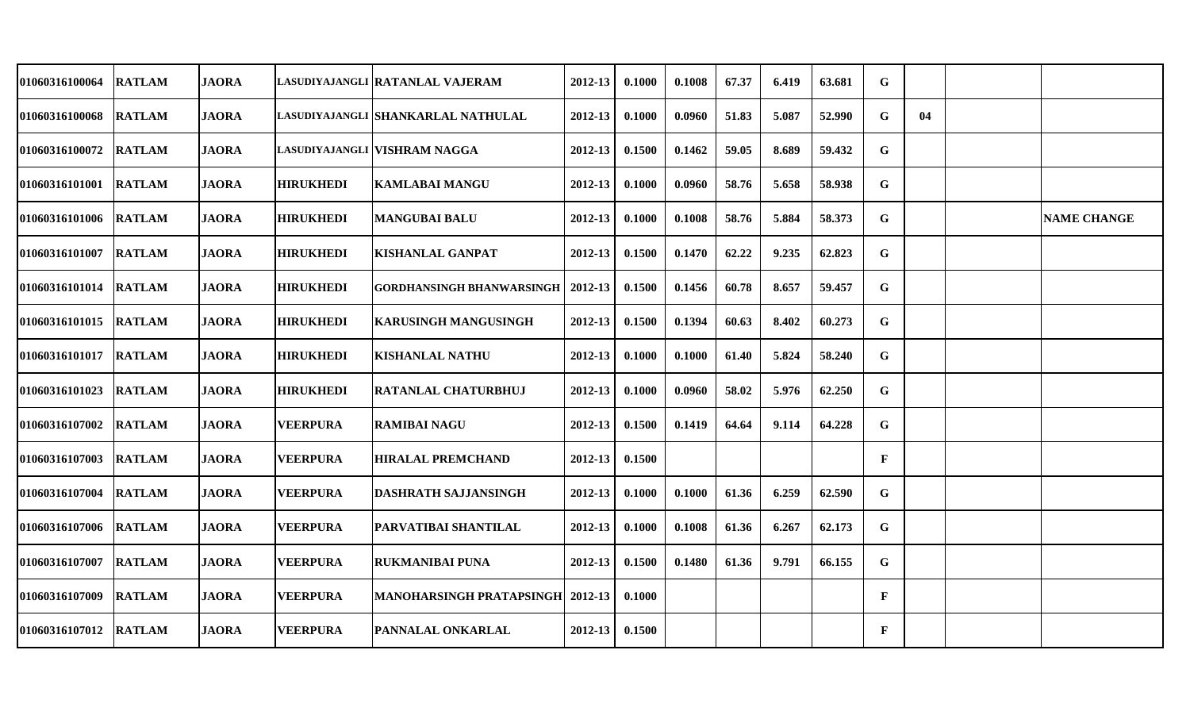| 01060316100064 | <b>RATLAM</b> | <b>JAORA</b> |                  | LASUDIYAJANGLI  RATANLAL VAJERAM        | 2012-13     | 0.1000 | 0.1008 | 67.37 | 6.419 | 63.681 | G            |    |                    |
|----------------|---------------|--------------|------------------|-----------------------------------------|-------------|--------|--------|-------|-------|--------|--------------|----|--------------------|
| 01060316100068 | <b>RATLAM</b> | <b>JAORA</b> |                  | LASUDIYAJANGLI SHANKARLAL NATHULAL      | 2012-13     | 0.1000 | 0.0960 | 51.83 | 5.087 | 52.990 | G            | 04 |                    |
| 01060316100072 | <b>RATLAM</b> | <b>JAORA</b> |                  | LASUDIYAJANGLI VISHRAM NAGGA            | 2012-13     | 0.1500 | 0.1462 | 59.05 | 8.689 | 59.432 | G            |    |                    |
| 01060316101001 | <b>RATLAM</b> | <b>JAORA</b> | <b>HIRUKHEDI</b> | KAMLABAI MANGU                          | 2012-13     | 0.1000 | 0.0960 | 58.76 | 5.658 | 58.938 | G            |    |                    |
| 01060316101006 | <b>RATLAM</b> | <b>JAORA</b> | <b>HIRUKHEDI</b> | <b>MANGUBAI BALU</b>                    | 2012-13     | 0.1000 | 0.1008 | 58.76 | 5.884 | 58.373 | G            |    | <b>NAME CHANGE</b> |
| 01060316101007 | <b>RATLAM</b> | <b>JAORA</b> | <b>HIRUKHEDI</b> | <b>KISHANLAL GANPAT</b>                 | 2012-13     | 0.1500 | 0.1470 | 62.22 | 9.235 | 62.823 | G            |    |                    |
| 01060316101014 | <b>RATLAM</b> | <b>JAORA</b> | <b>HIRUKHEDI</b> | <b>GORDHANSINGH BHANWARSINGH</b>        | $2012 - 13$ | 0.1500 | 0.1456 | 60.78 | 8.657 | 59.457 | G            |    |                    |
| 01060316101015 | <b>RATLAM</b> | <b>JAORA</b> | <b>HIRUKHEDI</b> | <b>KARUSINGH MANGUSINGH</b>             | 2012-13     | 0.1500 | 0.1394 | 60.63 | 8.402 | 60.273 | G            |    |                    |
| 01060316101017 | <b>RATLAM</b> | <b>JAORA</b> | <b>HIRUKHEDI</b> | <b>KISHANLAL NATHU</b>                  | 2012-13     | 0.1000 | 0.1000 | 61.40 | 5.824 | 58.240 | G            |    |                    |
| 01060316101023 | <b>RATLAM</b> | <b>JAORA</b> | <b>HIRUKHEDI</b> | <b>RATANLAL CHATURBHUJ</b>              | 2012-13     | 0.1000 | 0.0960 | 58.02 | 5.976 | 62.250 | G            |    |                    |
| 01060316107002 | <b>RATLAM</b> | <b>JAORA</b> | <b>VEERPURA</b>  | <b>RAMIBAI NAGU</b>                     | 2012-13     | 0.1500 | 0.1419 | 64.64 | 9.114 | 64.228 | G            |    |                    |
| 01060316107003 | <b>RATLAM</b> | <b>JAORA</b> | <b>VEERPURA</b>  | <b>HIRALAL PREMCHAND</b>                | $2012 - 13$ | 0.1500 |        |       |       |        | $\mathbf{F}$ |    |                    |
| 01060316107004 | <b>RATLAM</b> | <b>JAORA</b> | <b>VEERPURA</b>  | <b>DASHRATH SAJJANSINGH</b>             | 2012-13     | 0.1000 | 0.1000 | 61.36 | 6.259 | 62.590 | G            |    |                    |
| 01060316107006 | <b>RATLAM</b> | <b>JAORA</b> | <b>VEERPURA</b>  | <b>PARVATIBAI SHANTILAL</b>             | 2012-13     | 0.1000 | 0.1008 | 61.36 | 6.267 | 62.173 | G            |    |                    |
| 01060316107007 | <b>RATLAM</b> | <b>JAORA</b> | <b>VEERPURA</b>  | <b>RUKMANIBAI PUNA</b>                  | 2012-13     | 0.1500 | 0.1480 | 61.36 | 9.791 | 66.155 | $\mathbf G$  |    |                    |
| 01060316107009 | <b>RATLAM</b> | <b>JAORA</b> | <b>VEERPURA</b>  | <b>MANOHARSINGH PRATAPSINGH 2012-13</b> |             | 0.1000 |        |       |       |        | $\mathbf{F}$ |    |                    |
| 01060316107012 | <b>RATLAM</b> | <b>JAORA</b> | <b>VEERPURA</b>  | <b>PANNALAL ONKARLAL</b>                | $2012 - 13$ | 0.1500 |        |       |       |        | $\mathbf{F}$ |    |                    |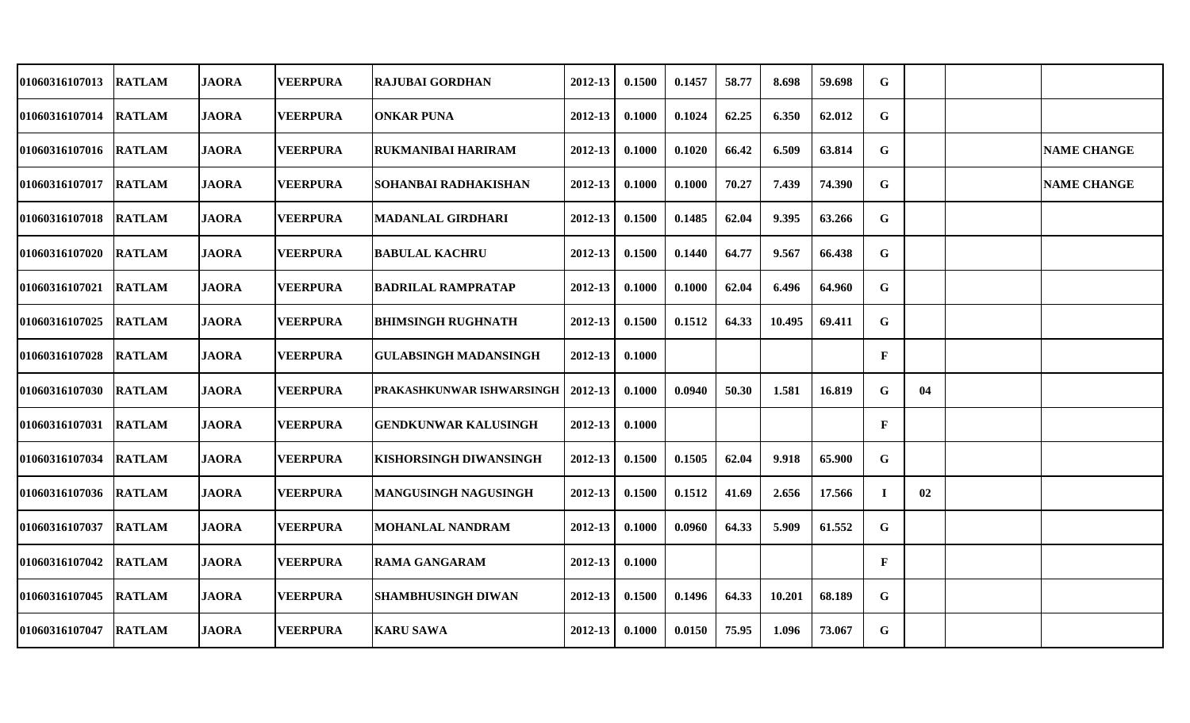| 01060316107013 | <b>RATLAM</b> | <b>JAORA</b> | <b>VEERPURA</b> | RAJUBAI GORDHAN               | 2012-13 | 0.1500 | 0.1457 | 58.77 | 8.698  | 59.698 | G            |    |                    |
|----------------|---------------|--------------|-----------------|-------------------------------|---------|--------|--------|-------|--------|--------|--------------|----|--------------------|
| 01060316107014 | <b>RATLAM</b> | <b>JAORA</b> | <b>VEERPURA</b> | <b>ONKAR PUNA</b>             | 2012-13 | 0.1000 | 0.1024 | 62.25 | 6.350  | 62.012 | G            |    |                    |
| 01060316107016 | <b>RATLAM</b> | <b>JAORA</b> | <b>VEERPURA</b> | RUKMANIBAI HARIRAM            | 2012-13 | 0.1000 | 0.1020 | 66.42 | 6.509  | 63.814 | G            |    | <b>NAME CHANGE</b> |
| 01060316107017 | <b>RATLAM</b> | <b>JAORA</b> | <b>VEERPURA</b> | SOHANBAI RADHAKISHAN          | 2012-13 | 0.1000 | 0.1000 | 70.27 | 7.439  | 74.390 | G            |    | <b>NAME CHANGE</b> |
| 01060316107018 | <b>RATLAM</b> | <b>JAORA</b> | <b>VEERPURA</b> | <b>MADANLAL GIRDHARI</b>      | 2012-13 | 0.1500 | 0.1485 | 62.04 | 9.395  | 63.266 | G            |    |                    |
| 01060316107020 | <b>RATLAM</b> | <b>JAORA</b> | <b>VEERPURA</b> | BABULAL KACHRU                | 2012-13 | 0.1500 | 0.1440 | 64.77 | 9.567  | 66.438 | G            |    |                    |
| 01060316107021 | <b>RATLAM</b> | <b>JAORA</b> | <b>VEERPURA</b> | BADRILAL RAMPRATAP            | 2012-13 | 0.1000 | 0.1000 | 62.04 | 6.496  | 64.960 | G            |    |                    |
| 01060316107025 | <b>RATLAM</b> | <b>JAORA</b> | <b>VEERPURA</b> | BHIMSINGH RUGHNATH            | 2012-13 | 0.1500 | 0.1512 | 64.33 | 10.495 | 69.411 | G            |    |                    |
| 01060316107028 | <b>RATLAM</b> | <b>JAORA</b> | <b>VEERPURA</b> | <b>GULABSINGH MADANSINGH</b>  | 2012-13 | 0.1000 |        |       |        |        | $\mathbf{F}$ |    |                    |
| 01060316107030 | <b>RATLAM</b> | <b>JAORA</b> | <b>VEERPURA</b> | PRAKASHKUNWAR ISHWARSINGH     | 2012-13 | 0.1000 | 0.0940 | 50.30 | 1.581  | 16.819 | G            | 04 |                    |
| 01060316107031 | <b>RATLAM</b> | <b>JAORA</b> | <b>VEERPURA</b> | <b>GENDKUNWAR KALUSINGH</b>   | 2012-13 | 0.1000 |        |       |        |        | $\mathbf{F}$ |    |                    |
| 01060316107034 | <b>RATLAM</b> | <b>JAORA</b> | <b>VEERPURA</b> | <b>KISHORSINGH DIWANSINGH</b> | 2012-13 | 0.1500 | 0.1505 | 62.04 | 9.918  | 65.900 | G            |    |                    |
| 01060316107036 | <b>RATLAM</b> | <b>JAORA</b> | <b>VEERPURA</b> | <b>MANGUSINGH NAGUSINGH</b>   | 2012-13 | 0.1500 | 0.1512 | 41.69 | 2.656  | 17.566 | T            | 02 |                    |
| 01060316107037 | <b>RATLAM</b> | <b>JAORA</b> | <b>VEERPURA</b> | <b>MOHANLAL NANDRAM</b>       | 2012-13 | 0.1000 | 0.0960 | 64.33 | 5.909  | 61.552 | G            |    |                    |
| 01060316107042 | <b>RATLAM</b> | <b>JAORA</b> | <b>VEERPURA</b> | RAMA GANGARAM                 | 2012-13 | 0.1000 |        |       |        |        | $\mathbf{F}$ |    |                    |
| 01060316107045 | <b>RATLAM</b> | <b>JAORA</b> | <b>VEERPURA</b> | <b>SHAMBHUSINGH DIWAN</b>     | 2012-13 | 0.1500 | 0.1496 | 64.33 | 10.201 | 68.189 | G            |    |                    |
| 01060316107047 | <b>RATLAM</b> | <b>JAORA</b> | <b>VEERPURA</b> | <b>KARU SAWA</b>              | 2012-13 | 0.1000 | 0.0150 | 75.95 | 1.096  | 73.067 | G            |    |                    |
|                |               |              |                 |                               |         |        |        |       |        |        |              |    |                    |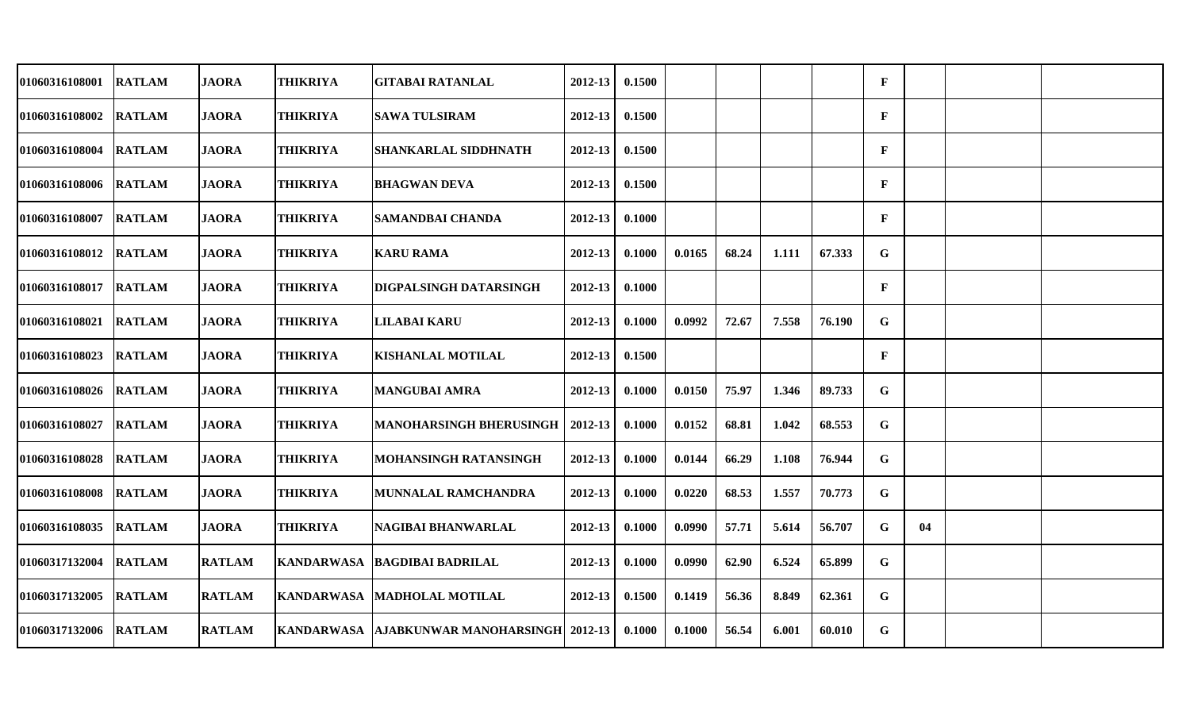| 01060316108001        | <b>RATLAM</b> | <b>JAORA</b>  | THIKRIYA        | <b>GITABAI RATANLAL</b>                    | 2012-13     | 0.1500 |        |       |       |        | $\mathbf{F}$ |    |  |
|-----------------------|---------------|---------------|-----------------|--------------------------------------------|-------------|--------|--------|-------|-------|--------|--------------|----|--|
| 01060316108002        | <b>RATLAM</b> | <b>JAORA</b>  | <b>THIKRIYA</b> | <b>SAWA TULSIRAM</b>                       | 2012-13     | 0.1500 |        |       |       |        | $\mathbf{F}$ |    |  |
| 01060316108004        | <b>RATLAM</b> | <b>JAORA</b>  | <b>THIKRIYA</b> | <b>SHANKARLAL SIDDHNATH</b>                | 2012-13     | 0.1500 |        |       |       |        | $\mathbf{F}$ |    |  |
| 01060316108006        | <b>RATLAM</b> | <b>JAORA</b>  | <b>THIKRIYA</b> | <b>BHAGWAN DEVA</b>                        | 2012-13     | 0.1500 |        |       |       |        | $\mathbf{F}$ |    |  |
| 01060316108007        | <b>RATLAM</b> | <b>JAORA</b>  | <b>THIKRIYA</b> | <b>SAMANDBAI CHANDA</b>                    | 2012-13     | 0.1000 |        |       |       |        | $\mathbf{F}$ |    |  |
| 01060316108012        | <b>RATLAM</b> | <b>JAORA</b>  | THIKRIYA        | <b>KARU RAMA</b>                           | 2012-13     | 0.1000 | 0.0165 | 68.24 | 1.111 | 67.333 | $\mathbf G$  |    |  |
| 01060316108017        | <b>RATLAM</b> | <b>JAORA</b>  | THIKRIYA        | DIGPALSINGH DATARSINGH                     | 2012-13     | 0.1000 |        |       |       |        | $\mathbf{F}$ |    |  |
| 01060316108021        | <b>RATLAM</b> | <b>JAORA</b>  | <b>THIKRIYA</b> | <b>LILABAI KARU</b>                        | 2012-13     | 0.1000 | 0.0992 | 72.67 | 7.558 | 76.190 | G            |    |  |
| 01060316108023        | <b>RATLAM</b> | <b>JAORA</b>  | <b>THIKRIYA</b> | <b>KISHANLAL MOTILAL</b>                   | 2012-13     | 0.1500 |        |       |       |        | $\mathbf{F}$ |    |  |
| 01060316108026        | <b>RATLAM</b> | <b>JAORA</b>  | THIKRIYA        | <b>MANGUBAI AMRA</b>                       | 2012-13     | 0.1000 | 0.0150 | 75.97 | 1.346 | 89.733 | G            |    |  |
| <b>01060316108027</b> | <b>RATLAM</b> | <b>JAORA</b>  | <b>THIKRIYA</b> | <b>MANOHARSINGH BHERUSINGH</b>             | 2012-13     | 0.1000 | 0.0152 | 68.81 | 1.042 | 68.553 | G            |    |  |
| 01060316108028        | <b>RATLAM</b> | <b>JAORA</b>  | <b>THIKRIYA</b> | MOHANSINGH RATANSINGH                      | $2012 - 13$ | 0.1000 | 0.0144 | 66.29 | 1.108 | 76.944 | $\mathbf G$  |    |  |
| 01060316108008        | <b>RATLAM</b> | <b>JAORA</b>  | <b>THIKRIYA</b> | <b>MUNNALAL RAMCHANDRA</b>                 | 2012-13     | 0.1000 | 0.0220 | 68.53 | 1.557 | 70.773 | G            |    |  |
| 01060316108035        | <b>RATLAM</b> | <b>JAORA</b>  | <b>THIKRIYA</b> | <b>NAGIBAI BHANWARLAL</b>                  | 2012-13     | 0.1000 | 0.0990 | 57.71 | 5.614 | 56.707 | G            | 04 |  |
| 01060317132004        | <b>RATLAM</b> | <b>RATLAM</b> |                 | KANDARWASA   BAGDIBAI BADRILAL             | 2012-13     | 0.1000 | 0.0990 | 62.90 | 6.524 | 65.899 | $\mathbf G$  |    |  |
| 01060317132005        | <b>RATLAM</b> | <b>RATLAM</b> |                 | KANDARWASA   MADHOLAL MOTILAL              | 2012-13     | 0.1500 | 0.1419 | 56.36 | 8.849 | 62.361 | G            |    |  |
| 01060317132006        | <b>RATLAM</b> | <b>RATLAM</b> |                 | KANDARWASA AJABKUNWAR MANOHARSINGH 2012-13 |             | 0.1000 | 0.1000 | 56.54 | 6.001 | 60.010 | G            |    |  |
|                       |               |               |                 |                                            |             |        |        |       |       |        |              |    |  |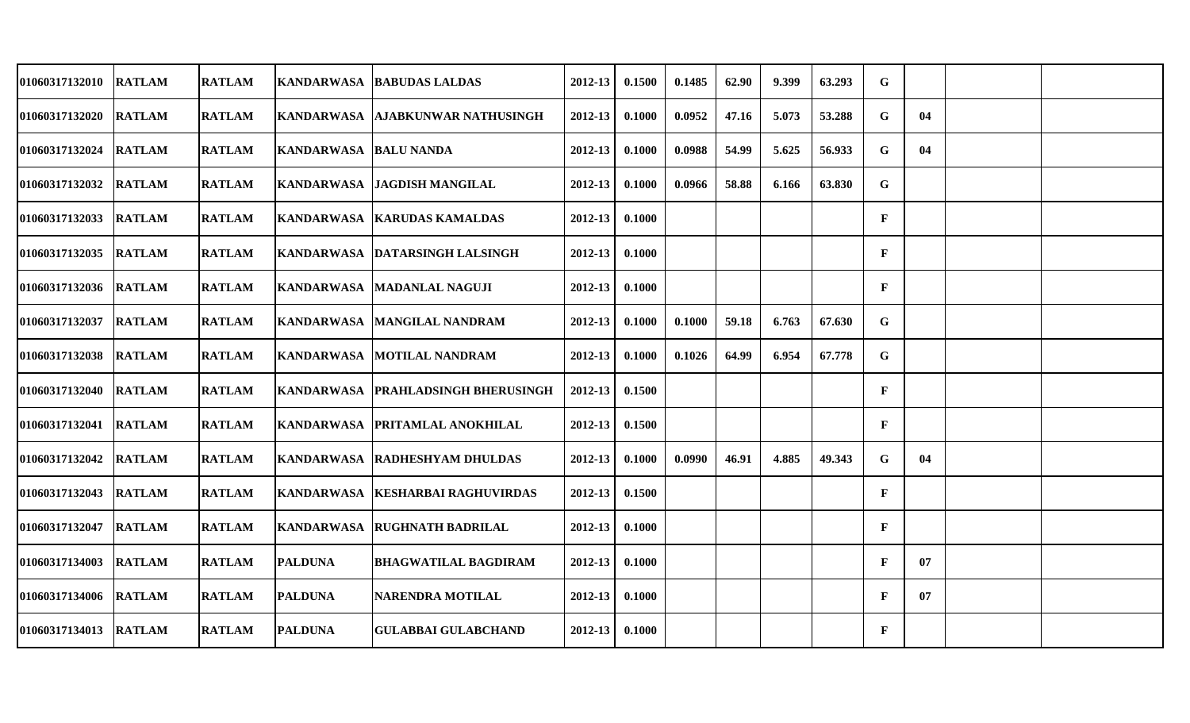| 01060317132010        | <b>RATLAM</b> | <b>RATLAM</b> |                       | KANDARWASA   BABUDAS LALDAS          | 2012-13     | 0.1500 | 0.1485 | 62.90 | 9.399 | 63.293 | G            |    |  |
|-----------------------|---------------|---------------|-----------------------|--------------------------------------|-------------|--------|--------|-------|-------|--------|--------------|----|--|
| 01060317132020 RATLAM |               | <b>RATLAM</b> |                       | KANDARWASA AJABKUNWAR NATHUSINGH     | $2012 - 13$ | 0.1000 | 0.0952 | 47.16 | 5.073 | 53.288 | G            | 04 |  |
| 01060317132024        | <b>RATLAM</b> | <b>RATLAM</b> | KANDARWASA BALU NANDA |                                      | $2012 - 13$ | 0.1000 | 0.0988 | 54.99 | 5.625 | 56.933 | G            | 04 |  |
| 01060317132032        | <b>RATLAM</b> | <b>RATLAM</b> |                       | KANDARWASA JAGDISH MANGILAL          | $2012 - 13$ | 0.1000 | 0.0966 | 58.88 | 6.166 | 63.830 | G            |    |  |
| 01060317132033 RATLAM |               | <b>RATLAM</b> |                       | KANDARWASA KARUDAS KAMALDAS          | $2012 - 13$ | 0.1000 |        |       |       |        | $\mathbf{F}$ |    |  |
| 01060317132035        | <b>RATLAM</b> | <b>RATLAM</b> |                       | KANDARWASA DATARSINGH LALSINGH       | 2012-13     | 0.1000 |        |       |       |        | $\mathbf F$  |    |  |
| 01060317132036 RATLAM |               | <b>RATLAM</b> |                       | KANDARWASA MADANLAL NAGUJI           | $2012 - 13$ | 0.1000 |        |       |       |        | $\mathbf{F}$ |    |  |
| 01060317132037        | <b>RATLAM</b> | <b>RATLAM</b> |                       | KANDARWASA   MANGILAL NANDRAM        | $2012 - 13$ | 0.1000 | 0.1000 | 59.18 | 6.763 | 67.630 | G            |    |  |
| 01060317132038        | <b>RATLAM</b> | <b>RATLAM</b> |                       | KANDARWASA MOTILAL NANDRAM           | $2012 - 13$ | 0.1000 | 0.1026 | 64.99 | 6.954 | 67.778 | G            |    |  |
| 01060317132040        | <b>RATLAM</b> | <b>RATLAM</b> |                       | KANDARWASA   PRAHLADSINGH BHERUSINGH | $2012 - 13$ | 0.1500 |        |       |       |        | $\mathbf{F}$ |    |  |
| 01060317132041        | <b>RATLAM</b> | <b>RATLAM</b> |                       | KANDARWASA   PRITAMLAL ANOKHILAL     | 2012-13     | 0.1500 |        |       |       |        | $\mathbf{F}$ |    |  |
| 01060317132042 RATLAM |               | <b>RATLAM</b> |                       | KANDARWASA RADHESHYAM DHULDAS        | $2012 - 13$ | 0.1000 | 0.0990 | 46.91 | 4.885 | 49.343 | G            | 04 |  |
| 01060317132043        | <b>RATLAM</b> | <b>RATLAM</b> |                       | KANDARWASA   KESHARBAI RAGHUVIRDAS   | $2012 - 13$ | 0.1500 |        |       |       |        | $\mathbf F$  |    |  |
| 01060317132047        | <b>RATLAM</b> | <b>RATLAM</b> |                       | KANDARWASA RUGHNATH BADRILAL         | $2012 - 13$ | 0.1000 |        |       |       |        | $\mathbf F$  |    |  |
| 01060317134003        | <b>RATLAM</b> | <b>RATLAM</b> | <b>PALDUNA</b>        | <b>BHAGWATILAL BAGDIRAM</b>          | $2012 - 13$ | 0.1000 |        |       |       |        | $\mathbf F$  | 07 |  |
| 01060317134006        | <b>RATLAM</b> | <b>RATLAM</b> | <b>PALDUNA</b>        | <b>NARENDRA MOTILAL</b>              | $2012 - 13$ | 0.1000 |        |       |       |        | $\mathbf{F}$ | 07 |  |
| 01060317134013 RATLAM |               | <b>RATLAM</b> | <b>PALDUNA</b>        | <b>GULABBAI GULABCHAND</b>           | $2012 - 13$ | 0.1000 |        |       |       |        | $\mathbf F$  |    |  |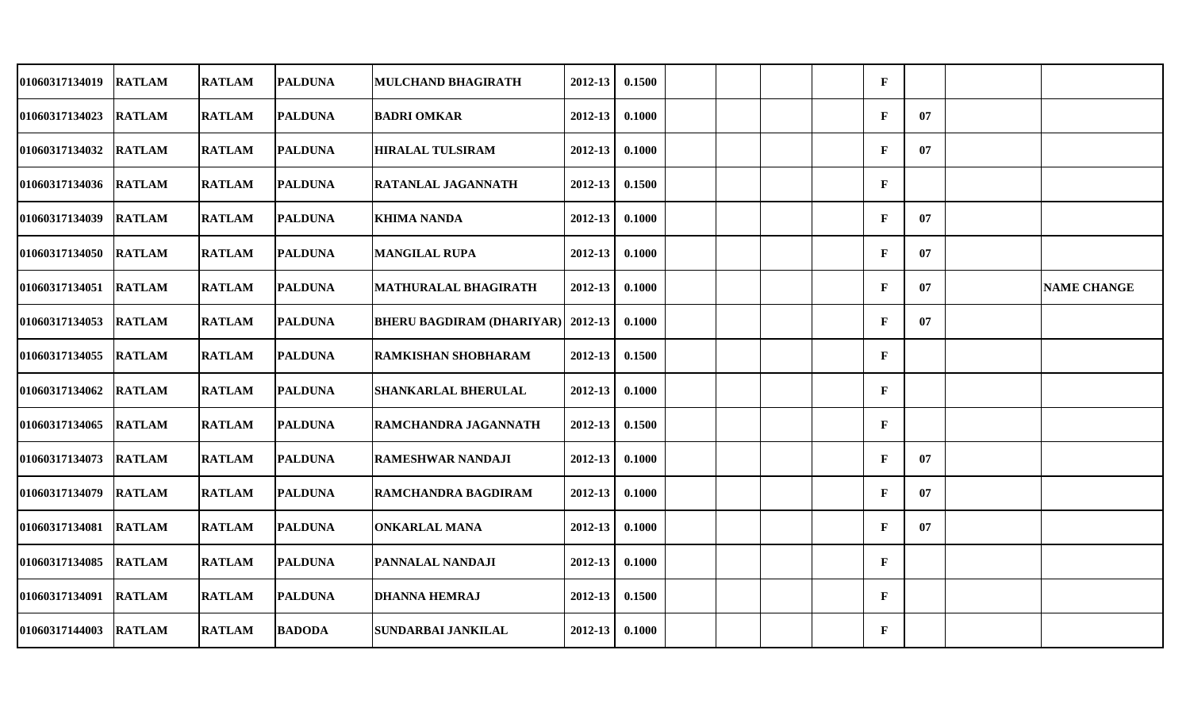| 01060317134019        | <b>RATLAM</b> | <b>RATLAM</b> | <b>PALDUNA</b> | <b>MULCHAND BHAGIRATH</b>                | 2012-13     | 0.1500 |  |  | $\mathbf{F}$ |    |                    |
|-----------------------|---------------|---------------|----------------|------------------------------------------|-------------|--------|--|--|--------------|----|--------------------|
| 01060317134023 RATLAM |               | <b>RATLAM</b> | <b>PALDUNA</b> | <b>BADRI OMKAR</b>                       | $2012 - 13$ | 0.1000 |  |  | $\mathbf{F}$ | 07 |                    |
| 01060317134032        | <b>RATLAM</b> | <b>RATLAM</b> | <b>PALDUNA</b> | <b>HIRALAL TULSIRAM</b>                  | 2012-13     | 0.1000 |  |  | F            | 07 |                    |
| 01060317134036 RATLAM |               | <b>RATLAM</b> | <b>PALDUNA</b> | <b>RATANLAL JAGANNATH</b>                | $2012 - 13$ | 0.1500 |  |  | $\mathbf{F}$ |    |                    |
| 01060317134039        | <b>RATLAM</b> | <b>RATLAM</b> | <b>PALDUNA</b> | <b>KHIMA NANDA</b>                       | $2012 - 13$ | 0.1000 |  |  | F            | 07 |                    |
| 01060317134050        | <b>RATLAM</b> | <b>RATLAM</b> | <b>PALDUNA</b> | <b>MANGILAL RUPA</b>                     | 2012-13     | 0.1000 |  |  | F            | 07 |                    |
| 01060317134051 RATLAM |               | <b>RATLAM</b> | <b>PALDUNA</b> | <b>MATHURALAL BHAGIRATH</b>              | 2012-13     | 0.1000 |  |  | F            | 07 | <b>NAME CHANGE</b> |
| 01060317134053        | <b>RATLAM</b> | <b>RATLAM</b> | <b>PALDUNA</b> | <b>BHERU BAGDIRAM (DHARIYAR)</b> 2012-13 |             | 0.1000 |  |  | F            | 07 |                    |
| 01060317134055        | <b>RATLAM</b> | <b>RATLAM</b> | <b>PALDUNA</b> | <b>RAMKISHAN SHOBHARAM</b>               | $2012 - 13$ | 0.1500 |  |  | F            |    |                    |
| 01060317134062        | <b>RATLAM</b> | <b>RATLAM</b> | <b>PALDUNA</b> | <b>SHANKARLAL BHERULAL</b>               | $2012 - 13$ | 0.1000 |  |  | $\mathbf{F}$ |    |                    |
| 01060317134065        | <b>RATLAM</b> | <b>RATLAM</b> | <b>PALDUNA</b> | RAMCHANDRA JAGANNATH                     | 2012-13     | 0.1500 |  |  | F            |    |                    |
| 01060317134073 RATLAM |               | <b>RATLAM</b> | <b>PALDUNA</b> | <b>RAMESHWAR NANDAJI</b>                 | $2012 - 13$ | 0.1000 |  |  | $\mathbf{F}$ | 07 |                    |
| 01060317134079        | <b>RATLAM</b> | <b>RATLAM</b> | <b>PALDUNA</b> | <b>RAMCHANDRA BAGDIRAM</b>               | 2012-13     | 0.1000 |  |  | F            | 07 |                    |
| 01060317134081        | <b>RATLAM</b> | <b>RATLAM</b> | <b>PALDUNA</b> | <b>ONKARLAL MANA</b>                     | 2012-13     | 0.1000 |  |  | F            | 07 |                    |
| 01060317134085        | <b>RATLAM</b> | <b>RATLAM</b> | <b>PALDUNA</b> | <b>PANNALAL NANDAJI</b>                  | $2012 - 13$ | 0.1000 |  |  | $\mathbf F$  |    |                    |
| 01060317134091        | <b>RATLAM</b> | <b>RATLAM</b> | <b>PALDUNA</b> | <b>DHANNA HEMRAJ</b>                     | $2012 - 13$ | 0.1500 |  |  | F            |    |                    |
| 01060317144003 RATLAM |               | <b>RATLAM</b> | <b>BADODA</b>  | <b>SUNDARBAI JANKILAL</b>                | $2012 - 13$ | 0.1000 |  |  | F            |    |                    |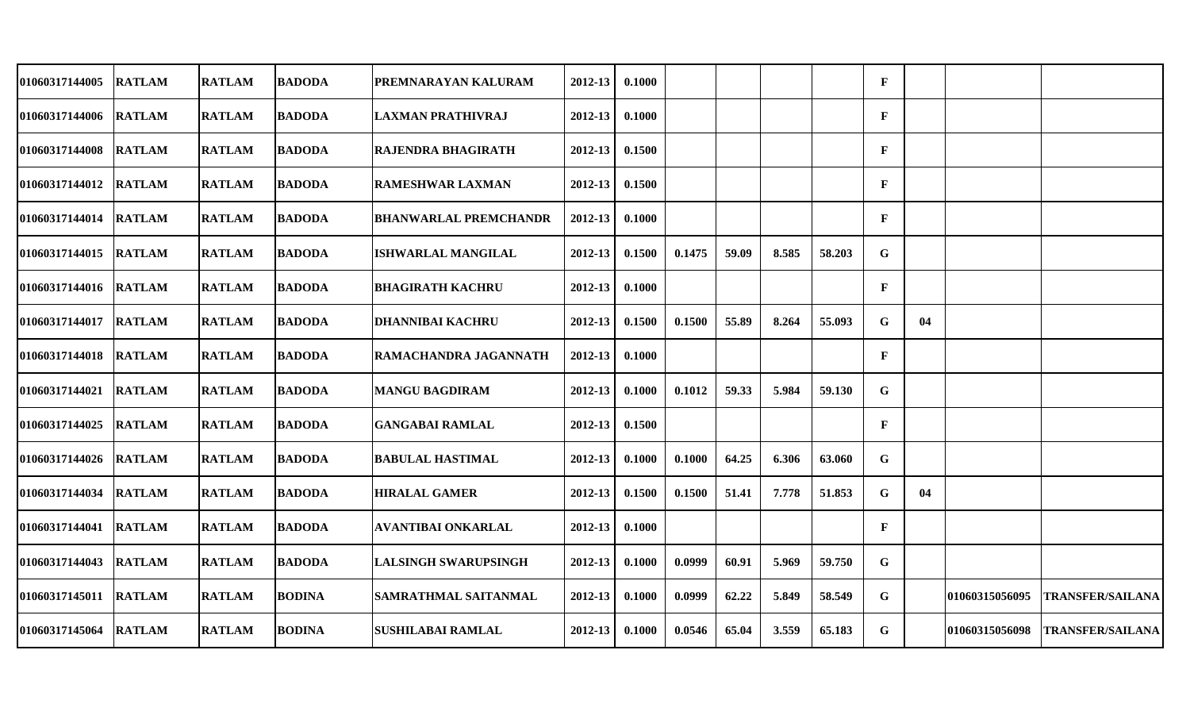| <b>01060317144005</b> | <b>RATLAM</b> | <b>RATLAM</b> | <b>BADODA</b> | PREMNARAYAN KALURAM          | 2012-13     | 0.1000 |        |       |       |        | $\mathbf F$  |    |                |                         |
|-----------------------|---------------|---------------|---------------|------------------------------|-------------|--------|--------|-------|-------|--------|--------------|----|----------------|-------------------------|
| 01060317144006 RATLAM |               | <b>RATLAM</b> | <b>BADODA</b> | ILAXMAN PRATHIVRAJ           | 2012-13     | 0.1000 |        |       |       |        | $\mathbf{F}$ |    |                |                         |
| 01060317144008 RATLAM |               | <b>RATLAM</b> | <b>BADODA</b> | <b>RAJENDRA BHAGIRATH</b>    | 2012-13     | 0.1500 |        |       |       |        | $\mathbf F$  |    |                |                         |
| 01060317144012        | <b>RATLAM</b> | <b>RATLAM</b> | <b>BADODA</b> | <b>RAMESHWAR LAXMAN</b>      | 2012-13     | 0.1500 |        |       |       |        | $\mathbf F$  |    |                |                         |
| 01060317144014 RATLAM |               | <b>RATLAM</b> | <b>BADODA</b> | <b>BHANWARLAL PREMCHANDR</b> | 2012-13     | 0.1000 |        |       |       |        | $\mathbf F$  |    |                |                         |
| <b>01060317144015</b> | <b>RATLAM</b> | <b>RATLAM</b> | <b>BADODA</b> | <b>ISHWARLAL MANGILAL</b>    | $2012 - 13$ | 0.1500 | 0.1475 | 59.09 | 8.585 | 58.203 | G            |    |                |                         |
| <b>01060317144016</b> | <b>RATLAM</b> | <b>RATLAM</b> | <b>BADODA</b> | <b>BHAGIRATH KACHRU</b>      | 2012-13     | 0.1000 |        |       |       |        | $\mathbf F$  |    |                |                         |
| 01060317144017        | <b>RATLAM</b> | <b>RATLAM</b> | <b>BADODA</b> | <b>DHANNIBAI KACHRU</b>      | 2012-13     | 0.1500 | 0.1500 | 55.89 | 8.264 | 55.093 | G            | 04 |                |                         |
| 01060317144018 RATLAM |               | <b>RATLAM</b> | <b>BADODA</b> | RAMACHANDRA JAGANNATH        | $2012 - 13$ | 0.1000 |        |       |       |        | $\mathbf F$  |    |                |                         |
| 01060317144021        | <b>RATLAM</b> | <b>RATLAM</b> | <b>BADODA</b> | <b>MANGU BAGDIRAM</b>        | 2012-13     | 0.1000 | 0.1012 | 59.33 | 5.984 | 59.130 | G            |    |                |                         |
| <b>01060317144025</b> | <b>RATLAM</b> | <b>RATLAM</b> | <b>BADODA</b> | <b>GANGABAI RAMLAL</b>       | 2012-13     | 0.1500 |        |       |       |        | $\mathbf{F}$ |    |                |                         |
| 01060317144026 RATLAM |               | <b>RATLAM</b> | <b>BADODA</b> | <b>BABULAL HASTIMAL</b>      | 2012-13     | 0.1000 | 0.1000 | 64.25 | 6.306 | 63.060 | G            |    |                |                         |
| 01060317144034        | <b>RATLAM</b> | <b>RATLAM</b> | <b>BADODA</b> | <b>HIRALAL GAMER</b>         | 2012-13     | 0.1500 | 0.1500 | 51.41 | 7.778 | 51.853 | G            | 04 |                |                         |
| <b>01060317144041</b> | <b>RATLAM</b> | <b>RATLAM</b> | <b>BADODA</b> | <b>AVANTIBAI ONKARLAL</b>    | 2012-13     | 0.1000 |        |       |       |        | $\mathbf{F}$ |    |                |                         |
| 01060317144043 RATLAM |               | <b>RATLAM</b> | <b>BADODA</b> | <b>LALSINGH SWARUPSINGH</b>  | 2012-13     | 0.1000 | 0.0999 | 60.91 | 5.969 | 59.750 | G            |    |                |                         |
| 01060317145011 RATLAM |               | <b>RATLAM</b> | <b>BODINA</b> | <b>SAMRATHMAL SAITANMAL</b>  | 2012-13     | 0.1000 | 0.0999 | 62.22 | 5.849 | 58.549 | G            |    | 01060315056095 | <b>TRANSFER/SAILANA</b> |
| 01060317145064        | <b>RATLAM</b> | <b>RATLAM</b> | <b>BODINA</b> | <b>SUSHILABAI RAMLAL</b>     | 2012-13     | 0.1000 | 0.0546 | 65.04 | 3.559 | 65.183 | G            |    | 01060315056098 | <b>TRANSFER/SAILANA</b> |
|                       |               |               |               |                              |             |        |        |       |       |        |              |    |                |                         |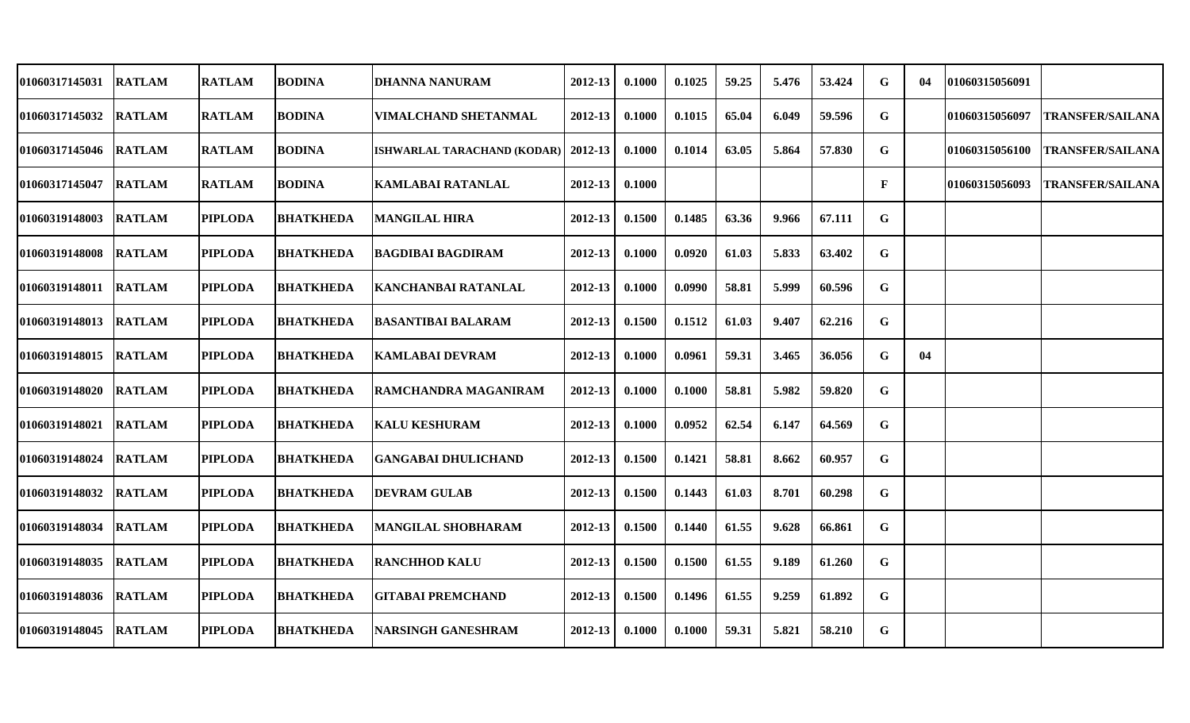| 01060317145031        | <b>RATLAM</b> | <b>RATLAM</b>  | <b>BODINA</b>    | <b>DHANNA NANURAM</b>       | 2012-13     | 0.1000 | 0.1025 | 59.25 | 5.476 | 53.424 | G            | 04 | 101060315056091 |                         |
|-----------------------|---------------|----------------|------------------|-----------------------------|-------------|--------|--------|-------|-------|--------|--------------|----|-----------------|-------------------------|
| 01060317145032        | <b>RATLAM</b> | <b>RATLAM</b>  | <b>BODINA</b>    | <b>VIMALCHAND SHETANMAL</b> | 2012-13     | 0.1000 | 0.1015 | 65.04 | 6.049 | 59.596 | G            |    | 01060315056097  | <b>TRANSFER/SAILANA</b> |
| 01060317145046        | <b>RATLAM</b> | <b>RATLAM</b>  | <b>BODINA</b>    | ISHWARLAL TARACHAND (KODAR) | 2012-13     | 0.1000 | 0.1014 | 63.05 | 5.864 | 57.830 | G            |    | 01060315056100  | <b>TRANSFER/SAILANA</b> |
| 01060317145047        | <b>RATLAM</b> | <b>RATLAM</b>  | <b>BODINA</b>    | KAMLABAI RATANLAL           | 2012-13     | 0.1000 |        |       |       |        | $\mathbf{F}$ |    | 01060315056093  | <b>TRANSFER/SAILANA</b> |
| 01060319148003        | <b>RATLAM</b> | <b>PIPLODA</b> | <b>BHATKHEDA</b> | <b>MANGILAL HIRA</b>        | 2012-13     | 0.1500 | 0.1485 | 63.36 | 9.966 | 67.111 | G            |    |                 |                         |
| 01060319148008        | <b>RATLAM</b> | <b>PIPLODA</b> | <b>BHATKHEDA</b> | BAGDIBAI BAGDIRAM           | 2012-13     | 0.1000 | 0.0920 | 61.03 | 5.833 | 63.402 | G            |    |                 |                         |
| 01060319148011        | <b>RATLAM</b> | <b>PIPLODA</b> | <b>BHATKHEDA</b> | <b>KANCHANBAI RATANLAL</b>  | 2012-13     | 0.1000 | 0.0990 | 58.81 | 5.999 | 60.596 | G            |    |                 |                         |
| 01060319148013        | <b>RATLAM</b> | <b>PIPLODA</b> | <b>BHATKHEDA</b> | <b>BASANTIBAI BALARAM</b>   | 2012-13     | 0.1500 | 0.1512 | 61.03 | 9.407 | 62.216 | G            |    |                 |                         |
| 01060319148015        | <b>RATLAM</b> | <b>PIPLODA</b> | <b>BHATKHEDA</b> | <b>KAMLABAI DEVRAM</b>      | $2012 - 13$ | 0.1000 | 0.0961 | 59.31 | 3.465 | 36.056 | G            | 04 |                 |                         |
| 01060319148020        | <b>RATLAM</b> | <b>PIPLODA</b> | <b>BHATKHEDA</b> | RAMCHANDRA MAGANIRAM        | 2012-13     | 0.1000 | 0.1000 | 58.81 | 5.982 | 59.820 | G            |    |                 |                         |
| <b>01060319148021</b> | <b>RATLAM</b> | <b>PIPLODA</b> | <b>BHATKHEDA</b> | KALU KESHURAM               | 2012-13     | 0.1000 | 0.0952 | 62.54 | 6.147 | 64.569 | G            |    |                 |                         |
| 01060319148024        | <b>RATLAM</b> | <b>PIPLODA</b> | <b>BHATKHEDA</b> | GANGABAI DHULICHAND         | 2012-13     | 0.1500 | 0.1421 | 58.81 | 8.662 | 60.957 | G            |    |                 |                         |
| 01060319148032        | <b>RATLAM</b> | <b>PIPLODA</b> | <b>BHATKHEDA</b> | <b>DEVRAM GULAB</b>         | 2012-13     | 0.1500 | 0.1443 | 61.03 | 8.701 | 60.298 | G            |    |                 |                         |
| 01060319148034        | <b>RATLAM</b> | <b>PIPLODA</b> | <b>BHATKHEDA</b> | <b>MANGILAL SHOBHARAM</b>   | 2012-13     | 0.1500 | 0.1440 | 61.55 | 9.628 | 66.861 | G            |    |                 |                         |
| 01060319148035        | <b>RATLAM</b> | <b>PIPLODA</b> | <b>BHATKHEDA</b> | <b>RANCHHOD KALU</b>        | 2012-13     | 0.1500 | 0.1500 | 61.55 | 9.189 | 61.260 | G            |    |                 |                         |
| 01060319148036        | <b>RATLAM</b> | <b>PIPLODA</b> | <b>BHATKHEDA</b> | <b>GITABAI PREMCHAND</b>    | $2012 - 13$ | 0.1500 | 0.1496 | 61.55 | 9.259 | 61.892 | G            |    |                 |                         |
| 01060319148045        | <b>RATLAM</b> | <b>PIPLODA</b> | <b>BHATKHEDA</b> | NARSINGH GANESHRAM          | 2012-13     | 0.1000 | 0.1000 | 59.31 | 5.821 | 58.210 | G            |    |                 |                         |
|                       |               |                |                  |                             |             |        |        |       |       |        |              |    |                 |                         |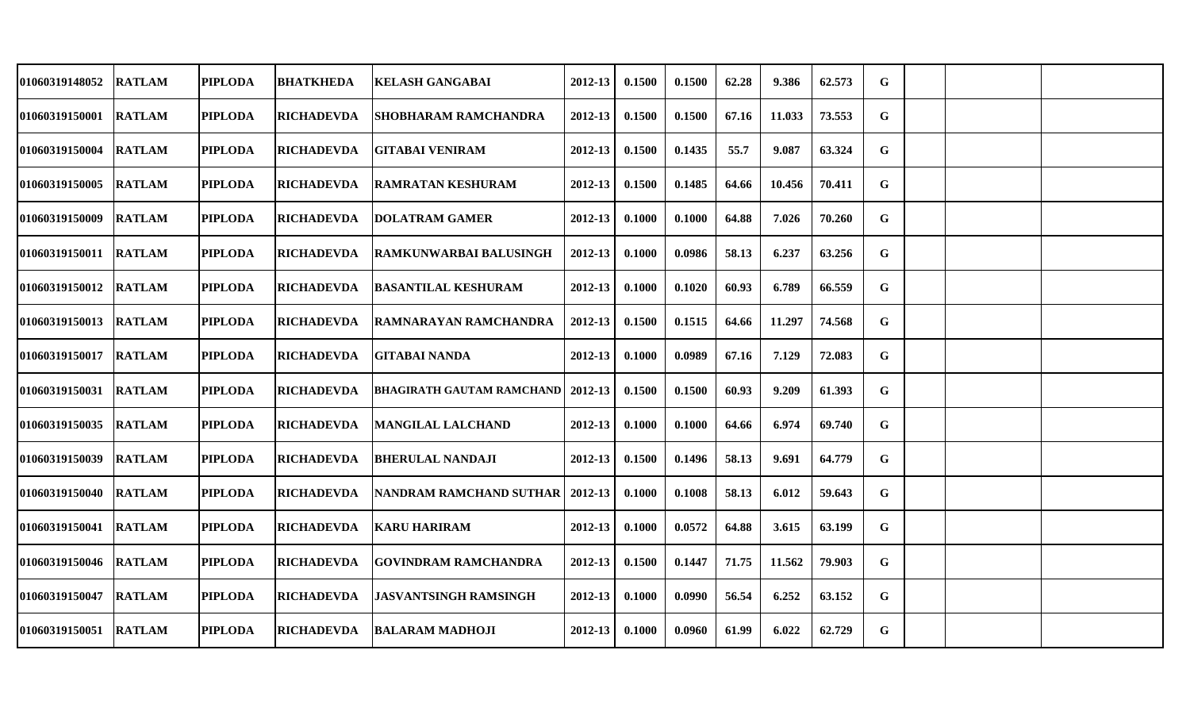| <b>01060319148052</b> | <b>RATLAM</b> | <b>PIPLODA</b> | <b>BHATKHEDA</b>  | <b>KELASH GANGABAI</b>             | 2012-13     | 0.1500 | 0.1500 | 62.28 | 9.386  | 62.573 | G |  |  |
|-----------------------|---------------|----------------|-------------------|------------------------------------|-------------|--------|--------|-------|--------|--------|---|--|--|
| <b>01060319150001</b> | <b>RATLAM</b> | <b>PIPLODA</b> | <b>RICHADEVDA</b> | <b>SHOBHARAM RAMCHANDRA</b>        | 2012-13     | 0.1500 | 0.1500 | 67.16 | 11.033 | 73.553 | G |  |  |
| 01060319150004        | <b>RATLAM</b> | <b>PIPLODA</b> | <b>RICHADEVDA</b> | <b>GITABAI VENIRAM</b>             | $2012 - 13$ | 0.1500 | 0.1435 | 55.7  | 9.087  | 63.324 | G |  |  |
| <b>01060319150005</b> | <b>RATLAM</b> | <b>PIPLODA</b> | <b>RICHADEVDA</b> | RAMRATAN KESHURAM                  | 2012-13     | 0.1500 | 0.1485 | 64.66 | 10.456 | 70.411 | G |  |  |
| 01060319150009        | <b>RATLAM</b> | <b>PIPLODA</b> | <b>RICHADEVDA</b> | <b>DOLATRAM GAMER</b>              | 2012-13     | 0.1000 | 0.1000 | 64.88 | 7.026  | 70.260 | G |  |  |
| 01060319150011 RATLAM |               | <b>PIPLODA</b> | <b>RICHADEVDA</b> | RAMKUNWARBAI BALUSINGH             | 2012-13     | 0.1000 | 0.0986 | 58.13 | 6.237  | 63.256 | G |  |  |
| 01060319150012        | <b>RATLAM</b> | <b>PIPLODA</b> | <b>RICHADEVDA</b> | <b>BASANTILAL KESHURAM</b>         | 2012-13     | 0.1000 | 0.1020 | 60.93 | 6.789  | 66.559 | G |  |  |
| <b>01060319150013</b> | <b>RATLAM</b> | <b>PIPLODA</b> | <b>RICHADEVDA</b> | <b>RAMNARAYAN RAMCHANDRA</b>       | 2012-13     | 0.1500 | 0.1515 | 64.66 | 11.297 | 74.568 | G |  |  |
| 01060319150017 RATLAM |               | <b>PIPLODA</b> | <b>RICHADEVDA</b> | <b>GITABAI NANDA</b>               | $2012 - 13$ | 0.1000 | 0.0989 | 67.16 | 7.129  | 72.083 | G |  |  |
| 01060319150031        | <b>RATLAM</b> | <b>PIPLODA</b> | <b>RICHADEVDA</b> | BHAGIRATH GAUTAM RAMCHAND  2012-13 |             | 0.1500 | 0.1500 | 60.93 | 9.209  | 61.393 | G |  |  |
| <b>01060319150035</b> | <b>RATLAM</b> | <b>PIPLODA</b> | <b>RICHADEVDA</b> | MANGILAL LALCHAND                  | 2012-13     | 0.1000 | 0.1000 | 64.66 | 6.974  | 69.740 | G |  |  |
| 01060319150039        | <b>RATLAM</b> | <b>PIPLODA</b> | <b>RICHADEVDA</b> | <b>BHERULAL NANDAJI</b>            | 2012-13     | 0.1500 | 0.1496 | 58.13 | 9.691  | 64.779 | G |  |  |
| <b>01060319150040</b> | <b>RATLAM</b> | <b>PIPLODA</b> | <b>RICHADEVDA</b> | NANDRAM RAMCHAND SUTHAR 2012-13    |             | 0.1000 | 0.1008 | 58.13 | 6.012  | 59.643 | G |  |  |
| <b>01060319150041</b> | <b>RATLAM</b> | <b>PIPLODA</b> | <b>RICHADEVDA</b> | <b>KARU HARIRAM</b>                | 2012-13     | 0.1000 | 0.0572 | 64.88 | 3.615  | 63.199 | G |  |  |
| 01060319150046 RATLAM |               | <b>PIPLODA</b> | <b>RICHADEVDA</b> | <b>GOVINDRAM RAMCHANDRA</b>        | 2012-13     | 0.1500 | 0.1447 | 71.75 | 11.562 | 79.903 | G |  |  |
| <b>01060319150047</b> | <b>RATLAM</b> | <b>PIPLODA</b> | <b>RICHADEVDA</b> | <b>JASVANTSINGH RAMSINGH</b>       | $2012 - 13$ | 0.1000 | 0.0990 | 56.54 | 6.252  | 63.152 | G |  |  |
| 01060319150051        | <b>RATLAM</b> | <b>PIPLODA</b> | <b>RICHADEVDA</b> | BALARAM MADHOJI                    | $2012 - 13$ | 0.1000 | 0.0960 | 61.99 | 6.022  | 62.729 | G |  |  |
|                       |               |                |                   |                                    |             |        |        |       |        |        |   |  |  |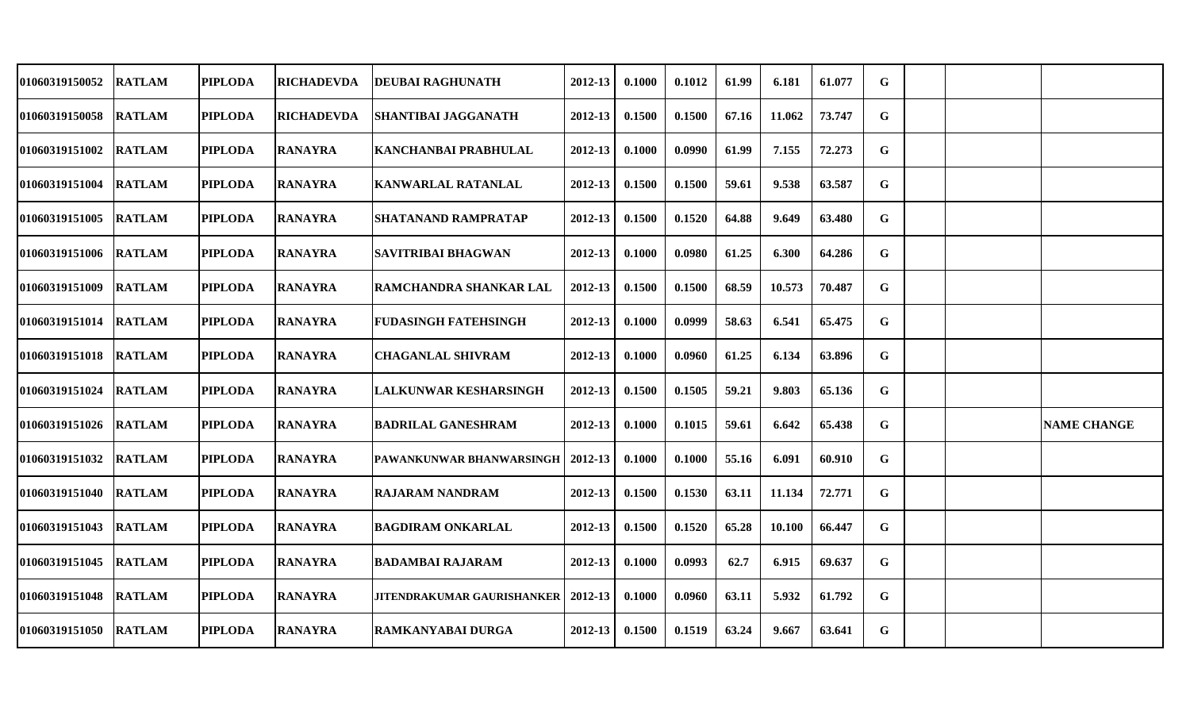| 01060319150052        | <b>RATLAM</b> | <b>PIPLODA</b> | <b>RICHADEVDA</b> | <b>DEUBAI RAGHUNATH</b>           | 2012-13     | 0.1000 | 0.1012 | 61.99 | 6.181  | 61.077 | G           |  |                    |
|-----------------------|---------------|----------------|-------------------|-----------------------------------|-------------|--------|--------|-------|--------|--------|-------------|--|--------------------|
| 01060319150058 RATLAM |               | <b>PIPLODA</b> | <b>RICHADEVDA</b> | <b>SHANTIBAI JAGGANATH</b>        | 2012-13     | 0.1500 | 0.1500 | 67.16 | 11.062 | 73.747 | G           |  |                    |
| 01060319151002        | <b>RATLAM</b> | <b>PIPLODA</b> | <b>RANAYRA</b>    | <b>KANCHANBAI PRABHULAL</b>       | 2012-13     | 0.1000 | 0.0990 | 61.99 | 7.155  | 72.273 | G           |  |                    |
| <b>01060319151004</b> | <b>RATLAM</b> | <b>PIPLODA</b> | <b>RANAYRA</b>    | <b>KANWARLAL RATANLAL</b>         | 2012-13     | 0.1500 | 0.1500 | 59.61 | 9.538  | 63.587 | G           |  |                    |
| 01060319151005        | <b>RATLAM</b> | <b>PIPLODA</b> | <b>RANAYRA</b>    | <b>SHATANAND RAMPRATAP</b>        | 2012-13     | 0.1500 | 0.1520 | 64.88 | 9.649  | 63.480 | G           |  |                    |
| 01060319151006        | <b>RATLAM</b> | <b>PIPLODA</b> | <b>RANAYRA</b>    | <b>SAVITRIBAI BHAGWAN</b>         | 2012-13     | 0.1000 | 0.0980 | 61.25 | 6.300  | 64.286 | G           |  |                    |
| 01060319151009        | <b>RATLAM</b> | <b>PIPLODA</b> | <b>RANAYRA</b>    | <b>RAMCHANDRA SHANKAR LAL</b>     | 2012-13     | 0.1500 | 0.1500 | 68.59 | 10.573 | 70.487 | G           |  |                    |
| 01060319151014 RATLAM |               | <b>PIPLODA</b> | <b>RANAYRA</b>    | <b>FUDASINGH FATEHSINGH</b>       | 2012-13     | 0.1000 | 0.0999 | 58.63 | 6.541  | 65.475 | G           |  |                    |
| <b>01060319151018</b> | <b>RATLAM</b> | <b>PIPLODA</b> | <b>RANAYRA</b>    | <b>CHAGANLAL SHIVRAM</b>          | 2012-13     | 0.1000 | 0.0960 | 61.25 | 6.134  | 63.896 | G           |  |                    |
| <b>01060319151024</b> | <b>RATLAM</b> | <b>PIPLODA</b> | <b>RANAYRA</b>    | <b>LALKUNWAR KESHARSINGH</b>      | 2012-13     | 0.1500 | 0.1505 | 59.21 | 9.803  | 65.136 | $\mathbf G$ |  |                    |
| <b>01060319151026</b> | <b>RATLAM</b> | <b>PIPLODA</b> | <b>RANAYRA</b>    | <b>BADRILAL GANESHRAM</b>         | 2012-13     | 0.1000 | 0.1015 | 59.61 | 6.642  | 65.438 | G           |  | <b>NAME CHANGE</b> |
| 01060319151032        | <b>RATLAM</b> | <b>PIPLODA</b> | <b>RANAYRA</b>    | PAWANKUNWAR BHANWARSINGH          | 2012-13     | 0.1000 | 0.1000 | 55.16 | 6.091  | 60.910 | G           |  |                    |
| 01060319151040 RATLAM |               | <b>PIPLODA</b> | <b>RANAYRA</b>    | <b>RAJARAM NANDRAM</b>            | $2012 - 13$ | 0.1500 | 0.1530 | 63.11 | 11.134 | 72.771 | G           |  |                    |
| <b>01060319151043</b> | <b>RATLAM</b> | <b>PIPLODA</b> | <b>RANAYRA</b>    | <b>BAGDIRAM ONKARLAL</b>          | 2012-13     | 0.1500 | 0.1520 | 65.28 | 10.100 | 66.447 | G           |  |                    |
| 01060319151045        | <b>RATLAM</b> | <b>PIPLODA</b> | <b>RANAYRA</b>    | <b>BADAMBAI RAJARAM</b>           | 2012-13     | 0.1000 | 0.0993 | 62.7  | 6.915  | 69.637 | G           |  |                    |
| 01060319151048        | <b>RATLAM</b> | <b>PIPLODA</b> | <b>RANAYRA</b>    | <b>JITENDRAKUMAR GAURISHANKER</b> | 2012-13     | 0.1000 | 0.0960 | 63.11 | 5.932  | 61.792 | G           |  |                    |
| 01060319151050        | <b>RATLAM</b> | <b>PIPLODA</b> | <b>RANAYRA</b>    | <b>RAMKANYABAI DURGA</b>          | 2012-13     | 0.1500 | 0.1519 | 63.24 | 9.667  | 63.641 | G           |  |                    |
|                       |               |                |                   |                                   |             |        |        |       |        |        |             |  |                    |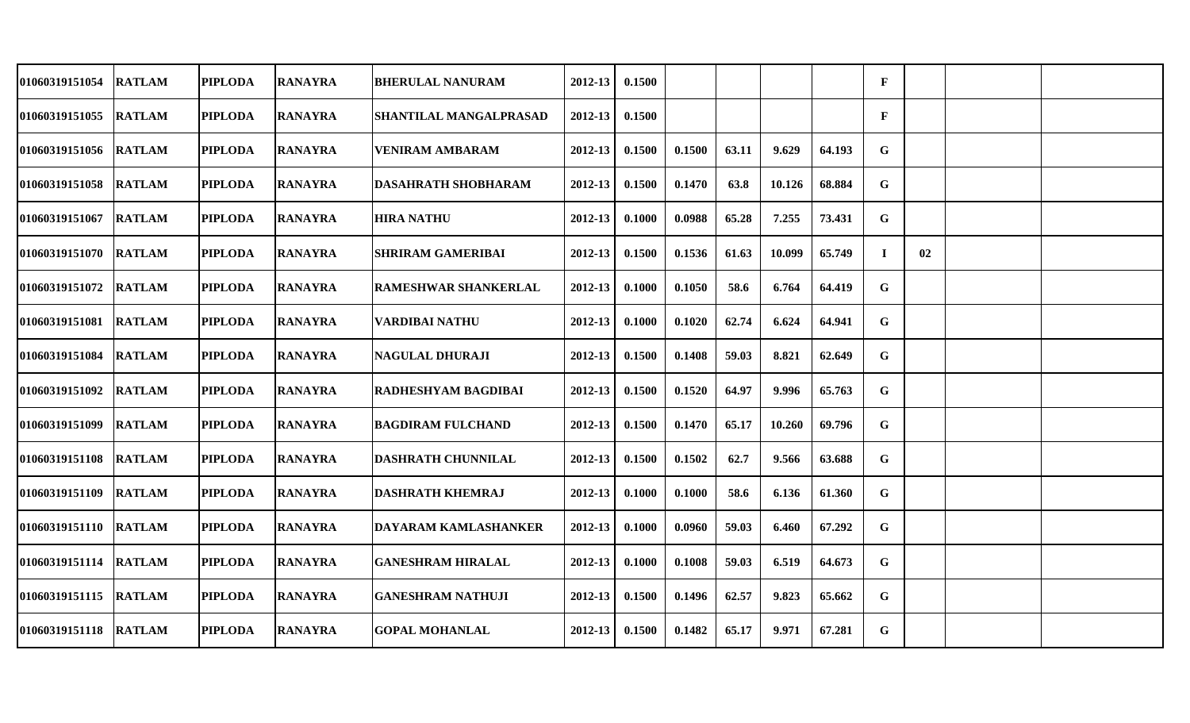| 01060319151054         | <b>RATLAM</b> | <b>PIPLODA</b> | <b>RANAYRA</b> | <b>BHERULAL NANURAM</b>       | 2012-13     | 0.1500 |        |       |        |        | F            |    |  |
|------------------------|---------------|----------------|----------------|-------------------------------|-------------|--------|--------|-------|--------|--------|--------------|----|--|
| 01060319151055 RATLAM  |               | <b>PIPLODA</b> | <b>RANAYRA</b> | <b>SHANTILAL MANGALPRASAD</b> | 2012-13     | 0.1500 |        |       |        |        | $\mathbf{F}$ |    |  |
| 01060319151056  RATLAM |               | <b>PIPLODA</b> | <b>RANAYRA</b> | VENIRAM AMBARAM               | $2012 - 13$ | 0.1500 | 0.1500 | 63.11 | 9.629  | 64.193 | G            |    |  |
| 01060319151058         | <b>RATLAM</b> | <b>PIPLODA</b> | <b>RANAYRA</b> | <b>DASAHRATH SHOBHARAM</b>    | 2012-13     | 0.1500 | 0.1470 | 63.8  | 10.126 | 68.884 | G            |    |  |
| 01060319151067         | <b>RATLAM</b> | <b>PIPLODA</b> | <b>RANAYRA</b> | <b>HIRA NATHU</b>             | 2012-13     | 0.1000 | 0.0988 | 65.28 | 7.255  | 73.431 | G            |    |  |
| <b>01060319151070</b>  | <b>RATLAM</b> | <b>PIPLODA</b> | <b>RANAYRA</b> | <b>SHRIRAM GAMERIBAI</b>      | 2012-13     | 0.1500 | 0.1536 | 61.63 | 10.099 | 65.749 | I            | 02 |  |
| 01060319151072 RATLAM  |               | <b>PIPLODA</b> | <b>RANAYRA</b> | <b>RAMESHWAR SHANKERLAL</b>   | 2012-13     | 0.1000 | 0.1050 | 58.6  | 6.764  | 64.419 | G            |    |  |
| 01060319151081         | <b>RATLAM</b> | <b>PIPLODA</b> | <b>RANAYRA</b> | <b>VARDIBAI NATHU</b>         | 2012-13     | 0.1000 | 0.1020 | 62.74 | 6.624  | 64.941 | G            |    |  |
| <b>01060319151084</b>  | <b>RATLAM</b> | <b>PIPLODA</b> | <b>RANAYRA</b> | <b>NAGULAL DHURAJI</b>        | 2012-13     | 0.1500 | 0.1408 | 59.03 | 8.821  | 62.649 | G            |    |  |
| 01060319151092         | <b>RATLAM</b> | <b>PIPLODA</b> | <b>RANAYRA</b> | <b>RADHESHYAM BAGDIBAI</b>    | 2012-13     | 0.1500 | 0.1520 | 64.97 | 9.996  | 65.763 | G            |    |  |
| 01060319151099         | <b>RATLAM</b> | <b>PIPLODA</b> | <b>RANAYRA</b> | <b>BAGDIRAM FULCHAND</b>      | 2012-13     | 0.1500 | 0.1470 | 65.17 | 10.260 | 69.796 | G            |    |  |
| 01060319151108 RATLAM  |               | <b>PIPLODA</b> | <b>RANAYRA</b> | <b>DASHRATH CHUNNILAL</b>     | 2012-13     | 0.1500 | 0.1502 | 62.7  | 9.566  | 63.688 | G            |    |  |
| 01060319151109         | <b>RATLAM</b> | <b>PIPLODA</b> | <b>RANAYRA</b> | <b>DASHRATH KHEMRAJ</b>       | $2012 - 13$ | 0.1000 | 0.1000 | 58.6  | 6.136  | 61.360 | G            |    |  |
| <b>01060319151110</b>  | <b>RATLAM</b> | <b>PIPLODA</b> | <b>RANAYRA</b> | <b>DAYARAM KAMLASHANKER</b>   | 2012-13     | 0.1000 | 0.0960 | 59.03 | 6.460  | 67.292 | G            |    |  |
| 01060319151114 RATLAM  |               | <b>PIPLODA</b> | <b>RANAYRA</b> | <b>GANESHRAM HIRALAL</b>      | $2012 - 13$ | 0.1000 | 0.1008 | 59.03 | 6.519  | 64.673 | G            |    |  |
| 01060319151115         | <b>RATLAM</b> | <b>PIPLODA</b> | <b>RANAYRA</b> | <b>GANESHRAM NATHUJI</b>      | 2012-13     | 0.1500 | 0.1496 | 62.57 | 9.823  | 65.662 | G            |    |  |
| 01060319151118 RATLAM  |               | <b>PIPLODA</b> | <b>RANAYRA</b> | <b>GOPAL MOHANLAL</b>         | 2012-13     | 0.1500 | 0.1482 | 65.17 | 9.971  | 67.281 | G            |    |  |
|                        |               |                |                |                               |             |        |        |       |        |        |              |    |  |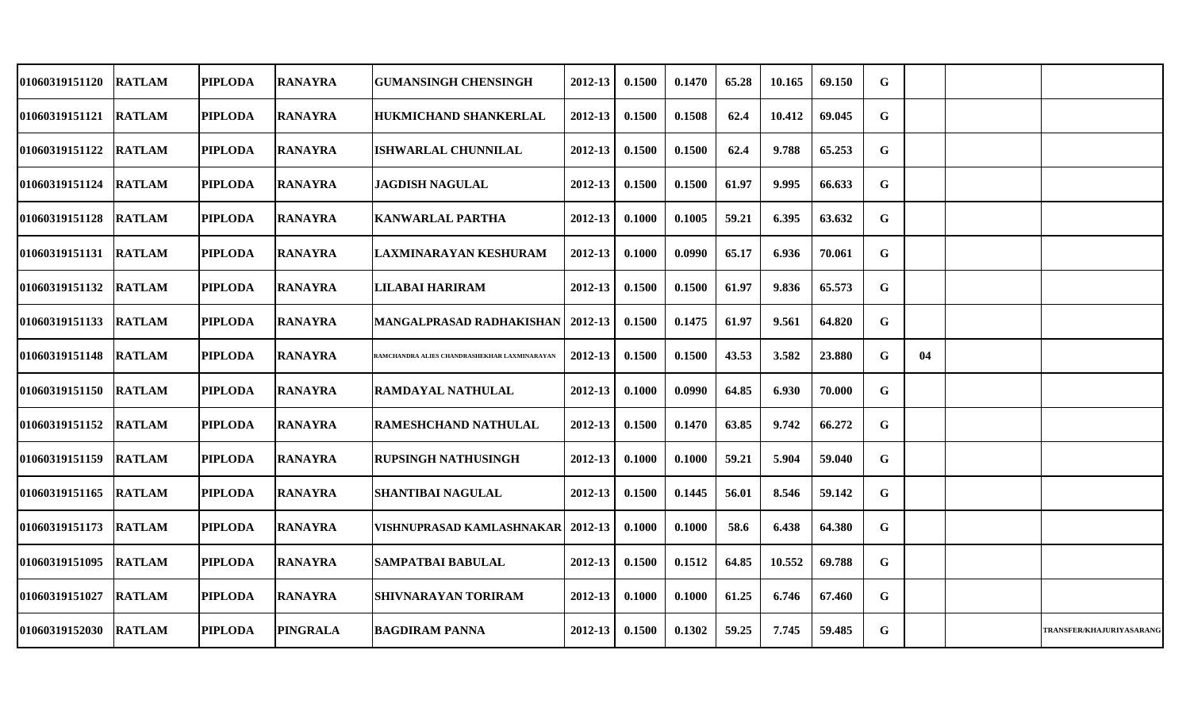| 01060319151120        | <b>RATLAM</b> | <b>PIPLODA</b> | <b>RANAYRA</b>  | <b>GUMANSINGH CHENSINGH</b>                  | 2012-13     | 0.1500 | 0.1470 | 65.28 | 10.165 | 69.150 | G           |    |                          |
|-----------------------|---------------|----------------|-----------------|----------------------------------------------|-------------|--------|--------|-------|--------|--------|-------------|----|--------------------------|
| 01060319151121 RATLAM |               | <b>PIPLODA</b> | <b>RANAYRA</b>  | <b>HUKMICHAND SHANKERLAL</b>                 | $2012 - 13$ | 0.1500 | 0.1508 | 62.4  | 10.412 | 69.045 | G           |    |                          |
| 01060319151122        | <b>RATLAM</b> | <b>PIPLODA</b> | <b>RANAYRA</b>  | <b>ISHWARLAL CHUNNILAL</b>                   | $2012 - 13$ | 0.1500 | 0.1500 | 62.4  | 9.788  | 65.253 | G           |    |                          |
| <b>01060319151124</b> | <b>RATLAM</b> | <b>PIPLODA</b> | <b>RANAYRA</b>  | <b>JAGDISH NAGULAL</b>                       | 2012-13     | 0.1500 | 0.1500 | 61.97 | 9.995  | 66.633 | G           |    |                          |
| 01060319151128        | <b>RATLAM</b> | <b>PIPLODA</b> | <b>RANAYRA</b>  | <b>KANWARLAL PARTHA</b>                      | 2012-13     | 0.1000 | 0.1005 | 59.21 | 6.395  | 63.632 | G           |    |                          |
| 01060319151131        | <b>RATLAM</b> | <b>PIPLODA</b> | <b>RANAYRA</b>  | <b>LAXMINARAYAN KESHURAM</b>                 | 2012-13     | 0.1000 | 0.0990 | 65.17 | 6.936  | 70.061 | G           |    |                          |
| 01060319151132 RATLAM |               | <b>PIPLODA</b> | <b>RANAYRA</b>  | <b>LILABAI HARIRAM</b>                       | $2012 - 13$ | 0.1500 | 0.1500 | 61.97 | 9.836  | 65.573 | $\mathbf G$ |    |                          |
| 01060319151133        | <b>RATLAM</b> | <b>PIPLODA</b> | <b>RANAYRA</b>  | <b>MANGALPRASAD RADHAKISHAN   2012-13</b>    |             | 0.1500 | 0.1475 | 61.97 | 9.561  | 64.820 | G           |    |                          |
| 01060319151148        | <b>RATLAM</b> | <b>PIPLODA</b> | <b>RANAYRA</b>  | RAMCHANDRA ALIES CHANDRASHEKHAR LAXMINARAYAN | 2012-13     | 0.1500 | 0.1500 | 43.53 | 3.582  | 23.880 | G           | 04 |                          |
| 01060319151150        | <b>RATLAM</b> | <b>PIPLODA</b> | <b>RANAYRA</b>  | <b>RAMDAYAL NATHULAL</b>                     | 2012-13     | 0.1000 | 0.0990 | 64.85 | 6.930  | 70.000 | $\mathbf G$ |    |                          |
| 01060319151152        | <b>RATLAM</b> | <b>PIPLODA</b> | <b>RANAYRA</b>  | <b>RAMESHCHAND NATHULAL</b>                  | 2012-13     | 0.1500 | 0.1470 | 63.85 | 9.742  | 66.272 | G           |    |                          |
| 01060319151159 RATLAM |               | <b>PIPLODA</b> | <b>RANAYRA</b>  | <b>RUPSINGH NATHUSINGH</b>                   | 2012-13     | 0.1000 | 0.1000 | 59.21 | 5.904  | 59.040 | G           |    |                          |
| 01060319151165        | <b>RATLAM</b> | <b>PIPLODA</b> | <b>RANAYRA</b>  | <b>SHANTIBAI NAGULAL</b>                     | 2012-13     | 0.1500 | 0.1445 | 56.01 | 8.546  | 59.142 | G           |    |                          |
| 01060319151173        | <b>RATLAM</b> | <b>PIPLODA</b> | <b>RANAYRA</b>  | VISHNUPRASAD KAMLASHNAKAR  2012-13           |             | 0.1000 | 0.1000 | 58.6  | 6.438  | 64.380 | G           |    |                          |
| 01060319151095        | <b>RATLAM</b> | <b>PIPLODA</b> | <b>RANAYRA</b>  | <b>SAMPATBAI BABULAL</b>                     | $2012 - 13$ | 0.1500 | 0.1512 | 64.85 | 10.552 | 69.788 | G           |    |                          |
| 01060319151027        | <b>RATLAM</b> | <b>PIPLODA</b> | <b>RANAYRA</b>  | <b>SHIVNARAYAN TORIRAM</b>                   | 2012-13     | 0.1000 | 0.1000 | 61.25 | 6.746  | 67.460 | G           |    |                          |
| 01060319152030 RATLAM |               | <b>PIPLODA</b> | <b>PINGRALA</b> | <b>BAGDIRAM PANNA</b>                        | $2012 - 13$ | 0.1500 | 0.1302 | 59.25 | 7.745  | 59.485 | G           |    | TRANSFER/KHAJURIYASARANG |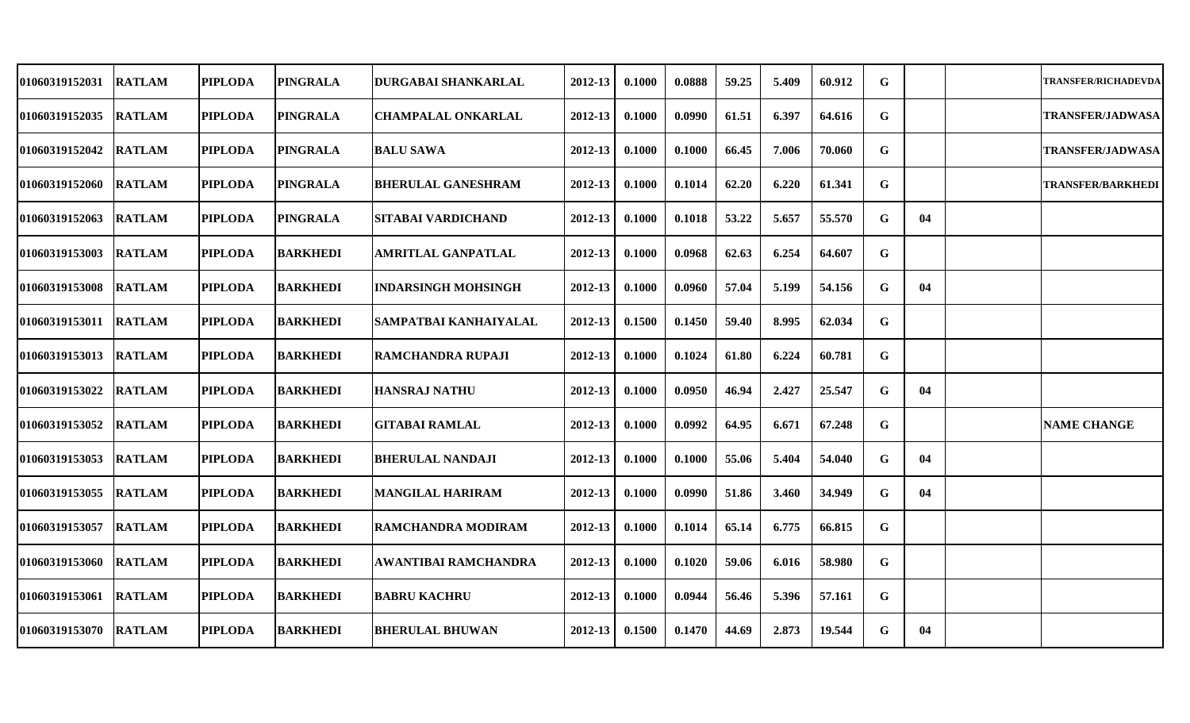| 01060319152031 | <b>RATLAM</b> | <b>PIPLODA</b> | <b>PINGRALA</b> | DURGABAI SHANKARLAL        | 2012-13 | 0.1000 | 0.0888 | 59.25 | 5.409 | 60.912 | G           |    | <b>TRANSFER/RICHADEVDA</b> |
|----------------|---------------|----------------|-----------------|----------------------------|---------|--------|--------|-------|-------|--------|-------------|----|----------------------------|
| 01060319152035 | <b>RATLAM</b> | <b>PIPLODA</b> | <b>PINGRALA</b> | <b>CHAMPALAL ONKARLAL</b>  | 2012-13 | 0.1000 | 0.0990 | 61.51 | 6.397 | 64.616 | G           |    | <b>TRANSFER/JADWASA</b>    |
| 01060319152042 | <b>RATLAM</b> | <b>PIPLODA</b> | <b>PINGRALA</b> | <b>BALU SAWA</b>           | 2012-13 | 0.1000 | 0.1000 | 66.45 | 7.006 | 70.060 | G           |    | <b>TRANSFER/JADWASA</b>    |
| 01060319152060 | <b>RATLAM</b> | <b>PIPLODA</b> | <b>PINGRALA</b> | <b>BHERULAL GANESHRAM</b>  | 2012-13 | 0.1000 | 0.1014 | 62.20 | 6.220 | 61.341 | $\mathbf G$ |    | <b>TRANSFER/BARKHEDI</b>   |
| 01060319152063 | <b>RATLAM</b> | <b>PIPLODA</b> | <b>PINGRALA</b> | <b>SITABAI VARDICHAND</b>  | 2012-13 | 0.1000 | 0.1018 | 53.22 | 5.657 | 55.570 | G           | 04 |                            |
| 01060319153003 | <b>RATLAM</b> | <b>PIPLODA</b> | <b>BARKHEDI</b> | <b>AMRITLAL GANPATLAL</b>  | 2012-13 | 0.1000 | 0.0968 | 62.63 | 6.254 | 64.607 | G           |    |                            |
| 01060319153008 | <b>RATLAM</b> | <b>PIPLODA</b> | <b>BARKHEDI</b> | <b>INDARSINGH MOHSINGH</b> | 2012-13 | 0.1000 | 0.0960 | 57.04 | 5.199 | 54.156 | G           | 04 |                            |
| 01060319153011 | <b>RATLAM</b> | <b>PIPLODA</b> | <b>BARKHEDI</b> | SAMPATBAI KANHAIYALAL      | 2012-13 | 0.1500 | 0.1450 | 59.40 | 8.995 | 62.034 | G           |    |                            |
| 01060319153013 | <b>RATLAM</b> | <b>PIPLODA</b> | <b>BARKHEDI</b> | <b>RAMCHANDRA RUPAJI</b>   | 2012-13 | 0.1000 | 0.1024 | 61.80 | 6.224 | 60.781 | $\mathbf G$ |    |                            |
| 01060319153022 | <b>RATLAM</b> | <b>PIPLODA</b> | <b>BARKHEDI</b> | <b>HANSRAJ NATHU</b>       | 2012-13 | 0.1000 | 0.0950 | 46.94 | 2.427 | 25.547 | G           | 04 |                            |
| 01060319153052 | <b>RATLAM</b> | <b>PIPLODA</b> | <b>BARKHEDI</b> | <b>GITABAI RAMLAL</b>      | 2012-13 | 0.1000 | 0.0992 | 64.95 | 6.671 | 67.248 | G           |    | <b>NAME CHANGE</b>         |
| 01060319153053 | <b>RATLAM</b> | <b>PIPLODA</b> | <b>BARKHEDI</b> | <b>BHERULAL NANDAJI</b>    | 2012-13 | 0.1000 | 0.1000 | 55.06 | 5.404 | 54.040 | G           | 04 |                            |
| 01060319153055 | <b>RATLAM</b> | <b>PIPLODA</b> | <b>BARKHEDI</b> | <b>MANGILAL HARIRAM</b>    | 2012-13 | 0.1000 | 0.0990 | 51.86 | 3.460 | 34.949 | G           | 04 |                            |
| 01060319153057 | <b>RATLAM</b> | <b>PIPLODA</b> | <b>BARKHEDI</b> | <b>RAMCHANDRA MODIRAM</b>  | 2012-13 | 0.1000 | 0.1014 | 65.14 | 6.775 | 66.815 | $\mathbf G$ |    |                            |
| 01060319153060 | <b>RATLAM</b> | <b>PIPLODA</b> | <b>BARKHEDI</b> | AWANTIBAI RAMCHANDRA       | 2012-13 | 0.1000 | 0.1020 | 59.06 | 6.016 | 58.980 | G           |    |                            |
| 01060319153061 | <b>RATLAM</b> | <b>PIPLODA</b> | <b>BARKHEDI</b> | <b>BABRU KACHRU</b>        | 2012-13 | 0.1000 | 0.0944 | 56.46 | 5.396 | 57.161 | $\mathbf G$ |    |                            |
| 01060319153070 | <b>RATLAM</b> | <b>PIPLODA</b> | <b>BARKHEDI</b> | <b>BHERULAL BHUWAN</b>     | 2012-13 | 0.1500 | 0.1470 | 44.69 | 2.873 | 19.544 | G           | 04 |                            |
|                |               |                |                 |                            |         |        |        |       |       |        |             |    |                            |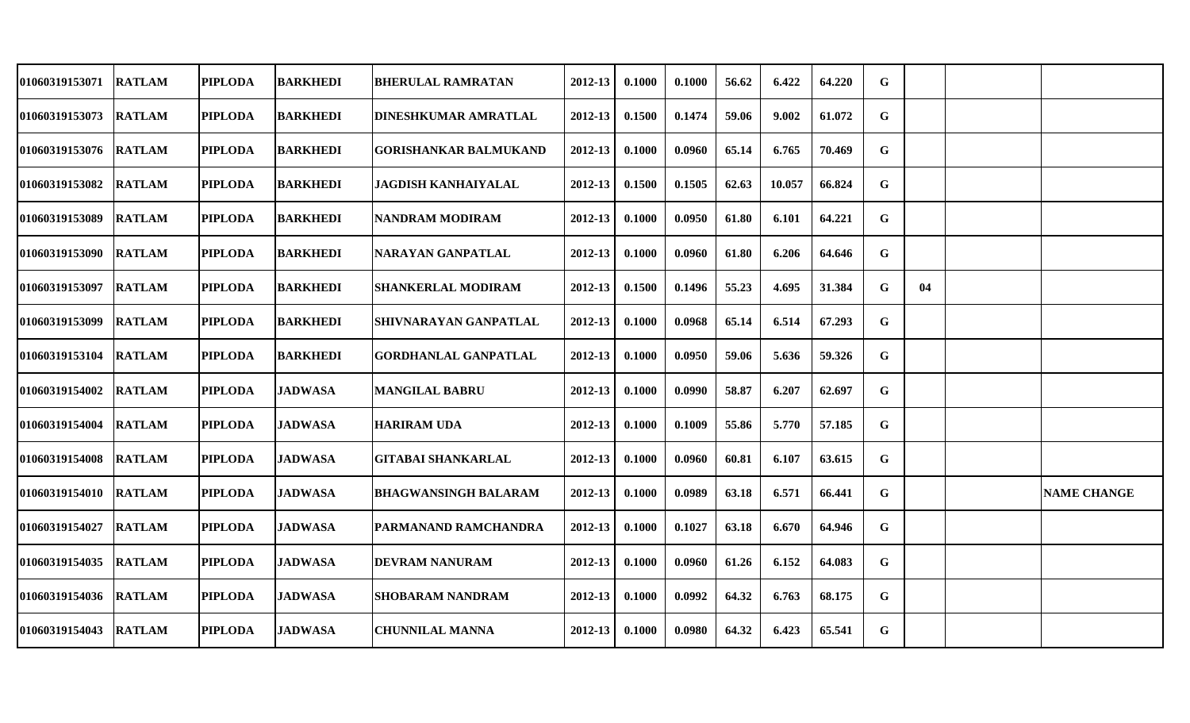| 01060319153071 | <b>RATLAM</b> | <b>PIPLODA</b> | <b>BARKHEDI</b> | <b>BHERULAL RAMRATAN</b>     | 2012-13 | 0.1000 | 0.1000 | 56.62 | 6.422  | 64.220 | G |    |                    |
|----------------|---------------|----------------|-----------------|------------------------------|---------|--------|--------|-------|--------|--------|---|----|--------------------|
| 01060319153073 | <b>RATLAM</b> | <b>PIPLODA</b> | <b>BARKHEDI</b> | <b>DINESHKUMAR AMRATLAL</b>  | 2012-13 | 0.1500 | 0.1474 | 59.06 | 9.002  | 61.072 | G |    |                    |
| 01060319153076 | <b>RATLAM</b> | <b>PIPLODA</b> | <b>BARKHEDI</b> | <b>GORISHANKAR BALMUKAND</b> | 2012-13 | 0.1000 | 0.0960 | 65.14 | 6.765  | 70.469 | G |    |                    |
| 01060319153082 | <b>RATLAM</b> | <b>PIPLODA</b> | <b>BARKHEDI</b> | JAGDISH KANHAIYALAL          | 2012-13 | 0.1500 | 0.1505 | 62.63 | 10.057 | 66.824 | G |    |                    |
| 01060319153089 | <b>RATLAM</b> | <b>PIPLODA</b> | <b>BARKHEDI</b> | NANDRAM MODIRAM              | 2012-13 | 0.1000 | 0.0950 | 61.80 | 6.101  | 64.221 | G |    |                    |
| 01060319153090 | <b>RATLAM</b> | <b>PIPLODA</b> | <b>BARKHEDI</b> | NARAYAN GANPATLAL            | 2012-13 | 0.1000 | 0.0960 | 61.80 | 6.206  | 64.646 | G |    |                    |
| 01060319153097 | <b>RATLAM</b> | <b>PIPLODA</b> | <b>BARKHEDI</b> | <b>SHANKERLAL MODIRAM</b>    | 2012-13 | 0.1500 | 0.1496 | 55.23 | 4.695  | 31.384 | G | 04 |                    |
| 01060319153099 | <b>RATLAM</b> | <b>PIPLODA</b> | <b>BARKHEDI</b> | <b>SHIVNARAYAN GANPATLAL</b> | 2012-13 | 0.1000 | 0.0968 | 65.14 | 6.514  | 67.293 | G |    |                    |
| 01060319153104 | <b>RATLAM</b> | <b>PIPLODA</b> | <b>BARKHEDI</b> | <b>GORDHANLAL GANPATLAL</b>  | 2012-13 | 0.1000 | 0.0950 | 59.06 | 5.636  | 59.326 | G |    |                    |
| 01060319154002 | <b>RATLAM</b> | <b>PIPLODA</b> | <b>JADWASA</b>  | <b>MANGILAL BABRU</b>        | 2012-13 | 0.1000 | 0.0990 | 58.87 | 6.207  | 62.697 | G |    |                    |
| 01060319154004 | <b>RATLAM</b> | <b>PIPLODA</b> | <b>JADWASA</b>  | <b>HARIRAM UDA</b>           | 2012-13 | 0.1000 | 0.1009 | 55.86 | 5.770  | 57.185 | G |    |                    |
| 01060319154008 | <b>RATLAM</b> | <b>PIPLODA</b> | <b>JADWASA</b>  | <b>GITABAI SHANKARLAL</b>    | 2012-13 | 0.1000 | 0.0960 | 60.81 | 6.107  | 63.615 | G |    |                    |
| 01060319154010 | <b>RATLAM</b> | <b>PIPLODA</b> | <b>JADWASA</b>  | <b>BHAGWANSINGH BALARAM</b>  | 2012-13 | 0.1000 | 0.0989 | 63.18 | 6.571  | 66.441 | G |    | <b>NAME CHANGE</b> |
| 01060319154027 | <b>RATLAM</b> | <b>PIPLODA</b> | <b>JADWASA</b>  | <b>PARMANAND RAMCHANDRA</b>  | 2012-13 | 0.1000 | 0.1027 | 63.18 | 6.670  | 64.946 | G |    |                    |
| 01060319154035 | <b>RATLAM</b> | <b>PIPLODA</b> | <b>JADWASA</b>  | <b>DEVRAM NANURAM</b>        | 2012-13 | 0.1000 | 0.0960 | 61.26 | 6.152  | 64.083 | G |    |                    |
| 01060319154036 | <b>RATLAM</b> | <b>PIPLODA</b> | <b>JADWASA</b>  | <b>SHOBARAM NANDRAM</b>      | 2012-13 | 0.1000 | 0.0992 | 64.32 | 6.763  | 68.175 | G |    |                    |
| 01060319154043 | <b>RATLAM</b> | <b>PIPLODA</b> | <b>JADWASA</b>  | <b>CHUNNILAL MANNA</b>       | 2012-13 | 0.1000 | 0.0980 | 64.32 | 6.423  | 65.541 | G |    |                    |
|                |               |                |                 |                              |         |        |        |       |        |        |   |    |                    |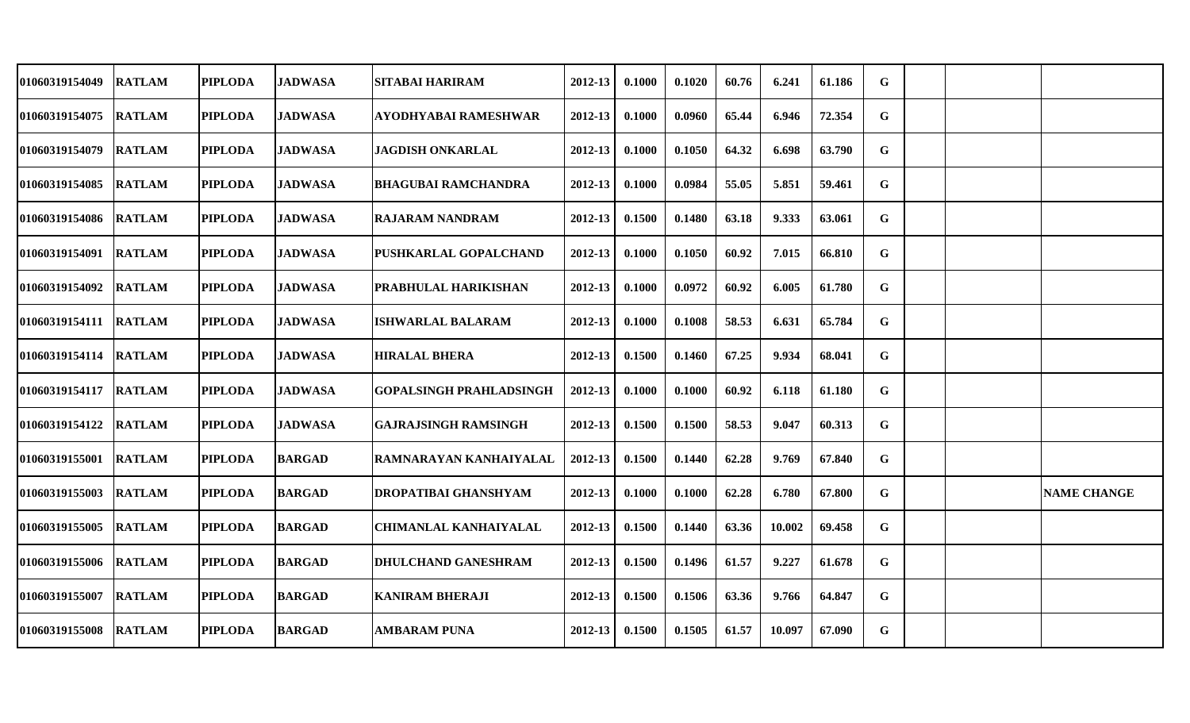| 01060319154049 | <b>RATLAM</b> | <b>PIPLODA</b> | <b>JADWASA</b> | SITABAI HARIRAM                | 2012-13     | 0.1000 | 0.1020 | 60.76 | 6.241  | 61.186 | G |  |                    |
|----------------|---------------|----------------|----------------|--------------------------------|-------------|--------|--------|-------|--------|--------|---|--|--------------------|
| 01060319154075 | <b>RATLAM</b> | <b>PIPLODA</b> | <b>JADWASA</b> | <b>AYODHYABAI RAMESHWAR</b>    | 2012-13     | 0.1000 | 0.0960 | 65.44 | 6.946  | 72.354 | G |  |                    |
| 01060319154079 | <b>RATLAM</b> | <b>PIPLODA</b> | <b>JADWASA</b> | <b>JAGDISH ONKARLAL</b>        | 2012-13     | 0.1000 | 0.1050 | 64.32 | 6.698  | 63.790 | G |  |                    |
| 01060319154085 | <b>RATLAM</b> | <b>PIPLODA</b> | <b>JADWASA</b> | <b>BHAGUBAI RAMCHANDRA</b>     | 2012-13     | 0.1000 | 0.0984 | 55.05 | 5.851  | 59.461 | G |  |                    |
| 01060319154086 | <b>RATLAM</b> | <b>PIPLODA</b> | <b>JADWASA</b> | <b>RAJARAM NANDRAM</b>         | 2012-13     | 0.1500 | 0.1480 | 63.18 | 9.333  | 63.061 | G |  |                    |
| 01060319154091 | <b>RATLAM</b> | <b>PIPLODA</b> | <b>JADWASA</b> | PUSHKARLAL GOPALCHAND          | 2012-13     | 0.1000 | 0.1050 | 60.92 | 7.015  | 66.810 | G |  |                    |
| 01060319154092 | <b>RATLAM</b> | <b>PIPLODA</b> | <b>JADWASA</b> | <b>PRABHULAL HARIKISHAN</b>    | 2012-13     | 0.1000 | 0.0972 | 60.92 | 6.005  | 61.780 | G |  |                    |
| 01060319154111 | <b>RATLAM</b> | <b>PIPLODA</b> | <b>JADWASA</b> | <b>ISHWARLAL BALARAM</b>       | 2012-13     | 0.1000 | 0.1008 | 58.53 | 6.631  | 65.784 | G |  |                    |
| 01060319154114 | <b>RATLAM</b> | <b>PIPLODA</b> | <b>JADWASA</b> | <b>HIRALAL BHERA</b>           | $2012 - 13$ | 0.1500 | 0.1460 | 67.25 | 9.934  | 68.041 | G |  |                    |
| 01060319154117 | <b>RATLAM</b> | <b>PIPLODA</b> | <b>JADWASA</b> | <b>GOPALSINGH PRAHLADSINGH</b> | 2012-13     | 0.1000 | 0.1000 | 60.92 | 6.118  | 61.180 | G |  |                    |
| 01060319154122 | <b>RATLAM</b> | <b>PIPLODA</b> | <b>JADWASA</b> | <b>GAJRAJSINGH RAMSINGH</b>    | 2012-13     | 0.1500 | 0.1500 | 58.53 | 9.047  | 60.313 | G |  |                    |
| 01060319155001 | <b>RATLAM</b> | <b>PIPLODA</b> | <b>BARGAD</b>  | RAMNARAYAN KANHAIYALAL         | 2012-13     | 0.1500 | 0.1440 | 62.28 | 9.769  | 67.840 | G |  |                    |
| 01060319155003 | <b>RATLAM</b> | <b>PIPLODA</b> | <b>BARGAD</b>  | <b>DROPATIBAI GHANSHYAM</b>    | 2012-13     | 0.1000 | 0.1000 | 62.28 | 6.780  | 67.800 | G |  | <b>NAME CHANGE</b> |
| 01060319155005 | <b>RATLAM</b> | <b>PIPLODA</b> | <b>BARGAD</b>  | <b>CHIMANLAL KANHAIYALAL</b>   | 2012-13     | 0.1500 | 0.1440 | 63.36 | 10.002 | 69.458 | G |  |                    |
| 01060319155006 | <b>RATLAM</b> | <b>PIPLODA</b> | <b>BARGAD</b>  | <b>DHULCHAND GANESHRAM</b>     | 2012-13     | 0.1500 | 0.1496 | 61.57 | 9.227  | 61.678 | G |  |                    |
| 01060319155007 | <b>RATLAM</b> | <b>PIPLODA</b> | <b>BARGAD</b>  | <b>KANIRAM BHERAJI</b>         | $2012 - 13$ | 0.1500 | 0.1506 | 63.36 | 9.766  | 64.847 | G |  |                    |
| 01060319155008 | <b>RATLAM</b> | <b>PIPLODA</b> | <b>BARGAD</b>  | <b>AMBARAM PUNA</b>            | 2012-13     | 0.1500 | 0.1505 | 61.57 | 10.097 | 67.090 | G |  |                    |
|                |               |                |                |                                |             |        |        |       |        |        |   |  |                    |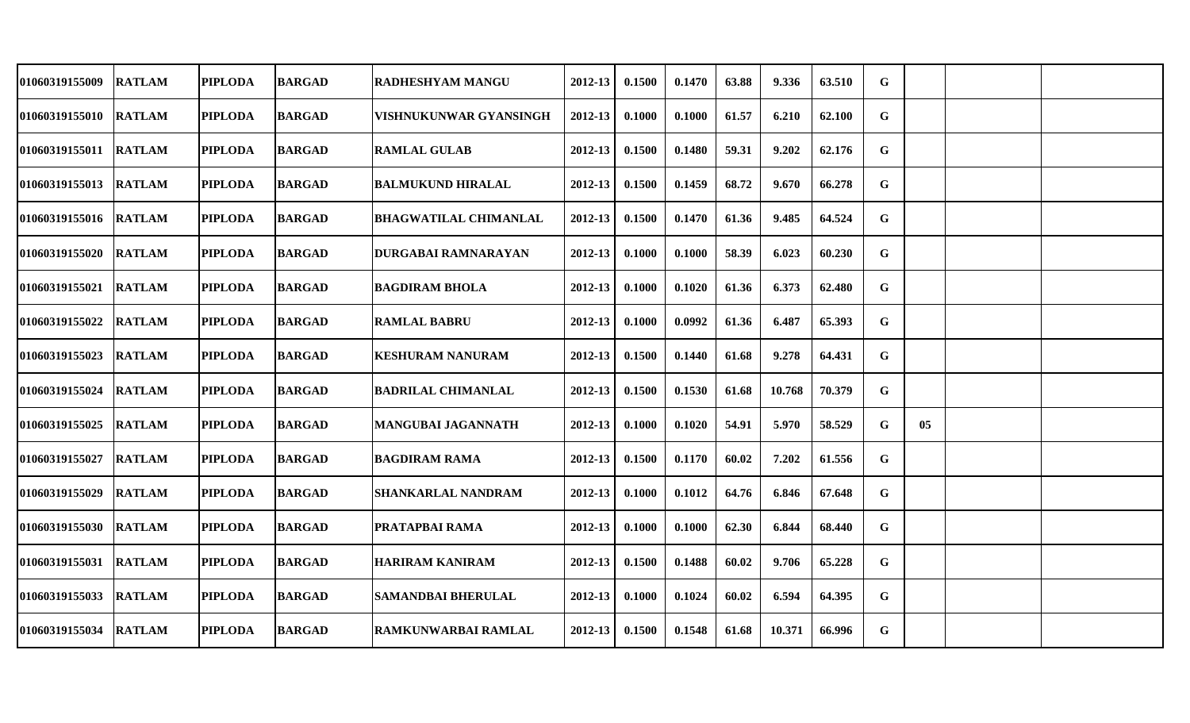| 01060319155009        | <b>RATLAM</b> | <b>PIPLODA</b> | <b>BARGAD</b> | <b>RADHESHYAM MANGU</b>      | 2012-13     | 0.1500 | 0.1470 | 63.88 | 9.336  | 63.510 | G           |    |  |
|-----------------------|---------------|----------------|---------------|------------------------------|-------------|--------|--------|-------|--------|--------|-------------|----|--|
| 01060319155010 RATLAM |               | <b>PIPLODA</b> | <b>BARGAD</b> | VISHNUKUNWAR GYANSINGH       | 2012-13     | 0.1000 | 0.1000 | 61.57 | 6.210  | 62.100 | G           |    |  |
| 01060319155011 RATLAM |               | <b>PIPLODA</b> | <b>BARGAD</b> | <b>RAMLAL GULAB</b>          | $2012 - 13$ | 0.1500 | 0.1480 | 59.31 | 9.202  | 62.176 | G           |    |  |
| <b>01060319155013</b> | <b>RATLAM</b> | <b>PIPLODA</b> | <b>BARGAD</b> | <b>BALMUKUND HIRALAL</b>     | $2012 - 13$ | 0.1500 | 0.1459 | 68.72 | 9.670  | 66.278 | G           |    |  |
| 01060319155016 RATLAM |               | <b>PIPLODA</b> | <b>BARGAD</b> | <b>BHAGWATILAL CHIMANLAL</b> | $2012 - 13$ | 0.1500 | 0.1470 | 61.36 | 9.485  | 64.524 | G           |    |  |
| 01060319155020        | <b>RATLAM</b> | <b>PIPLODA</b> | <b>BARGAD</b> | <b>DURGABAI RAMNARAYAN</b>   | 2012-13     | 0.1000 | 0.1000 | 58.39 | 6.023  | 60.230 | G           |    |  |
| 01060319155021 RATLAM |               | <b>PIPLODA</b> | <b>BARGAD</b> | <b>BAGDIRAM BHOLA</b>        | 2012-13     | 0.1000 | 0.1020 | 61.36 | 6.373  | 62.480 | G           |    |  |
| <b>01060319155022</b> | <b>RATLAM</b> | <b>PIPLODA</b> | <b>BARGAD</b> | <b>RAMLAL BABRU</b>          | $2012 - 13$ | 0.1000 | 0.0992 | 61.36 | 6.487  | 65.393 | G           |    |  |
| <b>01060319155023</b> | <b>RATLAM</b> | <b>PIPLODA</b> | <b>BARGAD</b> | <b>KESHURAM NANURAM</b>      | 2012-13     | 0.1500 | 0.1440 | 61.68 | 9.278  | 64.431 | G           |    |  |
| <b>01060319155024</b> | <b>RATLAM</b> | <b>PIPLODA</b> | <b>BARGAD</b> | <b>BADRILAL CHIMANLAL</b>    | 2012-13     | 0.1500 | 0.1530 | 61.68 | 10.768 | 70.379 | $\mathbf G$ |    |  |
| <b>01060319155025</b> | <b>RATLAM</b> | <b>PIPLODA</b> | <b>BARGAD</b> | <b>MANGUBAI JAGANNATH</b>    | 2012-13     | 0.1000 | 0.1020 | 54.91 | 5.970  | 58.529 | G           | 05 |  |
| 01060319155027        | <b>RATLAM</b> | <b>PIPLODA</b> | <b>BARGAD</b> | <b>BAGDIRAM RAMA</b>         | 2012-13     | 0.1500 | 0.1170 | 60.02 | 7.202  | 61.556 | G           |    |  |
| 01060319155029        | <b>RATLAM</b> | <b>PIPLODA</b> | <b>BARGAD</b> | <b>SHANKARLAL NANDRAM</b>    | $2012 - 13$ | 0.1000 | 0.1012 | 64.76 | 6.846  | 67.648 | G           |    |  |
| 01060319155030        | <b>RATLAM</b> | <b>PIPLODA</b> | <b>BARGAD</b> | PRATAPBAI RAMA               | $2012 - 13$ | 0.1000 | 0.1000 | 62.30 | 6.844  | 68.440 | G           |    |  |
| 01060319155031 RATLAM |               | <b>PIPLODA</b> | <b>BARGAD</b> | <b>HARIRAM KANIRAM</b>       | $2012 - 13$ | 0.1500 | 0.1488 | 60.02 | 9.706  | 65.228 | G           |    |  |
| <b>01060319155033</b> | <b>RATLAM</b> | <b>PIPLODA</b> | <b>BARGAD</b> | <b>SAMANDBAI BHERULAL</b>    | 2012-13     | 0.1000 | 0.1024 | 60.02 | 6.594  | 64.395 | G           |    |  |
| 01060319155034        | <b>RATLAM</b> | <b>PIPLODA</b> | <b>BARGAD</b> | <b>RAMKUNWARBAI RAMLAL</b>   | $2012 - 13$ | 0.1500 | 0.1548 | 61.68 | 10.371 | 66.996 | G           |    |  |
|                       |               |                |               |                              |             |        |        |       |        |        |             |    |  |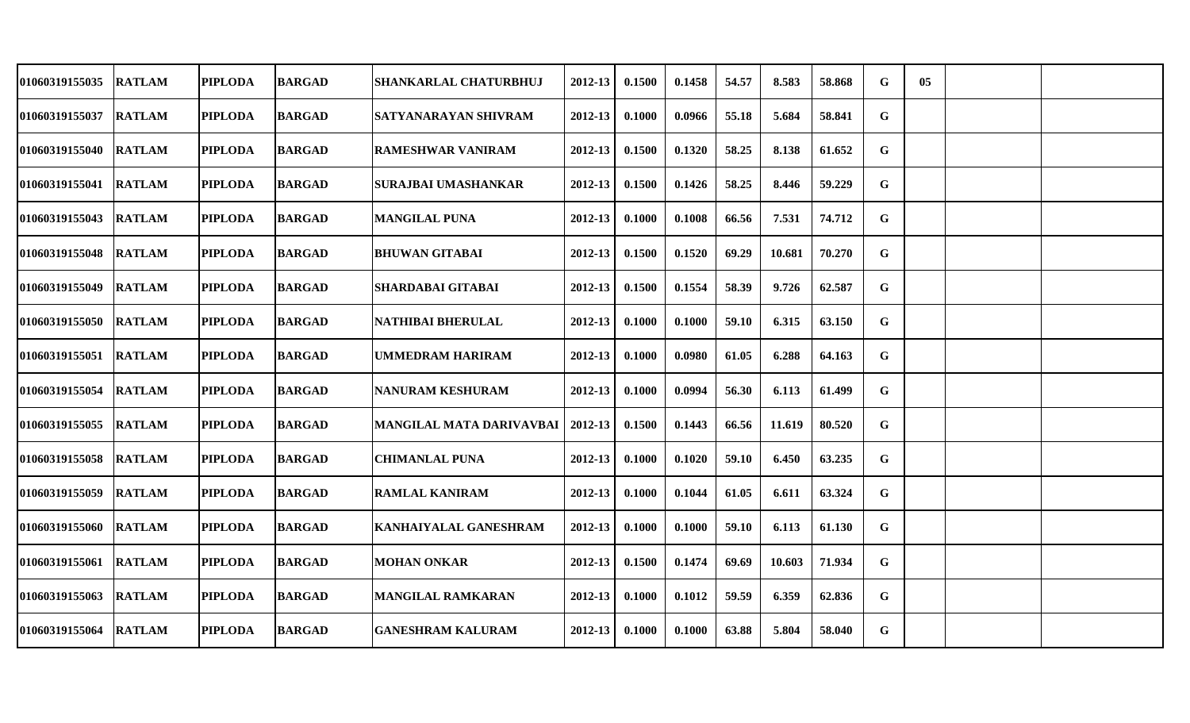| 01060319155035        | <b>RATLAM</b> | <b>PIPLODA</b> | <b>BARGAD</b> | <b>SHANKARLAL CHATURBHUJ</b> | 2012-13     | 0.1500 | 0.1458 | 54.57 | 8.583  | 58.868 | G | 05 |  |
|-----------------------|---------------|----------------|---------------|------------------------------|-------------|--------|--------|-------|--------|--------|---|----|--|
| 01060319155037        | <b>RATLAM</b> | <b>PIPLODA</b> | <b>BARGAD</b> | <b>SATYANARAYAN SHIVRAM</b>  | 2012-13     | 0.1000 | 0.0966 | 55.18 | 5.684  | 58.841 | G |    |  |
| 01060319155040 RATLAM |               | <b>PIPLODA</b> | <b>BARGAD</b> | RAMESHWAR VANIRAM            | $2012 - 13$ | 0.1500 | 0.1320 | 58.25 | 8.138  | 61.652 | G |    |  |
| <b>01060319155041</b> | <b>RATLAM</b> | <b>PIPLODA</b> | <b>BARGAD</b> | SURAJBAI UMASHANKAR          | $2012 - 13$ | 0.1500 | 0.1426 | 58.25 | 8.446  | 59.229 | G |    |  |
| <b>01060319155043</b> | <b>RATLAM</b> | <b>PIPLODA</b> | <b>BARGAD</b> | <b>MANGILAL PUNA</b>         | 2012-13     | 0.1000 | 0.1008 | 66.56 | 7.531  | 74.712 | G |    |  |
| <b>01060319155048</b> | <b>RATLAM</b> | <b>PIPLODA</b> | <b>BARGAD</b> | <b>BHUWAN GITABAI</b>        | $2012 - 13$ | 0.1500 | 0.1520 | 69.29 | 10.681 | 70.270 | G |    |  |
| 01060319155049        | <b>RATLAM</b> | <b>PIPLODA</b> | <b>BARGAD</b> | <b>SHARDABAI GITABAI</b>     | 2012-13     | 0.1500 | 0.1554 | 58.39 | 9.726  | 62.587 | G |    |  |
| <b>01060319155050</b> | <b>RATLAM</b> | <b>PIPLODA</b> | <b>BARGAD</b> | <b>NATHIBAI BHERULAL</b>     | 2012-13     | 0.1000 | 0.1000 | 59.10 | 6.315  | 63.150 | G |    |  |
| 01060319155051 RATLAM |               | <b>PIPLODA</b> | <b>BARGAD</b> | <b>UMMEDRAM HARIRAM</b>      | 2012-13     | 0.1000 | 0.0980 | 61.05 | 6.288  | 64.163 | G |    |  |
| <b>01060319155054</b> | <b>RATLAM</b> | <b>PIPLODA</b> | <b>BARGAD</b> | NANURAM KESHURAM             | 2012-13     | 0.1000 | 0.0994 | 56.30 | 6.113  | 61.499 | G |    |  |
| <b>01060319155055</b> | <b>RATLAM</b> | <b>PIPLODA</b> | <b>BARGAD</b> | MANGILAL MATA DARIVAVBAI     | 2012-13     | 0.1500 | 0.1443 | 66.56 | 11.619 | 80.520 | G |    |  |
| <b>01060319155058</b> | <b>RATLAM</b> | <b>PIPLODA</b> | <b>BARGAD</b> | <b>CHIMANLAL PUNA</b>        | $2012 - 13$ | 0.1000 | 0.1020 | 59.10 | 6.450  | 63.235 | G |    |  |
| <b>01060319155059</b> | <b>RATLAM</b> | <b>PIPLODA</b> | <b>BARGAD</b> | <b>RAMLAL KANIRAM</b>        | 2012-13     | 0.1000 | 0.1044 | 61.05 | 6.611  | 63.324 | G |    |  |
| 01060319155060        | <b>RATLAM</b> | <b>PIPLODA</b> | <b>BARGAD</b> | <b>KANHAIYALAL GANESHRAM</b> | 2012-13     | 0.1000 | 0.1000 | 59.10 | 6.113  | 61.130 | G |    |  |
| 01060319155061 RATLAM |               | <b>PIPLODA</b> | <b>BARGAD</b> | <b>MOHAN ONKAR</b>           | 2012-13     | 0.1500 | 0.1474 | 69.69 | 10.603 | 71.934 | G |    |  |
| <b>01060319155063</b> | <b>RATLAM</b> | <b>PIPLODA</b> | <b>BARGAD</b> | <b>MANGILAL RAMKARAN</b>     | $2012 - 13$ | 0.1000 | 0.1012 | 59.59 | 6.359  | 62.836 | G |    |  |
| 01060319155064        | <b>RATLAM</b> | <b>PIPLODA</b> | <b>BARGAD</b> | <b>GANESHRAM KALURAM</b>     | 2012-13     | 0.1000 | 0.1000 | 63.88 | 5.804  | 58.040 | G |    |  |
|                       |               |                |               |                              |             |        |        |       |        |        |   |    |  |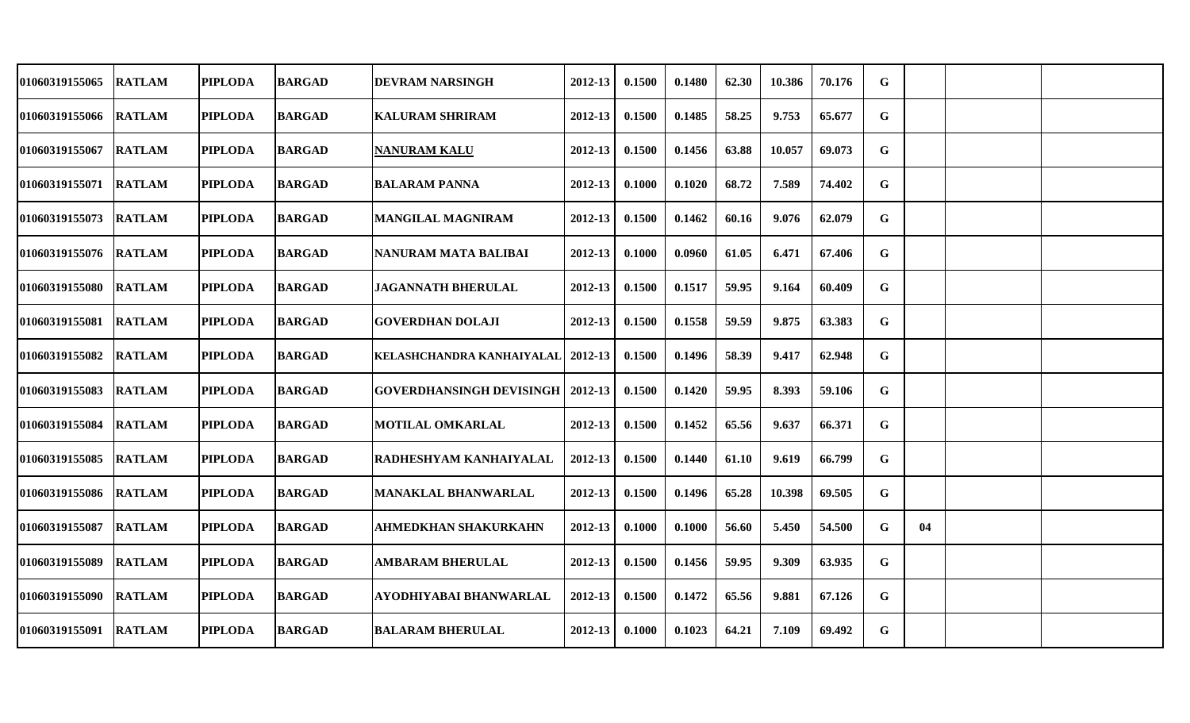| 01060319155065         | <b>RATLAM</b> | <b>PIPLODA</b> | <b>BARGAD</b> | DEVRAM NARSINGH                           | 2012-13     | 0.1500 | 0.1480 | 62.30 | 10.386 | 70.176 | G           |    |  |
|------------------------|---------------|----------------|---------------|-------------------------------------------|-------------|--------|--------|-------|--------|--------|-------------|----|--|
| 01060319155066         | <b>RATLAM</b> | <b>PIPLODA</b> | <b>BARGAD</b> | <b>KALURAM SHRIRAM</b>                    | 2012-13     | 0.1500 | 0.1485 | 58.25 | 9.753  | 65.677 | G           |    |  |
| 01060319155067         | <b>RATLAM</b> | <b>PIPLODA</b> | <b>BARGAD</b> | <b>NANURAM KALU</b>                       | 2012-13     | 0.1500 | 0.1456 | 63.88 | 10.057 | 69.073 | $\mathbf G$ |    |  |
| 01060319155071  RATLAM |               | <b>PIPLODA</b> | <b>BARGAD</b> | <b>BALARAM PANNA</b>                      | 2012-13     | 0.1000 | 0.1020 | 68.72 | 7.589  | 74.402 | G           |    |  |
| 01060319155073         | <b>RATLAM</b> | <b>PIPLODA</b> | <b>BARGAD</b> | MANGILAL MAGNIRAM                         | 2012-13     | 0.1500 | 0.1462 | 60.16 | 9.076  | 62.079 | G           |    |  |
| 01060319155076 RATLAM  |               | <b>PIPLODA</b> | <b>BARGAD</b> | NANURAM MATA BALIBAI                      | 2012-13     | 0.1000 | 0.0960 | 61.05 | 6.471  | 67.406 | G           |    |  |
| 01060319155080         | <b>RATLAM</b> | <b>PIPLODA</b> | <b>BARGAD</b> | <b>JAGANNATH BHERULAL</b>                 | 2012-13     | 0.1500 | 0.1517 | 59.95 | 9.164  | 60.409 | G           |    |  |
| 01060319155081         | <b>RATLAM</b> | <b>PIPLODA</b> | <b>BARGAD</b> | GOVERDHAN DOLAJI                          | 2012-13     | 0.1500 | 0.1558 | 59.59 | 9.875  | 63.383 | G           |    |  |
| 01060319155082 RATLAM  |               | <b>PIPLODA</b> | <b>BARGAD</b> | KELASHCHANDRA KANHAIYALAL   2012-13       |             | 0.1500 | 0.1496 | 58.39 | 9.417  | 62.948 | $\mathbf G$ |    |  |
| 01060319155083         | <b>RATLAM</b> | <b>PIPLODA</b> | <b>BARGAD</b> | <b>GOVERDHANSINGH DEVISINGH   2012-13</b> |             | 0.1500 | 0.1420 | 59.95 | 8.393  | 59.106 | G           |    |  |
| 01060319155084         | <b>RATLAM</b> | <b>PIPLODA</b> | <b>BARGAD</b> | <b>MOTILAL OMKARLAL</b>                   | 2012-13     | 0.1500 | 0.1452 | 65.56 | 9.637  | 66.371 | $\mathbf G$ |    |  |
| 01060319155085         | <b>RATLAM</b> | <b>PIPLODA</b> | <b>BARGAD</b> | RADHESHYAM KANHAIYALAL                    | $2012 - 13$ | 0.1500 | 0.1440 | 61.10 | 9.619  | 66.799 | G           |    |  |
| 01060319155086         | <b>RATLAM</b> | <b>PIPLODA</b> | <b>BARGAD</b> | <b>MANAKLAL BHANWARLAL</b>                | 2012-13     | 0.1500 | 0.1496 | 65.28 | 10.398 | 69.505 | G           |    |  |
| 01060319155087         | <b>RATLAM</b> | <b>PIPLODA</b> | <b>BARGAD</b> | <b>AHMEDKHAN SHAKURKAHN</b>               | 2012-13     | 0.1000 | 0.1000 | 56.60 | 5.450  | 54.500 | G           | 04 |  |
| 01060319155089         | <b>RATLAM</b> | <b>PIPLODA</b> | <b>BARGAD</b> | <b>AMBARAM BHERULAL</b>                   | 2012-13     | 0.1500 | 0.1456 | 59.95 | 9.309  | 63.935 | $\mathbf G$ |    |  |
| 01060319155090         | <b>RATLAM</b> | <b>PIPLODA</b> | <b>BARGAD</b> | AYODHIYABAI BHANWARLAL                    | $2012 - 13$ | 0.1500 | 0.1472 | 65.56 | 9.881  | 67.126 | G           |    |  |
| 01060319155091         | <b>RATLAM</b> | <b>PIPLODA</b> | <b>BARGAD</b> | <b>BALARAM BHERULAL</b>                   | 2012-13     | 0.1000 | 0.1023 | 64.21 | 7.109  | 69.492 | G           |    |  |
|                        |               |                |               |                                           |             |        |        |       |        |        |             |    |  |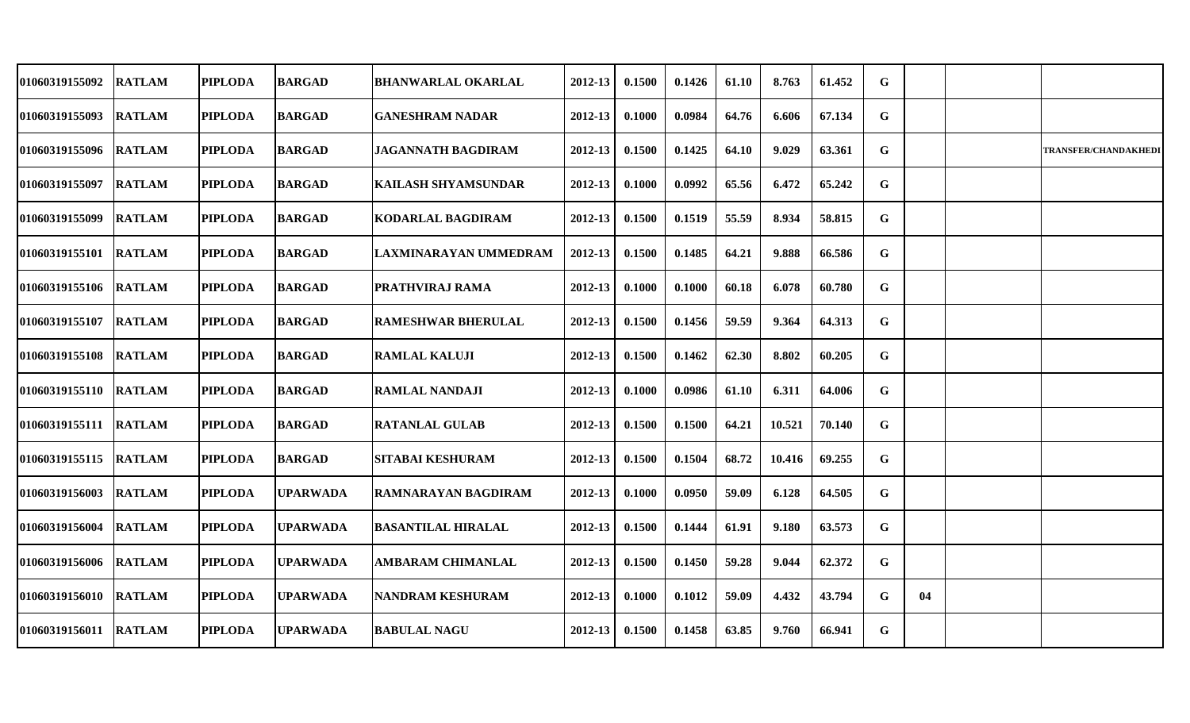| 01060319155092 | <b>RATLAM</b> | <b>PIPLODA</b> | <b>BARGAD</b>   | <b>BHANWARLAL OKARLAL</b>  | 2012-13 | 0.1500 | 0.1426 | 61.10 | 8.763  | 61.452 | G |    |                             |
|----------------|---------------|----------------|-----------------|----------------------------|---------|--------|--------|-------|--------|--------|---|----|-----------------------------|
| 01060319155093 | <b>RATLAM</b> | <b>PIPLODA</b> | <b>BARGAD</b>   | <b>GANESHRAM NADAR</b>     | 2012-13 | 0.1000 | 0.0984 | 64.76 | 6.606  | 67.134 | G |    |                             |
| 01060319155096 | <b>RATLAM</b> | <b>PIPLODA</b> | <b>BARGAD</b>   | <b>JAGANNATH BAGDIRAM</b>  | 2012-13 | 0.1500 | 0.1425 | 64.10 | 9.029  | 63.361 | G |    | <b>TRANSFER/CHANDAKHEDI</b> |
| 01060319155097 | <b>RATLAM</b> | <b>PIPLODA</b> | <b>BARGAD</b>   | <b>KAILASH SHYAMSUNDAR</b> | 2012-13 | 0.1000 | 0.0992 | 65.56 | 6.472  | 65.242 | G |    |                             |
| 01060319155099 | <b>RATLAM</b> | <b>PIPLODA</b> | <b>BARGAD</b>   | <b>KODARLAL BAGDIRAM</b>   | 2012-13 | 0.1500 | 0.1519 | 55.59 | 8.934  | 58.815 | G |    |                             |
| 01060319155101 | <b>RATLAM</b> | <b>PIPLODA</b> | <b>BARGAD</b>   | LAXMINARAYAN UMMEDRAM      | 2012-13 | 0.1500 | 0.1485 | 64.21 | 9.888  | 66.586 | G |    |                             |
| 01060319155106 | <b>RATLAM</b> | <b>PIPLODA</b> | <b>BARGAD</b>   | PRATHVIRAJ RAMA            | 2012-13 | 0.1000 | 0.1000 | 60.18 | 6.078  | 60.780 | G |    |                             |
| 01060319155107 | <b>RATLAM</b> | <b>PIPLODA</b> | <b>BARGAD</b>   | <b>RAMESHWAR BHERULAL</b>  | 2012-13 | 0.1500 | 0.1456 | 59.59 | 9.364  | 64.313 | G |    |                             |
| 01060319155108 | <b>RATLAM</b> | <b>PIPLODA</b> | <b>BARGAD</b>   | <b>RAMLAL KALUJI</b>       | 2012-13 | 0.1500 | 0.1462 | 62.30 | 8.802  | 60.205 | G |    |                             |
| 01060319155110 | <b>RATLAM</b> | <b>PIPLODA</b> | <b>BARGAD</b>   | RAMLAL NANDAJI             | 2012-13 | 0.1000 | 0.0986 | 61.10 | 6.311  | 64.006 | G |    |                             |
| 01060319155111 | <b>RATLAM</b> | <b>PIPLODA</b> | <b>BARGAD</b>   | <b>RATANLAL GULAB</b>      | 2012-13 | 0.1500 | 0.1500 | 64.21 | 10.521 | 70.140 | G |    |                             |
| 01060319155115 | <b>RATLAM</b> | <b>PIPLODA</b> | <b>BARGAD</b>   | <b>SITABAI KESHURAM</b>    | 2012-13 | 0.1500 | 0.1504 | 68.72 | 10.416 | 69.255 | G |    |                             |
| 01060319156003 | <b>RATLAM</b> | <b>PIPLODA</b> | <b>UPARWADA</b> | <b>RAMNARAYAN BAGDIRAM</b> | 2012-13 | 0.1000 | 0.0950 | 59.09 | 6.128  | 64.505 | G |    |                             |
| 01060319156004 | <b>RATLAM</b> | <b>PIPLODA</b> | <b>UPARWADA</b> | <b>BASANTILAL HIRALAL</b>  | 2012-13 | 0.1500 | 0.1444 | 61.91 | 9.180  | 63.573 | G |    |                             |
| 01060319156006 | <b>RATLAM</b> | <b>PIPLODA</b> | <b>UPARWADA</b> | <b>AMBARAM CHIMANLAL</b>   | 2012-13 | 0.1500 | 0.1450 | 59.28 | 9.044  | 62.372 | G |    |                             |
| 01060319156010 | <b>RATLAM</b> | <b>PIPLODA</b> | <b>UPARWADA</b> | <b>NANDRAM KESHURAM</b>    | 2012-13 | 0.1000 | 0.1012 | 59.09 | 4.432  | 43.794 | G | 04 |                             |
| 01060319156011 | <b>RATLAM</b> | <b>PIPLODA</b> | <b>UPARWADA</b> | <b>BABULAL NAGU</b>        | 2012-13 | 0.1500 | 0.1458 | 63.85 | 9.760  | 66.941 | G |    |                             |
|                |               |                |                 |                            |         |        |        |       |        |        |   |    |                             |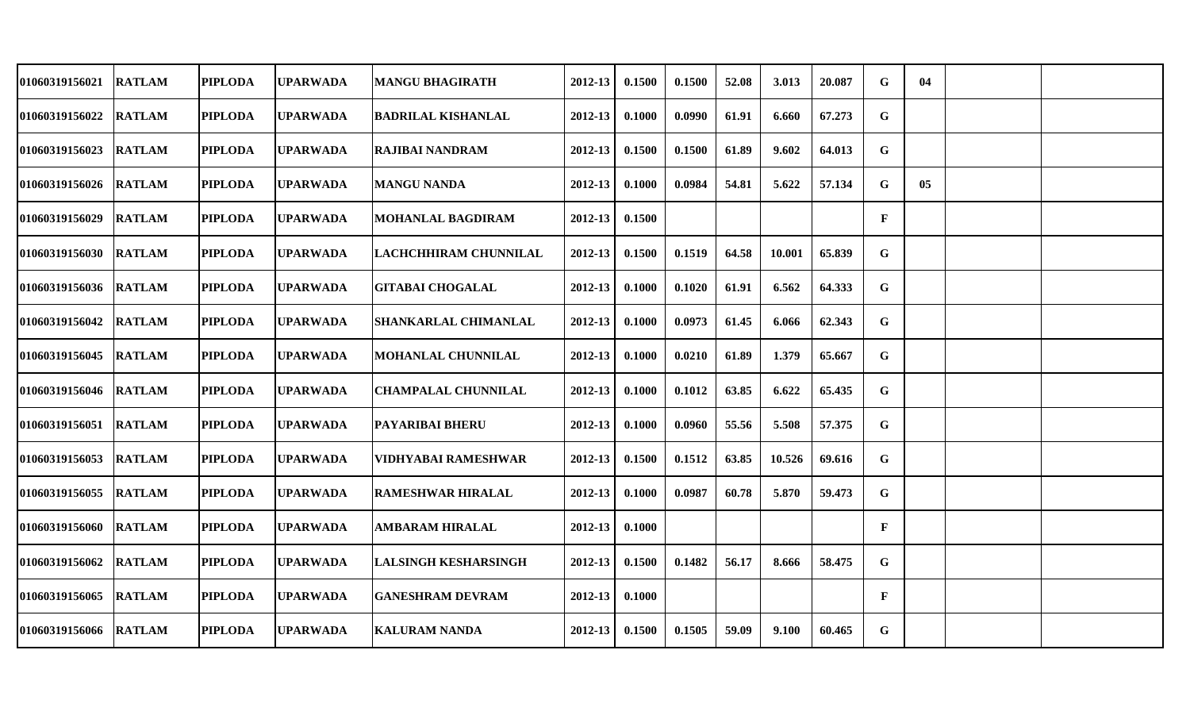| <b>01060319156021</b>  | <b>RATLAM</b> | <b>PIPLODA</b> | UPARWADA        | <b>MANGU BHAGIRATH</b>      | 2012-13     | 0.1500 | 0.1500 | 52.08 | 3.013  | 20.087 | G            | 04 |  |
|------------------------|---------------|----------------|-----------------|-----------------------------|-------------|--------|--------|-------|--------|--------|--------------|----|--|
| 01060319156022         | <b>RATLAM</b> | <b>PIPLODA</b> | <b>UPARWADA</b> | <b>BADRILAL KISHANLAL</b>   | 2012-13     | 0.1000 | 0.0990 | 61.91 | 6.660  | 67.273 | G            |    |  |
| <b>01060319156023</b>  | <b>RATLAM</b> | <b>PIPLODA</b> | <b>UPARWADA</b> | RAJIBAI NANDRAM             | $2012 - 13$ | 0.1500 | 0.1500 | 61.89 | 9.602  | 64.013 | G            |    |  |
| <b>01060319156026</b>  | <b>RATLAM</b> | <b>PIPLODA</b> | <b>UPARWADA</b> | <b>MANGU NANDA</b>          | 2012-13     | 0.1000 | 0.0984 | 54.81 | 5.622  | 57.134 | G            | 05 |  |
| <b>01060319156029</b>  | <b>RATLAM</b> | <b>PIPLODA</b> | <b>UPARWADA</b> | <b>MOHANLAL BAGDIRAM</b>    | 2012-13     | 0.1500 |        |       |        |        | $\mathbf{F}$ |    |  |
| <b>01060319156030</b>  | <b>RATLAM</b> | <b>PIPLODA</b> | <b>UPARWADA</b> | LACHCHHIRAM CHUNNILAL       | $2012 - 13$ | 0.1500 | 0.1519 | 64.58 | 10.001 | 65.839 | G            |    |  |
| <b>01060319156036</b>  | <b>RATLAM</b> | <b>PIPLODA</b> | <b>UPARWADA</b> | <b>GITABAI CHOGALAL</b>     | 2012-13     | 0.1000 | 0.1020 | 61.91 | 6.562  | 64.333 | G            |    |  |
| <b>01060319156042</b>  | <b>RATLAM</b> | <b>PIPLODA</b> | <b>UPARWADA</b> | <b>SHANKARLAL CHIMANLAL</b> | 2012-13     | 0.1000 | 0.0973 | 61.45 | 6.066  | 62.343 | G            |    |  |
| 01060319156045 RATLAM  |               | <b>PIPLODA</b> | <b>UPARWADA</b> | <b>MOHANLAL CHUNNILAL</b>   | 2012-13     | 0.1000 | 0.0210 | 61.89 | 1.379  | 65.667 | G            |    |  |
| 01060319156046  RATLAM |               | <b>PIPLODA</b> | <b>UPARWADA</b> | <b>CHAMPALAL CHUNNILAL</b>  | 2012-13     | 0.1000 | 0.1012 | 63.85 | 6.622  | 65.435 | G            |    |  |
| <b>01060319156051</b>  | <b>RATLAM</b> | <b>PIPLODA</b> | <b>UPARWADA</b> | <b>PAYARIBAI BHERU</b>      | 2012-13     | 0.1000 | 0.0960 | 55.56 | 5.508  | 57.375 | G            |    |  |
| <b>01060319156053</b>  | <b>RATLAM</b> | <b>PIPLODA</b> | <b>UPARWADA</b> | VIDHYABAI RAMESHWAR         | 2012-13     | 0.1500 | 0.1512 | 63.85 | 10.526 | 69.616 | G            |    |  |
| 01060319156055         | <b>RATLAM</b> | <b>PIPLODA</b> | <b>UPARWADA</b> | <b>RAMESHWAR HIRALAL</b>    | 2012-13     | 0.1000 | 0.0987 | 60.78 | 5.870  | 59.473 | G            |    |  |
| <b>01060319156060</b>  | <b>RATLAM</b> | <b>PIPLODA</b> | <b>UPARWADA</b> | <b>AMBARAM HIRALAL</b>      | 2012-13     | 0.1000 |        |       |        |        | F            |    |  |
| <b>01060319156062</b>  | <b>RATLAM</b> | <b>PIPLODA</b> | <b>UPARWADA</b> | <b>LALSINGH KESHARSINGH</b> | 2012-13     | 0.1500 | 0.1482 | 56.17 | 8.666  | 58.475 | G            |    |  |
| <b>01060319156065</b>  | <b>RATLAM</b> | <b>PIPLODA</b> | <b>UPARWADA</b> | <b>GANESHRAM DEVRAM</b>     | $2012 - 13$ | 0.1000 |        |       |        |        | $\mathbf{F}$ |    |  |
| 01060319156066         | <b>RATLAM</b> | <b>PIPLODA</b> | <b>UPARWADA</b> | <b>KALURAM NANDA</b>        | 2012-13     | 0.1500 | 0.1505 | 59.09 | 9.100  | 60.465 | G            |    |  |
|                        |               |                |                 |                             |             |        |        |       |        |        |              |    |  |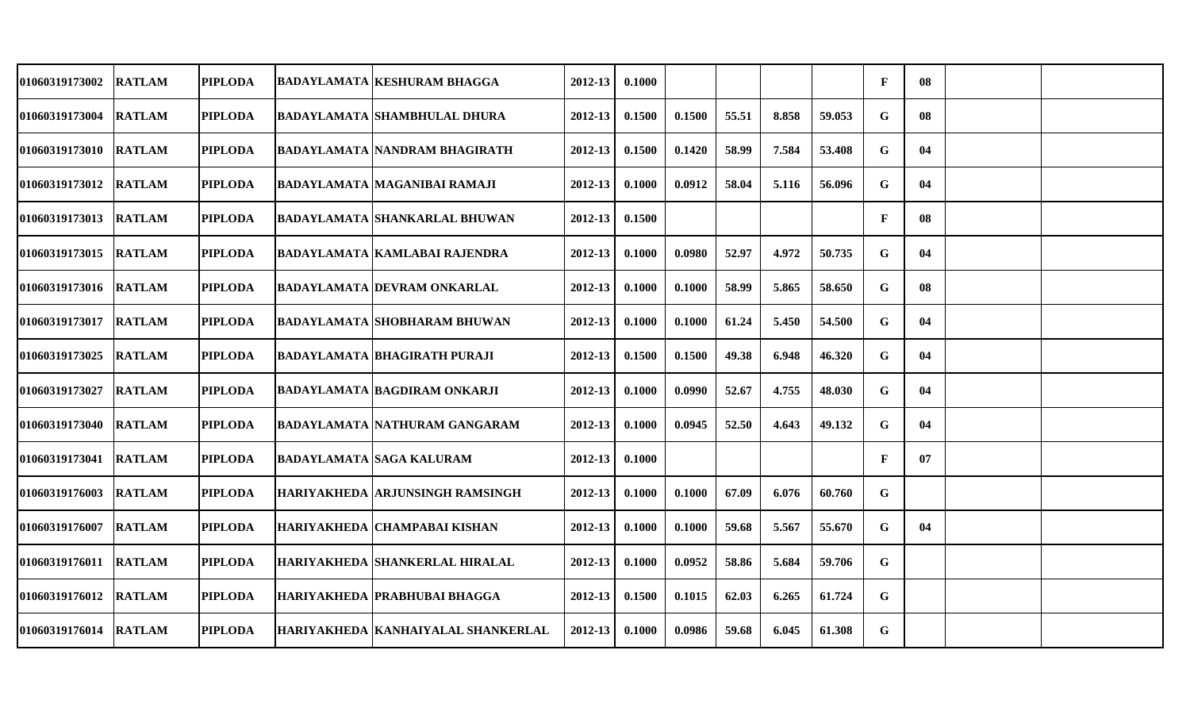| 01060319173002 | <b>RATLAM</b> | <b>PIPLODA</b> | <b>BADAYLAMATA KESHURAM BHAGGA</b>     | 2012-13     | 0.1000 |        |       |       |        | $\mathbf F$  | 08 |  |
|----------------|---------------|----------------|----------------------------------------|-------------|--------|--------|-------|-------|--------|--------------|----|--|
| 01060319173004 | <b>RATLAM</b> | <b>PIPLODA</b> | <b>BADAYLAMATA SHAMBHULAL DHURA</b>    | 2012-13     | 0.1500 | 0.1500 | 55.51 | 8.858 | 59.053 | G            | 08 |  |
| 01060319173010 | <b>RATLAM</b> | <b>PIPLODA</b> | <b>BADAYLAMATA NANDRAM BHAGIRATH</b>   | $2012 - 13$ | 0.1500 | 0.1420 | 58.99 | 7.584 | 53.408 | G            | 04 |  |
| 01060319173012 | <b>RATLAM</b> | <b>PIPLODA</b> | BADAYLAMATA  MAGANIBAI RAMAJI          | $2012 - 13$ | 0.1000 | 0.0912 | 58.04 | 5.116 | 56.096 | G            | 04 |  |
| 01060319173013 | <b>RATLAM</b> | <b>PIPLODA</b> | <b>BADAYLAMATA SHANKARLAL BHUWAN</b>   | $2012 - 13$ | 0.1500 |        |       |       |        | $\mathbf{F}$ | 08 |  |
| 01060319173015 | <b>RATLAM</b> | <b>PIPLODA</b> | <b>BADAYLAMATA KAMLABAI RAJENDRA</b>   | $2012 - 13$ | 0.1000 | 0.0980 | 52.97 | 4.972 | 50.735 | G            | 04 |  |
| 01060319173016 | <b>RATLAM</b> | <b>PIPLODA</b> | BADAYLAMATA  DEVRAM ONKARLAL           | 2012-13     | 0.1000 | 0.1000 | 58.99 | 5.865 | 58.650 | G            | 08 |  |
| 01060319173017 | <b>RATLAM</b> | <b>PIPLODA</b> | <b>BADAYLAMATA SHOBHARAM BHUWAN</b>    | 2012-13     | 0.1000 | 0.1000 | 61.24 | 5.450 | 54.500 | G            | 04 |  |
| 01060319173025 | <b>RATLAM</b> | <b>PIPLODA</b> | <b>BADAYLAMATA BHAGIRATH PURAJI</b>    | 2012-13     | 0.1500 | 0.1500 | 49.38 | 6.948 | 46.320 | G            | 04 |  |
| 01060319173027 | <b>RATLAM</b> | <b>PIPLODA</b> | <b>BADAYLAMATA BAGDIRAM ONKARJI</b>    | 2012-13     | 0.1000 | 0.0990 | 52.67 | 4.755 | 48.030 | G            | 04 |  |
| 01060319173040 | <b>RATLAM</b> | <b>PIPLODA</b> | <b>BADAYLAMATA NATHURAM GANGARAM</b>   | 2012-13     | 0.1000 | 0.0945 | 52.50 | 4.643 | 49.132 | G            | 04 |  |
| 01060319173041 | <b>RATLAM</b> | <b>PIPLODA</b> | BADAYLAMATA  SAGA KALURAM              | 2012-13     | 0.1000 |        |       |       |        | $\mathbf{F}$ | 07 |  |
| 01060319176003 | <b>RATLAM</b> | <b>PIPLODA</b> | <b>HARIYAKHEDA ARJUNSINGH RAMSINGH</b> | 2012-13     | 0.1000 | 0.1000 | 67.09 | 6.076 | 60.760 | G            |    |  |
| 01060319176007 | <b>RATLAM</b> | <b>PIPLODA</b> | HARIYAKHEDA CHAMPABAI KISHAN           | 2012-13     | 0.1000 | 0.1000 | 59.68 | 5.567 | 55.670 | G            | 04 |  |
| 01060319176011 | <b>RATLAM</b> | <b>PIPLODA</b> | HARIYAKHEDA SHANKERLAL HIRALAL         | 2012-13     | 0.1000 | 0.0952 | 58.86 | 5.684 | 59.706 | G            |    |  |
| 01060319176012 | <b>RATLAM</b> | <b>PIPLODA</b> | <b>HARIYAKHEDA PRABHUBAI BHAGGA</b>    | $2012 - 13$ | 0.1500 | 0.1015 | 62.03 | 6.265 | 61.724 | G            |    |  |
| 01060319176014 | <b>RATLAM</b> | <b>PIPLODA</b> | HARIYAKHEDA KANHAIYALAL SHANKERLAL     | $2012 - 13$ | 0.1000 | 0.0986 | 59.68 | 6.045 | 61.308 | G            |    |  |
|                |               |                |                                        |             |        |        |       |       |        |              |    |  |